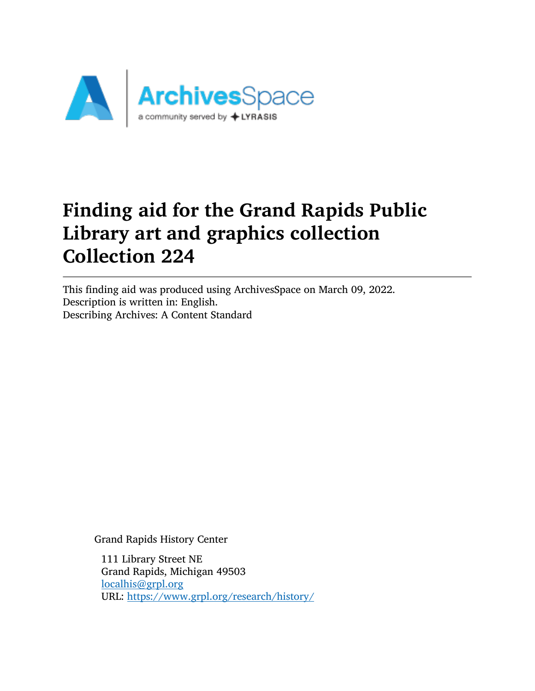

# Finding aid for the Grand Rapids Public Library art and graphics collection Collection 224

This finding aid was produced using ArchivesSpace on March 09, 2022. Description is written in: English. Describing Archives: A Content Standard

Grand Rapids History Center

111 Library Street NE Grand Rapids, Michigan 49503 [localhis@grpl.org](mailto:localhis@grpl.org) URL: <https://www.grpl.org/research/history/>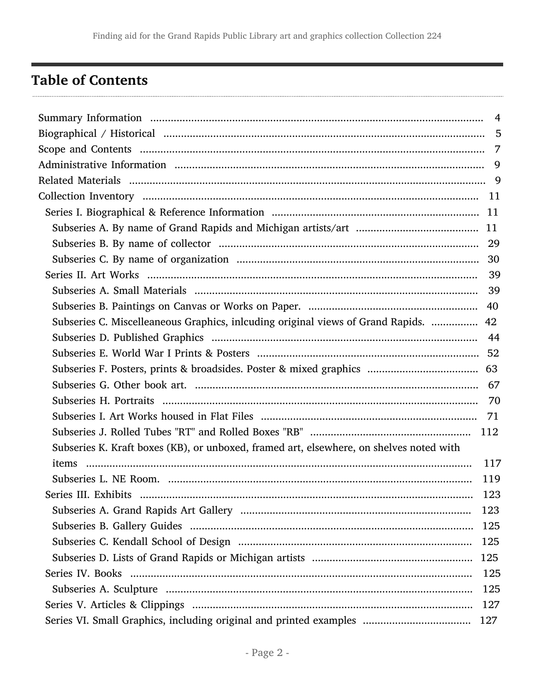## <span id="page-1-0"></span>**Table of Contents**

| Subseries C. Miscelleaneous Graphics, inlcuding original views of Grand Rapids.  42     |     |  |
|-----------------------------------------------------------------------------------------|-----|--|
|                                                                                         |     |  |
|                                                                                         |     |  |
|                                                                                         |     |  |
|                                                                                         |     |  |
|                                                                                         |     |  |
|                                                                                         |     |  |
|                                                                                         |     |  |
| Subseries K. Kraft boxes (KB), or unboxed, framed art, elsewhere, on shelves noted with |     |  |
| items                                                                                   | 117 |  |
|                                                                                         | 119 |  |
| Series III. Exhibits                                                                    | 123 |  |
|                                                                                         | 123 |  |
|                                                                                         | 125 |  |
|                                                                                         | 125 |  |
|                                                                                         | 125 |  |
|                                                                                         | 125 |  |
|                                                                                         | 125 |  |
|                                                                                         | 127 |  |
| Series VI. Small Graphics, including original and printed examples                      | 127 |  |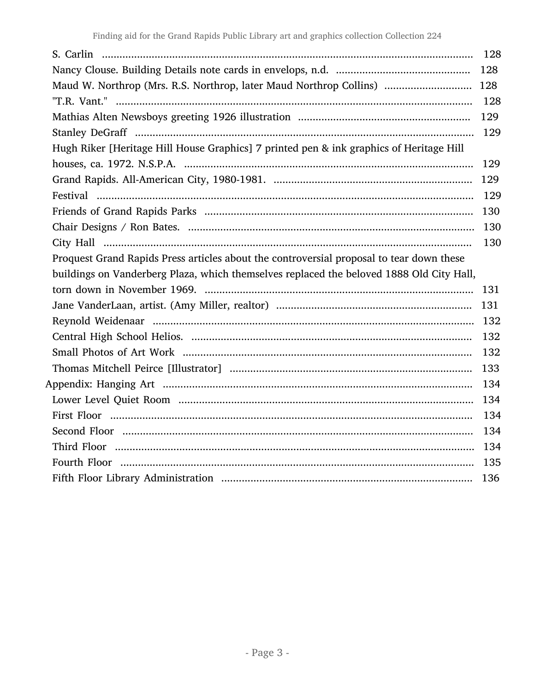|                                                                                          | 128 |
|------------------------------------------------------------------------------------------|-----|
|                                                                                          | 128 |
| Maud W. Northrop (Mrs. R.S. Northrop, later Maud Northrop Collins)                       | 128 |
|                                                                                          | 128 |
|                                                                                          | 129 |
|                                                                                          | 129 |
| Hugh Riker [Heritage Hill House Graphics] 7 printed pen & ink graphics of Heritage Hill  |     |
|                                                                                          | 129 |
|                                                                                          | 129 |
|                                                                                          | 129 |
|                                                                                          | 130 |
|                                                                                          | 130 |
|                                                                                          | 130 |
| Proquest Grand Rapids Press articles about the controversial proposal to tear down these |     |
| buildings on Vanderberg Plaza, which themselves replaced the beloved 1888 Old City Hall, |     |
|                                                                                          | 131 |
|                                                                                          | 131 |
|                                                                                          | 132 |
|                                                                                          | 132 |
|                                                                                          | 132 |
|                                                                                          | 133 |
|                                                                                          | 134 |
|                                                                                          | 134 |
|                                                                                          | 134 |
|                                                                                          | 134 |
|                                                                                          | 134 |
|                                                                                          | 135 |
|                                                                                          | 136 |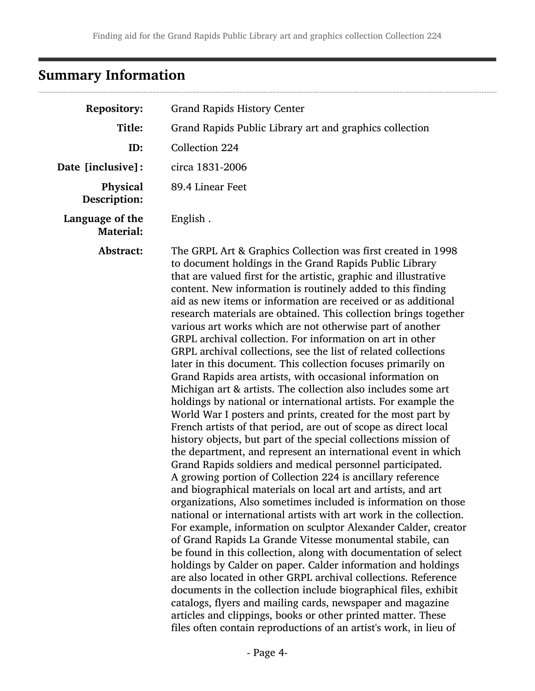# <span id="page-3-0"></span>Summary Information

| <b>Repository:</b>                  | <b>Grand Rapids History Center</b>                                                                                                                                                                                                                                                                                                                                                                                                                                                                                                                                                                                                                                                                                                                                                                                                                                                                                                                                                                                                                                                                                                                                                                                                                                                                                                                                                                                                                                                                                                                                                                                                                                                                                                                                                                                                                                                                                                                                                                                                                                              |
|-------------------------------------|---------------------------------------------------------------------------------------------------------------------------------------------------------------------------------------------------------------------------------------------------------------------------------------------------------------------------------------------------------------------------------------------------------------------------------------------------------------------------------------------------------------------------------------------------------------------------------------------------------------------------------------------------------------------------------------------------------------------------------------------------------------------------------------------------------------------------------------------------------------------------------------------------------------------------------------------------------------------------------------------------------------------------------------------------------------------------------------------------------------------------------------------------------------------------------------------------------------------------------------------------------------------------------------------------------------------------------------------------------------------------------------------------------------------------------------------------------------------------------------------------------------------------------------------------------------------------------------------------------------------------------------------------------------------------------------------------------------------------------------------------------------------------------------------------------------------------------------------------------------------------------------------------------------------------------------------------------------------------------------------------------------------------------------------------------------------------------|
| Title:                              | Grand Rapids Public Library art and graphics collection                                                                                                                                                                                                                                                                                                                                                                                                                                                                                                                                                                                                                                                                                                                                                                                                                                                                                                                                                                                                                                                                                                                                                                                                                                                                                                                                                                                                                                                                                                                                                                                                                                                                                                                                                                                                                                                                                                                                                                                                                         |
| ID:                                 | Collection 224                                                                                                                                                                                                                                                                                                                                                                                                                                                                                                                                                                                                                                                                                                                                                                                                                                                                                                                                                                                                                                                                                                                                                                                                                                                                                                                                                                                                                                                                                                                                                                                                                                                                                                                                                                                                                                                                                                                                                                                                                                                                  |
| Date [inclusive]:                   | circa 1831-2006                                                                                                                                                                                                                                                                                                                                                                                                                                                                                                                                                                                                                                                                                                                                                                                                                                                                                                                                                                                                                                                                                                                                                                                                                                                                                                                                                                                                                                                                                                                                                                                                                                                                                                                                                                                                                                                                                                                                                                                                                                                                 |
| Physical<br>Description:            | 89.4 Linear Feet                                                                                                                                                                                                                                                                                                                                                                                                                                                                                                                                                                                                                                                                                                                                                                                                                                                                                                                                                                                                                                                                                                                                                                                                                                                                                                                                                                                                                                                                                                                                                                                                                                                                                                                                                                                                                                                                                                                                                                                                                                                                |
| Language of the<br><b>Material:</b> | English.                                                                                                                                                                                                                                                                                                                                                                                                                                                                                                                                                                                                                                                                                                                                                                                                                                                                                                                                                                                                                                                                                                                                                                                                                                                                                                                                                                                                                                                                                                                                                                                                                                                                                                                                                                                                                                                                                                                                                                                                                                                                        |
| Abstract:                           | The GRPL Art & Graphics Collection was first created in 1998<br>to document holdings in the Grand Rapids Public Library<br>that are valued first for the artistic, graphic and illustrative<br>content. New information is routinely added to this finding<br>aid as new items or information are received or as additional<br>research materials are obtained. This collection brings together<br>various art works which are not otherwise part of another<br>GRPL archival collection. For information on art in other<br>GRPL archival collections, see the list of related collections<br>later in this document. This collection focuses primarily on<br>Grand Rapids area artists, with occasional information on<br>Michigan art & artists. The collection also includes some art<br>holdings by national or international artists. For example the<br>World War I posters and prints, created for the most part by<br>French artists of that period, are out of scope as direct local<br>history objects, but part of the special collections mission of<br>the department, and represent an international event in which<br>Grand Rapids soldiers and medical personnel participated.<br>A growing portion of Collection 224 is ancillary reference<br>and biographical materials on local art and artists, and art<br>organizations, Also sometimes included is information on those<br>national or international artists with art work in the collection.<br>For example, information on sculptor Alexander Calder, creator<br>of Grand Rapids La Grande Vitesse monumental stabile, can<br>be found in this collection, along with documentation of select<br>holdings by Calder on paper. Calder information and holdings<br>are also located in other GRPL archival collections. Reference<br>documents in the collection include biographical files, exhibit<br>catalogs, flyers and mailing cards, newspaper and magazine<br>articles and clippings, books or other printed matter. These<br>files often contain reproductions of an artist's work, in lieu of |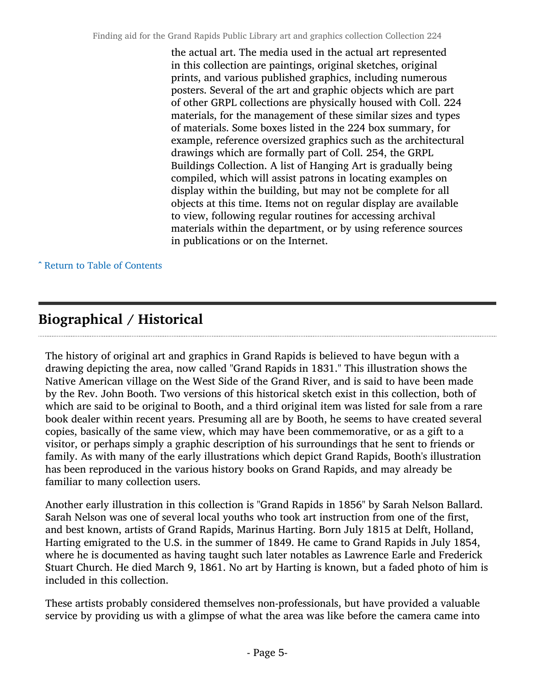the actual art. The media used in the actual art represented in this collection are paintings, original sketches, original prints, and various published graphics, including numerous posters. Several of the art and graphic objects which are part of other GRPL collections are physically housed with Coll. 224 materials, for the management of these similar sizes and types of materials. Some boxes listed in the 224 box summary, for example, reference oversized graphics such as the architectural drawings which are formally part of Coll. 254, the GRPL Buildings Collection. A list of Hanging Art is gradually being compiled, which will assist patrons in locating examples on display within the building, but may not be complete for all objects at this time. Items not on regular display are available to view, following regular routines for accessing archival materials within the department, or by using reference sources in publications or on the Internet.

^ [Return to Table of Contents](#page-1-0)

## <span id="page-4-0"></span>Biographical / Historical

The history of original art and graphics in Grand Rapids is believed to have begun with a drawing depicting the area, now called "Grand Rapids in 1831." This illustration shows the Native American village on the West Side of the Grand River, and is said to have been made by the Rev. John Booth. Two versions of this historical sketch exist in this collection, both of which are said to be original to Booth, and a third original item was listed for sale from a rare book dealer within recent years. Presuming all are by Booth, he seems to have created several copies, basically of the same view, which may have been commemorative, or as a gift to a visitor, or perhaps simply a graphic description of his surroundings that he sent to friends or family. As with many of the early illustrations which depict Grand Rapids, Booth's illustration has been reproduced in the various history books on Grand Rapids, and may already be familiar to many collection users.

Another early illustration in this collection is "Grand Rapids in 1856" by Sarah Nelson Ballard. Sarah Nelson was one of several local youths who took art instruction from one of the first, and best known, artists of Grand Rapids, Marinus Harting. Born July 1815 at Delft, Holland, Harting emigrated to the U.S. in the summer of 1849. He came to Grand Rapids in July 1854, where he is documented as having taught such later notables as Lawrence Earle and Frederick Stuart Church. He died March 9, 1861. No art by Harting is known, but a faded photo of him is included in this collection.

These artists probably considered themselves non-professionals, but have provided a valuable service by providing us with a glimpse of what the area was like before the camera came into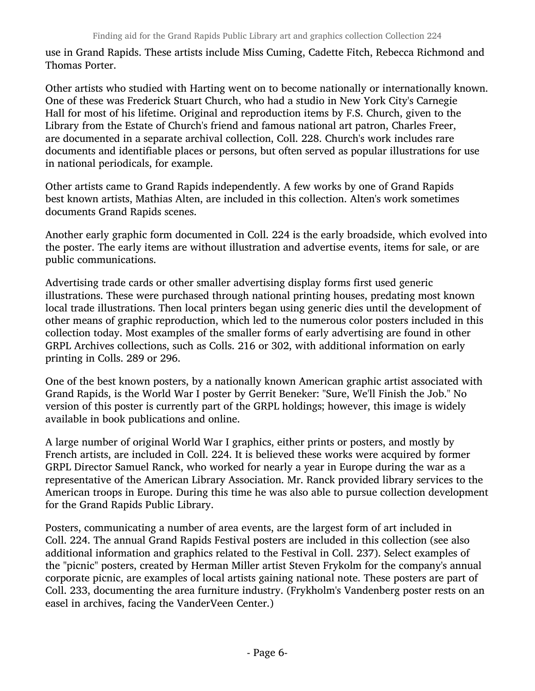use in Grand Rapids. These artists include Miss Cuming, Cadette Fitch, Rebecca Richmond and Thomas Porter.

Other artists who studied with Harting went on to become nationally or internationally known. One of these was Frederick Stuart Church, who had a studio in New York City's Carnegie Hall for most of his lifetime. Original and reproduction items by F.S. Church, given to the Library from the Estate of Church's friend and famous national art patron, Charles Freer, are documented in a separate archival collection, Coll. 228. Church's work includes rare documents and identifiable places or persons, but often served as popular illustrations for use in national periodicals, for example.

Other artists came to Grand Rapids independently. A few works by one of Grand Rapids best known artists, Mathias Alten, are included in this collection. Alten's work sometimes documents Grand Rapids scenes.

Another early graphic form documented in Coll. 224 is the early broadside, which evolved into the poster. The early items are without illustration and advertise events, items for sale, or are public communications.

Advertising trade cards or other smaller advertising display forms first used generic illustrations. These were purchased through national printing houses, predating most known local trade illustrations. Then local printers began using generic dies until the development of other means of graphic reproduction, which led to the numerous color posters included in this collection today. Most examples of the smaller forms of early advertising are found in other GRPL Archives collections, such as Colls. 216 or 302, with additional information on early printing in Colls. 289 or 296.

One of the best known posters, by a nationally known American graphic artist associated with Grand Rapids, is the World War I poster by Gerrit Beneker: "Sure, We'll Finish the Job." No version of this poster is currently part of the GRPL holdings; however, this image is widely available in book publications and online.

A large number of original World War I graphics, either prints or posters, and mostly by French artists, are included in Coll. 224. It is believed these works were acquired by former GRPL Director Samuel Ranck, who worked for nearly a year in Europe during the war as a representative of the American Library Association. Mr. Ranck provided library services to the American troops in Europe. During this time he was also able to pursue collection development for the Grand Rapids Public Library.

Posters, communicating a number of area events, are the largest form of art included in Coll. 224. The annual Grand Rapids Festival posters are included in this collection (see also additional information and graphics related to the Festival in Coll. 237). Select examples of the "picnic" posters, created by Herman Miller artist Steven Frykolm for the company's annual corporate picnic, are examples of local artists gaining national note. These posters are part of Coll. 233, documenting the area furniture industry. (Frykholm's Vandenberg poster rests on an easel in archives, facing the VanderVeen Center.)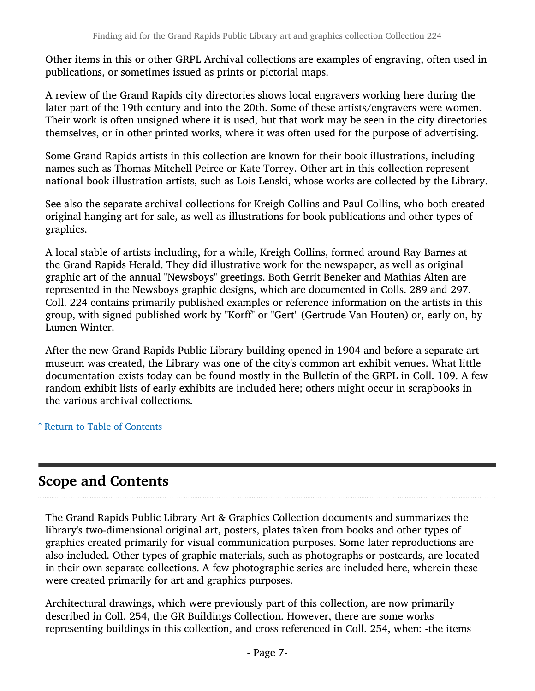Other items in this or other GRPL Archival collections are examples of engraving, often used in publications, or sometimes issued as prints or pictorial maps.

A review of the Grand Rapids city directories shows local engravers working here during the later part of the 19th century and into the 20th. Some of these artists/engravers were women. Their work is often unsigned where it is used, but that work may be seen in the city directories themselves, or in other printed works, where it was often used for the purpose of advertising.

Some Grand Rapids artists in this collection are known for their book illustrations, including names such as Thomas Mitchell Peirce or Kate Torrey. Other art in this collection represent national book illustration artists, such as Lois Lenski, whose works are collected by the Library.

See also the separate archival collections for Kreigh Collins and Paul Collins, who both created original hanging art for sale, as well as illustrations for book publications and other types of graphics.

A local stable of artists including, for a while, Kreigh Collins, formed around Ray Barnes at the Grand Rapids Herald. They did illustrative work for the newspaper, as well as original graphic art of the annual "Newsboys" greetings. Both Gerrit Beneker and Mathias Alten are represented in the Newsboys graphic designs, which are documented in Colls. 289 and 297. Coll. 224 contains primarily published examples or reference information on the artists in this group, with signed published work by "Korff" or "Gert" (Gertrude Van Houten) or, early on, by Lumen Winter.

After the new Grand Rapids Public Library building opened in 1904 and before a separate art museum was created, the Library was one of the city's common art exhibit venues. What little documentation exists today can be found mostly in the Bulletin of the GRPL in Coll. 109. A few random exhibit lists of early exhibits are included here; others might occur in scrapbooks in the various archival collections.

^ [Return to Table of Contents](#page-1-0)

## <span id="page-6-0"></span>Scope and Contents

The Grand Rapids Public Library Art & Graphics Collection documents and summarizes the library's two-dimensional original art, posters, plates taken from books and other types of graphics created primarily for visual communication purposes. Some later reproductions are also included. Other types of graphic materials, such as photographs or postcards, are located in their own separate collections. A few photographic series are included here, wherein these were created primarily for art and graphics purposes.

Architectural drawings, which were previously part of this collection, are now primarily described in Coll. 254, the GR Buildings Collection. However, there are some works representing buildings in this collection, and cross referenced in Coll. 254, when: -the items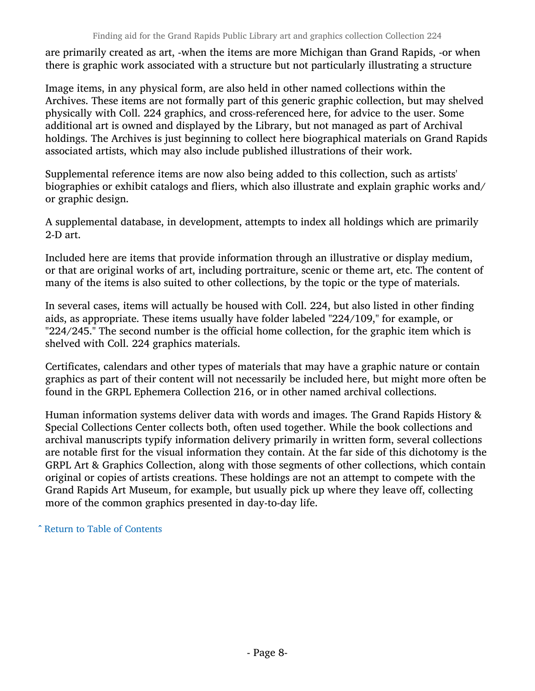are primarily created as art, -when the items are more Michigan than Grand Rapids, -or when there is graphic work associated with a structure but not particularly illustrating a structure

Image items, in any physical form, are also held in other named collections within the Archives. These items are not formally part of this generic graphic collection, but may shelved physically with Coll. 224 graphics, and cross-referenced here, for advice to the user. Some additional art is owned and displayed by the Library, but not managed as part of Archival holdings. The Archives is just beginning to collect here biographical materials on Grand Rapids associated artists, which may also include published illustrations of their work.

Supplemental reference items are now also being added to this collection, such as artists' biographies or exhibit catalogs and fliers, which also illustrate and explain graphic works and/ or graphic design.

A supplemental database, in development, attempts to index all holdings which are primarily 2-D art.

Included here are items that provide information through an illustrative or display medium, or that are original works of art, including portraiture, scenic or theme art, etc. The content of many of the items is also suited to other collections, by the topic or the type of materials.

In several cases, items will actually be housed with Coll. 224, but also listed in other finding aids, as appropriate. These items usually have folder labeled "224/109," for example, or "224/245." The second number is the official home collection, for the graphic item which is shelved with Coll. 224 graphics materials.

Certificates, calendars and other types of materials that may have a graphic nature or contain graphics as part of their content will not necessarily be included here, but might more often be found in the GRPL Ephemera Collection 216, or in other named archival collections.

Human information systems deliver data with words and images. The Grand Rapids History & Special Collections Center collects both, often used together. While the book collections and archival manuscripts typify information delivery primarily in written form, several collections are notable first for the visual information they contain. At the far side of this dichotomy is the GRPL Art & Graphics Collection, along with those segments of other collections, which contain original or copies of artists creations. These holdings are not an attempt to compete with the Grand Rapids Art Museum, for example, but usually pick up where they leave off, collecting more of the common graphics presented in day-to-day life.

^ [Return to Table of Contents](#page-1-0)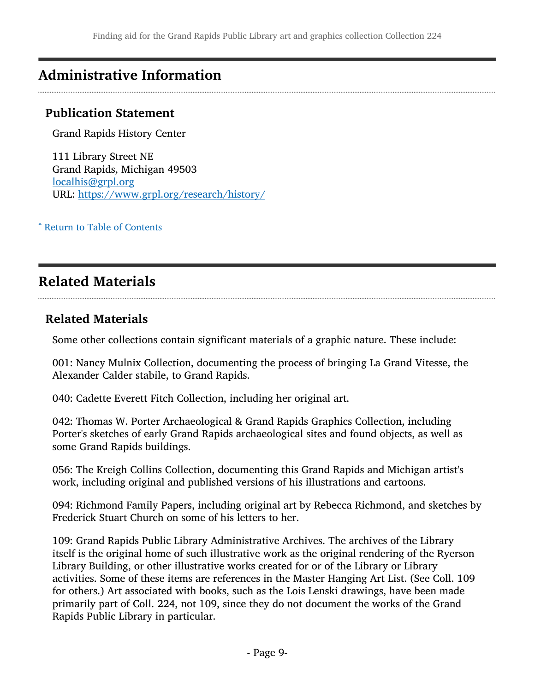## <span id="page-8-0"></span>Administrative Information

### Publication Statement

Grand Rapids History Center

111 Library Street NE Grand Rapids, Michigan 49503 [localhis@grpl.org](mailto:localhis@grpl.org) URL: <https://www.grpl.org/research/history/>

^ [Return to Table of Contents](#page-1-0)

## <span id="page-8-1"></span>Related Materials

#### Related Materials

Some other collections contain significant materials of a graphic nature. These include:

001: Nancy Mulnix Collection, documenting the process of bringing La Grand Vitesse, the Alexander Calder stabile, to Grand Rapids.

040: Cadette Everett Fitch Collection, including her original art.

042: Thomas W. Porter Archaeological & Grand Rapids Graphics Collection, including Porter's sketches of early Grand Rapids archaeological sites and found objects, as well as some Grand Rapids buildings.

056: The Kreigh Collins Collection, documenting this Grand Rapids and Michigan artist's work, including original and published versions of his illustrations and cartoons.

094: Richmond Family Papers, including original art by Rebecca Richmond, and sketches by Frederick Stuart Church on some of his letters to her.

109: Grand Rapids Public Library Administrative Archives. The archives of the Library itself is the original home of such illustrative work as the original rendering of the Ryerson Library Building, or other illustrative works created for or of the Library or Library activities. Some of these items are references in the Master Hanging Art List. (See Coll. 109 for others.) Art associated with books, such as the Lois Lenski drawings, have been made primarily part of Coll. 224, not 109, since they do not document the works of the Grand Rapids Public Library in particular.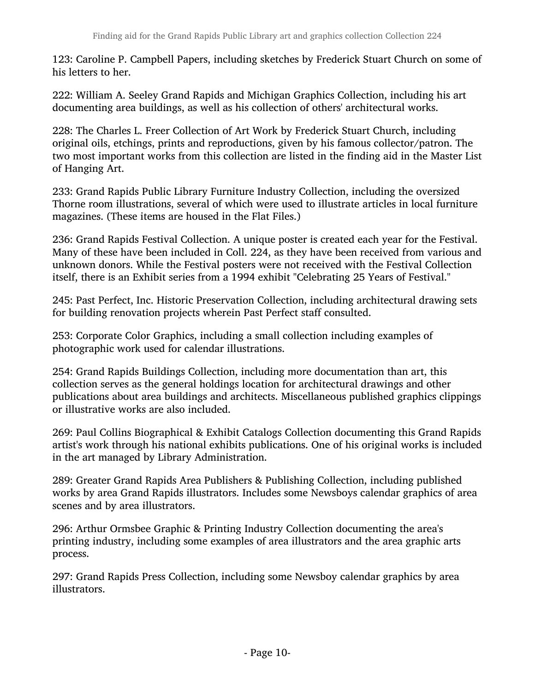123: Caroline P. Campbell Papers, including sketches by Frederick Stuart Church on some of his letters to her.

222: William A. Seeley Grand Rapids and Michigan Graphics Collection, including his art documenting area buildings, as well as his collection of others' architectural works.

228: The Charles L. Freer Collection of Art Work by Frederick Stuart Church, including original oils, etchings, prints and reproductions, given by his famous collector/patron. The two most important works from this collection are listed in the finding aid in the Master List of Hanging Art.

233: Grand Rapids Public Library Furniture Industry Collection, including the oversized Thorne room illustrations, several of which were used to illustrate articles in local furniture magazines. (These items are housed in the Flat Files.)

236: Grand Rapids Festival Collection. A unique poster is created each year for the Festival. Many of these have been included in Coll. 224, as they have been received from various and unknown donors. While the Festival posters were not received with the Festival Collection itself, there is an Exhibit series from a 1994 exhibit "Celebrating 25 Years of Festival."

245: Past Perfect, Inc. Historic Preservation Collection, including architectural drawing sets for building renovation projects wherein Past Perfect staff consulted.

253: Corporate Color Graphics, including a small collection including examples of photographic work used for calendar illustrations.

254: Grand Rapids Buildings Collection, including more documentation than art, this collection serves as the general holdings location for architectural drawings and other publications about area buildings and architects. Miscellaneous published graphics clippings or illustrative works are also included.

269: Paul Collins Biographical & Exhibit Catalogs Collection documenting this Grand Rapids artist's work through his national exhibits publications. One of his original works is included in the art managed by Library Administration.

289: Greater Grand Rapids Area Publishers & Publishing Collection, including published works by area Grand Rapids illustrators. Includes some Newsboys calendar graphics of area scenes and by area illustrators.

296: Arthur Ormsbee Graphic & Printing Industry Collection documenting the area's printing industry, including some examples of area illustrators and the area graphic arts process.

297: Grand Rapids Press Collection, including some Newsboy calendar graphics by area illustrators.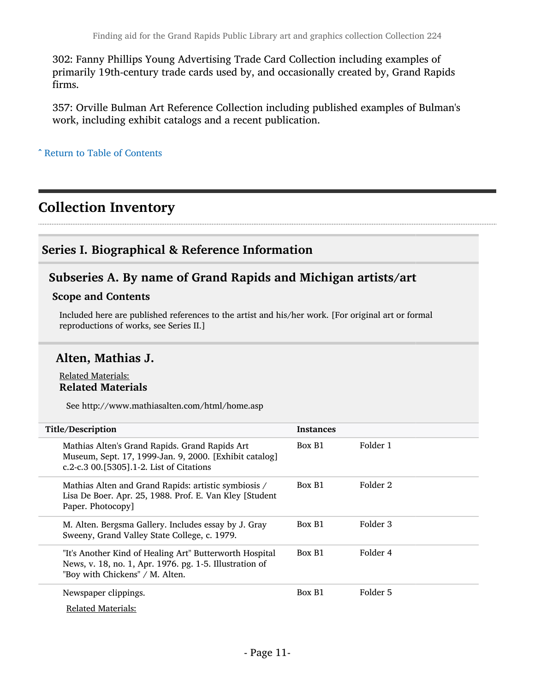302: Fanny Phillips Young Advertising Trade Card Collection including examples of primarily 19th-century trade cards used by, and occasionally created by, Grand Rapids firms.

357: Orville Bulman Art Reference Collection including published examples of Bulman's work, including exhibit catalogs and a recent publication.

^ [Return to Table of Contents](#page-1-0)

## <span id="page-10-0"></span>Collection Inventory

### <span id="page-10-1"></span>Series I. Biographical & Reference Information

### <span id="page-10-2"></span>Subseries A. By name of Grand Rapids and Michigan artists/art

#### Scope and Contents

Included here are published references to the artist and his/her work. [For original art or formal reproductions of works, see Series II.]

### Alten, Mathias J.

#### Related Materials: Related Materials

See http://www.mathiasalten.com/html/home.asp

| Title/Description                                                                                                                                     | <b>Instances</b> |          |
|-------------------------------------------------------------------------------------------------------------------------------------------------------|------------------|----------|
| Mathias Alten's Grand Rapids. Grand Rapids Art<br>Museum, Sept. 17, 1999-Jan. 9, 2000. [Exhibit catalog]<br>c.2-c.3 00.[5305].1-2. List of Citations  | Box B1           | Folder 1 |
| Mathias Alten and Grand Rapids: artistic symbiosis /<br>Lisa De Boer. Apr. 25, 1988. Prof. E. Van Kley [Student<br>Paper. Photocopy]                  | Box B1           | Folder 2 |
| M. Alten. Bergsma Gallery. Includes essay by J. Gray<br>Sweeny, Grand Valley State College, c. 1979.                                                  | Box B1           | Folder 3 |
| "It's Another Kind of Healing Art" Butterworth Hospital<br>News, v. 18, no. 1, Apr. 1976. pg. 1-5. Illustration of<br>"Boy with Chickens" / M. Alten. | Box B1           | Folder 4 |
| Newspaper clippings.<br>Related Materials:                                                                                                            | Box B1           | Folder 5 |
|                                                                                                                                                       |                  |          |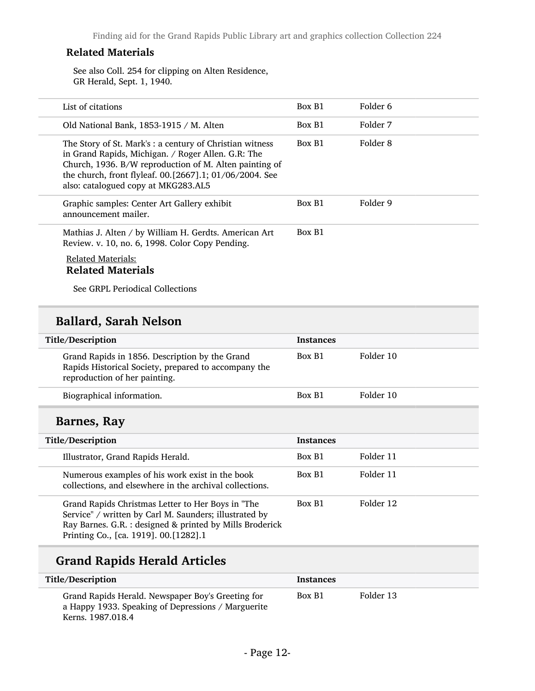#### Related Materials

See also Coll. 254 for clipping on Alten Residence, GR Herald, Sept. 1, 1940.

| List of citations                                                                                                                                                                                                                                                         | Box B1 | Folder 6 |
|---------------------------------------------------------------------------------------------------------------------------------------------------------------------------------------------------------------------------------------------------------------------------|--------|----------|
| Old National Bank, 1853-1915 / M. Alten                                                                                                                                                                                                                                   | Box B1 | Folder 7 |
| The Story of St. Mark's: a century of Christian witness<br>in Grand Rapids, Michigan. / Roger Allen. G.R: The<br>Church, 1936. B/W reproduction of M. Alten painting of<br>the church, front flyleaf. 00.[2667].1; 01/06/2004. See<br>also: catalogued copy at MKG283.AL5 | Box B1 | Folder 8 |
| Graphic samples: Center Art Gallery exhibit<br>announcement mailer.                                                                                                                                                                                                       | Box B1 | Folder 9 |
| Mathias J. Alten / by William H. Gerdts. American Art<br>Review. v. 10, no. 6, 1998. Color Copy Pending.                                                                                                                                                                  | Box B1 |          |
|                                                                                                                                                                                                                                                                           |        |          |

#### Related Materials: Related Materials

See GRPL Periodical Collections

## Ballard, Sarah Nelson

| Title/Description                                                                                                                                                                                                | <b>Instances</b> |           |
|------------------------------------------------------------------------------------------------------------------------------------------------------------------------------------------------------------------|------------------|-----------|
| Grand Rapids in 1856. Description by the Grand<br>Rapids Historical Society, prepared to accompany the<br>reproduction of her painting.                                                                          | Box B1           | Folder 10 |
| Biographical information.                                                                                                                                                                                        | Box B1           | Folder 10 |
| Barnes, Ray                                                                                                                                                                                                      |                  |           |
| Title/Description                                                                                                                                                                                                | <b>Instances</b> |           |
| Illustrator, Grand Rapids Herald.                                                                                                                                                                                | Box B1           | Folder 11 |
| Numerous examples of his work exist in the book<br>collections, and elsewhere in the archival collections.                                                                                                       | Box B1           | Folder 11 |
| Grand Rapids Christmas Letter to Her Boys in "The<br>Service" / written by Carl M. Saunders; illustrated by<br>Ray Barnes. G.R. : designed & printed by Mills Broderick<br>Printing Co., [ca. 1919]. 00.[1282].1 | Box B1           | Folder 12 |

## Grand Rapids Herald Articles

| Title/Description                                                                                                            | <b>Instances</b> |           |
|------------------------------------------------------------------------------------------------------------------------------|------------------|-----------|
| Grand Rapids Herald. Newspaper Boy's Greeting for<br>a Happy 1933. Speaking of Depressions / Marguerite<br>Kerns. 1987.018.4 | Box B1           | Folder 13 |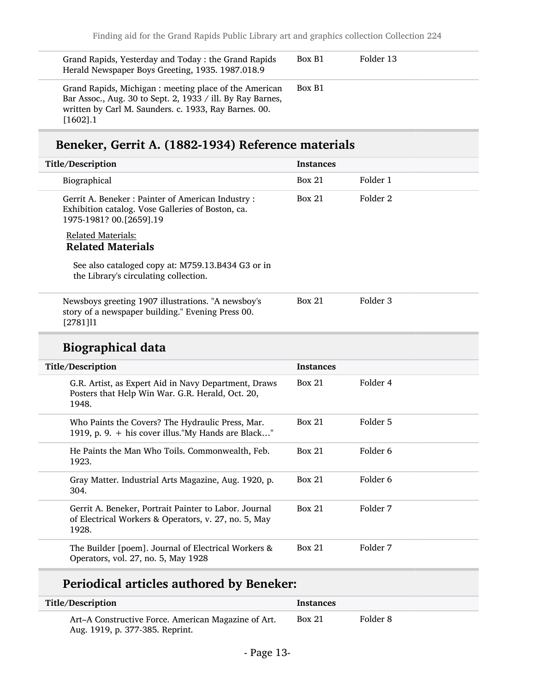| Grand Rapids, Yesterday and Today: the Grand Rapids<br>Herald Newspaper Boys Greeting, 1935. 1987.018.9                                                                                     | Box B1 | Folder 13 |
|---------------------------------------------------------------------------------------------------------------------------------------------------------------------------------------------|--------|-----------|
| Grand Rapids, Michigan: meeting place of the American<br>Bar Assoc., Aug. 30 to Sept. 2, 1933 / ill. By Ray Barnes,<br>written by Carl M. Saunders. c. 1933, Ray Barnes. 00.<br>$[1602]$ .1 | Box B1 |           |

## Beneker, Gerrit A. (1882-1934) Reference materials

| Title/Description                                                                                                                 | <b>Instances</b> |                     |  |
|-----------------------------------------------------------------------------------------------------------------------------------|------------------|---------------------|--|
| Biographical                                                                                                                      | <b>Box 21</b>    | Folder 1            |  |
| Gerrit A. Beneker: Painter of American Industry:<br>Exhibition catalog. Vose Galleries of Boston, ca.<br>1975-1981? 00.[2659].19  | <b>Box 21</b>    | Folder 2            |  |
| <b>Related Materials:</b>                                                                                                         |                  |                     |  |
| <b>Related Materials</b>                                                                                                          |                  |                     |  |
| See also cataloged copy at: M759.13.B434 G3 or in<br>the Library's circulating collection.                                        |                  |                     |  |
| Newsboys greeting 1907 illustrations. "A newsboy's<br>story of a newspaper building." Evening Press 00.<br>$[2781]$ <sup>11</sup> | <b>Box 21</b>    | Folder <sub>3</sub> |  |
| <b>Biographical data</b>                                                                                                          |                  |                     |  |
|                                                                                                                                   |                  |                     |  |
| Title/Description                                                                                                                 | <b>Instances</b> |                     |  |
| G.R. Artist, as Expert Aid in Navy Department, Draws<br>Posters that Help Win War. G.R. Herald, Oct. 20,<br>1948.                 | <b>Box 21</b>    | Folder 4            |  |
| Who Paints the Covers? The Hydraulic Press, Mar.<br>1919, p. 9. + his cover illus."My Hands are Black"                            | <b>Box 21</b>    | Folder 5            |  |
| He Paints the Man Who Toils. Commonwealth, Feb.<br>1923.                                                                          | <b>Box 21</b>    | Folder <sub>6</sub> |  |
| Gray Matter. Industrial Arts Magazine, Aug. 1920, p.<br>304.                                                                      | <b>Box 21</b>    | Folder <sub>6</sub> |  |
| Gerrit A. Beneker, Portrait Painter to Labor. Journal<br>of Electrical Workers & Operators, v. 27, no. 5, May<br>1928.            | <b>Box 21</b>    | Folder 7            |  |

## Periodical articles authored by Beneker:

| Title/Description                                                                      | <b>Instances</b> |          |
|----------------------------------------------------------------------------------------|------------------|----------|
| Art-A Constructive Force. American Magazine of Art.<br>Aug. 1919, p. 377-385. Reprint. | <b>Box 21</b>    | Folder 8 |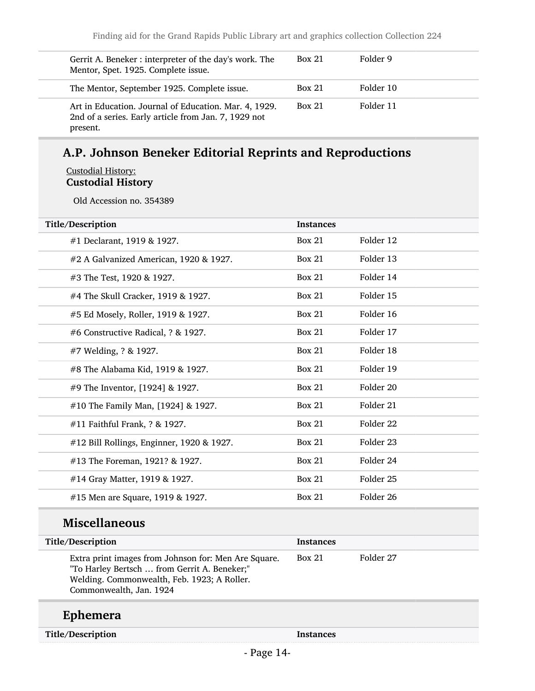| Gerrit A. Beneker: interpreter of the day's work. The<br>Mentor, Spet. 1925. Complete issue.                              | <b>Box 21</b> | Folder 9  |
|---------------------------------------------------------------------------------------------------------------------------|---------------|-----------|
| The Mentor, September 1925. Complete issue.                                                                               | Box 21        | Folder 10 |
| Art in Education. Journal of Education. Mar. 4, 1929.<br>2nd of a series. Early article from Jan. 7, 1929 not<br>present. | <b>Box 21</b> | Folder 11 |

## A.P. Johnson Beneker Editorial Reprints and Reproductions

#### Custodial History: Custodial History

Old Accession no. 354389

| Title/Description                         | <b>Instances</b> |                      |
|-------------------------------------------|------------------|----------------------|
| #1 Declarant, 1919 & 1927.                | <b>Box 21</b>    | Folder 12            |
| #2 A Galvanized American, 1920 & 1927.    | Box 21           | Folder 13            |
| #3 The Test, 1920 & 1927.                 | <b>Box 21</b>    | Folder 14            |
| #4 The Skull Cracker, 1919 & 1927.        | <b>Box 21</b>    | Folder 15            |
| #5 Ed Mosely, Roller, 1919 & 1927.        | <b>Box 21</b>    | Folder 16            |
| #6 Constructive Radical, ? & 1927.        | <b>Box 21</b>    | Folder 17            |
| #7 Welding, ? & 1927.                     | <b>Box 21</b>    | Folder 18            |
| #8 The Alabama Kid, 1919 & 1927.          | <b>Box 21</b>    | Folder 19            |
| #9 The Inventor, [1924] & 1927.           | <b>Box 21</b>    | Folder 20            |
| #10 The Family Man, [1924] & 1927.        | <b>Box 21</b>    | Folder 21            |
| #11 Faithful Frank, ? & 1927.             | <b>Box 21</b>    | Folder 22            |
| #12 Bill Rollings, Enginner, 1920 & 1927. | <b>Box 21</b>    | Folder 23            |
| #13 The Foreman, 1921? & 1927.            | <b>Box 21</b>    | Folder 24            |
| #14 Gray Matter, 1919 & 1927.             | <b>Box 21</b>    | Folder 25            |
| #15 Men are Square, 1919 & 1927.          | <b>Box 21</b>    | Folder <sub>26</sub> |

## Miscellaneous

| Title/Description                                                                                                                                                              | <b>Instances</b> |           |
|--------------------------------------------------------------------------------------------------------------------------------------------------------------------------------|------------------|-----------|
| Extra print images from Johnson for: Men Are Square.<br>"To Harley Bertsch  from Gerrit A. Beneker;"<br>Welding. Commonwealth, Feb. 1923; A Roller.<br>Commonwealth, Jan. 1924 | Box 21           | Folder 27 |

## Ephemera

Title/Description Instances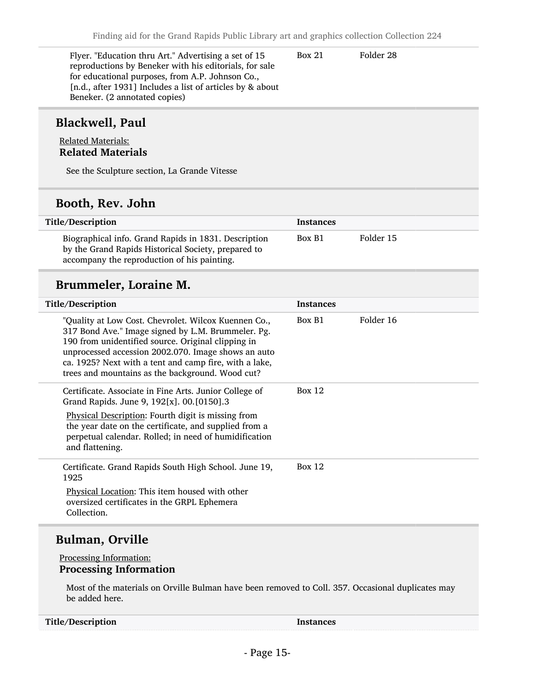Box 21 Folder 28

Flyer. "Education thru Art." Advertising a set of 15 reproductions by Beneker with his editorials, for sale for educational purposes, from A.P. Johnson Co., [n.d., after 1931] Includes a list of articles by & about Beneker. (2 annotated copies)

### Blackwell, Paul

#### Related Materials: Related Materials

See the Sculpture section, La Grande Vitesse

### Booth, Rev. John

| Title/Description                                                                                                                                          | <b>Instances</b> |           |
|------------------------------------------------------------------------------------------------------------------------------------------------------------|------------------|-----------|
| Biographical info. Grand Rapids in 1831. Description<br>by the Grand Rapids Historical Society, prepared to<br>accompany the reproduction of his painting. | Box B1           | Folder 15 |

### Brummeler, Loraine M.

| Title/Description                                                                                                                                                                                                                                                                                                                     | <b>Instances</b> |           |
|---------------------------------------------------------------------------------------------------------------------------------------------------------------------------------------------------------------------------------------------------------------------------------------------------------------------------------------|------------------|-----------|
| "Quality at Low Cost. Chevrolet. Wilcox Kuennen Co.,<br>317 Bond Ave." Image signed by L.M. Brummeler. Pg.<br>190 from unidentified source. Original clipping in<br>unprocessed accession 2002.070. Image shows an auto<br>ca. 1925? Next with a tent and camp fire, with a lake,<br>trees and mountains as the background. Wood cut? | Box B1           | Folder 16 |
| Certificate. Associate in Fine Arts. Junior College of<br>Grand Rapids. June 9, 192[x]. 00. [0150].3<br>Physical Description: Fourth digit is missing from<br>the year date on the certificate, and supplied from a<br>perpetual calendar. Rolled; in need of humidification<br>and flattening.                                       | Box 12           |           |
| Certificate. Grand Rapids South High School. June 19,<br>1925<br>Physical Location: This item housed with other<br>oversized certificates in the GRPL Ephemera<br>Collection.                                                                                                                                                         | Box $12$         |           |

### Bulman, Orville

#### Processing Information: Processing Information

Most of the materials on Orville Bulman have been removed to Coll. 357. Occasional duplicates may be added here.

| Title/Description | Instances |
|-------------------|-----------|
|-------------------|-----------|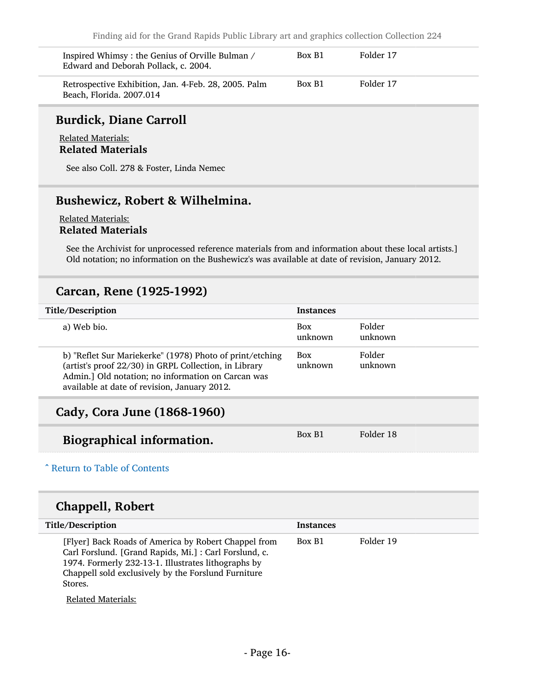| Inspired Whimsy: the Genius of Orville Bulman /<br>Edward and Deborah Pollack, c. 2004. | Box B1 | Folder 17 |
|-----------------------------------------------------------------------------------------|--------|-----------|
| Retrospective Exhibition, Jan. 4-Feb. 28, 2005. Palm<br>Beach, Florida. 2007.014        | Box B1 | Folder 17 |

### Burdick, Diane Carroll

Related Materials: Related Materials

See also Coll. 278 & Foster, Linda Nemec

### Bushewicz, Robert & Wilhelmina.

#### Related Materials: Related Materials

See the Archivist for unprocessed reference materials from and information about these local artists.] Old notation; no information on the Bushewicz's was available at date of revision, January 2012.

### Carcan, Rene (1925-1992)

| Title/Description                                                                                                                                                                                                       | <b>Instances</b>      |                   |
|-------------------------------------------------------------------------------------------------------------------------------------------------------------------------------------------------------------------------|-----------------------|-------------------|
| a) Web bio.                                                                                                                                                                                                             | <b>Box</b><br>unknown | Folder<br>unknown |
| b) "Reflet Sur Mariekerke" (1978) Photo of print/etching<br>(artist's proof 22/30) in GRPL Collection, in Library<br>Admin.] Old notation; no information on Carcan was<br>available at date of revision, January 2012. | <b>Box</b><br>unknown | Folder<br>unknown |
| Cady, Cora June (1868-1960)                                                                                                                                                                                             |                       |                   |
| Biographical information.                                                                                                                                                                                               | Box B1                | Folder 18         |

## ^ [Return to Table of Contents](#page-1-0)

### Chappell, Robert

| Title/Description                                                                                                                                                                                                                      | <b>Instances</b> |           |
|----------------------------------------------------------------------------------------------------------------------------------------------------------------------------------------------------------------------------------------|------------------|-----------|
| [Flyer] Back Roads of America by Robert Chappel from<br>Carl Forslund. [Grand Rapids, Mi.]: Carl Forslund, c.<br>1974. Formerly 232-13-1. Illustrates lithographs by<br>Chappell sold exclusively by the Forslund Furniture<br>Stores. | Box B1           | Folder 19 |

Related Materials: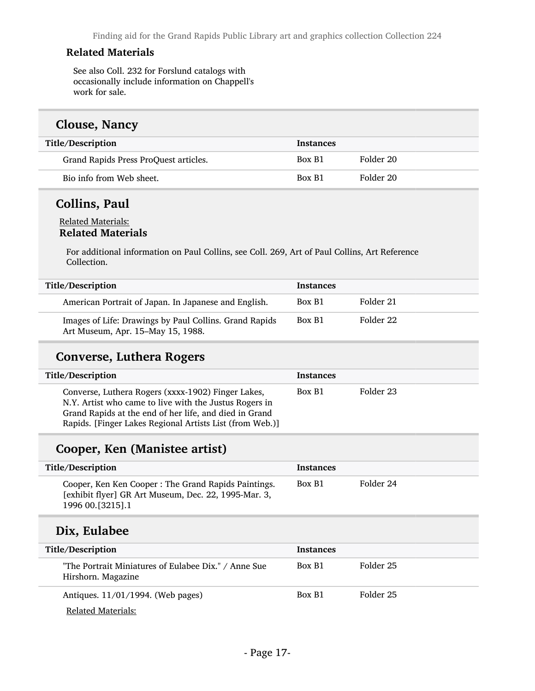#### Related Materials

See also Coll. 232 for Forslund catalogs with occasionally include information on Chappell's work for sale.

#### Clouse, Nancy

| Title/Description                     | <b>Instances</b> |           |
|---------------------------------------|------------------|-----------|
| Grand Rapids Press ProQuest articles. | Box B1           | Folder 20 |
| Bio info from Web sheet.              | Box B1           | Folder 20 |

## Collins, Paul

#### Related Materials: Related Materials

For additional information on Paul Collins, see Coll. 269, Art of Paul Collins, Art Reference Collection.

| Title/Description                                                                           | <b>Instances</b> |           |
|---------------------------------------------------------------------------------------------|------------------|-----------|
| American Portrait of Japan. In Japanese and English.                                        | Box B1           | Folder 21 |
| Images of Life: Drawings by Paul Collins. Grand Rapids<br>Art Museum, Apr. 15-May 15, 1988. | Box B1           | Folder 22 |

### Converse, Luthera Rogers

| Title/Description                                                                                                                                                                                                                  | <b>Instances</b> |           |
|------------------------------------------------------------------------------------------------------------------------------------------------------------------------------------------------------------------------------------|------------------|-----------|
| Converse, Luthera Rogers (xxxx-1902) Finger Lakes,<br>N.Y. Artist who came to live with the Justus Rogers in<br>Grand Rapids at the end of her life, and died in Grand<br>Rapids. [Finger Lakes Regional Artists List (from Web.)] | Box B1           | Folder 23 |

## Cooper, Ken (Manistee artist)

| <b>Title/Description</b>                                                                                                          | <b>Instances</b> |           |
|-----------------------------------------------------------------------------------------------------------------------------------|------------------|-----------|
| Cooper, Ken Ken Cooper: The Grand Rapids Paintings.<br>[exhibit flyer] GR Art Museum, Dec. 22, 1995-Mar. 3,<br>1996 00. [3215]. 1 | Box B1           | Folder 24 |

## Dix, Eulabee

| Title/Description                                                          | <b>Instances</b> |           |  |
|----------------------------------------------------------------------------|------------------|-----------|--|
| "The Portrait Miniatures of Eulabee Dix." / Anne Sue<br>Hirshorn. Magazine | Box B1           | Folder 25 |  |
| Antiques. 11/01/1994. (Web pages)                                          | Box B1           | Folder 25 |  |
| Related Materials:                                                         |                  |           |  |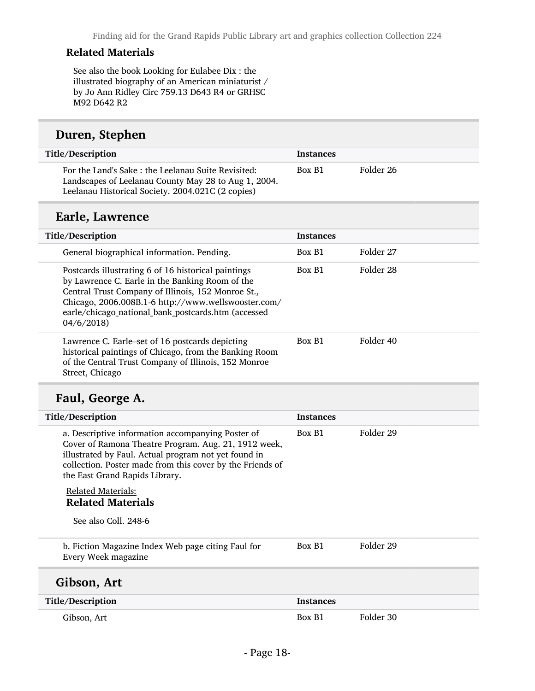#### Related Materials

See also the book Looking for Eulabee Dix : the illustrated biography of an American miniaturist / by Jo Ann Ridley Circ 759.13 D643 R4 or GRHSC M92 D642 R2

#### Duren, Stephen

| Title/Description                                                                                                                                               | <b>Instances</b> |           |
|-----------------------------------------------------------------------------------------------------------------------------------------------------------------|------------------|-----------|
| For the Land's Sake: the Leelanau Suite Revisited:<br>Landscapes of Leelanau County May 28 to Aug 1, 2004.<br>Leelanau Historical Society. 2004.021C (2 copies) | Box B1           | Folder 26 |

## Earle, Lawrence

| Title/Description |                                                                                                                                                                                                                                                                            | <b>Instances</b> |           |
|-------------------|----------------------------------------------------------------------------------------------------------------------------------------------------------------------------------------------------------------------------------------------------------------------------|------------------|-----------|
|                   | General biographical information. Pending.                                                                                                                                                                                                                                 | Box B1           | Folder 27 |
| 04/6/2018         | Postcards illustrating 6 of 16 historical paintings<br>by Lawrence C. Earle in the Banking Room of the<br>Central Trust Company of Illinois, 152 Monroe St.,<br>Chicago, 2006.008B.1-6 http://www.wellswooster.com/<br>earle/chicago_national_bank_postcards.htm (accessed | Box B1           | Folder 28 |
| Street, Chicago   | Lawrence C. Earle–set of 16 postcards depicting<br>historical paintings of Chicago, from the Banking Room<br>of the Central Trust Company of Illinois, 152 Monroe                                                                                                          | Box B1           | Folder 40 |

## Faul, George A.

| Title/Description                                                                                                                                                                                                                                                | <b>Instances</b> |           |
|------------------------------------------------------------------------------------------------------------------------------------------------------------------------------------------------------------------------------------------------------------------|------------------|-----------|
| a. Descriptive information accompanying Poster of<br>Cover of Ramona Theatre Program. Aug. 21, 1912 week,<br>illustrated by Faul. Actual program not yet found in<br>collection. Poster made from this cover by the Friends of<br>the East Grand Rapids Library. | Box B1           | Folder 29 |
| <b>Related Materials:</b><br><b>Related Materials</b>                                                                                                                                                                                                            |                  |           |
| See also Coll. 248-6                                                                                                                                                                                                                                             |                  |           |
| b. Fiction Magazine Index Web page citing Faul for<br>Every Week magazine                                                                                                                                                                                        | Box B1           | Folder 29 |
| Gibson, Art                                                                                                                                                                                                                                                      |                  |           |
| Title/Description                                                                                                                                                                                                                                                | <b>Instances</b> |           |
| Gibson, Art                                                                                                                                                                                                                                                      | Box B1           | Folder 30 |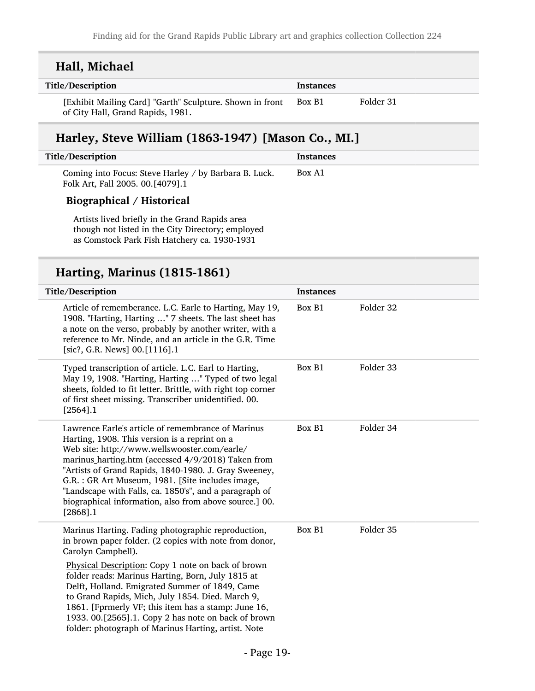| Hall, Michael                                                                                                                                                                                                                                                                                                                                                                                                                                                     |                  |           |
|-------------------------------------------------------------------------------------------------------------------------------------------------------------------------------------------------------------------------------------------------------------------------------------------------------------------------------------------------------------------------------------------------------------------------------------------------------------------|------------------|-----------|
| Title/Description                                                                                                                                                                                                                                                                                                                                                                                                                                                 | <b>Instances</b> |           |
| [Exhibit Mailing Card] "Garth" Sculpture. Shown in front<br>of City Hall, Grand Rapids, 1981.                                                                                                                                                                                                                                                                                                                                                                     | Box B1           | Folder 31 |
| Harley, Steve William (1863-1947) [Mason Co., MI.]                                                                                                                                                                                                                                                                                                                                                                                                                |                  |           |
| Title/Description                                                                                                                                                                                                                                                                                                                                                                                                                                                 | <b>Instances</b> |           |
| Coming into Focus: Steve Harley / by Barbara B. Luck.<br>Folk Art, Fall 2005. 00.[4079].1                                                                                                                                                                                                                                                                                                                                                                         | Box A1           |           |
| Biographical / Historical                                                                                                                                                                                                                                                                                                                                                                                                                                         |                  |           |
| Artists lived briefly in the Grand Rapids area<br>though not listed in the City Directory; employed<br>as Comstock Park Fish Hatchery ca. 1930-1931                                                                                                                                                                                                                                                                                                               |                  |           |
| Harting, Marinus (1815-1861)                                                                                                                                                                                                                                                                                                                                                                                                                                      |                  |           |
| Title/Description                                                                                                                                                                                                                                                                                                                                                                                                                                                 | <b>Instances</b> |           |
| Article of rememberance. L.C. Earle to Harting, May 19,<br>1908. "Harting, Harting " 7 sheets. The last sheet has<br>a note on the verso, probably by another writer, with a<br>reference to Mr. Ninde, and an article in the G.R. Time<br>[sic?, G.R. News] 00.[1116].1                                                                                                                                                                                          | Box B1           | Folder 32 |
| Typed transcription of article. L.C. Earl to Harting,<br>May 19, 1908. "Harting, Harting " Typed of two legal<br>sheets, folded to fit letter. Brittle, with right top corner<br>of first sheet missing. Transcriber unidentified. 00.<br>$[2564]$ .1                                                                                                                                                                                                             | Box B1           | Folder 33 |
| Lawrence Earle's article of remembrance of Marinus<br>Harting, 1908. This version is a reprint on a<br>Web site: http://www.wellswooster.com/earle/<br>marinus_harting.htm (accessed 4/9/2018) Taken from<br>"Artists of Grand Rapids, 1840-1980. J. Gray Sweeney,<br>G.R. : GR Art Museum, 1981. [Site includes image,<br>"Landscape with Falls, ca. 1850's", and a paragraph of<br>biographical information, also from above source.] 00.<br>$[2868]$ .1        | Box B1           | Folder 34 |
| Marinus Harting. Fading photographic reproduction,<br>in brown paper folder. (2 copies with note from donor,<br>Carolyn Campbell).<br>Physical Description: Copy 1 note on back of brown<br>folder reads: Marinus Harting, Born, July 1815 at<br>Delft, Holland. Emigrated Summer of 1849, Came<br>to Grand Rapids, Mich, July 1854. Died. March 9,<br>1861. [Fprmerly VF; this item has a stamp: June 16,<br>1933. 00.[2565].1. Copy 2 has note on back of brown | Box B1           | Folder 35 |

folder: photograph of Marinus Harting, artist. Note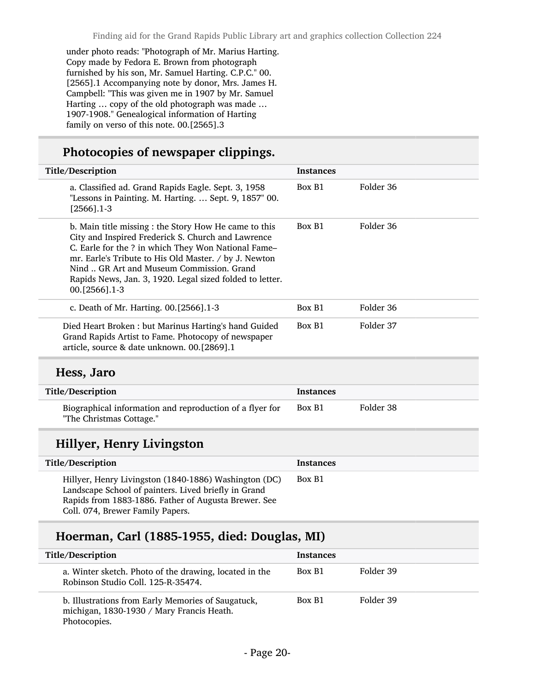under photo reads: "Photograph of Mr. Marius Harting. Copy made by Fedora E. Brown from photograph furnished by his son, Mr. Samuel Harting. C.P.C." 00. [2565].1 Accompanying note by donor, Mrs. James H. Campbell: "This was given me in 1907 by Mr. Samuel Harting … copy of the old photograph was made … 1907-1908." Genealogical information of Harting family on verso of this note. 00.[2565].3

## Photocopies of newspaper clippings.

| Title/Description                                                                                                                                                                                                                                                                                                                                     | <b>Instances</b> |           |
|-------------------------------------------------------------------------------------------------------------------------------------------------------------------------------------------------------------------------------------------------------------------------------------------------------------------------------------------------------|------------------|-----------|
| a. Classified ad. Grand Rapids Eagle. Sept. 3, 1958<br>"Lessons in Painting. M. Harting.  Sept. 9, 1857" 00.<br>$[2566]$ .1-3                                                                                                                                                                                                                         | Box B1           | Folder 36 |
| b. Main title missing : the Story How He came to this<br>City and Inspired Frederick S. Church and Lawrence<br>C. Earle for the ? in which They Won National Fame-<br>mr. Earle's Tribute to His Old Master. / by J. Newton<br>Nind  GR Art and Museum Commission. Grand<br>Rapids News, Jan. 3, 1920. Legal sized folded to letter.<br>00.[2566].1-3 | Box B1           | Folder 36 |
| c. Death of Mr. Harting. 00.[2566].1-3                                                                                                                                                                                                                                                                                                                | Box B1           | Folder 36 |
| Died Heart Broken: but Marinus Harting's hand Guided<br>Grand Rapids Artist to Fame. Photocopy of newspaper<br>article, source & date unknown. 00.[2869].1                                                                                                                                                                                            | Box B1           | Folder 37 |
| Hess, Jaro                                                                                                                                                                                                                                                                                                                                            |                  |           |
| Title/Description                                                                                                                                                                                                                                                                                                                                     | <b>Instances</b> |           |
| Biographical information and reproduction of a flyer for<br>"The Christmas Cottage."                                                                                                                                                                                                                                                                  | Box B1           | Folder 38 |
| Hillyer, Henry Livingston                                                                                                                                                                                                                                                                                                                             |                  |           |
| Title/Description                                                                                                                                                                                                                                                                                                                                     | <b>Instances</b> |           |
| Hillyer, Henry Livingston (1840-1886) Washington (DC)<br>Landscape School of painters. Lived briefly in Grand<br>Rapids from 1883-1886. Father of Augusta Brewer. See<br>Coll. 074, Brewer Family Papers.                                                                                                                                             | Box B1           |           |

## Hoerman, Carl (1885-1955, died: Douglas, MI)

| Title/Description                                                                                               | <b>Instances</b> |           |
|-----------------------------------------------------------------------------------------------------------------|------------------|-----------|
| a. Winter sketch. Photo of the drawing, located in the<br>Robinson Studio Coll. 125-R-35474.                    | Box B1           | Folder 39 |
| b. Illustrations from Early Memories of Saugatuck,<br>michigan, 1830-1930 / Mary Francis Heath.<br>Photocopies. | Box B1           | Folder 39 |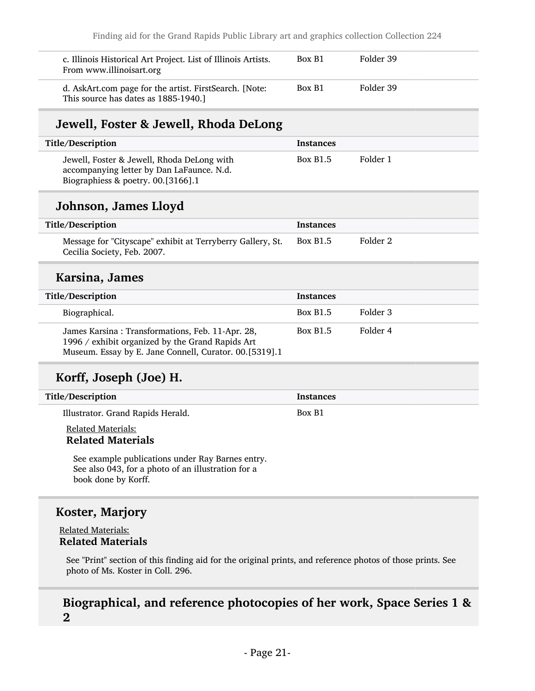| c. Illinois Historical Art Project. List of Illinois Artists.<br>From www.illinoisart.org      | Box B1 | Folder 39 |
|------------------------------------------------------------------------------------------------|--------|-----------|
| d. AskArt.com page for the artist. FirstSearch. [Note:<br>This source has dates as 1885-1940.] | Box B1 | Folder 39 |

## Jewell, Foster & Jewell, Rhoda DeLong

| Title/Description                                                                                                             | Instances       |          |
|-------------------------------------------------------------------------------------------------------------------------------|-----------------|----------|
| Jewell, Foster & Jewell, Rhoda DeLong with<br>accompanying letter by Dan LaFaunce. N.d.<br>Biographiess & poetry. 00.[3166].1 | <b>Box B1.5</b> | Folder 1 |

### Johnson, James Lloyd

| Title/Description                                                                         | <b>Instances</b> |          |
|-------------------------------------------------------------------------------------------|------------------|----------|
| Message for "Cityscape" exhibit at Terryberry Gallery, St.<br>Cecilia Society, Feb. 2007. | <b>Box B1.5</b>  | Folder 2 |

### Karsina, James

| Title/Description                                                                                                                                              | <b>Instances</b> |          |
|----------------------------------------------------------------------------------------------------------------------------------------------------------------|------------------|----------|
| Biographical.                                                                                                                                                  | <b>Box B1.5</b>  | Folder 3 |
| James Karsina: Transformations, Feb. 11-Apr. 28,<br>1996 / exhibit organized by the Grand Rapids Art<br>Museum. Essay by E. Jane Connell, Curator. 00.[5319].1 | <b>Box B1.5</b>  | Folder 4 |

## Korff, Joseph (Joe) H.

| Title/Description                 | <b>Instances</b> |
|-----------------------------------|------------------|
| Illustrator. Grand Rapids Herald. | Box B1           |

#### Related Materials: Related Materials

See example publications under Ray Barnes entry. See also 043, for a photo of an illustration for a book done by Korff.

### Koster, Marjory

#### Related Materials: Related Materials

See "Print" section of this finding aid for the original prints, and reference photos of those prints. See photo of Ms. Koster in Coll. 296.

### Biographical, and reference photocopies of her work, Space Series 1 & 2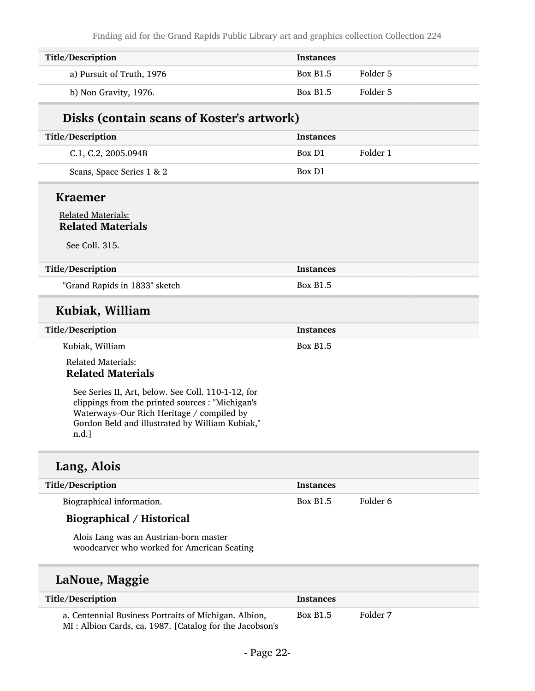Finding aid for the Grand Rapids Public Library art and graphics collection Collection 224

| Title/Description         | <b>Instances</b> |          |
|---------------------------|------------------|----------|
| a) Pursuit of Truth, 1976 | <b>Box B1.5</b>  | Folder 5 |
| b) Non Gravity, 1976.     | <b>Box B1.5</b>  | Folder 5 |

### Disks (contain scans of Koster's artwork)

| Title/Description         | <b>Instances</b> |          |
|---------------------------|------------------|----------|
| C.1, C.2, 2005.094B       | Box D1           | Folder 1 |
| Scans, Space Series 1 & 2 | Box D1           |          |

#### Kraemer

#### Related Materials: Related Materials

See Coll. 315.

| Title/Description             | Instances       |
|-------------------------------|-----------------|
| "Grand Rapids in 1833" sketch | <b>Box B1.5</b> |

### Kubiak, William

| Title/Description         | <b>Instances</b> |
|---------------------------|------------------|
| Kubiak, William           | <b>Box B1.5</b>  |
| <b>Related Materials:</b> |                  |

## Related Materials

See Series II, Art, below. See Coll. 110-1-12, for clippings from the printed sources : "Michigan's Waterways–Our Rich Heritage / compiled by Gordon Beld and illustrated by William Kubiak," n.d.]

### Lang, Alois

| Title/Description                                                                                                                                                                                                                                                                                                             | Instances       |          |
|-------------------------------------------------------------------------------------------------------------------------------------------------------------------------------------------------------------------------------------------------------------------------------------------------------------------------------|-----------------|----------|
| Biographical information.                                                                                                                                                                                                                                                                                                     | <b>Box B1.5</b> | Folder 6 |
| $\mathbf{D}^*$ 1 $\mathbf{I}$ 1 $\mathbf{I}$ $\mathbf{I}$ $\mathbf{I}$ $\mathbf{I}$ $\mathbf{I}$ $\mathbf{I}$ $\mathbf{I}$ $\mathbf{I}$ $\mathbf{I}$ $\mathbf{I}$ $\mathbf{I}$ $\mathbf{I}$ $\mathbf{I}$ $\mathbf{I}$ $\mathbf{I}$ $\mathbf{I}$ $\mathbf{I}$ $\mathbf{I}$ $\mathbf{I}$ $\mathbf{I}$ $\mathbf{I}$ $\mathbf{I}$ |                 |          |

#### Biographical / Historical

Alois Lang was an Austrian-born master woodcarver who worked for American Seating

### LaNoue, Maggie

| Title/Description                                                                                                | <b>Instances</b> |          |
|------------------------------------------------------------------------------------------------------------------|------------------|----------|
| a. Centennial Business Portraits of Michigan. Albion,<br>MI: Albion Cards, ca. 1987. [Catalog for the Jacobson's | <b>Box B1.5</b>  | Folder 7 |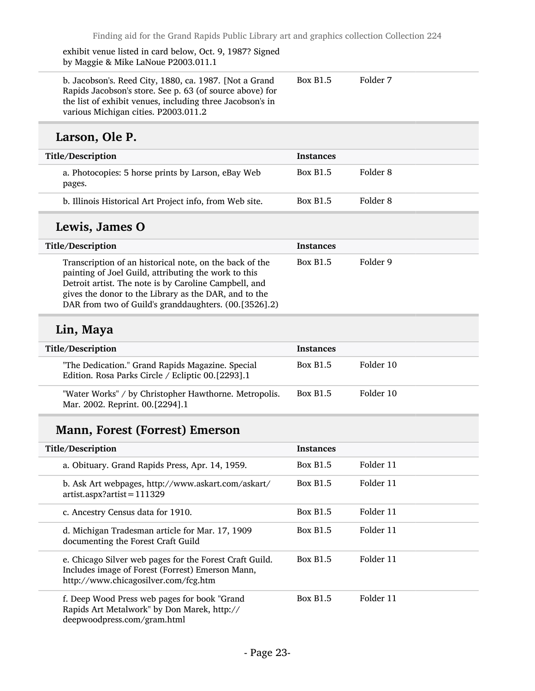exhibit venue listed in card below, Oct. 9, 1987? Signed by Maggie & Mike LaNoue P2003.011.1

| b. Jacobson's. Reed City, 1880, ca. 1987. [Not a Grand]   | <b>Box B1.5</b> | Folder 7 |
|-----------------------------------------------------------|-----------------|----------|
| Rapids Jacobson's store. See p. 63 (of source above) for  |                 |          |
| the list of exhibit venues, including three Jacobson's in |                 |          |
| various Michigan cities. P2003.011.2                      |                 |          |

## Larson, Ole P.

| Title/Description                                            | <b>Instances</b>            |  |
|--------------------------------------------------------------|-----------------------------|--|
| a. Photocopies: 5 horse prints by Larson, eBay Web<br>pages. | Folder 8<br><b>Box B1.5</b> |  |
| b. Illinois Historical Art Project info, from Web site.      | Folder 8<br><b>Box B1.5</b> |  |

## Lewis, James O

| Title/Description                                                                                                                                                                                                                                                                          | <b>Instances</b> |          |
|--------------------------------------------------------------------------------------------------------------------------------------------------------------------------------------------------------------------------------------------------------------------------------------------|------------------|----------|
| Transcription of an historical note, on the back of the<br>painting of Joel Guild, attributing the work to this<br>Detroit artist. The note is by Caroline Campbell, and<br>gives the donor to the Library as the DAR, and to the<br>DAR from two of Guild's granddaughters. (00.[3526].2) | <b>Box B1.5</b>  | Folder 9 |

## Lin, Maya

| Title/Description                                                                                     | <b>Instances</b> |           |
|-------------------------------------------------------------------------------------------------------|------------------|-----------|
| "The Dedication." Grand Rapids Magazine. Special<br>Edition. Rosa Parks Circle / Ecliptic 00.[2293].1 | <b>Box B1.5</b>  | Folder 10 |
| "Water Works" / by Christopher Hawthorne. Metropolis.<br>Mar. 2002. Reprint. 00.[2294].1              | <b>Box B1.5</b>  | Folder 10 |

## Mann, Forest (Forrest) Emerson

| Title/Description                                                                                                                                   | <b>Instances</b> |           |
|-----------------------------------------------------------------------------------------------------------------------------------------------------|------------------|-----------|
| a. Obituary. Grand Rapids Press, Apr. 14, 1959.                                                                                                     | <b>Box B1.5</b>  | Folder 11 |
| b. Ask Art webpages, http://www.askart.com/askart/<br>$artist.$ aspx?artist=111329                                                                  | <b>Box B1.5</b>  | Folder 11 |
| c. Ancestry Census data for 1910.                                                                                                                   | <b>Box B1.5</b>  | Folder 11 |
| d. Michigan Tradesman article for Mar. 17, 1909<br>documenting the Forest Craft Guild                                                               | <b>Box B1.5</b>  | Folder 11 |
| e. Chicago Silver web pages for the Forest Craft Guild.<br>Includes image of Forest (Forrest) Emerson Mann,<br>http://www.chicagosilver.com/fcg.htm | <b>Box B1.5</b>  | Folder 11 |
| f. Deep Wood Press web pages for book "Grand"<br>Rapids Art Metalwork" by Don Marek, http://<br>deepwoodpress.com/gram.html                         | <b>Box B1.5</b>  | Folder 11 |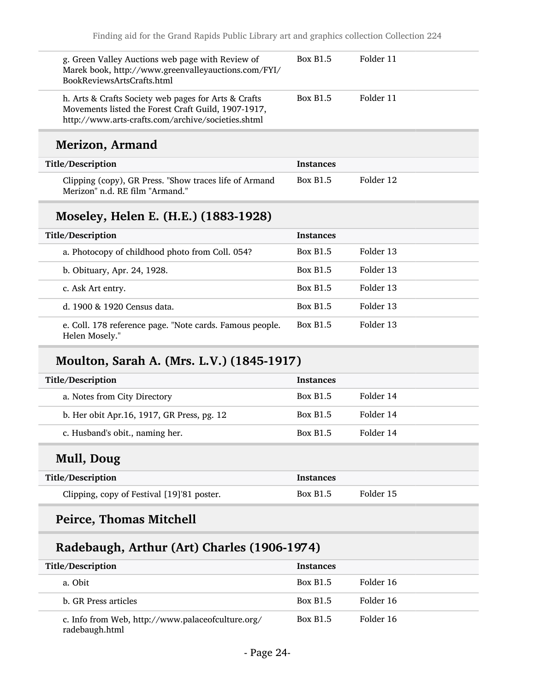| g. Green Valley Auctions web page with Review of<br>Marek book, http://www.greenvalleyauctions.com/FYI/<br>BookReviewsArtsCrafts.html                             | <b>Box B1.5</b>  | Folder 11 |
|-------------------------------------------------------------------------------------------------------------------------------------------------------------------|------------------|-----------|
| h. Arts & Crafts Society web pages for Arts & Crafts<br>Movements listed the Forest Craft Guild, 1907-1917,<br>http://www.arts-crafts.com/archive/societies.shtml | <b>Box B1.5</b>  | Folder 11 |
| <b>Merizon, Armand</b>                                                                                                                                            |                  |           |
| Title/Description                                                                                                                                                 | Instances        |           |
| Clipping (copy), GR Press. "Show traces life of Armand<br>Merizon" n.d. RE film "Armand."                                                                         | <b>Box B1.5</b>  | Folder 12 |
| Moseley, Helen E. (H.E.) (1883-1928)                                                                                                                              |                  |           |
| Title/Description                                                                                                                                                 | <b>Instances</b> |           |
| a. Photocopy of childhood photo from Coll. 054?                                                                                                                   | <b>Box B1.5</b>  | Folder 13 |
| b. Obituary, Apr. 24, 1928.                                                                                                                                       | <b>Box B1.5</b>  | Folder 13 |
| c. Ask Art entry.                                                                                                                                                 | <b>Box B1.5</b>  | Folder 13 |
| d. 1900 & 1920 Census data.                                                                                                                                       | <b>Box B1.5</b>  | Folder 13 |
| e. Coll. 178 reference page. "Note cards. Famous people.<br>Helen Mosely."                                                                                        | <b>Box B1.5</b>  | Folder 13 |
| Moulton, Sarah A. (Mrs. L.V.) (1845-1917)                                                                                                                         |                  |           |
| Title/Description                                                                                                                                                 | <b>Instances</b> |           |
| a. Notes from City Directory                                                                                                                                      | <b>Box B1.5</b>  | Folder 14 |
| b. Her obit Apr. 16, 1917, GR Press, pg. 12                                                                                                                       | <b>Box B1.5</b>  | Folder 14 |
| c. Husband's obit., naming her.                                                                                                                                   | <b>Box B1.5</b>  | Folder 14 |
| Mull, Doug                                                                                                                                                        |                  |           |
| Title/Description                                                                                                                                                 | <b>Instances</b> |           |
| Clipping, copy of Festival [19]'81 poster.                                                                                                                        | <b>Box B1.5</b>  | Folder 15 |
| <b>Peirce, Thomas Mitchell</b>                                                                                                                                    |                  |           |
| Radebaugh, Arthur (Art) Charles (1906-1974)                                                                                                                       |                  |           |
|                                                                                                                                                                   |                  |           |

| Title/Description                                                   | <b>Instances</b> |           |
|---------------------------------------------------------------------|------------------|-----------|
| a. Obit                                                             | <b>Box B1.5</b>  | Folder 16 |
| b. GR Press articles                                                | <b>Box B1.5</b>  | Folder 16 |
| c. Info from Web, http://www.palaceofculture.org/<br>radebaugh.html | <b>Box B1.5</b>  | Folder 16 |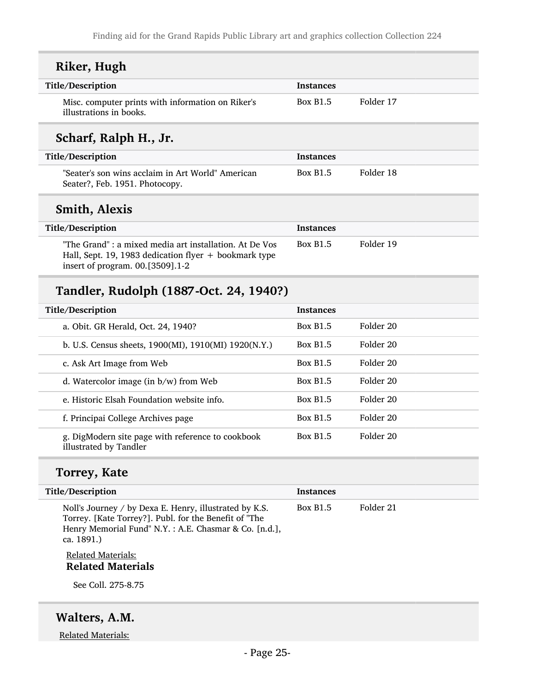| Riker, Hugh                                                                                                                                          |                  |                      |
|------------------------------------------------------------------------------------------------------------------------------------------------------|------------------|----------------------|
| Title/Description                                                                                                                                    | <b>Instances</b> |                      |
| Misc. computer prints with information on Riker's<br>illustrations in books.                                                                         | <b>Box B1.5</b>  | Folder 17            |
| Scharf, Ralph H., Jr.                                                                                                                                |                  |                      |
| Title/Description                                                                                                                                    | Instances        |                      |
| "Seater's son wins acclaim in Art World" American<br>Seater?, Feb. 1951. Photocopy.                                                                  | <b>Box B1.5</b>  | Folder 18            |
| <b>Smith, Alexis</b>                                                                                                                                 |                  |                      |
| Title/Description                                                                                                                                    | <b>Instances</b> |                      |
| "The Grand" : a mixed media art installation. At De Vos<br>Hall, Sept. 19, 1983 dedication flyer + bookmark type<br>insert of program. 00.[3509].1-2 | <b>Box B1.5</b>  | Folder 19            |
| Tandler, Rudolph (1887-Oct. 24, 1940?)                                                                                                               |                  |                      |
| Title/Description                                                                                                                                    | <b>Instances</b> |                      |
| a. Obit. GR Herald, Oct. 24, 1940?                                                                                                                   | <b>Box B1.5</b>  | Folder 20            |
| b. U.S. Census sheets, 1900(MI), 1910(MI) 1920(N.Y.)                                                                                                 | <b>Box B1.5</b>  | Folder 20            |
| c. Ask Art Image from Web                                                                                                                            | <b>Box B1.5</b>  | Folder <sub>20</sub> |
| d. Watercolor image (in $b/w$ ) from Web                                                                                                             | <b>Box B1.5</b>  | Folder 20            |
| e. Historic Elsah Foundation website info.                                                                                                           | <b>Box B1.5</b>  | Folder 20            |
| f. Principai College Archives page                                                                                                                   | <b>Box B1.5</b>  | Folder 20            |
| g. DigModern site page with reference to cookbook<br>illustrated by Tandler                                                                          | <b>Box B1.5</b>  | Folder <sub>20</sub> |
|                                                                                                                                                      |                  |                      |
| <b>Torrey, Kate</b>                                                                                                                                  |                  |                      |

Noll's Journey / by Dexa E. Henry, illustrated by K.S. Torrey. [Kate Torrey?]. Publ. for the Benefit of "The Henry Memorial Fund" N.Y. : A.E. Chasmar & Co. [n.d.], ca. 1891.) Box B1.5 Folder 21

#### Related Materials: Related Materials

See Coll. 275-8.75

## Walters, A.M.

Related Materials: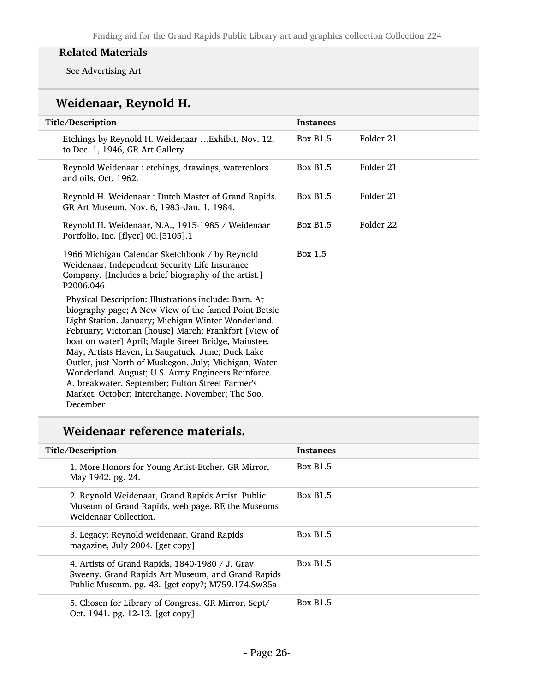#### Related Materials

See Advertising Art

## Weidenaar, Reynold H.

| Title/Description                                                                                                                                                                                                                                                                                                                                                                                                                                                                                                                                                            | <b>Instances</b> |           |
|------------------------------------------------------------------------------------------------------------------------------------------------------------------------------------------------------------------------------------------------------------------------------------------------------------------------------------------------------------------------------------------------------------------------------------------------------------------------------------------------------------------------------------------------------------------------------|------------------|-----------|
| Etchings by Reynold H. Weidenaar  Exhibit, Nov. 12,<br>to Dec. 1, 1946, GR Art Gallery                                                                                                                                                                                                                                                                                                                                                                                                                                                                                       | <b>Box B1.5</b>  | Folder 21 |
| Reynold Weidenaar: etchings, drawings, watercolors<br>and oils, Oct. 1962.                                                                                                                                                                                                                                                                                                                                                                                                                                                                                                   | <b>Box B1.5</b>  | Folder 21 |
| Reynold H. Weidenaar: Dutch Master of Grand Rapids.<br>GR Art Museum, Nov. 6, 1983-Jan. 1, 1984.                                                                                                                                                                                                                                                                                                                                                                                                                                                                             | <b>Box B1.5</b>  | Folder 21 |
| Reynold H. Weidenaar, N.A., 1915-1985 / Weidenaar<br>Portfolio, Inc. [flyer] 00.[5105].1                                                                                                                                                                                                                                                                                                                                                                                                                                                                                     | <b>Box B1.5</b>  | Folder 22 |
| 1966 Michigan Calendar Sketchbook / by Reynold<br>Weidenaar. Independent Security Life Insurance<br>Company. [Includes a brief biography of the artist.]<br>P2006.046                                                                                                                                                                                                                                                                                                                                                                                                        | Box 1.5          |           |
| Physical Description: Illustrations include: Barn. At<br>biography page; A New View of the famed Point Betsie<br>Light Station. January; Michigan Winter Wonderland.<br>February; Victorian [house] March; Frankfort [View of<br>boat on water] April; Maple Street Bridge, Mainstee.<br>May; Artists Haven, in Saugatuck. June; Duck Lake<br>Outlet, just North of Muskegon. July; Michigan, Water<br>Wonderland. August; U.S. Army Engineers Reinforce<br>A. breakwater. September; Fulton Street Farmer's<br>Market. October; Interchange. November; The Soo.<br>December |                  |           |

## Weidenaar reference materials.

| Title/Description                                                                                                                                         | <b>Instances</b> |
|-----------------------------------------------------------------------------------------------------------------------------------------------------------|------------------|
| 1. More Honors for Young Artist-Etcher. GR Mirror,<br>May 1942. pg. 24.                                                                                   | <b>Box B1.5</b>  |
| 2. Reynold Weidenaar, Grand Rapids Artist. Public<br>Museum of Grand Rapids, web page. RE the Museums<br>Weidenaar Collection.                            | <b>Box B1.5</b>  |
| 3. Legacy: Reynold weidenaar. Grand Rapids<br>magazine, July 2004. [get copy]                                                                             | <b>Box B1.5</b>  |
| 4. Artists of Grand Rapids, 1840-1980 / J. Gray<br>Sweeny. Grand Rapids Art Museum, and Grand Rapids<br>Public Museum. pg. 43. [get copy?; M759.174.Sw35a | <b>Box B1.5</b>  |
| 5. Chosen for Library of Congress. GR Mirror. Sept/<br>Oct. 1941. pg. 12-13. [get copy]                                                                   | <b>Box B1.5</b>  |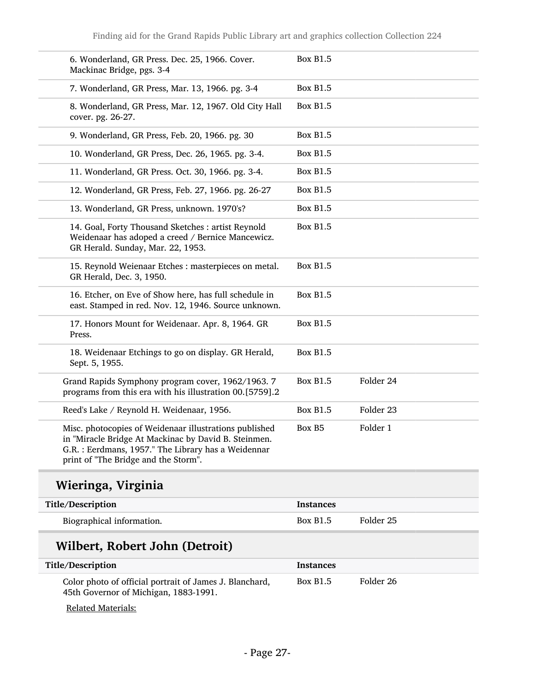Finding aid for the Grand Rapids Public Library art and graphics collection Collection 224

| 6. Wonderland, GR Press. Dec. 25, 1966. Cover.<br>Mackinac Bridge, pgs. 3-4                                                                                                                                   | <b>Box B1.5</b> |           |  |
|---------------------------------------------------------------------------------------------------------------------------------------------------------------------------------------------------------------|-----------------|-----------|--|
| 7. Wonderland, GR Press, Mar. 13, 1966. pg. 3-4                                                                                                                                                               | <b>Box B1.5</b> |           |  |
| 8. Wonderland, GR Press, Mar. 12, 1967. Old City Hall<br>cover. pg. 26-27.                                                                                                                                    | <b>Box B1.5</b> |           |  |
| 9. Wonderland, GR Press, Feb. 20, 1966. pg. 30                                                                                                                                                                | <b>Box B1.5</b> |           |  |
| 10. Wonderland, GR Press, Dec. 26, 1965. pg. 3-4.                                                                                                                                                             | <b>Box B1.5</b> |           |  |
| 11. Wonderland, GR Press. Oct. 30, 1966. pg. 3-4.                                                                                                                                                             | <b>Box B1.5</b> |           |  |
| 12. Wonderland, GR Press, Feb. 27, 1966. pg. 26-27                                                                                                                                                            | <b>Box B1.5</b> |           |  |
| 13. Wonderland, GR Press, unknown. 1970's?                                                                                                                                                                    | <b>Box B1.5</b> |           |  |
| 14. Goal, Forty Thousand Sketches : artist Reynold<br>Weidenaar has adoped a creed / Bernice Mancewicz.<br>GR Herald. Sunday, Mar. 22, 1953.                                                                  | <b>Box B1.5</b> |           |  |
| 15. Reynold Weienaar Etches: masterpieces on metal.<br>GR Herald, Dec. 3, 1950.                                                                                                                               | <b>Box B1.5</b> |           |  |
| 16. Etcher, on Eve of Show here, has full schedule in<br>east. Stamped in red. Nov. 12, 1946. Source unknown.                                                                                                 | <b>Box B1.5</b> |           |  |
| 17. Honors Mount for Weidenaar. Apr. 8, 1964. GR<br>Press.                                                                                                                                                    | <b>Box B1.5</b> |           |  |
| 18. Weidenaar Etchings to go on display. GR Herald,<br>Sept. 5, 1955.                                                                                                                                         | <b>Box B1.5</b> |           |  |
| Grand Rapids Symphony program cover, 1962/1963. 7<br>programs from this era with his illustration 00.[5759].2                                                                                                 | <b>Box B1.5</b> | Folder 24 |  |
| Reed's Lake / Reynold H. Weidenaar, 1956.                                                                                                                                                                     | <b>Box B1.5</b> | Folder 23 |  |
| Misc. photocopies of Weidenaar illustrations published<br>in "Miracle Bridge At Mackinac by David B. Steinmen.<br>G.R. : Eerdmans, 1957." The Library has a Weidennar<br>print of "The Bridge and the Storm". | Box B5          | Folder 1  |  |

| Title/Description              | <b>Instances</b> |           |  |
|--------------------------------|------------------|-----------|--|
| Biographical information.      | <b>Box B1.5</b>  | Folder 25 |  |
| Wilbert, Robert John (Detroit) |                  |           |  |

| WHDEFT, RODERT JOHN (DETTOIT)                                                                    |                  |           |  |
|--------------------------------------------------------------------------------------------------|------------------|-----------|--|
| Title/Description                                                                                | <b>Instances</b> |           |  |
| Color photo of official portrait of James J. Blanchard,<br>45th Governor of Michigan, 1883-1991. | <b>Box B1.5</b>  | Folder 26 |  |

Related Materials: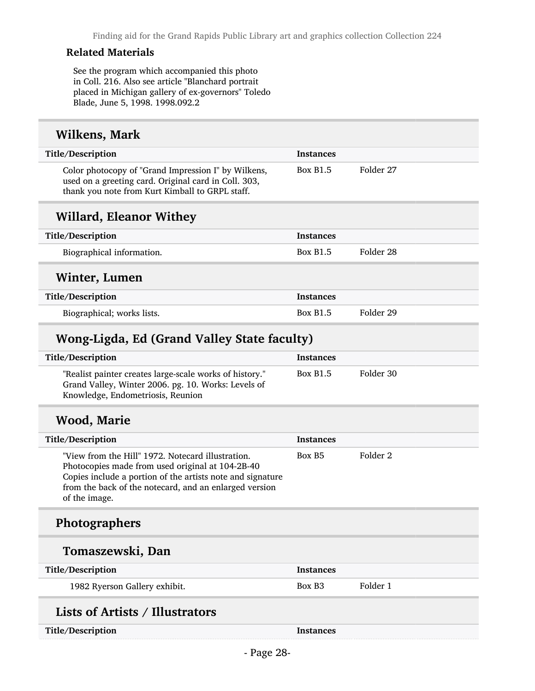#### Related Materials

See the program which accompanied this photo in Coll. 216. Also see article "Blanchard portrait placed in Michigan gallery of ex-governors" Toledo Blade, June 5, 1998. 1998.092.2

#### Wilkens, Mark

| Title/Description                                                                                                                                              | <b>Instances</b> |           |
|----------------------------------------------------------------------------------------------------------------------------------------------------------------|------------------|-----------|
| Color photocopy of "Grand Impression I" by Wilkens,<br>used on a greeting card. Original card in Coll. 303,<br>thank you note from Kurt Kimball to GRPL staff. | <b>Box B1.5</b>  | Folder 27 |
| <b>Willard, Eleanor Withey</b>                                                                                                                                 |                  |           |
| Title/Description                                                                                                                                              | <b>Instances</b> |           |
| Biographical information.                                                                                                                                      | <b>Box B1.5</b>  | Folder 28 |
| Winter, Lumen                                                                                                                                                  |                  |           |
| Title/Description                                                                                                                                              | <b>Instances</b> |           |
| Biographical; works lists.                                                                                                                                     | <b>Box B1.5</b>  | Folder 29 |
|                                                                                                                                                                |                  |           |

## Wong-Ligda, Ed (Grand Valley State faculty)

| <b>Title/Description</b>                                                                                                                            | <b>Instances</b> |           |
|-----------------------------------------------------------------------------------------------------------------------------------------------------|------------------|-----------|
| "Realist painter creates large-scale works of history."<br>Grand Valley, Winter 2006. pg. 10. Works: Levels of<br>Knowledge, Endometriosis, Reunion | <b>Box B1.5</b>  | Folder 30 |

## Wood, Marie

| Title/Description                                                                                                                                                                                                                              | <b>Instances</b>   |          |
|------------------------------------------------------------------------------------------------------------------------------------------------------------------------------------------------------------------------------------------------|--------------------|----------|
| "View from the Hill" 1972. Notecard illustration.<br>Photocopies made from used original at 104-2B-40<br>Copies include a portion of the artists note and signature<br>from the back of the notecard, and an enlarged version<br>of the image. | Box B <sub>5</sub> | Folder 2 |
| <b>Photographers</b>                                                                                                                                                                                                                           |                    |          |
| Tomaszewski, Dan                                                                                                                                                                                                                               |                    |          |
| Title/Description                                                                                                                                                                                                                              | <b>Instances</b>   |          |
| 1982 Ryerson Gallery exhibit.                                                                                                                                                                                                                  | Box B <sub>3</sub> | Folder 1 |
| <b>Lists of Artists / Illustrators</b>                                                                                                                                                                                                         |                    |          |
| Title/Description                                                                                                                                                                                                                              | <b>Instances</b>   |          |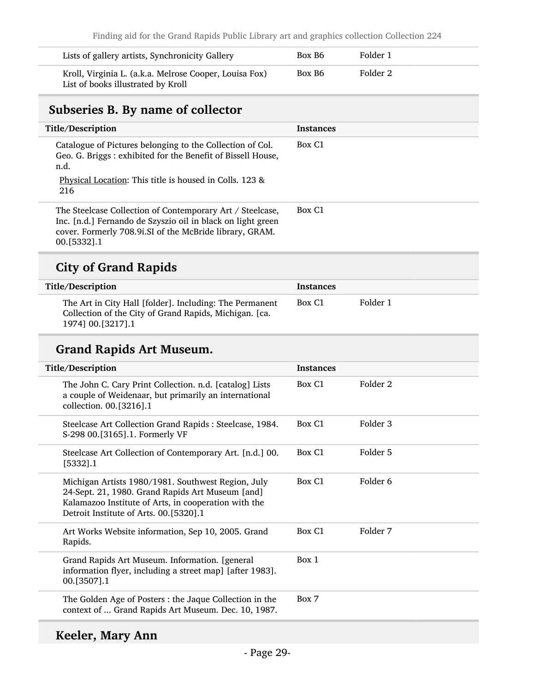| Lists of gallery artists, Synchronicity Gallery                                              | Box B <sub>6</sub> | Folder 1 |  |
|----------------------------------------------------------------------------------------------|--------------------|----------|--|
| Kroll, Virginia L. (a.k.a. Melrose Cooper, Louisa Fox)<br>List of books illustrated by Kroll | Box B6             | Folder 2 |  |

## <span id="page-28-0"></span>Subseries B. By name of collector

| Title/Description                                                                                                                                                                                     | <b>Instances</b>   |
|-------------------------------------------------------------------------------------------------------------------------------------------------------------------------------------------------------|--------------------|
| Catalogue of Pictures belonging to the Collection of Col.<br>Geo. G. Briggs: exhibited for the Benefit of Bissell House,<br>n.d.<br>Physical Location: This title is housed in Colls. 123 &<br>216    | Box C <sub>1</sub> |
| The Steelcase Collection of Contemporary Art / Steelcase,<br>Inc. [n.d.] Fernando de Szyszio oil in black on light green<br>cover. Formerly 708.9i.SI of the McBride library, GRAM.<br>$00.$ [5332].1 | Box C <sub>1</sub> |
|                                                                                                                                                                                                       |                    |

## City of Grand Rapids

| Title/Description                                                                                                                        | <b>Instances</b>   |          |
|------------------------------------------------------------------------------------------------------------------------------------------|--------------------|----------|
| The Art in City Hall [folder]. Including: The Permanent<br>Collection of the City of Grand Rapids, Michigan. [ca.<br>1974] 00. [3217]. 1 | Box C <sub>1</sub> | Folder 1 |

## Grand Rapids Art Museum.

| Title/Description                                                                                                                                                                                        | <b>Instances</b>   |          |
|----------------------------------------------------------------------------------------------------------------------------------------------------------------------------------------------------------|--------------------|----------|
| The John C. Cary Print Collection. n.d. [catalog] Lists<br>a couple of Weidenaar, but primarily an international<br>collection. 00.[3216].1                                                              | Box C <sub>1</sub> | Folder 2 |
| Steelcase Art Collection Grand Rapids: Steelcase, 1984.<br>S-298 00.[3165].1. Formerly VF                                                                                                                | Box C1             | Folder 3 |
| Steelcase Art Collection of Contemporary Art. [n.d.] 00.<br>[5332] .1                                                                                                                                    | Box C <sub>1</sub> | Folder 5 |
| Michigan Artists 1980/1981. Southwest Region, July<br>24-Sept. 21, 1980. Grand Rapids Art Museum [and]<br>Kalamazoo Institute of Arts, in cooperation with the<br>Detroit Institute of Arts. 00.[5320].1 | Box C <sub>1</sub> | Folder 6 |
| Art Works Website information, Sep 10, 2005. Grand<br>Rapids.                                                                                                                                            | Box C <sub>1</sub> | Folder 7 |
| Grand Rapids Art Museum. Information. [general]<br>information flyer, including a street map] [after 1983].<br>$00. [3507]$ .1                                                                           | Box 1              |          |
| The Golden Age of Posters : the Jaque Collection in the<br>context of  Grand Rapids Art Museum. Dec. 10, 1987.                                                                                           | Box 7              |          |
|                                                                                                                                                                                                          |                    |          |

## Keeler, Mary Ann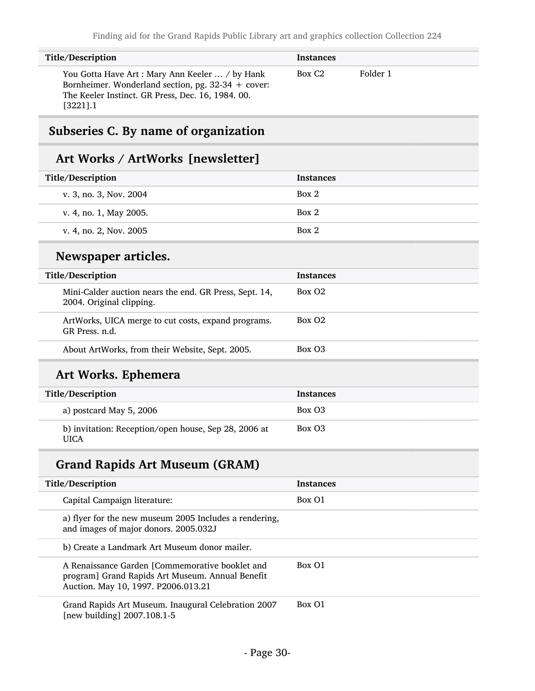| <b>Title/Description</b>                                                                                                                                                           | <b>Instances</b>   |          |
|------------------------------------------------------------------------------------------------------------------------------------------------------------------------------------|--------------------|----------|
| You Gotta Have Art: Mary Ann Keeler  / by Hank<br>Bornheimer. Wonderland section, pg. $32-34 + \text{cover}$ :<br>The Keeler Instinct. GR Press, Dec. 16, 1984. 00.<br>$[3221]$ .1 | Box C <sub>2</sub> | Folder 1 |

## <span id="page-29-0"></span>Subseries C. By name of organization

## Art Works / ArtWorks [newsletter]

| Title/Description                                                                  | <b>Instances</b>   |
|------------------------------------------------------------------------------------|--------------------|
| v. 3, no. 3, Nov. 2004                                                             | Box 2              |
| v. 4, no. 1, May 2005.                                                             | Box 2              |
| v. 4, no. 2, Nov. 2005                                                             | Box 2              |
| Newspaper articles.                                                                |                    |
| Title/Description                                                                  | <b>Instances</b>   |
| Mini-Calder auction nears the end. GR Press, Sept. 14,<br>2004. Original clipping. | Box O <sub>2</sub> |
| ArtWorks, UICA merge to cut costs, expand programs.<br>GR Press. n.d.              | Box O <sub>2</sub> |
| About ArtWorks, from their Website, Sept. 2005.                                    | Box O <sub>3</sub> |
| Art Works. Ephemera                                                                |                    |
| Title/Description                                                                  | <b>Instances</b>   |
| a) postcard May 5, 2006                                                            | Box O3             |
| b) invitation: Reception/open house, Sep 28, 2006 at                               | Box O3             |

| Title/Description                                                                                                                          | <b>Instances</b> |
|--------------------------------------------------------------------------------------------------------------------------------------------|------------------|
| Capital Campaign literature:                                                                                                               | Box O1           |
| a) flyer for the new museum 2005 Includes a rendering,<br>and images of major donors. 2005.032J                                            |                  |
| b) Create a Landmark Art Museum donor mailer.                                                                                              |                  |
| A Renaissance Garden [Commemorative booklet and<br>program] Grand Rapids Art Museum. Annual Benefit<br>Auction. May 10, 1997. P2006.013.21 | Box 01           |
| Grand Rapids Art Museum. Inaugural Celebration 2007<br>[new building] $2007.108.1 - 5$                                                     | Box 01           |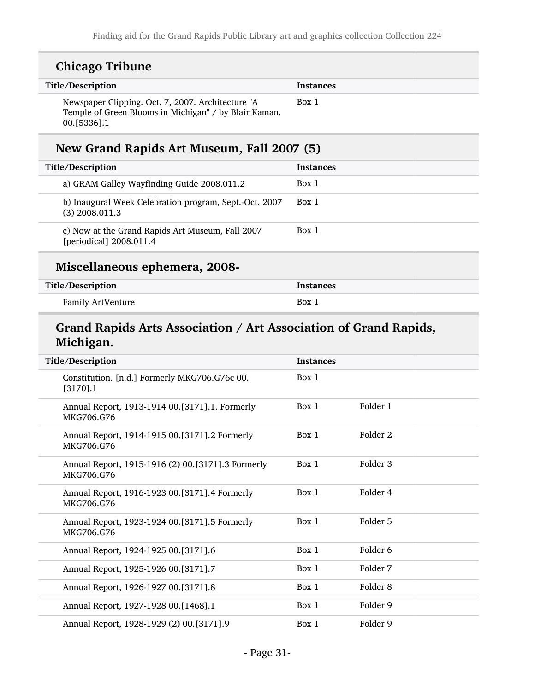| <b>Chicago Tribune</b>                                                                                                    |                  |                     |
|---------------------------------------------------------------------------------------------------------------------------|------------------|---------------------|
| Title/Description                                                                                                         | <b>Instances</b> |                     |
| Newspaper Clipping. Oct. 7, 2007. Architecture "A<br>Temple of Green Blooms in Michigan" / by Blair Kaman.<br>00.[5336].1 | Box 1            |                     |
| New Grand Rapids Art Museum, Fall 2007 (5)                                                                                |                  |                     |
| Title/Description                                                                                                         | Instances        |                     |
| a) GRAM Galley Wayfinding Guide 2008.011.2                                                                                | Box 1            |                     |
| b) Inaugural Week Celebration program, Sept.-Oct. 2007<br>$(3)$ 2008.011.3                                                | Box 1            |                     |
| c) Now at the Grand Rapids Art Museum, Fall 2007<br>[periodical] 2008.011.4                                               | Box 1            |                     |
| Miscellaneous ephemera, 2008-                                                                                             |                  |                     |
| Title/Description                                                                                                         | <b>Instances</b> |                     |
| Family ArtVenture                                                                                                         | Box 1            |                     |
| Grand Rapids Arts Association / Art Association of Grand Rapids,<br>Michigan.                                             |                  |                     |
| Title/Description                                                                                                         | <b>Instances</b> |                     |
| Constitution. [n.d.] Formerly MKG706.G76c 00.<br>$[3170]$ .1                                                              | Box 1            |                     |
| Annual Report, 1913-1914 00.[3171].1. Formerly<br>MKG706.G76                                                              | Box 1            | Folder 1            |
| Annual Report, 1914-1915 00.[3171].2 Formerly<br>MKG706.G76                                                               | Box 1            | Folder <sub>2</sub> |
| Annual Report, 1915-1916 (2) 00.[3171].3 Formerly<br>MKG706.G76                                                           | Box 1            | Folder 3            |
| Annual Report, 1916-1923 00.[3171].4 Formerly<br>MKG706.G76                                                               | Box 1            | Folder 4            |
|                                                                                                                           |                  |                     |
| Annual Report, 1923-1924 00.[3171].5 Formerly<br>MKG706.G76                                                               | Box 1            | Folder 5            |
| Annual Report, 1924-1925 00.[3171].6                                                                                      | Box 1            | Folder 6            |
| Annual Report, 1925-1926 00.[3171].7                                                                                      | Box 1            | Folder 7            |

Annual Report, 1927-1928 00.[1468].1 Box 1 Folder 9

Annual Report, 1928-1929 (2) 00.[3171].9 Box 1 Folder 9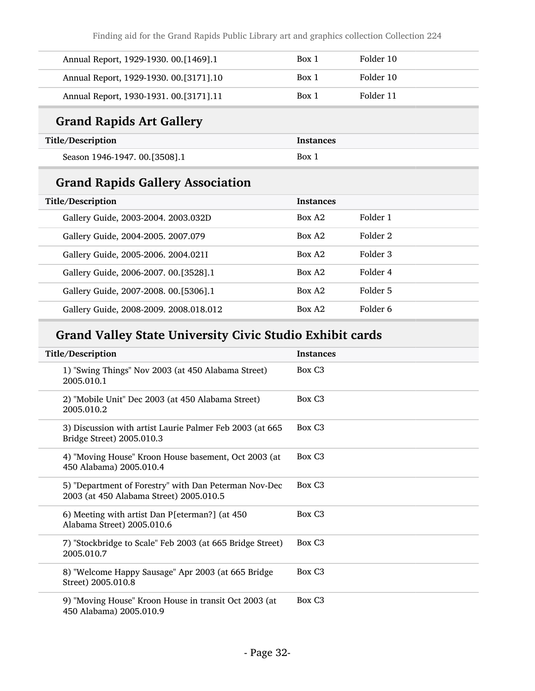Finding aid for the Grand Rapids Public Library art and graphics collection Collection 224

| Annual Report, 1929-1930. 00.[1469].1    | Box 1 | Folder 10 |
|------------------------------------------|-------|-----------|
| Annual Report, 1929-1930. 00. [3171]. 10 | Box 1 | Folder 10 |
| Annual Report, 1930-1931. 00.[3171].11   | Box 1 | Folder 11 |

## Grand Rapids Art Gallery

| Title/Description             | <b>Instances</b> |
|-------------------------------|------------------|
| Season 1946-1947. 00.[3508].1 | Box 1            |

## Grand Rapids Gallery Association

| Title/Description |                                         | <b>Instances</b>   |          |
|-------------------|-----------------------------------------|--------------------|----------|
|                   | Gallery Guide, 2003-2004. 2003.032D     | Box A <sub>2</sub> | Folder 1 |
|                   | Gallery Guide, 2004-2005. 2007.079      | Box A2             | Folder 2 |
|                   | Gallery Guide, 2005-2006. 2004.021I     | Box A2             | Folder 3 |
|                   | Gallery Guide, 2006-2007. 00. [3528]. 1 | Box A2             | Folder 4 |
|                   | Gallery Guide, 2007-2008. 00.[5306].1   | Box A2             | Folder 5 |
|                   | Gallery Guide, 2008-2009. 2008.018.012  | Box A2             | Folder 6 |
|                   |                                         |                    |          |

## Grand Valley State University Civic Studio Exhibit cards

| Title/Description                                                                                | <b>Instances</b>   |
|--------------------------------------------------------------------------------------------------|--------------------|
| 1) "Swing Things" Nov 2003 (at 450 Alabama Street)<br>2005.010.1                                 | Box C <sub>3</sub> |
| 2) "Mobile Unit" Dec 2003 (at 450 Alabama Street)<br>2005.010.2                                  | Box C <sub>3</sub> |
| 3) Discussion with artist Laurie Palmer Feb 2003 (at 665<br>Bridge Street) 2005.010.3            | Box C <sub>3</sub> |
| 4) "Moving House" Kroon House basement, Oct 2003 (at<br>450 Alabama) 2005.010.4                  | Box C <sub>3</sub> |
| 5) "Department of Forestry" with Dan Peterman Nov-Dec<br>2003 (at 450 Alabama Street) 2005.010.5 | Box C <sub>3</sub> |
| 6) Meeting with artist Dan P[eterman?] (at 450<br>Alabama Street) 2005.010.6                     | Box C <sub>3</sub> |
| 7) "Stockbridge to Scale" Feb 2003 (at 665 Bridge Street)<br>2005.010.7                          | Box C <sub>3</sub> |
| 8) "Welcome Happy Sausage" Apr 2003 (at 665 Bridge<br>Street) 2005.010.8                         | Box C <sub>3</sub> |
| 9) "Moving House" Kroon House in transit Oct 2003 (at<br>450 Alabama) 2005.010.9                 | Box C <sub>3</sub> |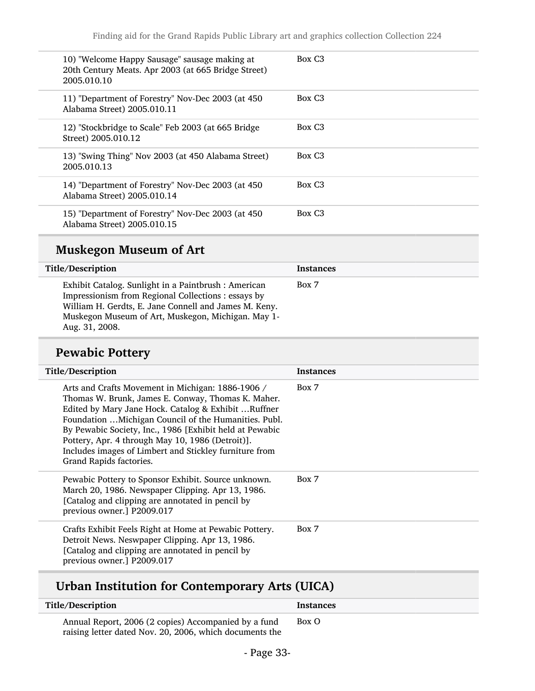| 10) "Welcome Happy Sausage" sausage making at<br>20th Century Meats. Apr 2003 (at 665 Bridge Street)<br>2005.010.10 | Box C3             |
|---------------------------------------------------------------------------------------------------------------------|--------------------|
| 11) "Department of Forestry" Nov-Dec 2003 (at 450<br>Alabama Street) 2005.010.11                                    | Box C <sub>3</sub> |
| 12) "Stockbridge to Scale" Feb 2003 (at 665 Bridge<br>Street) 2005.010.12                                           | Box C <sub>3</sub> |
| 13) "Swing Thing" Nov 2003 (at 450 Alabama Street)<br>2005.010.13                                                   | Box C3             |
| 14) "Department of Forestry" Nov-Dec 2003 (at 450<br>Alabama Street) 2005.010.14                                    | Box C <sub>3</sub> |
| 15) "Department of Forestry" Nov-Dec 2003 (at 450<br>Alabama Street) 2005.010.15                                    | Box C <sub>3</sub> |

## Muskegon Museum of Art

| Title/Description                                                                                                                                                                                                                           | <b>Instances</b> |
|---------------------------------------------------------------------------------------------------------------------------------------------------------------------------------------------------------------------------------------------|------------------|
| Exhibit Catalog. Sunlight in a Paintbrush: American<br>Impressionism from Regional Collections : essays by<br>William H. Gerdts, E. Jane Connell and James M. Keny.<br>Muskegon Museum of Art, Muskegon, Michigan. May 1-<br>Aug. 31, 2008. | Box 7            |

## Pewabic Pottery

| Title/Description                                                                                                                                                                                                                                                                                                                                                                                                            | <b>Instances</b> |
|------------------------------------------------------------------------------------------------------------------------------------------------------------------------------------------------------------------------------------------------------------------------------------------------------------------------------------------------------------------------------------------------------------------------------|------------------|
| Arts and Crafts Movement in Michigan: 1886-1906 /<br>Thomas W. Brunk, James E. Conway, Thomas K. Maher.<br>Edited by Mary Jane Hock. Catalog & Exhibit  Ruffner<br>Foundation  Michigan Council of the Humanities. Publ.<br>By Pewabic Society, Inc., 1986 [Exhibit held at Pewabic<br>Pottery, Apr. 4 through May 10, 1986 (Detroit)].<br>Includes images of Limbert and Stickley furniture from<br>Grand Rapids factories. | Box 7            |
| Pewabic Pottery to Sponsor Exhibit. Source unknown.<br>March 20, 1986. Newspaper Clipping. Apr 13, 1986.<br>[Catalog and clipping are annotated in pencil by<br>previous owner.] P2009.017                                                                                                                                                                                                                                   | Box 7            |
| Crafts Exhibit Feels Right at Home at Pewabic Pottery.<br>Detroit News. Neswpaper Clipping. Apr 13, 1986.<br>[Catalog and clipping are annotated in pencil by<br>previous owner.] P2009.017                                                                                                                                                                                                                                  | Box 7            |

## Urban Institution for Contemporary Arts (UICA)

| Title/Description                                                                                               | <b>Instances</b> |
|-----------------------------------------------------------------------------------------------------------------|------------------|
| Annual Report, 2006 (2 copies) Accompanied by a fund<br>raising letter dated Nov. 20, 2006, which documents the | Box O            |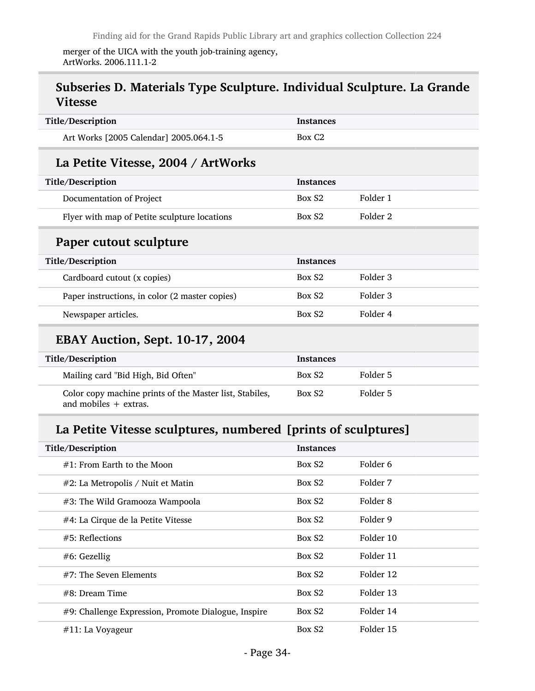merger of the UICA with the youth job-training agency, ArtWorks. 2006.111.1-2

## Subseries D. Materials Type Sculpture. Individual Sculpture. La Grande Vitesse

| Title/Description                                       | <b>Instances</b>   |          |
|---------------------------------------------------------|--------------------|----------|
| Art Works [2005 Calendar] 2005.064.1-5                  | Box C <sub>2</sub> |          |
| La Petite Vitesse, 2004 / ArtWorks                      |                    |          |
| Title/Description                                       | <b>Instances</b>   |          |
| Documentation of Project                                | Box S <sub>2</sub> | Folder 1 |
| Flyer with map of Petite sculpture locations            | Box S <sub>2</sub> | Folder 2 |
| Paper cutout sculpture                                  |                    |          |
| Title/Description                                       | <b>Instances</b>   |          |
| Cardboard cutout (x copies)                             | Box S <sub>2</sub> | Folder 3 |
| Paper instructions, in color (2 master copies)          | Box S <sub>2</sub> | Folder 3 |
| Newspaper articles.                                     | Box S <sub>2</sub> | Folder 4 |
| <b>EBAY Auction, Sept. 10-17, 2004</b>                  |                    |          |
| Title/Description                                       | <b>Instances</b>   |          |
| Mailing card "Bid High, Bid Often"                      | Box S <sub>2</sub> | Folder 5 |
| Color copy machine prints of the Master list, Stabiles, | Box S <sub>2</sub> | Folder 5 |

and mobiles + extras.

## La Petite Vitesse sculptures, numbered [prints of sculptures]

| Title/Description                                   | <b>Instances</b>   |           |
|-----------------------------------------------------|--------------------|-----------|
| $#1$ : From Earth to the Moon                       | Box S <sub>2</sub> | Folder 6  |
| #2: La Metropolis / Nuit et Matin                   | Box S <sub>2</sub> | Folder 7  |
| #3: The Wild Gramooza Wampoola                      | Box S <sub>2</sub> | Folder 8  |
| #4: La Cirque de la Petite Vitesse                  | Box S <sub>2</sub> | Folder 9  |
| $#5$ : Reflections                                  | Box S <sub>2</sub> | Folder 10 |
| $#6$ : Gezellig                                     | Box S <sub>2</sub> | Folder 11 |
| $#7$ : The Seven Elements                           | Box S <sub>2</sub> | Folder 12 |
| $#8$ : Dream Time                                   | Box S <sub>2</sub> | Folder 13 |
| #9: Challenge Expression, Promote Dialogue, Inspire | Box S <sub>2</sub> | Folder 14 |
| $#11$ : La Voyageur                                 | Box S <sub>2</sub> | Folder 15 |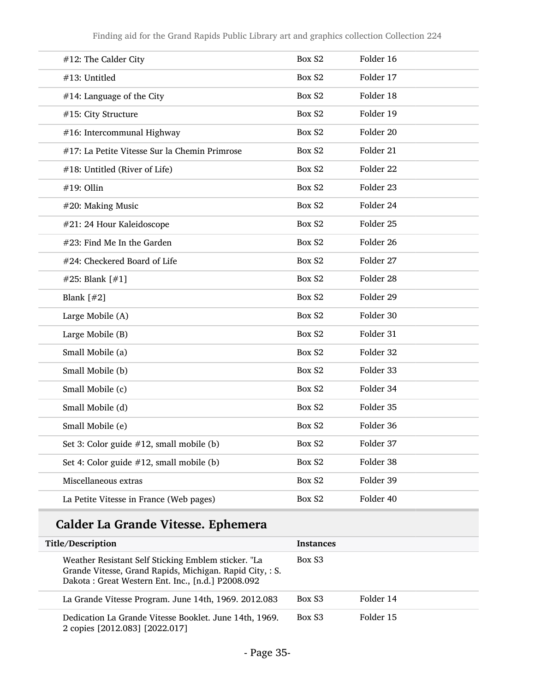| #12: The Calder City                          | Box S2             | Folder 16            |
|-----------------------------------------------|--------------------|----------------------|
| #13: Untitled                                 | Box S2             | Folder 17            |
| #14: Language of the City                     | Box S2             | Folder 18            |
| #15: City Structure                           | Box S2             | Folder 19            |
| #16: Intercommunal Highway                    | Box S2             | Folder 20            |
| #17: La Petite Vitesse Sur la Chemin Primrose | Box S2             | Folder 21            |
| #18: Untitled (River of Life)                 | Box S2             | Folder <sub>22</sub> |
| #19: Ollin                                    | Box S2             | Folder 23            |
| #20: Making Music                             | Box S2             | Folder 24            |
| #21: 24 Hour Kaleidoscope                     | Box S2             | Folder 25            |
| #23: Find Me In the Garden                    | Box S2             | Folder 26            |
| #24: Checkered Board of Life                  | Box S2             | Folder 27            |
| #25: Blank [#1]                               | Box S2             | Folder 28            |
| Blank $[#2]$                                  | Box S2             | Folder 29            |
| Large Mobile (A)                              | Box S <sub>2</sub> | Folder 30            |
| Large Mobile (B)                              | Box S2             | Folder 31            |
| Small Mobile (a)                              | Box S2             | Folder 32            |
| Small Mobile (b)                              | Box S2             | Folder 33            |
| Small Mobile (c)                              | Box S2             | Folder 34            |
| Small Mobile (d)                              | Box S2             | Folder 35            |
| Small Mobile (e)                              | Box S2             | Folder 36            |
| Set 3: Color guide #12, small mobile (b)      | Box S2             | Folder 37            |
| Set 4: Color guide #12, small mobile (b)      | Box S2             | Folder 38            |
| Miscellaneous extras                          | Box S2             | Folder 39            |
| La Petite Vitesse in France (Web pages)       | Box S2             | Folder 40            |

## Calder La Grande Vitesse. Ephemera

| Title/Description                                                                                                                                                    | <b>Instances</b>   |           |
|----------------------------------------------------------------------------------------------------------------------------------------------------------------------|--------------------|-----------|
| Weather Resistant Self Sticking Emblem sticker. "La<br>Grande Vitesse, Grand Rapids, Michigan. Rapid City, : S.<br>Dakota: Great Western Ent. Inc., [n.d.] P2008.092 | Box S <sub>3</sub> |           |
| La Grande Vitesse Program. June 14th, 1969. 2012.083                                                                                                                 | Box S <sub>3</sub> | Folder 14 |
| Dedication La Grande Vitesse Booklet. June 14th, 1969.<br>2 copies [2012.083] [2022.017]                                                                             | Box S <sub>3</sub> | Folder 15 |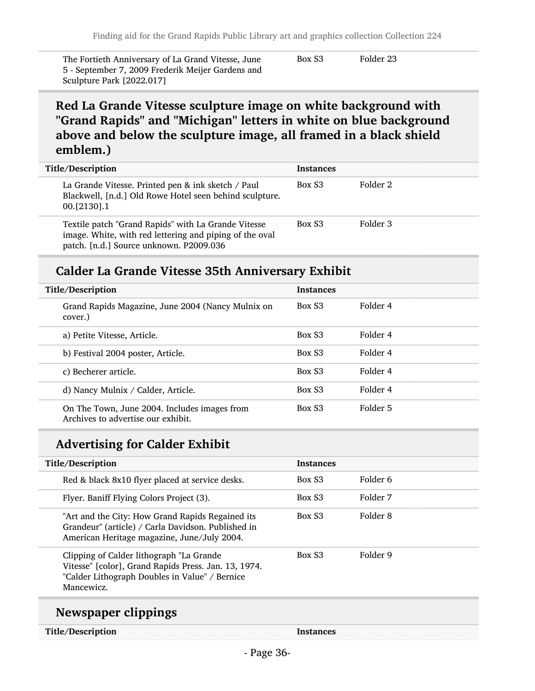The Fortieth Anniversary of La Grand Vitesse, June 5 - September 7, 2009 Frederik Meijer Gardens and Sculpture Park [2022.017]

Box S3 Folder 23

## Red La Grande Vitesse sculpture image on white background with "Grand Rapids" and "Michigan" letters in white on blue background above and below the sculpture image, all framed in a black shield emblem.)

| Title/Description                                                                                                                                         | <b>Instances</b>   |          |
|-----------------------------------------------------------------------------------------------------------------------------------------------------------|--------------------|----------|
| La Grande Vitesse. Printed pen & ink sketch / Paul<br>Blackwell, [n.d.] Old Rowe Hotel seen behind sculpture.<br>$00. [2130]$ .1                          | Box S <sub>3</sub> | Folder 2 |
| Textile patch "Grand Rapids" with La Grande Vitesse<br>image. White, with red lettering and piping of the oval<br>patch. [n.d.] Source unknown. P2009.036 | Box S3             | Folder 3 |

### Calder La Grande Vitesse 35th Anniversary Exhibit

| Title/Description                                                                  | <b>Instances</b>   |          |
|------------------------------------------------------------------------------------|--------------------|----------|
| Grand Rapids Magazine, June 2004 (Nancy Mulnix on<br>cover.)                       | Box S <sub>3</sub> | Folder 4 |
| a) Petite Vitesse, Article.                                                        | Box S <sub>3</sub> | Folder 4 |
| b) Festival 2004 poster, Article.                                                  | Box S <sub>3</sub> | Folder 4 |
| c) Becherer article.                                                               | Box S <sub>3</sub> | Folder 4 |
| d) Nancy Mulnix / Calder, Article.                                                 | Box S <sub>3</sub> | Folder 4 |
| On The Town, June 2004. Includes images from<br>Archives to advertise our exhibit. | Box S <sub>3</sub> | Folder 5 |

## Advertising for Calder Exhibit

| Title/Description                                                                                                                                                | <b>Instances</b>   |          |
|------------------------------------------------------------------------------------------------------------------------------------------------------------------|--------------------|----------|
| Red & black 8x10 flyer placed at service desks.                                                                                                                  | Box S <sub>3</sub> | Folder 6 |
| Flyer. Baniff Flying Colors Project (3).                                                                                                                         | Box S <sub>3</sub> | Folder 7 |
| "Art and the City: How Grand Rapids Regained its<br>Grandeur" (article) / Carla Davidson. Published in<br>American Heritage magazine, June/July 2004.            | Box S <sub>3</sub> | Folder 8 |
| Clipping of Calder lithograph "La Grande<br>Vitesse" [color], Grand Rapids Press. Jan. 13, 1974.<br>"Calder Lithograph Doubles in Value" / Bernice<br>Mancewicz. | Box S <sub>3</sub> | Folder 9 |

### Newspaper clippings

| Title/Description | Instances |
|-------------------|-----------|
|-------------------|-----------|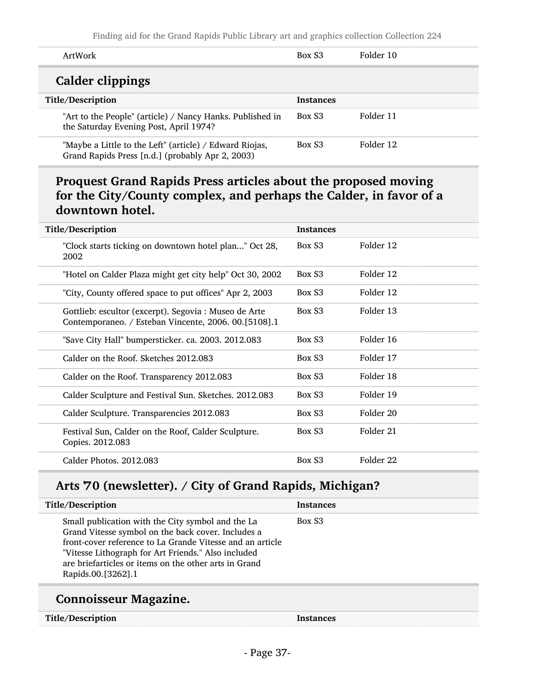| ArtWork                                                                                                     | Box S <sub>3</sub> | Folder 10 |
|-------------------------------------------------------------------------------------------------------------|--------------------|-----------|
| Calder clippings                                                                                            |                    |           |
| Title/Description                                                                                           | <b>Instances</b>   |           |
| "Art to the People" (article) / Nancy Hanks. Published in<br>the Saturday Evening Post, April 1974?         | Box S <sub>3</sub> | Folder 11 |
| "Maybe a Little to the Left" (article) / Edward Riojas,<br>Grand Rapids Press [n.d.] (probably Apr 2, 2003) | Box S3             | Folder 12 |

## Proquest Grand Rapids Press articles about the proposed moving for the City/County complex, and perhaps the Calder, in favor of a downtown hotel.

| Title/Description                                                                                             | <b>Instances</b> |           |
|---------------------------------------------------------------------------------------------------------------|------------------|-----------|
| "Clock starts ticking on downtown hotel plan" Oct 28,<br>2002                                                 | Box S3           | Folder 12 |
| "Hotel on Calder Plaza might get city help" Oct 30, 2002                                                      | Box S3           | Folder 12 |
| "City, County offered space to put offices" Apr 2, 2003                                                       | Box S3           | Folder 12 |
| Gottlieb: escultor (excerpt). Segovia : Museo de Arte<br>Contemporaneo. / Esteban Vincente, 2006. 00.[5108].1 | Box S3           | Folder 13 |
| "Save City Hall" bumpersticker. ca. 2003. 2012.083                                                            | Box S3           | Folder 16 |
| Calder on the Roof. Sketches 2012.083                                                                         | Box S3           | Folder 17 |
| Calder on the Roof. Transparency 2012.083                                                                     | Box S3           | Folder 18 |
| Calder Sculpture and Festival Sun. Sketches. 2012.083                                                         | Box S3           | Folder 19 |
| Calder Sculpture. Transparencies 2012.083                                                                     | Box S3           | Folder 20 |
| Festival Sun, Calder on the Roof, Calder Sculpture.<br>Copies. 2012.083                                       | Box S3           | Folder 21 |
| Calder Photos, 2012.083                                                                                       | Box S3           | Folder 22 |

## Arts '70 (newsletter). / City of Grand Rapids, Michigan?

| Title/Description                                                                                                                                                                                                                                                                                          | <b>Instances</b>   |
|------------------------------------------------------------------------------------------------------------------------------------------------------------------------------------------------------------------------------------------------------------------------------------------------------------|--------------------|
| Small publication with the City symbol and the La<br>Grand Vitesse symbol on the back cover. Includes a<br>front-cover reference to La Grande Vitesse and an article<br>"Vitesse Lithograph for Art Friends." Also included<br>are briefarticles or items on the other arts in Grand<br>Rapids.00.[3262].1 | Box S <sub>3</sub> |
|                                                                                                                                                                                                                                                                                                            |                    |

## Connoisseur Magazine.

| Title/Description | Instances |
|-------------------|-----------|
|-------------------|-----------|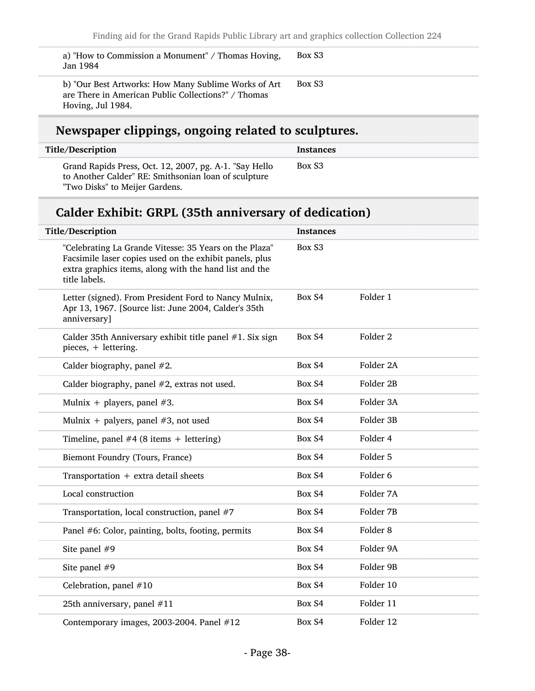a) "How to Commission a Monument" / Thomas Hoving, Jan 1984 Box S3 b) "Our Best Artworks: How Many Sublime Works of Art are There in American Public Collections?" / Thomas Hoving, Jul 1984. Box S3

## Newspaper clippings, ongoing related to sculptures.

| Title/Description                                                                                                                                | <b>Instances</b> |
|--------------------------------------------------------------------------------------------------------------------------------------------------|------------------|
| Grand Rapids Press, Oct. 12, 2007, pg. A-1. "Say Hello<br>to Another Calder" RE: Smithsonian loan of sculpture<br>"Two Disks" to Meijer Gardens. | Box S3           |

## Calder Exhibit: GRPL (35th anniversary of dedication)

| Title/Description                                                                                                                                                                            | <b>Instances</b> |                     |
|----------------------------------------------------------------------------------------------------------------------------------------------------------------------------------------------|------------------|---------------------|
| "Celebrating La Grande Vitesse: 35 Years on the Plaza"<br>Facsimile laser copies used on the exhibit panels, plus<br>extra graphics items, along with the hand list and the<br>title labels. | Box S3           |                     |
| Letter (signed). From President Ford to Nancy Mulnix,<br>Apr 13, 1967. [Source list: June 2004, Calder's 35th<br>anniversary]                                                                | Box S4           | Folder 1            |
| Calder 35th Anniversary exhibit title panel #1. Six sign<br>pieces, + lettering.                                                                                                             | Box S4           | Folder <sub>2</sub> |
| Calder biography, panel $#2$ .                                                                                                                                                               | Box S4           | Folder 2A           |
| Calder biography, panel #2, extras not used.                                                                                                                                                 | Box S4           | Folder 2B           |
| Mulnix + players, panel $#3$ .                                                                                                                                                               | Box S4           | Folder 3A           |
| Mulnix + palyers, panel $#3$ , not used                                                                                                                                                      | Box S4           | Folder 3B           |
| Timeline, panel $#4$ (8 items + lettering)                                                                                                                                                   | Box S4           | Folder 4            |
| Biemont Foundry (Tours, France)                                                                                                                                                              | Box S4           | Folder 5            |
| Transportation $+$ extra detail sheets                                                                                                                                                       | Box S4           | Folder <sub>6</sub> |
| Local construction                                                                                                                                                                           | Box S4           | Folder 7A           |
| Transportation, local construction, panel #7                                                                                                                                                 | Box S4           | Folder 7B           |
| Panel #6: Color, painting, bolts, footing, permits                                                                                                                                           | Box S4           | Folder <sub>8</sub> |
| Site panel #9                                                                                                                                                                                | Box S4           | Folder 9A           |
| Site panel #9                                                                                                                                                                                | Box S4           | Folder 9B           |
| Celebration, panel #10                                                                                                                                                                       | Box S4           | Folder 10           |
| 25th anniversary, panel #11                                                                                                                                                                  | Box S4           | Folder 11           |
| Contemporary images, 2003-2004. Panel #12                                                                                                                                                    | Box S4           | Folder 12           |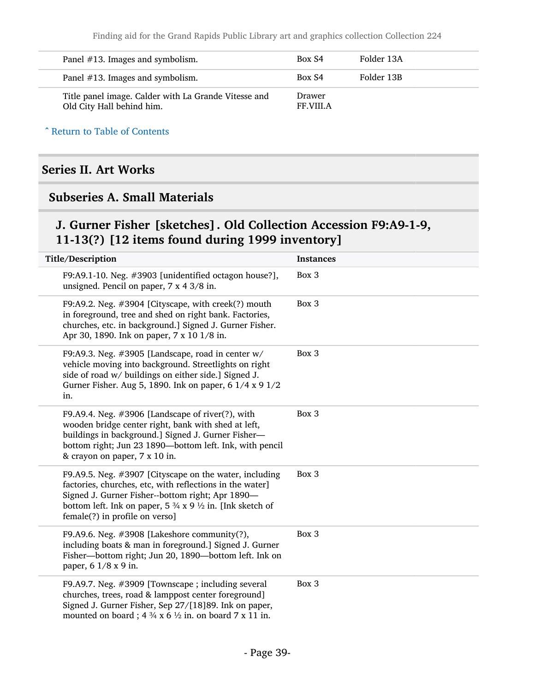| Panel $#13$ . Images and symbolism.                                               | Box S4                     | Folder 13A |
|-----------------------------------------------------------------------------------|----------------------------|------------|
| Panel #13. Images and symbolism.                                                  | Box S4                     | Folder 13B |
| Title panel image. Calder with La Grande Vitesse and<br>Old City Hall behind him. | Drawer<br><b>FF.VIII.A</b> |            |

^ [Return to Table of Contents](#page-1-0)

## Series II. Art Works

## Subseries A. Small Materials

## J. Gurner Fisher [sketches]. Old Collection Accession F9:A9-1-9, 11-13(?) [12 items found during 1999 inventory]

| Title/Description                                                                                                                                                                                                                                                                            | <b>Instances</b> |
|----------------------------------------------------------------------------------------------------------------------------------------------------------------------------------------------------------------------------------------------------------------------------------------------|------------------|
| F9:A9.1-10. Neg. #3903 [unidentified octagon house?],<br>unsigned. Pencil on paper, 7 x 4 3/8 in.                                                                                                                                                                                            | Box 3            |
| F9:A9.2. Neg. #3904 [Cityscape, with creek(?) mouth<br>in foreground, tree and shed on right bank. Factories,<br>churches, etc. in background.] Signed J. Gurner Fisher.<br>Apr 30, 1890. Ink on paper, 7 x 10 1/8 in.                                                                       | Box 3            |
| F9:A9.3. Neg. #3905 [Landscape, road in center w/<br>vehicle moving into background. Streetlights on right<br>side of road w/ buildings on either side.] Signed J.<br>Gurner Fisher. Aug 5, 1890. Ink on paper, 6 1/4 x 9 1/2<br>in.                                                         | Box 3            |
| F9.A9.4. Neg. $\#3906$ [Landscape of river(?), with<br>wooden bridge center right, bank with shed at left,<br>buildings in background.] Signed J. Gurner Fisher-<br>bottom right; Jun 23 1890-bottom left. Ink, with pencil<br>& crayon on paper, 7 x 10 in.                                 | Box 3            |
| F9.A9.5. Neg. #3907 [Cityscape on the water, including<br>factories, churches, etc, with reflections in the water]<br>Signed J. Gurner Fisher--bottom right; Apr 1890-<br>bottom left. Ink on paper, $5\frac{3}{4} \times 9\frac{1}{2}$ in. [Ink sketch of<br>female(?) in profile on verso] | Box 3            |
| F9.A9.6. Neg. $\#3908$ [Lakeshore community(?),<br>including boats & man in foreground.] Signed J. Gurner<br>Fisher-bottom right; Jun 20, 1890-bottom left. Ink on<br>paper, 6 1/8 x 9 in.                                                                                                   | Box 3            |
| F9.A9.7. Neg. $\#3909$ [Townscape ; including several<br>churches, trees, road & lamppost center foreground]<br>Signed J. Gurner Fisher, Sep 27/[18]89. Ink on paper,<br>mounted on board; $4\frac{3}{4} \times 6\frac{1}{2}$ in. on board 7 x 11 in.                                        | Box 3            |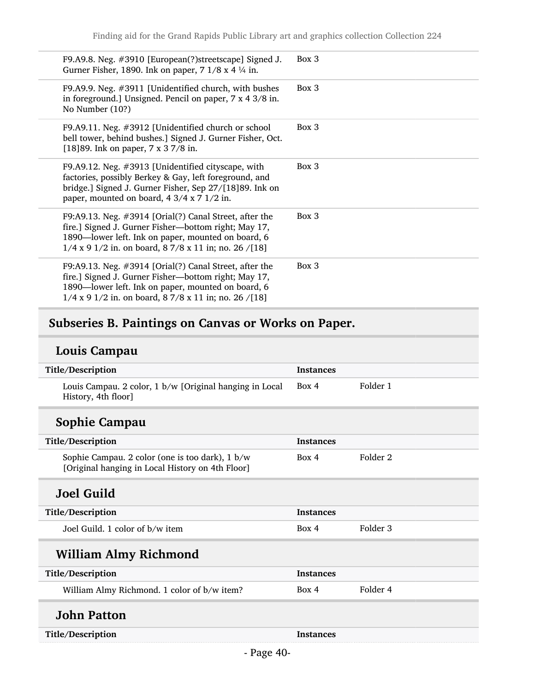| F9.A9.8. Neg. #3910 [European(?)streetscape] Signed J.<br>Gurner Fisher, 1890. Ink on paper, $7 \frac{1}{8}$ x 4 $\frac{1}{4}$ in.                                                                                                           | Box 3 |
|----------------------------------------------------------------------------------------------------------------------------------------------------------------------------------------------------------------------------------------------|-------|
| F9.A9.9. Neg. #3911 [Unidentified church, with bushes<br>in foreground.] Unsigned. Pencil on paper, $7 \times 4 \frac{3}{8}$ in.<br>No Number (10?)                                                                                          | Box 3 |
| F9.A9.11. Neg. #3912 [Unidentified church or school<br>bell tower, behind bushes.] Signed J. Gurner Fisher, Oct.<br>[18] 89. Ink on paper, $7 \times 3 \frac{7}{8}$ in.                                                                      | Box 3 |
| F9.A9.12. Neg. #3913 [Unidentified cityscape, with<br>factories, possibly Berkey & Gay, left foreground, and<br>bridge.] Signed J. Gurner Fisher, Sep 27/[18]89. Ink on<br>paper, mounted on board, $4 \frac{3}{4} \times 7 \frac{1}{2}$ in. | Box 3 |
| F9:A9.13. Neg. $\#3914$ [Orial(?) Canal Street, after the<br>fire.] Signed J. Gurner Fisher—bottom right; May 17,<br>1890-lower left. Ink on paper, mounted on board, 6<br>$1/4$ x 9 $1/2$ in. on board, 8 7/8 x 11 in; no. 26 /[18]         | Box 3 |
| F9:A9.13. Neg. $\#3914$ [Orial(?) Canal Street, after the<br>fire.] Signed J. Gurner Fisher—bottom right; May 17,<br>1890—lower left. Ink on paper, mounted on board, 6<br>$1/4$ x 9 $1/2$ in. on board, 8 7/8 x 11 in; no. 26 /[18]         | Box 3 |

# Subseries B. Paintings on Canvas or Works on Paper.

# Louis Campau

| Title/Description                                                                                   | <b>Instances</b> |          |
|-----------------------------------------------------------------------------------------------------|------------------|----------|
| Louis Campau. 2 color, 1 b/w [Original hanging in Local<br>History, 4th floor]                      | Box 4            | Folder 1 |
| Sophie Campau                                                                                       |                  |          |
| Title/Description                                                                                   | <b>Instances</b> |          |
| Sophie Campau. 2 color (one is too dark), 1 b/w<br>[Original hanging in Local History on 4th Floor] | Box 4            | Folder 2 |
| <b>Joel Guild</b>                                                                                   |                  |          |
| Title/Description                                                                                   | <b>Instances</b> |          |
| Joel Guild, 1 color of b/w item                                                                     | Box 4            | Folder 3 |
| <b>William Almy Richmond</b>                                                                        |                  |          |
| Title/Description                                                                                   | <b>Instances</b> |          |
| William Almy Richmond. 1 color of b/w item?                                                         | Box 4            | Folder 4 |
| <b>John Patton</b>                                                                                  |                  |          |
| Title/Description                                                                                   | <b>Instances</b> |          |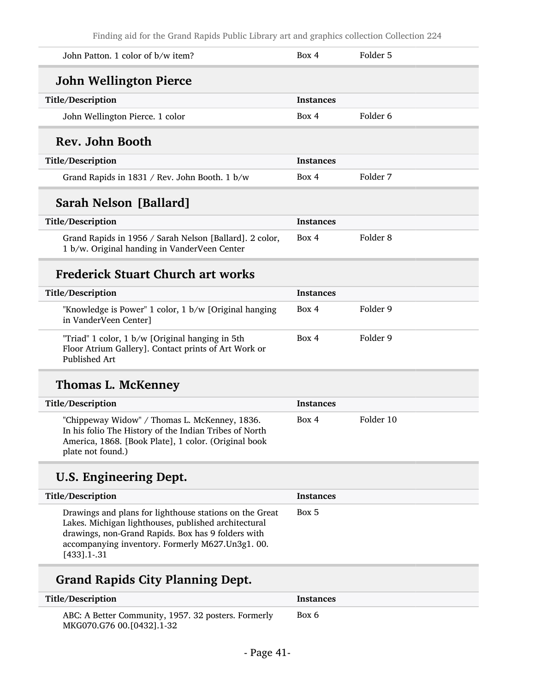| John Patton. 1 color of b/w item?                                                                                                                                                                                                           | Box 4            | Folder 5            |
|---------------------------------------------------------------------------------------------------------------------------------------------------------------------------------------------------------------------------------------------|------------------|---------------------|
| <b>John Wellington Pierce</b>                                                                                                                                                                                                               |                  |                     |
| Title/Description                                                                                                                                                                                                                           | Instances        |                     |
| John Wellington Pierce. 1 color                                                                                                                                                                                                             | Box 4            | Folder <sub>6</sub> |
| Rev. John Booth                                                                                                                                                                                                                             |                  |                     |
| Title/Description                                                                                                                                                                                                                           | <b>Instances</b> |                     |
| Grand Rapids in 1831 / Rev. John Booth. 1 b/w                                                                                                                                                                                               | Box 4            | Folder 7            |
| Sarah Nelson [Ballard]                                                                                                                                                                                                                      |                  |                     |
| Title/Description                                                                                                                                                                                                                           | <b>Instances</b> |                     |
| Grand Rapids in 1956 / Sarah Nelson [Ballard]. 2 color,<br>1 b/w. Original handing in VanderVeen Center                                                                                                                                     | Box 4            | Folder <sub>8</sub> |
| <b>Frederick Stuart Church art works</b>                                                                                                                                                                                                    |                  |                     |
| Title/Description                                                                                                                                                                                                                           | <b>Instances</b> |                     |
| "Knowledge is Power" 1 color, 1 b/w [Original hanging<br>in VanderVeen Center]                                                                                                                                                              | Box 4            | Folder 9            |
| "Triad" 1 color, 1 b/w [Original hanging in 5th<br>Floor Atrium Gallery]. Contact prints of Art Work or<br>Published Art                                                                                                                    | Box 4            | Folder 9            |
| <b>Thomas L. McKenney</b>                                                                                                                                                                                                                   |                  |                     |
| Title/Description                                                                                                                                                                                                                           | <b>Instances</b> |                     |
| "Chippeway Widow" / Thomas L. McKenney, 1836.<br>In his folio The History of the Indian Tribes of North<br>America, 1868. [Book Plate], 1 color. (Original book<br>plate not found.)                                                        | Box 4            | Folder 10           |
| U.S. Engineering Dept.                                                                                                                                                                                                                      |                  |                     |
| Title/Description                                                                                                                                                                                                                           | <b>Instances</b> |                     |
| Drawings and plans for lighthouse stations on the Great<br>Lakes. Michigan lighthouses, published architectural<br>drawings, non-Grand Rapids. Box has 9 folders with<br>accompanying inventory. Formerly M627.Un3g1. 00.<br>$[433]$ .1-.31 | Box 5            |                     |
| <b>Grand Rapids City Planning Dept.</b>                                                                                                                                                                                                     |                  |                     |
| Title/Description                                                                                                                                                                                                                           | <b>Instances</b> |                     |

ABC: A Better Community, 1957. 32 posters. Formerly MKG070.G76 00.[0432].1-32

Box 6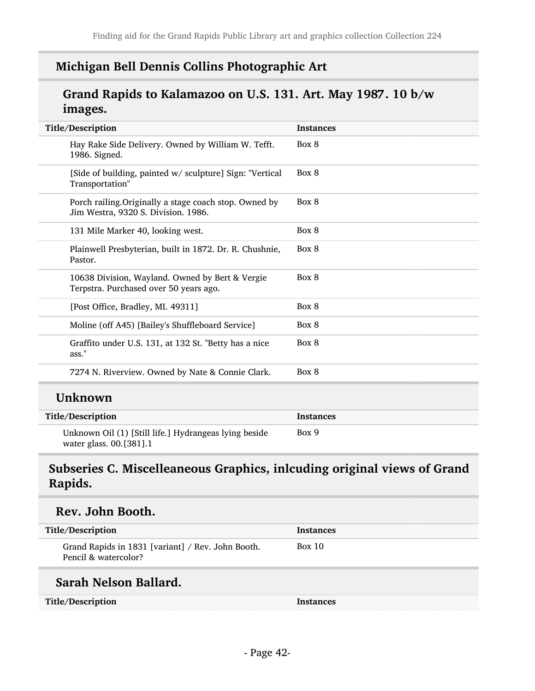## Michigan Bell Dennis Collins Photographic Art

## Grand Rapids to Kalamazoo on U.S. 131. Art. May 1987. 10 b/w images.

| Title/Description                                                                             | <b>Instances</b> |
|-----------------------------------------------------------------------------------------------|------------------|
| Hay Rake Side Delivery. Owned by William W. Tefft.<br>1986. Signed.                           | Box 8            |
| [Side of building, painted w/ sculpture] Sign: "Vertical<br>Transportation"                   | Box 8            |
| Porch railing. Originally a stage coach stop. Owned by<br>Jim Westra, 9320 S. Division. 1986. | Box 8            |
| 131 Mile Marker 40, looking west.                                                             | Box 8            |
| Plainwell Presbyterian, built in 1872. Dr. R. Chushnie,<br>Pastor.                            | Box 8            |
| 10638 Division, Wayland. Owned by Bert & Vergie<br>Terpstra. Purchased over 50 years ago.     | Box 8            |
| [Post Office, Bradley, MI. 49311]                                                             | Box 8            |
| Moline (off A45) [Bailey's Shuffleboard Service]                                              | Box 8            |
| Graffito under U.S. 131, at 132 St. "Betty has a nice<br>ass."                                | Box 8            |
| 7274 N. Riverview. Owned by Nate & Connie Clark.                                              | Box 8            |
| <b>Unknown</b>                                                                                |                  |
| Title/Description                                                                             | <b>Instances</b> |
| Unknown Oil (1) [Still life.] Hydrangeas lying beside<br>water glass. 00.[381].1              | Box 9            |

## Subseries C. Miscelleaneous Graphics, inlcuding original views of Grand Rapids.

### Rev. John Booth.

| Title/Description                                                         | <b>Instances</b> |
|---------------------------------------------------------------------------|------------------|
| Grand Rapids in 1831 [variant] / Rev. John Booth.<br>Pencil & watercolor? | Box 10           |

## Sarah Nelson Ballard.

| Title/Description | Instances |
|-------------------|-----------|
|-------------------|-----------|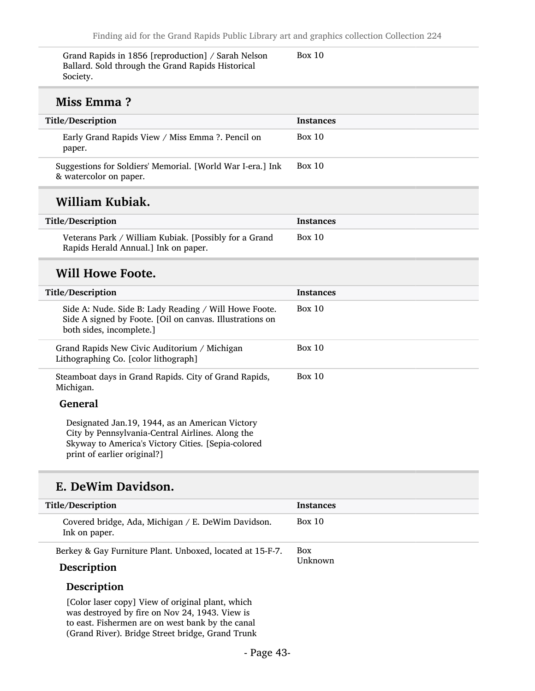| Grand Rapids in 1856 [reproduction] / Sarah Nelson<br>Ballard. Sold through the Grand Rapids Historical<br>Society.                                                                      | <b>Box 10</b>    |
|------------------------------------------------------------------------------------------------------------------------------------------------------------------------------------------|------------------|
| Miss Emma?                                                                                                                                                                               |                  |
| Title/Description                                                                                                                                                                        | <b>Instances</b> |
| Early Grand Rapids View / Miss Emma ?. Pencil on<br>paper.                                                                                                                               | Box $10$         |
| Suggestions for Soldiers' Memorial. [World War I-era.] Ink<br>& watercolor on paper.                                                                                                     | Box $10$         |
| William Kubiak.                                                                                                                                                                          |                  |
| Title/Description                                                                                                                                                                        | <b>Instances</b> |
| Veterans Park / William Kubiak. [Possibly for a Grand<br>Rapids Herald Annual.] Ink on paper.                                                                                            | Box $10$         |
| <b>Will Howe Foote.</b>                                                                                                                                                                  |                  |
| Title/Description                                                                                                                                                                        | <b>Instances</b> |
| Side A: Nude. Side B: Lady Reading / Will Howe Foote.<br>Side A signed by Foote. [Oil on canvas. Illustrations on<br>both sides, incomplete.]                                            | Box $10$         |
| Grand Rapids New Civic Auditorium / Michigan<br>Lithographing Co. [color lithograph]                                                                                                     | <b>Box 10</b>    |
|                                                                                                                                                                                          |                  |
| Steamboat days in Grand Rapids. City of Grand Rapids,<br>Michigan.                                                                                                                       | <b>Box 10</b>    |
| <b>General</b>                                                                                                                                                                           |                  |
| Designated Jan.19, 1944, as an American Victory<br>City by Pennsylvania-Central Airlines. Along the<br>Skyway to America's Victory Cities. [Sepia-colored<br>print of earlier original?] |                  |

| Title/Description                                                        | <b>Instances</b>      |
|--------------------------------------------------------------------------|-----------------------|
| Covered bridge, Ada, Michigan / E. DeWim Davidson.<br>Ink on paper.      | Box 10                |
| Berkey & Gay Furniture Plant. Unboxed, located at 15-F-7.<br>Description | <b>Box</b><br>Unknown |
| Description                                                              |                       |

[Color laser copy] View of original plant, which was destroyed by fire on Nov 24, 1943. View is to east. Fishermen are on west bank by the canal (Grand River). Bridge Street bridge, Grand Trunk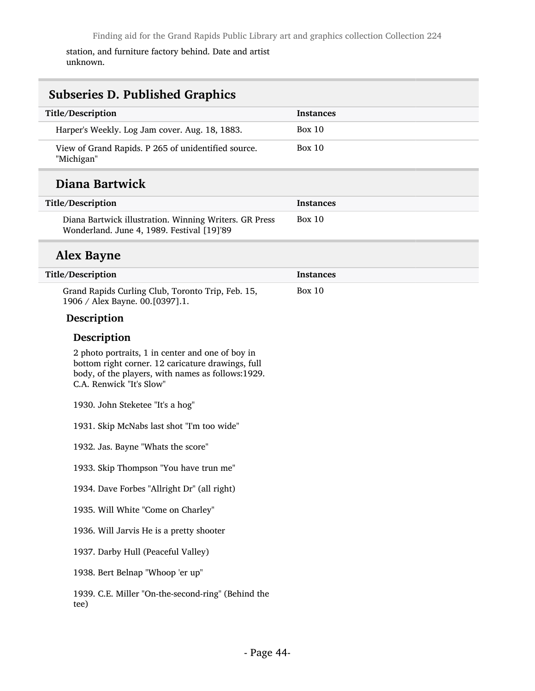station, and furniture factory behind. Date and artist unknown.

| <b>Subseries D. Published Graphics</b>                                                                                                                                                 |                  |  |
|----------------------------------------------------------------------------------------------------------------------------------------------------------------------------------------|------------------|--|
| Title/Description                                                                                                                                                                      | <b>Instances</b> |  |
| Harper's Weekly. Log Jam cover. Aug. 18, 1883.                                                                                                                                         | <b>Box 10</b>    |  |
| View of Grand Rapids. P 265 of unidentified source.<br>"Michigan"                                                                                                                      | <b>Box 10</b>    |  |
| Diana Bartwick                                                                                                                                                                         |                  |  |
| Title/Description                                                                                                                                                                      | <b>Instances</b> |  |
| Diana Bartwick illustration. Winning Writers. GR Press<br>Wonderland. June 4, 1989. Festival [19]'89                                                                                   | <b>Box 10</b>    |  |
| <b>Alex Bayne</b>                                                                                                                                                                      |                  |  |
| Title/Description                                                                                                                                                                      | <b>Instances</b> |  |
| Grand Rapids Curling Club, Toronto Trip, Feb. 15,<br>1906 / Alex Bayne. 00.[0397].1.                                                                                                   | <b>Box 10</b>    |  |
| Description                                                                                                                                                                            |                  |  |
| Description                                                                                                                                                                            |                  |  |
| 2 photo portraits, 1 in center and one of boy in<br>bottom right corner. 12 caricature drawings, full<br>body, of the players, with names as follows:1929.<br>C.A. Renwick "It's Slow" |                  |  |
| 1930. John Steketee "It's a hog"                                                                                                                                                       |                  |  |
| 1931. Skip McNabs last shot "I'm too wide"                                                                                                                                             |                  |  |
| 1932. Jas. Bayne "Whats the score"                                                                                                                                                     |                  |  |
| 1933. Skip Thompson "You have trun me"                                                                                                                                                 |                  |  |
| 1934. Dave Forbes "Allright Dr" (all right)                                                                                                                                            |                  |  |
| 1935. Will White "Come on Charley"                                                                                                                                                     |                  |  |
| 1936. Will Jarvis He is a pretty shooter                                                                                                                                               |                  |  |
| 1937. Darby Hull (Peaceful Valley)                                                                                                                                                     |                  |  |
| 1938. Bert Belnap "Whoop 'er up"                                                                                                                                                       |                  |  |
| 1939. C.E. Miller "On-the-second-ring" (Behind the<br>tee)                                                                                                                             |                  |  |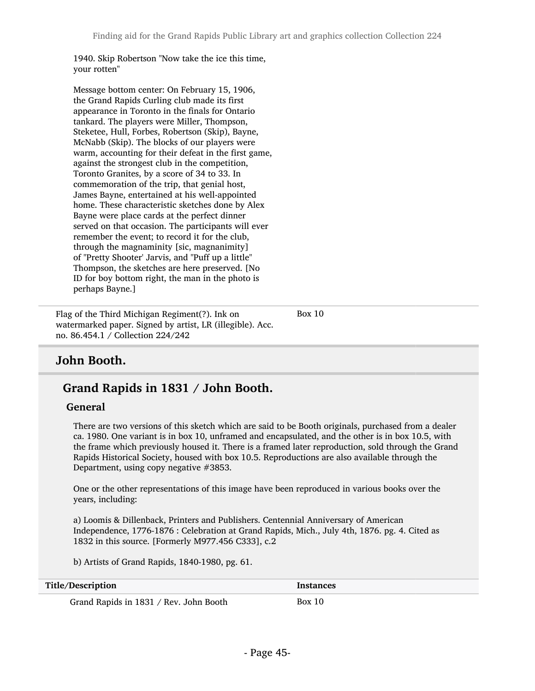1940. Skip Robertson "Now take the ice this time, your rotten"

Message bottom center: On February 15, 1906, the Grand Rapids Curling club made its first appearance in Toronto in the finals for Ontario tankard. The players were Miller, Thompson, Steketee, Hull, Forbes, Robertson (Skip), Bayne, McNabb (Skip). The blocks of our players were warm, accounting for their defeat in the first game, against the strongest club in the competition, Toronto Granites, by a score of 34 to 33. In commemoration of the trip, that genial host, James Bayne, entertained at his well-appointed home. These characteristic sketches done by Alex Bayne were place cards at the perfect dinner served on that occasion. The participants will ever remember the event; to record it for the club, through the magnaminity [sic, magnanimity] of "Pretty Shooter' Jarvis, and "Puff up a little" Thompson, the sketches are here preserved. [No ID for boy bottom right, the man in the photo is perhaps Bayne.]

Flag of the Third Michigan Regiment(?). Ink on watermarked paper. Signed by artist, LR (illegible). Acc. no. 86.454.1 / Collection 224/242

Box 10

## John Booth.

## Grand Rapids in 1831 / John Booth.

#### General

There are two versions of this sketch which are said to be Booth originals, purchased from a dealer ca. 1980. One variant is in box 10, unframed and encapsulated, and the other is in box 10.5, with the frame which previously housed it. There is a framed later reproduction, sold through the Grand Rapids Historical Society, housed with box 10.5. Reproductions are also available through the Department, using copy negative #3853.

One or the other representations of this image have been reproduced in various books over the years, including:

a) Loomis & Dillenback, Printers and Publishers. Centennial Anniversary of American Independence, 1776-1876 : Celebration at Grand Rapids, Mich., July 4th, 1876. pg. 4. Cited as 1832 in this source. [Formerly M977.456 C333], c.2

b) Artists of Grand Rapids, 1840-1980, pg. 61.

Title/Description Instances

Grand Rapids in 1831 / Rev. John Booth Box 10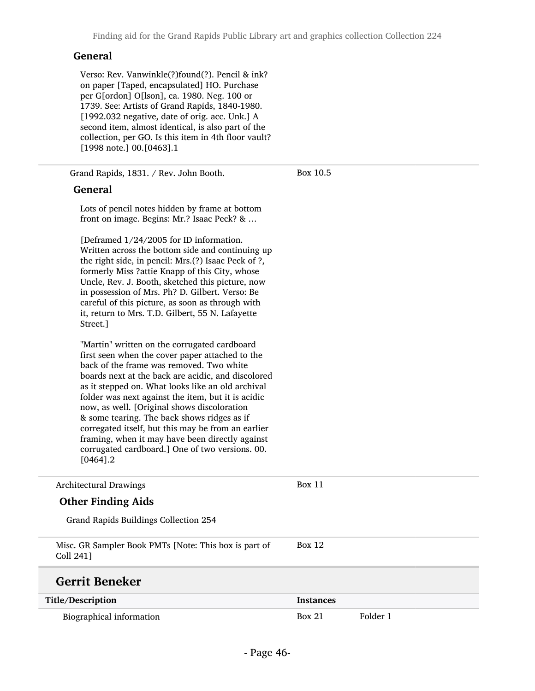#### General

Verso: Rev. Vanwinkle(?)found(?). Pencil & ink? on paper [Taped, encapsulated] HO. Purchase per G[ordon] O[lson], ca. 1980. Neg. 100 or 1739. See: Artists of Grand Rapids, 1840-1980. [1992.032 negative, date of orig. acc. Unk.] A second item, almost identical, is also part of the collection, per GO. Is this item in 4th floor vault? [1998 note.] 00.[0463].1

Grand Rapids, 1831. / Rev. John Booth.

Box 10.5

#### General

Lots of pencil notes hidden by frame at bottom front on image. Begins: Mr.? Isaac Peck? & …

[Deframed 1/24/2005 for ID information. Written across the bottom side and continuing up the right side, in pencil: Mrs.(?) Isaac Peck of ?, formerly Miss ?attie Knapp of this City, whose Uncle, Rev. J. Booth, sketched this picture, now in possession of Mrs. Ph? D. Gilbert. Verso: Be careful of this picture, as soon as through with it, return to Mrs. T.D. Gilbert, 55 N. Lafayette Street.]

"Martin" written on the corrugated cardboard first seen when the cover paper attached to the back of the frame was removed. Two white boards next at the back are acidic, and discolored as it stepped on. What looks like an old archival folder was next against the item, but it is acidic now, as well. [Original shows discoloration & some tearing. The back shows ridges as if corregated itself, but this may be from an earlier framing, when it may have been directly against corrugated cardboard.] One of two versions. 00. [0464].2

| <b>Architectural Drawings</b>                                      | Box 11           |          |
|--------------------------------------------------------------------|------------------|----------|
| <b>Other Finding Aids</b>                                          |                  |          |
| Grand Rapids Buildings Collection 254                              |                  |          |
| Misc. GR Sampler Book PMTs [Note: This box is part of<br>Coll 2411 | Box 12           |          |
| <b>Gerrit Beneker</b>                                              |                  |          |
| Title/Description                                                  | <b>Instances</b> |          |
| Biographical information                                           | <b>Box 21</b>    | Folder 1 |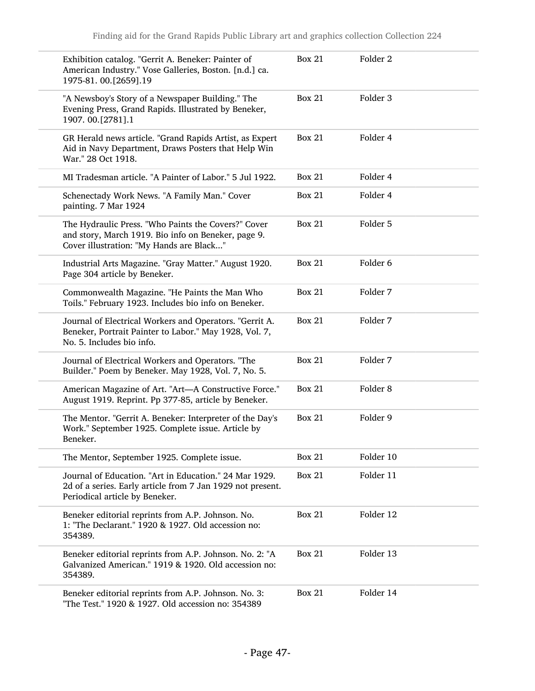| Exhibition catalog. "Gerrit A. Beneker: Painter of<br>American Industry." Vose Galleries, Boston. [n.d.] ca.<br>1975-81.00.[2659].19                   | <b>Box 21</b> | Folder <sub>2</sub> |
|--------------------------------------------------------------------------------------------------------------------------------------------------------|---------------|---------------------|
| "A Newsboy's Story of a Newspaper Building." The<br>Evening Press, Grand Rapids. Illustrated by Beneker,<br>1907. 00.[2781].1                          | <b>Box 21</b> | Folder 3            |
| GR Herald news article. "Grand Rapids Artist, as Expert<br>Aid in Navy Department, Draws Posters that Help Win<br>War." 28 Oct 1918.                   | <b>Box 21</b> | Folder 4            |
| MI Tradesman article. "A Painter of Labor." 5 Jul 1922.                                                                                                | <b>Box 21</b> | Folder 4            |
| Schenectady Work News. "A Family Man." Cover<br>painting. 7 Mar 1924                                                                                   | <b>Box 21</b> | Folder 4            |
| The Hydraulic Press. "Who Paints the Covers?" Cover<br>and story, March 1919. Bio info on Beneker, page 9.<br>Cover illustration: "My Hands are Black" | <b>Box 21</b> | Folder 5            |
| Industrial Arts Magazine. "Gray Matter." August 1920.<br>Page 304 article by Beneker.                                                                  | <b>Box 21</b> | Folder 6            |
| Commonwealth Magazine. "He Paints the Man Who<br>Toils." February 1923. Includes bio info on Beneker.                                                  | <b>Box 21</b> | Folder 7            |
| Journal of Electrical Workers and Operators. "Gerrit A.<br>Beneker, Portrait Painter to Labor." May 1928, Vol. 7,<br>No. 5. Includes bio info.         | <b>Box 21</b> | Folder 7            |
| Journal of Electrical Workers and Operators. "The<br>Builder." Poem by Beneker. May 1928, Vol. 7, No. 5.                                               | <b>Box 21</b> | Folder 7            |
| American Magazine of Art. "Art-A Constructive Force."<br>August 1919. Reprint. Pp 377-85, article by Beneker.                                          | <b>Box 21</b> | Folder <sub>8</sub> |
| The Mentor. "Gerrit A. Beneker: Interpreter of the Day's<br>Work." September 1925. Complete issue. Article by<br>Beneker.                              | <b>Box 21</b> | Folder 9            |
| The Mentor, September 1925. Complete issue.                                                                                                            | <b>Box 21</b> | Folder 10           |
| Journal of Education. "Art in Education." 24 Mar 1929.<br>2d of a series. Early article from 7 Jan 1929 not present.<br>Periodical article by Beneker. | <b>Box 21</b> | Folder 11           |
| Beneker editorial reprints from A.P. Johnson. No.<br>1: "The Declarant." 1920 & 1927. Old accession no:<br>354389.                                     | <b>Box 21</b> | Folder 12           |
| Beneker editorial reprints from A.P. Johnson. No. 2: "A<br>Galvanized American." 1919 & 1920. Old accession no:<br>354389.                             | <b>Box 21</b> | Folder 13           |
| Beneker editorial reprints from A.P. Johnson. No. 3:<br>"The Test." 1920 & 1927. Old accession no: 354389                                              | <b>Box 21</b> | Folder 14           |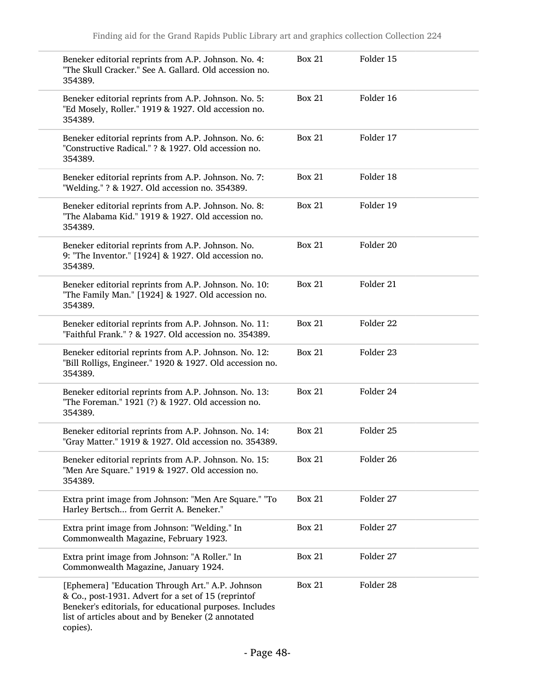| Beneker editorial reprints from A.P. Johnson. No. 4:<br>"The Skull Cracker." See A. Gallard. Old accession no.<br>354389.                                                                                                             | <b>Box 21</b> | Folder 15 |  |
|---------------------------------------------------------------------------------------------------------------------------------------------------------------------------------------------------------------------------------------|---------------|-----------|--|
| Beneker editorial reprints from A.P. Johnson. No. 5:<br>"Ed Mosely, Roller." 1919 & 1927. Old accession no.<br>354389.                                                                                                                | <b>Box 21</b> | Folder 16 |  |
| Beneker editorial reprints from A.P. Johnson. No. 6:<br>"Constructive Radical." ? & 1927. Old accession no.<br>354389.                                                                                                                | <b>Box 21</b> | Folder 17 |  |
| Beneker editorial reprints from A.P. Johnson. No. 7:<br>"Welding." ? & 1927. Old accession no. 354389.                                                                                                                                | <b>Box 21</b> | Folder 18 |  |
| Beneker editorial reprints from A.P. Johnson. No. 8:<br>"The Alabama Kid." 1919 & 1927. Old accession no.<br>354389.                                                                                                                  | <b>Box 21</b> | Folder 19 |  |
| Beneker editorial reprints from A.P. Johnson. No.<br>9: "The Inventor." [1924] & 1927. Old accession no.<br>354389.                                                                                                                   | <b>Box 21</b> | Folder 20 |  |
| Beneker editorial reprints from A.P. Johnson. No. 10:<br>"The Family Man." [1924] & 1927. Old accession no.<br>354389.                                                                                                                | <b>Box 21</b> | Folder 21 |  |
| Beneker editorial reprints from A.P. Johnson. No. 11:<br>"Faithful Frank." ? & 1927. Old accession no. 354389.                                                                                                                        | <b>Box 21</b> | Folder 22 |  |
| Beneker editorial reprints from A.P. Johnson. No. 12:<br>"Bill Rolligs, Engineer." 1920 & 1927. Old accession no.<br>354389.                                                                                                          | <b>Box 21</b> | Folder 23 |  |
| Beneker editorial reprints from A.P. Johnson. No. 13:<br>"The Foreman." 1921 (?) & 1927. Old accession no.<br>354389.                                                                                                                 | <b>Box 21</b> | Folder 24 |  |
| Beneker editorial reprints from A.P. Johnson. No. 14:<br>"Gray Matter." 1919 & 1927. Old accession no. 354389.                                                                                                                        | <b>Box 21</b> | Folder 25 |  |
| Beneker editorial reprints from A.P. Johnson. No. 15:<br>"Men Are Square." 1919 & 1927. Old accession no.<br>354389.                                                                                                                  | <b>Box 21</b> | Folder 26 |  |
| Extra print image from Johnson: "Men Are Square." "To<br>Harley Bertsch from Gerrit A. Beneker."                                                                                                                                      | <b>Box 21</b> | Folder 27 |  |
| Extra print image from Johnson: "Welding." In<br>Commonwealth Magazine, February 1923.                                                                                                                                                | <b>Box 21</b> | Folder 27 |  |
| Extra print image from Johnson: "A Roller." In<br>Commonwealth Magazine, January 1924.                                                                                                                                                | <b>Box 21</b> | Folder 27 |  |
| [Ephemera] "Education Through Art." A.P. Johnson<br>& Co., post-1931. Advert for a set of 15 (reprintof<br>Beneker's editorials, for educational purposes. Includes<br>list of articles about and by Beneker (2 annotated<br>copies). | <b>Box 21</b> | Folder 28 |  |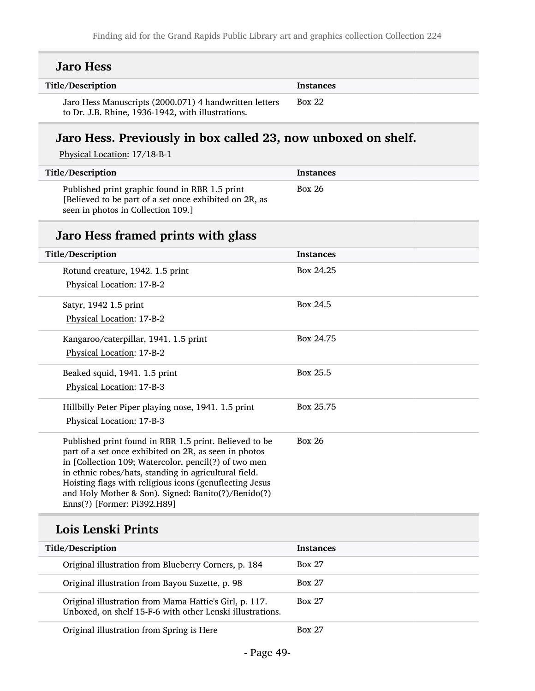| <b>Jaro Hess</b>                                                                                                                                                                                                                                                                                                                                                                  |                  |
|-----------------------------------------------------------------------------------------------------------------------------------------------------------------------------------------------------------------------------------------------------------------------------------------------------------------------------------------------------------------------------------|------------------|
| Title/Description                                                                                                                                                                                                                                                                                                                                                                 | <b>Instances</b> |
| Jaro Hess Manuscripts (2000.071) 4 handwritten letters<br>to Dr. J.B. Rhine, 1936-1942, with illustrations.                                                                                                                                                                                                                                                                       | <b>Box 22</b>    |
| Jaro Hess. Previously in box called 23, now unboxed on shelf.<br>Physical Location: 17/18-B-1                                                                                                                                                                                                                                                                                     |                  |
| Title/Description                                                                                                                                                                                                                                                                                                                                                                 | <b>Instances</b> |
| Published print graphic found in RBR 1.5 print<br>[Believed to be part of a set once exhibited on 2R, as<br>seen in photos in Collection 109.]                                                                                                                                                                                                                                    | <b>Box 26</b>    |
| Jaro Hess framed prints with glass                                                                                                                                                                                                                                                                                                                                                |                  |
| Title/Description                                                                                                                                                                                                                                                                                                                                                                 | <b>Instances</b> |
| Rotund creature, 1942. 1.5 print<br>Physical Location: 17-B-2                                                                                                                                                                                                                                                                                                                     | Box 24.25        |
| Satyr, 1942 1.5 print<br>Physical Location: 17-B-2                                                                                                                                                                                                                                                                                                                                | Box 24.5         |
| Kangaroo/caterpillar, 1941. 1.5 print<br>Physical Location: 17-B-2                                                                                                                                                                                                                                                                                                                | Box 24.75        |
| Beaked squid, 1941. 1.5 print<br>Physical Location: 17-B-3                                                                                                                                                                                                                                                                                                                        | Box 25.5         |
| Hillbilly Peter Piper playing nose, 1941. 1.5 print<br>Physical Location: 17-B-3                                                                                                                                                                                                                                                                                                  | Box 25.75        |
| Published print found in RBR 1.5 print. Believed to be<br>part of a set once exhibited on 2R, as seen in photos<br>in [Collection 109; Watercolor, pencil(?) of two men<br>in ethnic robes/hats, standing in agricultural field.<br>Hoisting flags with religious icons (genuflecting Jesus<br>and Holy Mother & Son). Signed: Banito(?)/Benido(?)<br>Enns(?) [Former: Pi392.H89] | <b>Box 26</b>    |
| Lois Lenski Prints                                                                                                                                                                                                                                                                                                                                                                |                  |
| Title/Description                                                                                                                                                                                                                                                                                                                                                                 | <b>Instances</b> |
| Original illustration from Blueberry Corners, p. 184                                                                                                                                                                                                                                                                                                                              | <b>Box 27</b>    |
| Original illustration from Bayou Suzette, p. 98                                                                                                                                                                                                                                                                                                                                   | <b>Box 27</b>    |
| Original illustration from Mama Hattie's Girl, p. 117.<br>Unboxed, on shelf 15-F-6 with other Lenski illustrations.                                                                                                                                                                                                                                                               | <b>Box 27</b>    |

Original illustration from Spring is Here Box 27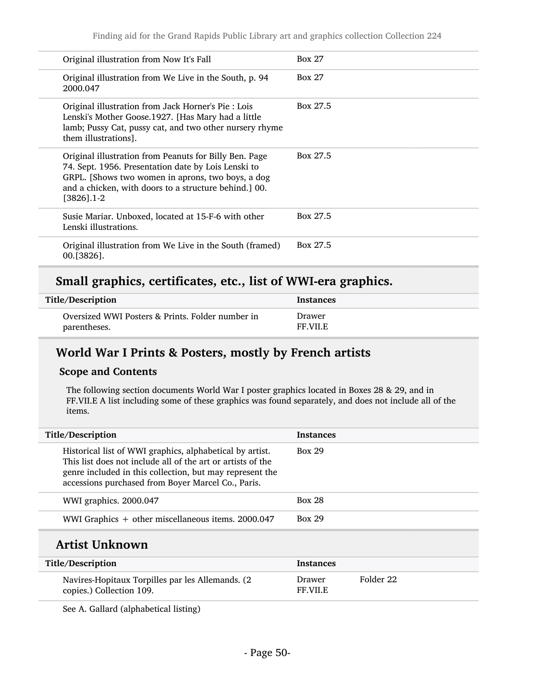| Original illustration from Now It's Fall                                                                                                                                                                                                  | <b>Box 27</b> |
|-------------------------------------------------------------------------------------------------------------------------------------------------------------------------------------------------------------------------------------------|---------------|
| Original illustration from We Live in the South, p. 94<br>2000.047                                                                                                                                                                        | <b>Box 27</b> |
| Original illustration from Jack Horner's Pie : Lois<br>Lenski's Mother Goose.1927. [Has Mary had a little<br>lamb; Pussy Cat, pussy cat, and two other nursery rhyme<br>them illustrations].                                              | Box 27.5      |
| Original illustration from Peanuts for Billy Ben. Page<br>74. Sept. 1956. Presentation date by Lois Lenski to<br>GRPL. [Shows two women in aprons, two boys, a dog<br>and a chicken, with doors to a structure behind.] 00.<br>[3826].1-2 | Box 27.5      |
| Susie Mariar. Unboxed, located at 15-F-6 with other<br>Lenski illustrations.                                                                                                                                                              | Box 27.5      |
| Original illustration from We Live in the South (framed)<br>$00.13826$ .                                                                                                                                                                  | Box 27.5      |

# Small graphics, certificates, etc., list of WWI-era graphics.

| Title/Description                                | <b>Instances</b> |
|--------------------------------------------------|------------------|
| Oversized WWI Posters & Prints. Folder number in | Drawer           |
| parentheses.                                     | FF VILE          |

## World War I Prints & Posters, mostly by French artists

### Scope and Contents

The following section documents World War I poster graphics located in Boxes 28 & 29, and in FF.VII.E A list including some of these graphics was found separately, and does not include all of the items.

| Title/Description                                                                                                                                                                                                                         | <b>Instances</b>          |           |
|-------------------------------------------------------------------------------------------------------------------------------------------------------------------------------------------------------------------------------------------|---------------------------|-----------|
| Historical list of WWI graphics, alphabetical by artist.<br>This list does not include all of the art or artists of the<br>genre included in this collection, but may represent the<br>accessions purchased from Boyer Marcel Co., Paris. | <b>Box 29</b>             |           |
| WWI graphics. 2000.047                                                                                                                                                                                                                    | <b>Box 28</b>             |           |
| WWI Graphics $+$ other miscellaneous items. 2000.047                                                                                                                                                                                      | <b>Box 29</b>             |           |
| Artist Unknown                                                                                                                                                                                                                            |                           |           |
| Title/Description                                                                                                                                                                                                                         | <b>Instances</b>          |           |
| Navires-Hopitaux Torpilles par les Allemands. (2)<br>copies.) Collection 109.                                                                                                                                                             | Drawer<br><b>FF.VII.E</b> | Folder 22 |

See A. Gallard (alphabetical listing)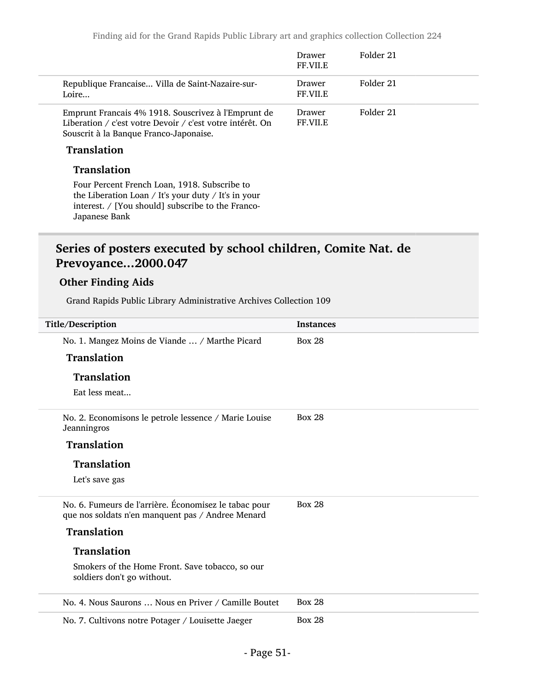|                                                                                                                                                                           | Drawer<br>FF.VII.E | Folder 21 |
|---------------------------------------------------------------------------------------------------------------------------------------------------------------------------|--------------------|-----------|
| Republique Francaise Villa de Saint-Nazaire-sur-<br>Loire                                                                                                                 | Drawer<br>FF.VII.E | Folder 21 |
| Emprunt Francais 4% 1918. Souscrivez à l'Emprunt de<br>Liberation / c'est votre Devoir / c'est votre intérêt. On<br>Souscrit à la Banque Franco-Japonaise.                | Drawer<br>FF.VII.E | Folder 21 |
| <b>Translation</b>                                                                                                                                                        |                    |           |
| <b>Translation</b>                                                                                                                                                        |                    |           |
| Four Percent French Loan, 1918. Subscribe to<br>the Liberation Loan / It's your duty / It's in your<br>interest. / [You should] subscribe to the Franco-<br>Japanese Bank |                    |           |

## Series of posters executed by school children, Comite Nat. de Prevoyance...2000.047

### Other Finding Aids

Grand Rapids Public Library Administrative Archives Collection 109

| Title/Description                                                                                          | <b>Instances</b> |
|------------------------------------------------------------------------------------------------------------|------------------|
| No. 1. Mangez Moins de Viande  / Marthe Picard                                                             | <b>Box 28</b>    |
| <b>Translation</b>                                                                                         |                  |
| <b>Translation</b>                                                                                         |                  |
| Eat less meat                                                                                              |                  |
| No. 2. Economisons le petrole lessence / Marie Louise<br>Jeanningros                                       | <b>Box 28</b>    |
| <b>Translation</b>                                                                                         |                  |
| <b>Translation</b>                                                                                         |                  |
| Let's save gas                                                                                             |                  |
| No. 6. Fumeurs de l'arrière. Économisez le tabac pour<br>que nos soldats n'en manquent pas / Andree Menard | <b>Box 28</b>    |
| <b>Translation</b>                                                                                         |                  |
| <b>Translation</b>                                                                                         |                  |
| Smokers of the Home Front. Save tobacco, so our<br>soldiers don't go without.                              |                  |
| No. 4. Nous Saurons  Nous en Priver / Camille Boutet                                                       | <b>Box 28</b>    |
| No. 7. Cultivons notre Potager / Louisette Jaeger                                                          | <b>Box 28</b>    |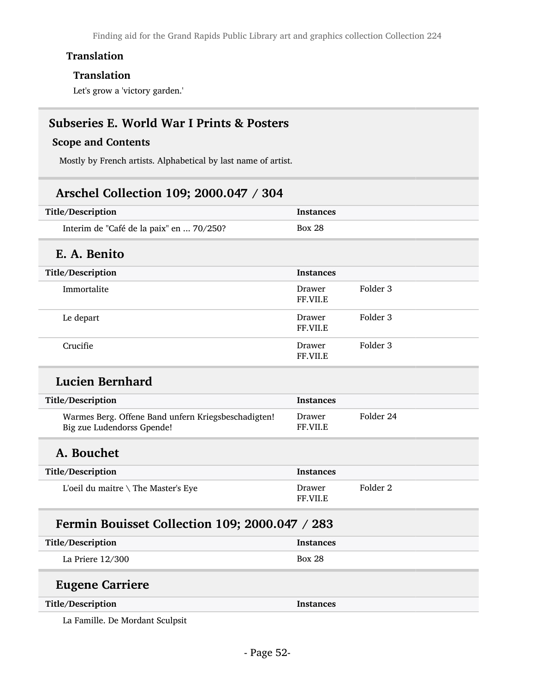Finding aid for the Grand Rapids Public Library art and graphics collection Collection 224

### Translation

### Translation

Let's grow a 'victory garden.'

## Subseries E. World War I Prints & Posters

### Scope and Contents

Mostly by French artists. Alphabetical by last name of artist.

## Arschel Collection 109; 2000.047 / 304

| Title/Description                        | <b>Instances</b> |
|------------------------------------------|------------------|
| Interim de "Café de la paix" en  70/250? | Box 28           |

## E. A. Benito

| Title/Description | <b>Instances</b>   |          |
|-------------------|--------------------|----------|
| Immortalite       | Drawer<br>FF.VII.E | Folder 3 |
| Le depart         | Drawer<br>FF.VII.E | Folder 3 |
| Crucifie          | Drawer<br>FF.VII.E | Folder 3 |

## Lucien Bernhard

| Title/Description                                                                 | <b>Instances</b>         |           |  |
|-----------------------------------------------------------------------------------|--------------------------|-----------|--|
| Warmes Berg. Offene Band unfern Kriegsbeschadigten!<br>Big zue Ludendorss Gpende! | Drawer<br><b>FF VILE</b> | Folder 24 |  |

## A. Bouchet

| Title/Description                             | <b>Instances</b>          |          |
|-----------------------------------------------|---------------------------|----------|
| L'oeil du maitre $\setminus$ The Master's Eye | Drawer<br><b>FF.VII.E</b> | Folder 2 |

## Fermin Bouisset Collection 109; 2000.047 / 283

| Title/Description | <b>Instances</b> |
|-------------------|------------------|
| La Priere 12/300  | <b>Box 28</b>    |

## Eugene Carriere

#### Title/Description Instances

La Famille. De Mordant Sculpsit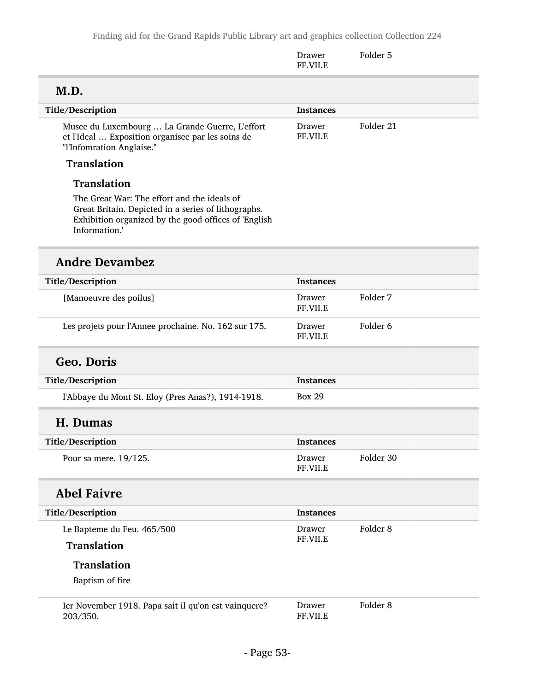|                                                                                                                                                                             | Drawer<br>FF.VII.E | Folder 5            |
|-----------------------------------------------------------------------------------------------------------------------------------------------------------------------------|--------------------|---------------------|
| M.D.                                                                                                                                                                        |                    |                     |
| Title/Description                                                                                                                                                           | <b>Instances</b>   |                     |
| Musee du Luxembourg  La Grande Guerre, L'effort<br>et l'Ideal  Exposition organisee par les soins de<br>"l'Infomration Anglaise."                                           | Drawer<br>FF.VII.E | Folder 21           |
| <b>Translation</b>                                                                                                                                                          |                    |                     |
| <b>Translation</b>                                                                                                                                                          |                    |                     |
| The Great War: The effort and the ideals of<br>Great Britain. Depicted in a series of lithographs.<br>Exhibition organized by the good offices of 'English<br>Information.' |                    |                     |
| <b>Andre Devambez</b>                                                                                                                                                       |                    |                     |
| Title/Description                                                                                                                                                           | <b>Instances</b>   |                     |
| [Manoeuvre des poilus]                                                                                                                                                      | Drawer<br>FF.VII.E | Folder 7            |
| Les projets pour l'Annee prochaine. No. 162 sur 175.                                                                                                                        | Drawer<br>FF.VII.E | Folder <sub>6</sub> |
| <b>Geo. Doris</b>                                                                                                                                                           |                    |                     |
| Title/Description                                                                                                                                                           | <b>Instances</b>   |                     |
| l'Abbaye du Mont St. Eloy (Pres Anas?), 1914-1918.                                                                                                                          | <b>Box 29</b>      |                     |
| H. Dumas                                                                                                                                                                    |                    |                     |
| Title/Description                                                                                                                                                           | <b>Instances</b>   |                     |
| Pour sa mere. 19/125.                                                                                                                                                       | Drawer<br>FF.VII.E | Folder 30           |
| <b>Abel Faivre</b>                                                                                                                                                          |                    |                     |
| Title/Description                                                                                                                                                           | <b>Instances</b>   |                     |
| Le Bapteme du Feu. 465/500                                                                                                                                                  | Drawer             | Folder <sub>8</sub> |
| Translation                                                                                                                                                                 | FF.VII.E           |                     |
| <b>Translation</b><br>Baptism of fire                                                                                                                                       |                    |                     |
| Ier November 1918. Papa sait il qu'on est vainquere?<br>203/350.                                                                                                            | Drawer<br>FF.VII.E | Folder <sub>8</sub> |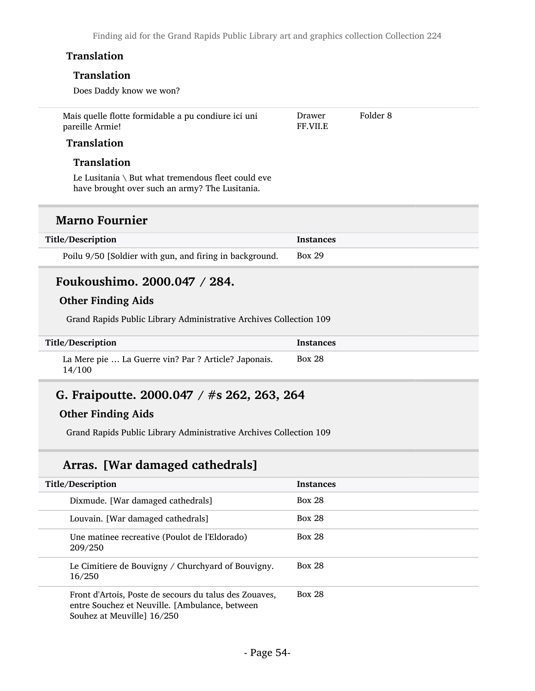Finding aid for the Grand Rapids Public Library art and graphics collection Collection 224

### **Translation**

#### Translation

Does Daddy know we won?

| Mais quelle flotte formidable a pu condiure ici uni | Drawer          | Folder 8 |
|-----------------------------------------------------|-----------------|----------|
| pareille Armie!                                     | <b>FF.VII.E</b> |          |

### Translation

#### **Translation**

Le Lusitania \ But what tremendous fleet could eve have brought over such an army? The Lusitania.

## Marno Fournier

| Title/Description                                       | <b>Instances</b> |
|---------------------------------------------------------|------------------|
| Poilu 9/50 [Soldier with gun, and firing in background. | <b>Box 29</b>    |

## Foukoushimo. 2000.047 / 284.

### Other Finding Aids

Grand Rapids Public Library Administrative Archives Collection 109

| Title/Description                                              | <b>Instances</b> |
|----------------------------------------------------------------|------------------|
| La Mere pie  La Guerre vin? Par ? Article? Japonais.<br>14/100 | <b>Box 28</b>    |

## G. Fraipoutte. 2000.047 / #s 262, 263, 264

### Other Finding Aids

Grand Rapids Public Library Administrative Archives Collection 109

## Arras. [War damaged cathedrals]

| Title/Description |                                                                                                                                        | <b>Instances</b> |
|-------------------|----------------------------------------------------------------------------------------------------------------------------------------|------------------|
|                   | Dixmude. [War damaged cathedrals]                                                                                                      | <b>Box 28</b>    |
|                   | Louvain. [War damaged cathedrals]                                                                                                      | <b>Box 28</b>    |
|                   | Une matinee recreative (Poulot de l'Eldorado)<br>209/250                                                                               | <b>Box 28</b>    |
|                   | Le Cimitiere de Bouvigny / Churchyard of Bouvigny.<br>16/250                                                                           | <b>Box 28</b>    |
|                   | Front d'Artois, Poste de secours du talus des Zouaves,<br>entre Souchez et Neuville. [Ambulance, between<br>Souhez at Meuville] 16/250 | <b>Box 28</b>    |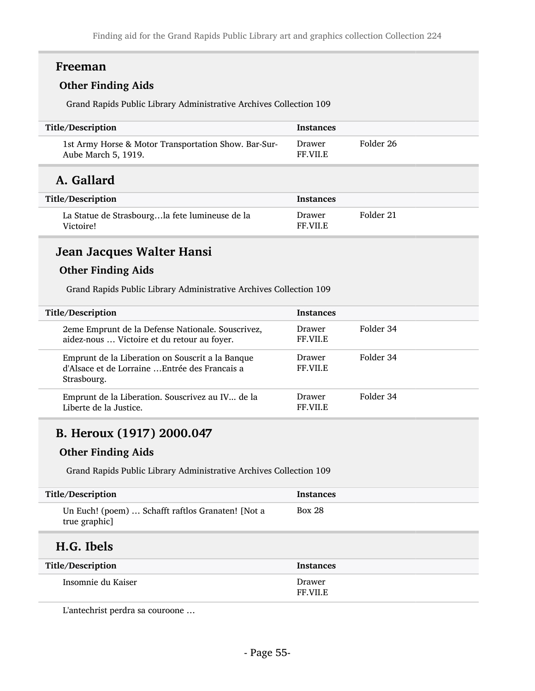## Freeman

### Other Finding Aids

Grand Rapids Public Library Administrative Archives Collection 109

| Title/Description                                                           | <b>Instances</b>         |           |
|-----------------------------------------------------------------------------|--------------------------|-----------|
| 1st Army Horse & Motor Transportation Show. Bar-Sur-<br>Aube March 5, 1919. | Drawer<br><b>FF VILE</b> | Folder 26 |

## A. Gallard

| Title/Description                                           | <b>Instances</b>  |           |
|-------------------------------------------------------------|-------------------|-----------|
| La Statue de Strasbourgla fete lumineuse de la<br>Victoire! | Drawer<br>FF VILE | Folder 21 |

## Jean Jacques Walter Hansi

## Other Finding Aids

Grand Rapids Public Library Administrative Archives Collection 109

| Title/Description                                                                                                 | <b>Instances</b>                 |           |
|-------------------------------------------------------------------------------------------------------------------|----------------------------------|-----------|
| 2eme Emprunt de la Defense Nationale. Souscrivez,<br>aidez-nous  Victoire et du retour au foyer.                  | <b>Drawer</b><br><b>FF.VII.E</b> | Folder 34 |
| Emprunt de la Liberation on Souscrit a la Banque<br>d'Alsace et de Lorraine  Entrée des Français a<br>Strasbourg. | <b>Drawer</b><br><b>FF.VII.E</b> | Folder 34 |
| Emprunt de la Liberation. Souscrivez au IV de la<br>Liberte de la Justice.                                        | Drawer<br><b>FF VILE</b>         | Folder 34 |

## B. Heroux (1917) 2000.047

### Other Finding Aids

Grand Rapids Public Library Administrative Archives Collection 109

| Title/Description                                                  | <b>Instances</b>         |
|--------------------------------------------------------------------|--------------------------|
| Un Euch! (poem)  Schafft raftlos Granaten! [Not a<br>true graphic] | <b>Box 28</b>            |
| H.G. Ibels                                                         |                          |
| Title/Description                                                  | <b>Instances</b>         |
| Insomnie du Kaiser                                                 | Drawer<br><b>FF VILE</b> |

L'antechrist perdra sa couroone …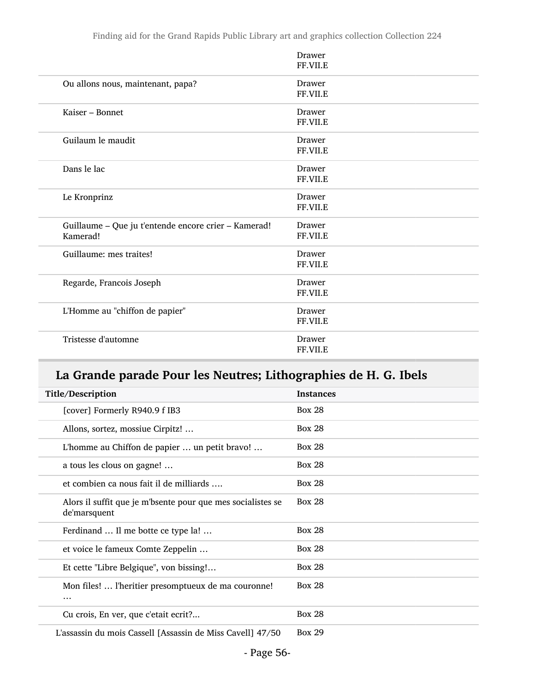Finding aid for the Grand Rapids Public Library art and graphics collection Collection 224

|                                                                  | Drawer<br>FF.VII.E        |
|------------------------------------------------------------------|---------------------------|
| Ou allons nous, maintenant, papa?                                | Drawer<br>FF.VII.E        |
| Kaiser - Bonnet                                                  | <b>Drawer</b><br>FF.VII.E |
| Guilaum le maudit                                                | Drawer<br>FF.VII.E        |
| Dans le lac                                                      | Drawer<br>FF.VII.E        |
| Le Kronprinz                                                     | <b>Drawer</b><br>FF.VII.E |
| Guillaume - Que ju t'entende encore crier - Kamerad!<br>Kamerad! | Drawer<br>FF.VII.E        |
| Guillaume: mes traites!                                          | <b>Drawer</b><br>FF.VII.E |
| Regarde, Francois Joseph                                         | Drawer<br>FF.VII.E        |
| L'Homme au "chiffon de papier"                                   | Drawer<br>FF.VII.E        |
| Tristesse d'automne                                              | Drawer<br>FF.VII.E        |

# La Grande parade Pour les Neutres; Lithographies de H. G. Ibels

| Title/Description                                                           | <b>Instances</b> |
|-----------------------------------------------------------------------------|------------------|
| [cover] Formerly R940.9 f IB3                                               | <b>Box 28</b>    |
| Allons, sortez, mossiue Cirpitz!                                            | <b>Box 28</b>    |
| L'homme au Chiffon de papier  un petit bravo!                               | <b>Box 28</b>    |
| a tous les clous on gagne!                                                  | <b>Box 28</b>    |
| et combien ca nous fait il de milliards                                     | <b>Box 28</b>    |
| Alors il suffit que je m'bsente pour que mes socialistes se<br>de'marsquent | <b>Box 28</b>    |
| Ferdinand  Il me botte ce type la!                                          | <b>Box 28</b>    |
| et voice le fameux Comte Zeppelin                                           | <b>Box 28</b>    |
| Et cette "Libre Belgique", von bissing!                                     | <b>Box 28</b>    |
| Mon files!  l'heritier presomptueux de ma couronne!<br>                     | <b>Box 28</b>    |
| Cu crois, En ver, que c'etait ecrit?                                        | <b>Box 28</b>    |
| L'assassin du mois Cassell [Assassin de Miss Cavell] 47/50                  | <b>Box 29</b>    |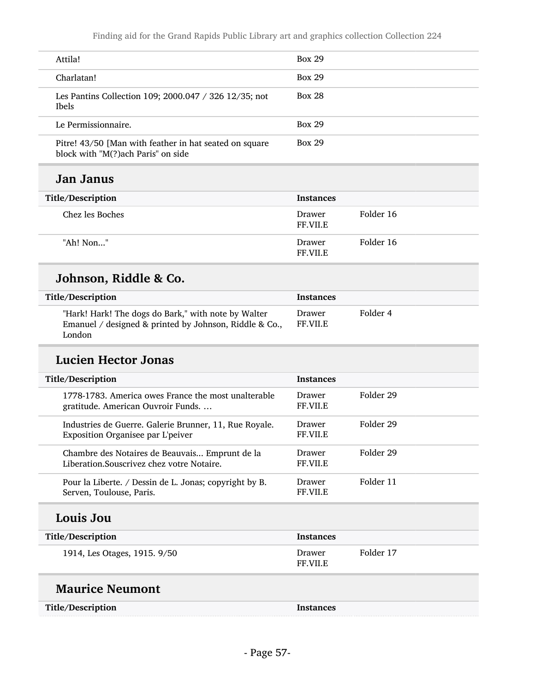| Attila!                                                                                       | <b>Box 29</b> |
|-----------------------------------------------------------------------------------------------|---------------|
| Charlatan!                                                                                    | <b>Box 29</b> |
| Les Pantins Collection 109; 2000.047 / 326 12/35; not<br><b>Ibels</b>                         | <b>Box 28</b> |
| Le Permissionnaire.                                                                           | <b>Box 29</b> |
| Pitre! 43/50 [Man with feather in hat seated on square<br>block with "M(?) ach Paris" on side | <b>Box 29</b> |

## Jan Janus

| Title/Description | <b>Instances</b>          |           |
|-------------------|---------------------------|-----------|
| Chez les Boches   | Drawer<br><b>FF.VII.E</b> | Folder 16 |
| "Ah! Non"         | Drawer<br><b>FF.VII.E</b> | Folder 16 |

# Johnson, Riddle & Co.

| <b>Title/Description</b>                                                                                                | Instances          |          |
|-------------------------------------------------------------------------------------------------------------------------|--------------------|----------|
| "Hark! Hark! The dogs do Bark," with note by Walter<br>Emanuel / designed & printed by Johnson, Riddle & Co.,<br>London | Drawer<br>FF.VII.E | Folder 4 |

## Lucien Hector Jonas

| Title/Description                                                                           | <b>Instances</b>          |           |
|---------------------------------------------------------------------------------------------|---------------------------|-----------|
| 1778-1783. America owes France the most unalterable<br>gratitude. American Ouvroir Funds    | Drawer<br><b>FF VII.E</b> | Folder 29 |
| Industries de Guerre. Galerie Brunner, 11, Rue Royale.<br>Exposition Organisee par L'peiver | Drawer<br><b>FF.VII.E</b> | Folder 29 |
| Chambre des Notaires de Beauvais Emprunt de la<br>Liberation.Souscrivez chez votre Notaire. | Drawer<br><b>FF.VII.E</b> | Folder 29 |
| Pour la Liberte. / Dessin de L. Jonas; copyright by B.<br>Serven, Toulouse, Paris.          | Drawer<br><b>FF.VII.E</b> | Folder 11 |
| Louis Jou                                                                                   |                           |           |
| Title/Description                                                                           | <b>Instances</b>          |           |
| 1914, Les Otages, 1915. 9/50                                                                | Drawer<br>FF.VII.E        | Folder 17 |

# Maurice Neumont

| Title/Description | Instances |
|-------------------|-----------|
|-------------------|-----------|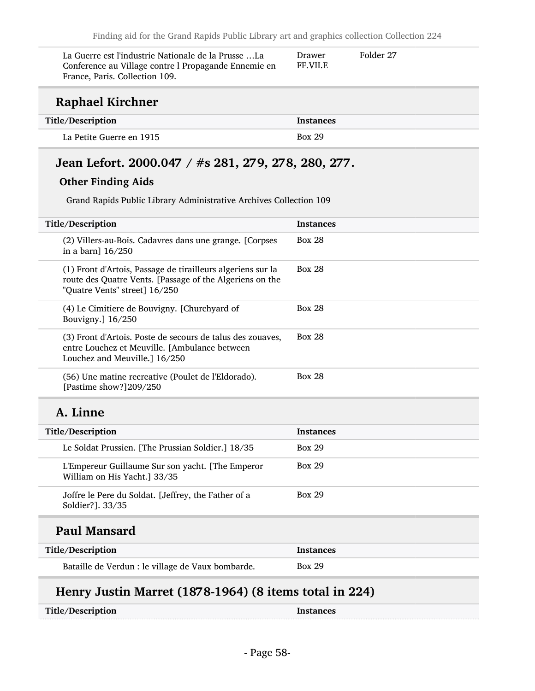| La Guerre est l'industrie Nationale de la Prusse La<br>Conference au Village contre l Propagande Ennemie en<br>France, Paris. Collection 109. | Drawer<br><b>FF.VII.E</b> | Folder 27 |
|-----------------------------------------------------------------------------------------------------------------------------------------------|---------------------------|-----------|
| Raphael Kirchner                                                                                                                              |                           |           |

| Title/Description        | Instances     |
|--------------------------|---------------|
| La Petite Guerre en 1915 | <b>Box 29</b> |

# Jean Lefort. 2000.047 / #s 281, 279, 278, 280, 277.

### Other Finding Aids

Grand Rapids Public Library Administrative Archives Collection 109

| Title/Description                                                                                                                                        | <b>Instances</b> |
|----------------------------------------------------------------------------------------------------------------------------------------------------------|------------------|
| (2) Villers-au-Bois. Cadavres dans une grange. [Corpses<br>in a barn] 16/250                                                                             | <b>Box 28</b>    |
| (1) Front d'Artois, Passage de tirailleurs algeriens sur la<br>route des Quatre Vents. [Passage of the Algeriens on the<br>"Quatre Vents" street] 16/250 | <b>Box 28</b>    |
| (4) Le Cimitiere de Bouvigny. [Churchyard of<br>Bouvigny.] 16/250                                                                                        | <b>Box 28</b>    |
| (3) Front d'Artois. Poste de secours de talus des zouaves,<br>entre Louchez et Meuville. [Ambulance between<br>Louchez and Meuville.] 16/250             | <b>Box 28</b>    |
| (56) Une matine recreative (Poulet de l'Eldorado).<br>[Pastime show?]209/250                                                                             | <b>Box 28</b>    |
| A. Linne                                                                                                                                                 |                  |
| Title/Description                                                                                                                                        | <b>Instances</b> |
| Le Soldat Prussien. [The Prussian Soldier.] 18/35                                                                                                        | <b>Box 29</b>    |
| L'Empereur Guillaume Sur son yacht. [The Emperor<br>William on His Yacht.] 33/35                                                                         | <b>Box 29</b>    |
| Joffre le Pere du Soldat. [Jeffrey, the Father of a<br>Soldier?]. 33/35                                                                                  | <b>Box 29</b>    |
|                                                                                                                                                          |                  |
| <b>Paul Mansard</b>                                                                                                                                      |                  |
| Title/Description                                                                                                                                        | <b>Instances</b> |

## Henry Justin Marret (1878-1964) (8 items total in 224)

| Title/Description | <b>Instances</b> |
|-------------------|------------------|
|-------------------|------------------|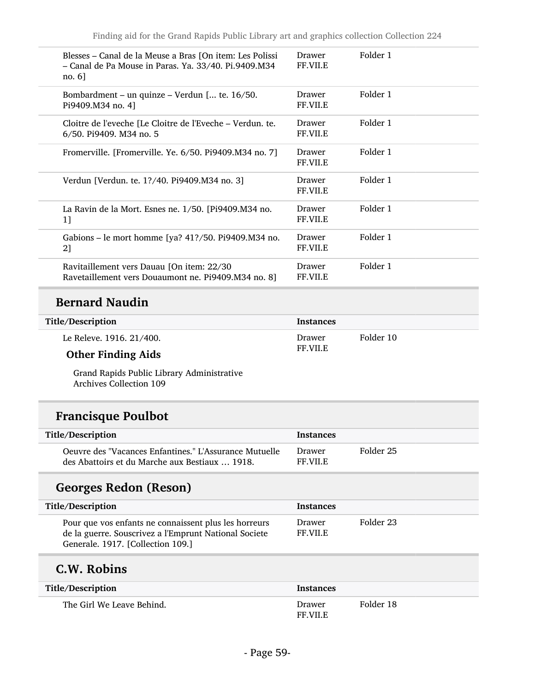| Blesses – Canal de la Meuse a Bras [On item: Les Polissi<br>- Canal de Pa Mouse in Paras. Ya. 33/40. Pi.9409.M34<br>$no. 6$ ] | Drawer<br>FF.VII.E        | Folder 1 |
|-------------------------------------------------------------------------------------------------------------------------------|---------------------------|----------|
| Bombardment – un quinze – Verdun [ te. 16/50.<br>Pi9409.M34 no. 4]                                                            | Drawer<br>FF.VII.E        | Folder 1 |
| Cloitre de l'eveche [Le Cloitre de l'Eveche – Verdun. te.<br>6/50. Pi9409. M34 no. 5                                          | Drawer<br>FF.VII.E        | Folder 1 |
| Fromerville. [Fromerville. Ye. 6/50. Pi9409.M34 no. 7]                                                                        | Drawer<br><b>FF.VII.E</b> | Folder 1 |
| Verdun [Verdun. te. 1?/40. Pi9409.M34 no. 3]                                                                                  | Drawer<br>FF.VII.E        | Folder 1 |
| La Ravin de la Mort. Esnes ne. 1/50. [Pi9409.M34 no.]<br>11                                                                   | Drawer<br>FF.VII.E        | Folder 1 |
| Gabions – le mort homme [ya? 41?/50. Pi9409.M34 no.<br>2]                                                                     | Drawer<br>FF.VII.E        | Folder 1 |
| Ravitaillement vers Dauau [On item: 22/30<br>Ravetaillement vers Douaumont ne. Pi9409.M34 no. 8]                              | Drawer<br>FF.VII.E        | Folder 1 |
|                                                                                                                               |                           |          |

## Bernard Naudin

#### Title/Description Instances

| Le Releve. 1916. 21/400. |  |
|--------------------------|--|
|                          |  |

### Other Finding Aids

Grand Rapids Public Library Administrative Archives Collection 109

## Francisque Poulbot

| Title/Description                                                                                        | <b>Instances</b>  |           |
|----------------------------------------------------------------------------------------------------------|-------------------|-----------|
| Oeuvre des "Vacances Enfantines." L'Assurance Mutuelle<br>des Abattoirs et du Marche aux Bestiaux  1918. | Drawer<br>FF VILE | Folder 25 |

Drawer FF.VII.E Folder 10

# Georges Redon (Reson)

| <b>Title/Description</b>                                                                                                                            | <b>Instances</b>         |           |
|-----------------------------------------------------------------------------------------------------------------------------------------------------|--------------------------|-----------|
| Pour que vos enfants ne connaissent plus les horreurs<br>de la guerre. Souscrivez a l'Emprunt National Societe<br>Generale, 1917. [Collection 109.] | Drawer<br><b>FF VILE</b> | Folder 23 |

## C.W. Robins

| Title/Description         | <b>Instances</b>          |           |
|---------------------------|---------------------------|-----------|
| The Girl We Leave Behind. | Drawer<br><b>FF.VII.E</b> | Folder 18 |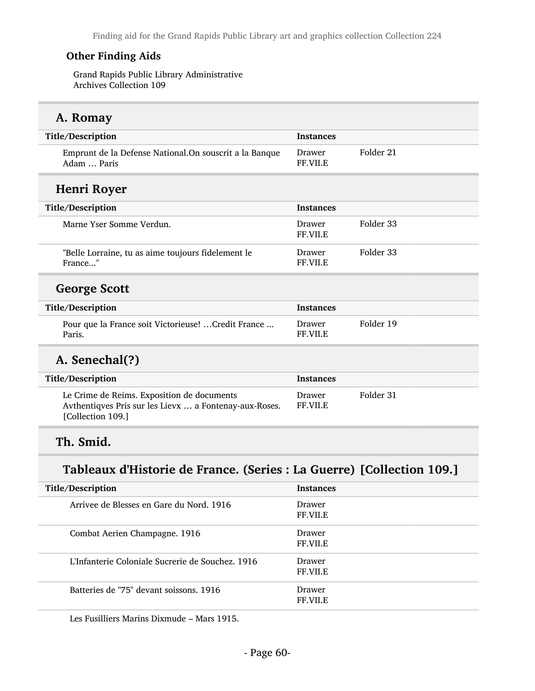### Other Finding Aids

Grand Rapids Public Library Administrative Archives Collection 109

## A. Romay

| Title/Description                                                                                                         | <b>Instances</b>          |           |
|---------------------------------------------------------------------------------------------------------------------------|---------------------------|-----------|
| Emprunt de la Defense National. On souscrit a la Banque<br>Adam  Paris                                                    | Drawer<br>FF.VII.E        | Folder 21 |
| Henri Royer                                                                                                               |                           |           |
| Title/Description                                                                                                         | <b>Instances</b>          |           |
| Marne Yser Somme Verdun.                                                                                                  | Drawer<br>FF.VII.E        | Folder 33 |
| "Belle Lorraine, tu as aime toujours fidelement le<br>France"                                                             | Drawer<br>FF.VII.E        | Folder 33 |
| <b>George Scott</b>                                                                                                       |                           |           |
| Title/Description                                                                                                         | <b>Instances</b>          |           |
| Pour que la France soit Victorieuse!  Credit France<br>Paris.                                                             | Drawer<br>FF.VII.E        | Folder 19 |
| A. Senechal(?)                                                                                                            |                           |           |
| Title/Description                                                                                                         | <b>Instances</b>          |           |
| Le Crime de Reims. Exposition de documents<br>Avthentiqves Pris sur les Lievx  a Fontenay-aux-Roses.<br>[Collection 109.] | Drawer<br><b>FF.VII.E</b> | Folder 31 |
|                                                                                                                           |                           |           |

# Th. Smid.

## Tableaux d'Historie de France. (Series : La Guerre) [Collection 109.]

| Title/Description                                | <b>Instances</b>                 |
|--------------------------------------------------|----------------------------------|
| Arrivee de Blesses en Gare du Nord, 1916         | <b>Drawer</b><br><b>FF.VII.E</b> |
| Combat Aerien Champagne. 1916                    | Drawer<br><b>FF.VII.E</b>        |
| L'Infanterie Coloniale Sucrerie de Souchez, 1916 | Drawer<br><b>FF.VII.E</b>        |
| Batteries de "75" devant soissons, 1916          | <b>Drawer</b><br><b>FF.VILE</b>  |

Les Fusilliers Marins Dixmude – Mars 1915.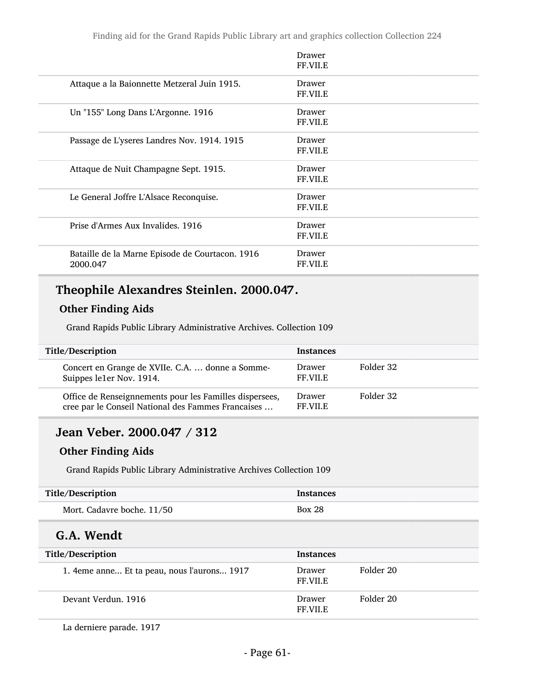|                                                             | Drawer<br>FF.VII.E        |
|-------------------------------------------------------------|---------------------------|
| Attaque a la Baionnette Metzeral Juin 1915.                 | Drawer<br>FF.VII.E        |
| Un "155" Long Dans L'Argonne. 1916                          | Drawer<br><b>FF.VII.E</b> |
| Passage de L'yseres Landres Nov. 1914. 1915                 | Drawer<br>FF.VII.E        |
| Attaque de Nuit Champagne Sept. 1915.                       | Drawer<br>FF.VII.E        |
| Le General Joffre L'Alsace Reconquise.                      | Drawer<br><b>FF.VII.E</b> |
| Prise d'Armes Aux Invalides, 1916                           | Drawer<br><b>FF.VII.E</b> |
| Bataille de la Marne Episode de Courtacon. 1916<br>2000.047 | Drawer<br>FF.VII.E        |

# Theophile Alexandres Steinlen. 2000.047.

## Other Finding Aids

Grand Rapids Public Library Administrative Archives. Collection 109

| Title/Description                                                                                             | <b>Instances</b>          |           |
|---------------------------------------------------------------------------------------------------------------|---------------------------|-----------|
| Concert en Grange de XVIIe. C.A.  donne a Somme-<br>Suippes le1er Nov. 1914.                                  | Drawer<br><b>FF.VII.E</b> | Folder 32 |
| Office de Renseignnements pour les Familles dispersees,<br>cree par le Conseil National des Fammes Francaises | Drawer<br><b>FF VILE</b>  | Folder 32 |

## Jean Veber. 2000.047 / 312

### Other Finding Aids

Grand Rapids Public Library Administrative Archives Collection 109

| Title/Description          | <b>Instances</b> |
|----------------------------|------------------|
| Mort. Cadavre boche. 11/50 | <b>Box 28</b>    |

## G.A. Wendt

| Title/Description                            | <b>Instances</b>          |           |
|----------------------------------------------|---------------------------|-----------|
| 1. 4 eme anne Et ta peau, nous l'aurons 1917 | Drawer<br><b>FF.VII.E</b> | Folder 20 |
| Devant Verdun, 1916                          | Drawer<br><b>FF.VII.E</b> | Folder 20 |

La derniere parade. 1917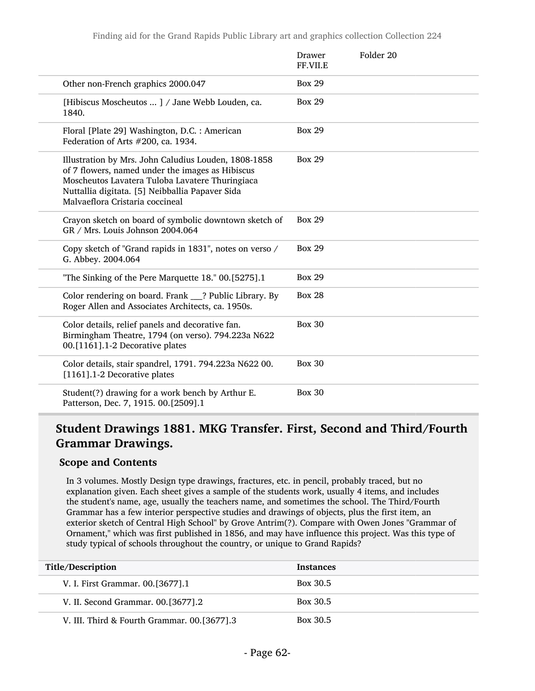|                                                                                                                                                                                                                                                   | Drawer<br>FF.VII.E | Folder 20 |
|---------------------------------------------------------------------------------------------------------------------------------------------------------------------------------------------------------------------------------------------------|--------------------|-----------|
| Other non-French graphics 2000.047                                                                                                                                                                                                                | <b>Box 29</b>      |           |
| [Hibiscus Moscheutos ] / Jane Webb Louden, ca.<br>1840.                                                                                                                                                                                           | <b>Box 29</b>      |           |
| Floral [Plate 29] Washington, D.C.: American<br>Federation of Arts #200, ca. 1934.                                                                                                                                                                | <b>Box 29</b>      |           |
| Illustration by Mrs. John Caludius Louden, 1808-1858<br>of 7 flowers, named under the images as Hibiscus<br>Moscheutos Lavatera Tuloba Lavatere Thuringiaca<br>Nuttallia digitata. [5] Neibballia Papaver Sida<br>Malvaeflora Cristaria coccineal | <b>Box 29</b>      |           |
| Crayon sketch on board of symbolic downtown sketch of<br>GR / Mrs. Louis Johnson 2004.064                                                                                                                                                         | <b>Box 29</b>      |           |
| Copy sketch of "Grand rapids in 1831", notes on verso /<br>G. Abbey. 2004.064                                                                                                                                                                     | <b>Box 29</b>      |           |
| "The Sinking of the Pere Marquette 18." 00.[5275].1                                                                                                                                                                                               | <b>Box 29</b>      |           |
| Color rendering on board. Frank ___? Public Library. By<br>Roger Allen and Associates Architects, ca. 1950s.                                                                                                                                      | <b>Box 28</b>      |           |
| Color details, relief panels and decorative fan.<br>Birmingham Theatre, 1794 (on verso). 794.223a N622<br>00.[1161].1-2 Decorative plates                                                                                                         | <b>Box 30</b>      |           |
| Color details, stair spandrel, 1791. 794.223a N622 00.<br>[1161].1-2 Decorative plates                                                                                                                                                            | <b>Box 30</b>      |           |
| Student(?) drawing for a work bench by Arthur E.<br>Patterson, Dec. 7, 1915. 00.[2509].1                                                                                                                                                          | <b>Box 30</b>      |           |

## Student Drawings 1881. MKG Transfer. First, Second and Third/Fourth Grammar Drawings.

#### Scope and Contents

In 3 volumes. Mostly Design type drawings, fractures, etc. in pencil, probably traced, but no explanation given. Each sheet gives a sample of the students work, usually 4 items, and includes the student's name, age, usually the teachers name, and sometimes the school. The Third/Fourth Grammar has a few interior perspective studies and drawings of objects, plus the first item, an exterior sketch of Central High School" by Grove Antrim(?). Compare with Owen Jones "Grammar of Ornament," which was first published in 1856, and may have influence this project. Was this type of study typical of schools throughout the country, or unique to Grand Rapids?

| Title/Description                             | <b>Instances</b> |
|-----------------------------------------------|------------------|
| V. I. First Grammar. 00. [3677]. 1            | Box 30.5         |
| V. II. Second Grammar. 00. [3677]. 2          | Box 30.5         |
| V. III. Third & Fourth Grammar. 00. [3677]. 3 | Box 30.5         |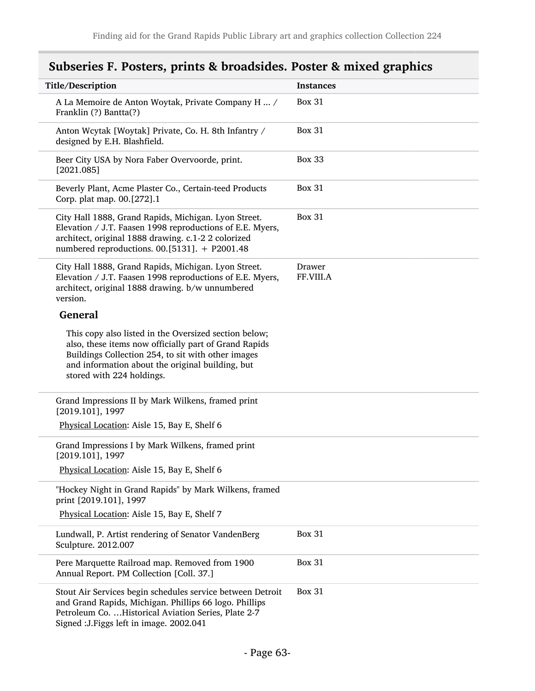# Subseries F. Posters, prints & broadsides. Poster & mixed graphics

| Title/Description                                                                                                                                                                                                                                     | <b>Instances</b>    |
|-------------------------------------------------------------------------------------------------------------------------------------------------------------------------------------------------------------------------------------------------------|---------------------|
| A La Memoire de Anton Woytak, Private Company H  /<br>Franklin (?) Bantta(?)                                                                                                                                                                          | <b>Box 31</b>       |
| Anton Wcytak [Woytak] Private, Co. H. 8th Infantry /<br>designed by E.H. Blashfield.                                                                                                                                                                  | <b>Box 31</b>       |
| Beer City USA by Nora Faber Overvoorde, print.<br>[2021.085]                                                                                                                                                                                          | <b>Box 33</b>       |
| Beverly Plant, Acme Plaster Co., Certain-teed Products<br>Corp. plat map. 00.[272].1                                                                                                                                                                  | <b>Box 31</b>       |
| City Hall 1888, Grand Rapids, Michigan. Lyon Street.<br>Elevation / J.T. Faasen 1998 reproductions of E.E. Myers,<br>architect, original 1888 drawing. c.1-2 2 colorized<br>numbered reproductions. 00.[5131]. + P2001.48                             | <b>Box 31</b>       |
| City Hall 1888, Grand Rapids, Michigan. Lyon Street.<br>Elevation / J.T. Faasen 1998 reproductions of E.E. Myers,<br>architect, original 1888 drawing. b/w unnumbered<br>version.                                                                     | Drawer<br>FF.VIII.A |
| <b>General</b>                                                                                                                                                                                                                                        |                     |
| This copy also listed in the Oversized section below;<br>also, these items now officially part of Grand Rapids<br>Buildings Collection 254, to sit with other images<br>and information about the original building, but<br>stored with 224 holdings. |                     |
| Grand Impressions II by Mark Wilkens, framed print<br>[2019.101], 1997                                                                                                                                                                                |                     |
| Physical Location: Aisle 15, Bay E, Shelf 6                                                                                                                                                                                                           |                     |
| Grand Impressions I by Mark Wilkens, framed print<br>$[2019.101]$ , 1997                                                                                                                                                                              |                     |
| Physical Location: Aisle 15, Bay E, Shelf 6                                                                                                                                                                                                           |                     |
| "Hockey Night in Grand Rapids" by Mark Wilkens, framed<br>print [2019.101], 1997                                                                                                                                                                      |                     |
| Physical Location: Aisle 15, Bay E, Shelf 7                                                                                                                                                                                                           |                     |
| Lundwall, P. Artist rendering of Senator VandenBerg<br>Sculpture. 2012.007                                                                                                                                                                            | <b>Box 31</b>       |
| Pere Marquette Railroad map. Removed from 1900<br>Annual Report. PM Collection [Coll. 37.]                                                                                                                                                            | <b>Box 31</b>       |
| Stout Air Services begin schedules service between Detroit<br>and Grand Rapids, Michigan. Phillips 66 logo. Phillips<br>Petroleum Co.  Historical Aviation Series, Plate 2-7<br>Signed : J. Figgs left in image. 2002.041                             | <b>Box 31</b>       |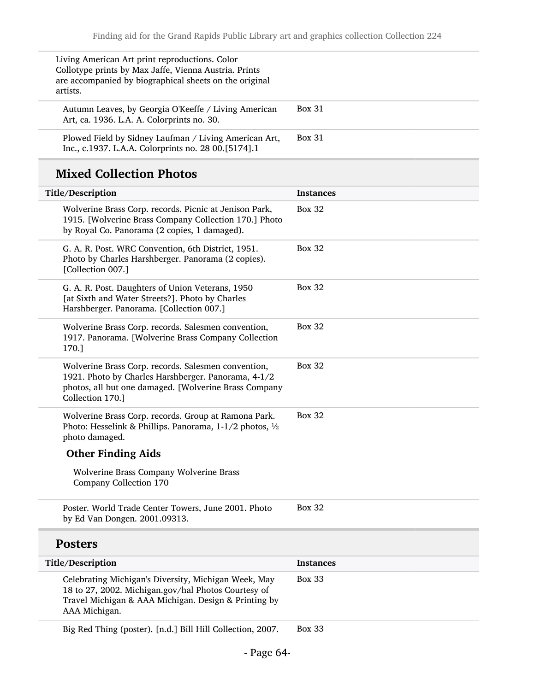| Living American Art print reproductions. Color<br>Collotype prints by Max Jaffe, Vienna Austria. Prints<br>are accompanied by biographical sheets on the original<br>artists. |               |
|-------------------------------------------------------------------------------------------------------------------------------------------------------------------------------|---------------|
| Autumn Leaves, by Georgia O'Keeffe / Living American<br>Art, ca. 1936. L.A. A. Colorprints no. 30.                                                                            | <b>Box 31</b> |
| Plowed Field by Sidney Laufman / Living American Art,<br>Inc., c.1937. L.A.A. Colorprints no. 28 00.[5174].1                                                                  | <b>Box 31</b> |

# Mixed Collection Photos

| Title/Description                                                                                                                                                                       | <b>Instances</b> |
|-----------------------------------------------------------------------------------------------------------------------------------------------------------------------------------------|------------------|
| Wolverine Brass Corp. records. Picnic at Jenison Park,<br>1915. [Wolverine Brass Company Collection 170.] Photo<br>by Royal Co. Panorama (2 copies, 1 damaged).                         | <b>Box 32</b>    |
| G. A. R. Post. WRC Convention, 6th District, 1951.<br>Photo by Charles Harshberger. Panorama (2 copies).<br>[Collection 007.]                                                           | <b>Box 32</b>    |
| G. A. R. Post. Daughters of Union Veterans, 1950<br>[at Sixth and Water Streets?]. Photo by Charles<br>Harshberger. Panorama. [Collection 007.]                                         | <b>Box 32</b>    |
| Wolverine Brass Corp. records. Salesmen convention,<br>1917. Panorama. [Wolverine Brass Company Collection<br>170.]                                                                     | <b>Box 32</b>    |
| Wolverine Brass Corp. records. Salesmen convention,<br>1921. Photo by Charles Harshberger. Panorama, 4-1/2<br>photos, all but one damaged. [Wolverine Brass Company<br>Collection 170.] | <b>Box 32</b>    |
| Wolverine Brass Corp. records. Group at Ramona Park.<br>Photo: Hesselink & Phillips. Panorama, 1-1/2 photos, 1/2<br>photo damaged.                                                      | <b>Box 32</b>    |
| <b>Other Finding Aids</b>                                                                                                                                                               |                  |
| Wolverine Brass Company Wolverine Brass<br>Company Collection 170                                                                                                                       |                  |
| Poster. World Trade Center Towers, June 2001. Photo<br>by Ed Van Dongen. 2001.09313.                                                                                                    | <b>Box 32</b>    |
| <b>Posters</b>                                                                                                                                                                          |                  |
| Title/Description                                                                                                                                                                       | <b>Instances</b> |
| Celebrating Michigan's Diversity, Michigan Week, May<br>18 to 27, 2002. Michigan.gov/hal Photos Courtesy of<br>Travel Michigan & AAA Michigan. Design & Printing by<br>AAA Michigan.    | <b>Box 33</b>    |
| Big Red Thing (poster). [n.d.] Bill Hill Collection, 2007.                                                                                                                              | <b>Box 33</b>    |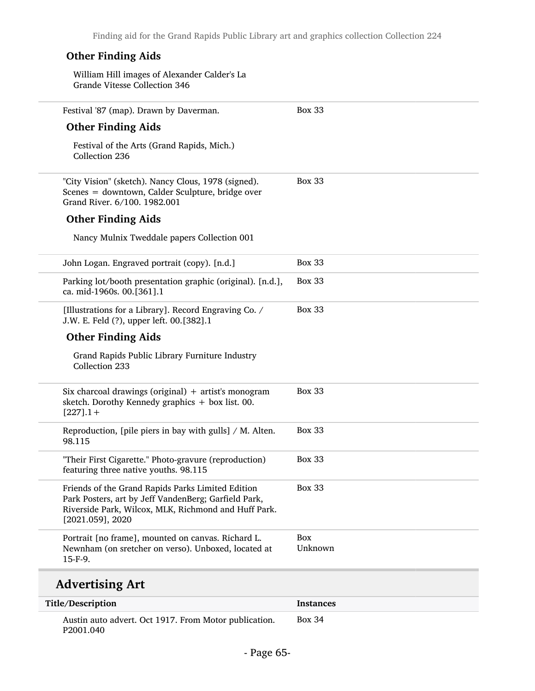| <b>Other Finding Aids</b>                                                                                                                                                                |                       |
|------------------------------------------------------------------------------------------------------------------------------------------------------------------------------------------|-----------------------|
| William Hill images of Alexander Calder's La<br>Grande Vitesse Collection 346                                                                                                            |                       |
| Festival '87 (map). Drawn by Daverman.                                                                                                                                                   | <b>Box 33</b>         |
| <b>Other Finding Aids</b>                                                                                                                                                                |                       |
| Festival of the Arts (Grand Rapids, Mich.)<br>Collection 236                                                                                                                             |                       |
| "City Vision" (sketch). Nancy Clous, 1978 (signed).<br>Scenes = downtown, Calder Sculpture, bridge over<br>Grand River. 6/100. 1982.001                                                  | <b>Box 33</b>         |
| <b>Other Finding Aids</b>                                                                                                                                                                |                       |
| Nancy Mulnix Tweddale papers Collection 001                                                                                                                                              |                       |
| John Logan. Engraved portrait (copy). [n.d.]                                                                                                                                             | <b>Box 33</b>         |
| Parking lot/booth presentation graphic (original). [n.d.],<br>ca. mid-1960s. 00.[361].1                                                                                                  | <b>Box 33</b>         |
| [Illustrations for a Library]. Record Engraving Co. /<br>J.W. E. Feld (?), upper left. 00.[382].1                                                                                        | <b>Box 33</b>         |
| <b>Other Finding Aids</b>                                                                                                                                                                |                       |
| Grand Rapids Public Library Furniture Industry<br>Collection 233                                                                                                                         |                       |
| Six charcoal drawings (original) + artist's monogram<br>sketch. Dorothy Kennedy graphics + box list. 00.<br>$[227]$ .1+                                                                  | <b>Box 33</b>         |
| Reproduction, [pile piers in bay with gulls] / M. Alten.<br>98.115                                                                                                                       | <b>Box 33</b>         |
| "Their First Cigarette." Photo-gravure (reproduction)<br>featuring three native youths. 98.115                                                                                           | <b>Box 33</b>         |
| Friends of the Grand Rapids Parks Limited Edition<br>Park Posters, art by Jeff VandenBerg; Garfield Park,<br>Riverside Park, Wilcox, MLK, Richmond and Huff Park.<br>$[2021.059]$ , 2020 | <b>Box 33</b>         |
| Portrait [no frame], mounted on canvas. Richard L.<br>Newnham (on sretcher on verso). Unboxed, located at                                                                                | <b>Box</b><br>Unknown |
| 15-F-9.                                                                                                                                                                                  |                       |
| <b>Advertising Art</b>                                                                                                                                                                   |                       |

| Title/Description                                                  | <b>Instances</b> |
|--------------------------------------------------------------------|------------------|
| Austin auto advert. Oct 1917. From Motor publication.<br>P2001.040 | <b>Box 34</b>    |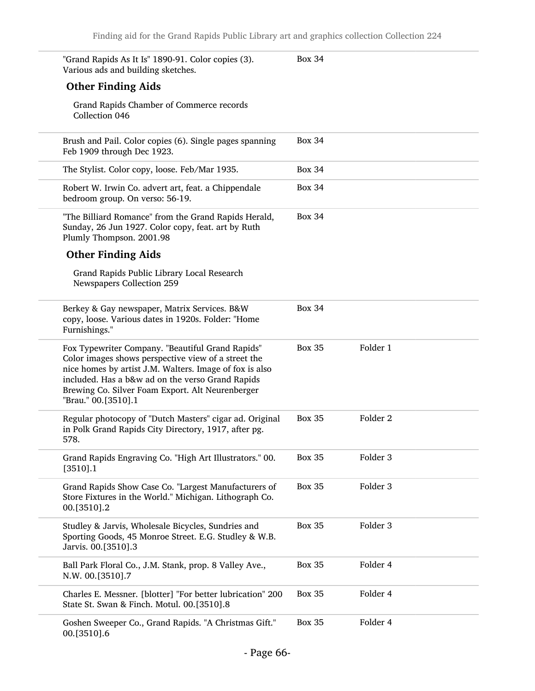| "Grand Rapids As It Is" 1890-91. Color copies (3).<br>Various ads and building sketches.                                                                                                                                                                                                          | <b>Box 34</b> |                     |
|---------------------------------------------------------------------------------------------------------------------------------------------------------------------------------------------------------------------------------------------------------------------------------------------------|---------------|---------------------|
| <b>Other Finding Aids</b>                                                                                                                                                                                                                                                                         |               |                     |
| Grand Rapids Chamber of Commerce records<br>Collection 046                                                                                                                                                                                                                                        |               |                     |
| Brush and Pail. Color copies (6). Single pages spanning<br>Feb 1909 through Dec 1923.                                                                                                                                                                                                             | <b>Box 34</b> |                     |
| The Stylist. Color copy, loose. Feb/Mar 1935.                                                                                                                                                                                                                                                     | <b>Box 34</b> |                     |
| Robert W. Irwin Co. advert art, feat. a Chippendale<br>bedroom group. On verso: 56-19.                                                                                                                                                                                                            | <b>Box 34</b> |                     |
| "The Billiard Romance" from the Grand Rapids Herald,<br>Sunday, 26 Jun 1927. Color copy, feat. art by Ruth<br>Plumly Thompson. 2001.98                                                                                                                                                            | <b>Box 34</b> |                     |
| <b>Other Finding Aids</b>                                                                                                                                                                                                                                                                         |               |                     |
| Grand Rapids Public Library Local Research<br>Newspapers Collection 259                                                                                                                                                                                                                           |               |                     |
| Berkey & Gay newspaper, Matrix Services. B&W<br>copy, loose. Various dates in 1920s. Folder: "Home<br>Furnishings."                                                                                                                                                                               | <b>Box 34</b> |                     |
| Fox Typewriter Company. "Beautiful Grand Rapids"<br>Color images shows perspective view of a street the<br>nice homes by artist J.M. Walters. Image of fox is also<br>included. Has a b&w ad on the verso Grand Rapids<br>Brewing Co. Silver Foam Export. Alt Neurenberger<br>"Brau." 00.[3510].1 | <b>Box 35</b> | Folder 1            |
| Regular photocopy of "Dutch Masters" cigar ad. Original<br>in Polk Grand Rapids City Directory, 1917, after pg.<br>578.                                                                                                                                                                           | <b>Box 35</b> | Folder <sub>2</sub> |
| Grand Rapids Engraving Co. "High Art Illustrators." 00.<br>$[3510]$ .1                                                                                                                                                                                                                            | <b>Box 35</b> | Folder 3            |
| Grand Rapids Show Case Co. "Largest Manufacturers of<br>Store Fixtures in the World." Michigan. Lithograph Co.<br>00.[3510].2                                                                                                                                                                     | <b>Box 35</b> | Folder 3            |
| Studley & Jarvis, Wholesale Bicycles, Sundries and<br>Sporting Goods, 45 Monroe Street. E.G. Studley & W.B.<br>Jarvis. 00.[3510].3                                                                                                                                                                | <b>Box 35</b> | Folder 3            |
| Ball Park Floral Co., J.M. Stank, prop. 8 Valley Ave.,<br>N.W. 00.[3510].7                                                                                                                                                                                                                        | <b>Box 35</b> | Folder 4            |
| Charles E. Messner. [blotter] "For better lubrication" 200<br>State St. Swan & Finch. Motul. 00.[3510].8                                                                                                                                                                                          | <b>Box 35</b> | Folder 4            |
| Goshen Sweeper Co., Grand Rapids. "A Christmas Gift."<br>00.[3510].6                                                                                                                                                                                                                              | <b>Box 35</b> | Folder 4            |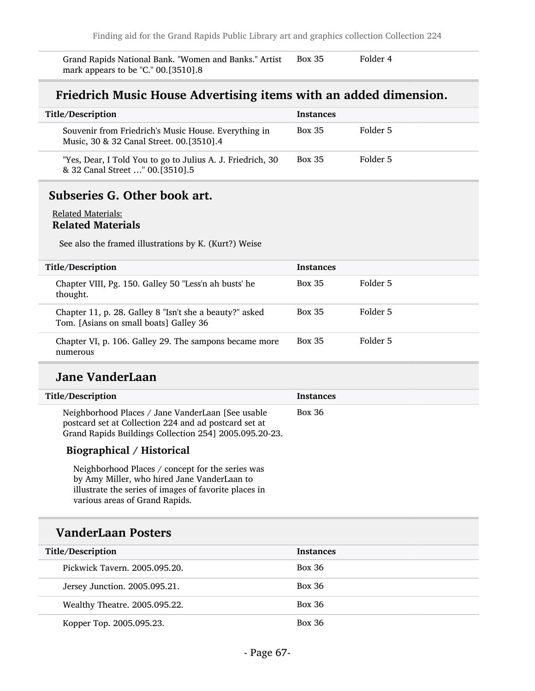Grand Rapids National Bank. "Women and Banks." Artist Box 35 Folder 4 mark appears to be "C." 00.[3510].8

## Friedrich Music House Advertising items with an added dimension.

| Title/Description                                                                                | <b>Instances</b> |          |
|--------------------------------------------------------------------------------------------------|------------------|----------|
| Souvenir from Friedrich's Music House. Everything in<br>Music, 30 & 32 Canal Street. 00.[3510].4 | <b>Box 35</b>    | Folder 5 |
| "Yes, Dear, I Told You to go to Julius A. J. Friedrich, 30<br>& 32 Canal Street " 00.[3510].5    | <b>Box 35</b>    | Folder 5 |

## Subseries G. Other book art.

#### Related Materials: Related Materials

See also the framed illustrations by K. (Kurt?) Weise

| Title/Description                                                                                 | <b>Instances</b> |          |
|---------------------------------------------------------------------------------------------------|------------------|----------|
| Chapter VIII, Pg. 150. Galley 50 "Less'n ah busts' he<br>thought.                                 | <b>Box 35</b>    | Folder 5 |
| Chapter 11, p. 28. Galley 8 "Isn't she a beauty?" asked<br>Tom. [Asians on small boats] Galley 36 | <b>Box 35</b>    | Folder 5 |
| Chapter VI, p. 106. Galley 29. The sampons became more<br>numerous                                | <b>Box 35</b>    | Folder 5 |

## Jane VanderLaan

| Title/Description                                                                                                                                                     | <b>Instances</b> |
|-----------------------------------------------------------------------------------------------------------------------------------------------------------------------|------------------|
| Neighborhood Places / Jane VanderLaan [See usable]<br>postcard set at Collection 224 and ad postcard set at<br>Grand Rapids Buildings Collection 254] 2005.095.20-23. | <b>Box 36</b>    |

### Biographical / Historical

Neighborhood Places / concept for the series was by Amy Miller, who hired Jane VanderLaan to illustrate the series of images of favorite places in various areas of Grand Rapids.

## VanderLaan Posters

| Title/Description             | <b>Instances</b> |
|-------------------------------|------------------|
| Pickwick Tavern, 2005.095.20. | Box 36           |
| Jersey Junction. 2005.095.21. | <b>Box 36</b>    |
| Wealthy Theatre. 2005.095.22. | <b>Box 36</b>    |
| Kopper Top. 2005.095.23.      | <b>Box 36</b>    |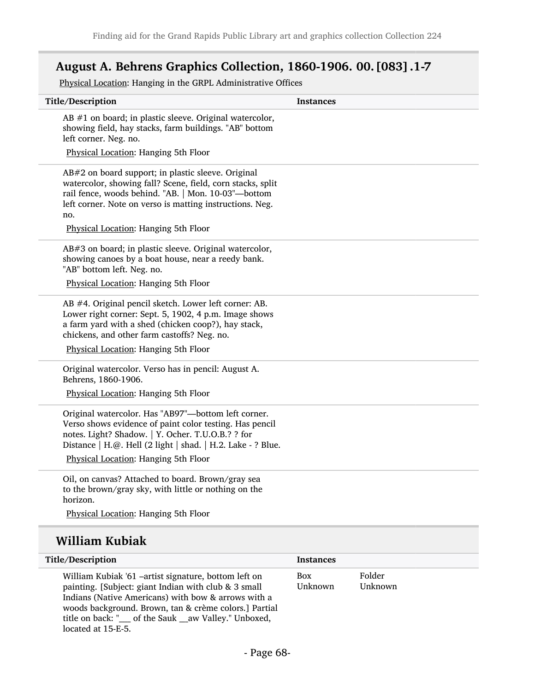## August A. Behrens Graphics Collection, 1860-1906. 00.[083].1-7

Physical Location: Hanging in the GRPL Administrative Offices

| Title/Description                                                                                                                                                                                                                                                                  | <b>Instances</b> |        |
|------------------------------------------------------------------------------------------------------------------------------------------------------------------------------------------------------------------------------------------------------------------------------------|------------------|--------|
| AB $#1$ on board; in plastic sleeve. Original watercolor,<br>showing field, hay stacks, farm buildings. "AB" bottom<br>left corner. Neg. no.                                                                                                                                       |                  |        |
| Physical Location: Hanging 5th Floor                                                                                                                                                                                                                                               |                  |        |
| AB#2 on board support; in plastic sleeve. Original<br>watercolor, showing fall? Scene, field, corn stacks, split<br>rail fence, woods behind. "AB.   Mon. 10-03"-bottom<br>left corner. Note on verso is matting instructions. Neg.<br>no.<br>Physical Location: Hanging 5th Floor |                  |        |
| AB#3 on board; in plastic sleeve. Original watercolor,<br>showing canoes by a boat house, near a reedy bank.<br>"AB" bottom left. Neg. no.                                                                                                                                         |                  |        |
| Physical Location: Hanging 5th Floor                                                                                                                                                                                                                                               |                  |        |
| AB #4. Original pencil sketch. Lower left corner: AB.<br>Lower right corner: Sept. 5, 1902, 4 p.m. Image shows<br>a farm yard with a shed (chicken coop?), hay stack,<br>chickens, and other farm castoffs? Neg. no.                                                               |                  |        |
| Physical Location: Hanging 5th Floor                                                                                                                                                                                                                                               |                  |        |
| Original watercolor. Verso has in pencil: August A.<br>Behrens, 1860-1906.                                                                                                                                                                                                         |                  |        |
| Physical Location: Hanging 5th Floor                                                                                                                                                                                                                                               |                  |        |
| Original watercolor. Has "AB97"-bottom left corner.<br>Verso shows evidence of paint color testing. Has pencil<br>notes. Light? Shadow.   Y. Ocher. T.U.O.B.? ? for<br>Distance   H.@. Hell (2 light   shad.   H.2. Lake - ? Blue.<br>Physical Location: Hanging 5th Floor         |                  |        |
|                                                                                                                                                                                                                                                                                    |                  |        |
| Oil, on canvas? Attached to board. Brown/gray sea<br>to the brown/gray sky, with little or nothing on the<br>horizon.                                                                                                                                                              |                  |        |
| Physical Location: Hanging 5th Floor                                                                                                                                                                                                                                               |                  |        |
| <b>William Kubiak</b>                                                                                                                                                                                                                                                              |                  |        |
| Title/Description                                                                                                                                                                                                                                                                  | <b>Instances</b> |        |
| William Kubiak '61 -artist signature, bottom left on                                                                                                                                                                                                                               | Box              | Folder |

William Kubiak '61 –artist signature, bottom left on painting. [Subject: giant Indian with club & 3 small Indians (Native Americans) with bow & arrows with a woods background. Brown, tan & crème colors.] Partial title on back: "\_\_\_\_ of the Sauk \_\_aw Valley." Unboxed, located at 15-E-5.

Folder Unknown

Unknown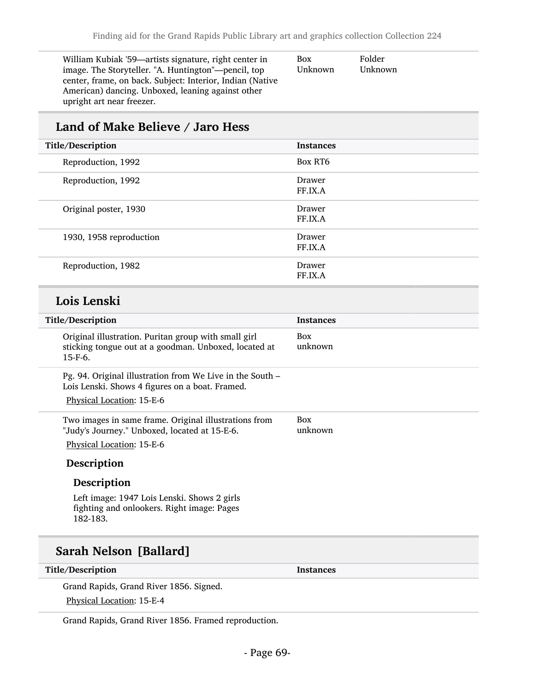| William Kubiak '59—artists signature, right center in     | <b>Box</b> | Folde |
|-----------------------------------------------------------|------------|-------|
| image. The Storyteller. "A. Huntington"—pencil, top       | Unknown    | Unkn  |
| center, frame, on back. Subject: Interior, Indian (Native |            |       |
| American) dancing. Unboxed, leaning against other         |            |       |
| upright art near freezer.                                 |            |       |

#### er ıown

## Land of Make Believe / Jaro Hess

| Title/Description       | <b>Instances</b>  |
|-------------------------|-------------------|
| Reproduction, 1992      | Box RT6           |
| Reproduction, 1992      | Drawer<br>FF.IX.A |
| Original poster, 1930   | Drawer<br>FF.IX.A |
| 1930, 1958 reproduction | Drawer<br>FF.IX.A |
| Reproduction, 1982      | Drawer<br>FF.IX.A |

## Lois Lenski

| Title/Description                                                                                                                         | <b>Instances</b>      |
|-------------------------------------------------------------------------------------------------------------------------------------------|-----------------------|
| Original illustration. Puritan group with small girl<br>sticking tongue out at a goodman. Unboxed, located at<br>$15-F-6.$                | <b>Box</b><br>unknown |
| Pg. 94. Original illustration from We Live in the South –<br>Lois Lenski. Shows 4 figures on a boat. Framed.<br>Physical Location: 15-E-6 |                       |
| Two images in same frame. Original illustrations from<br>"Judy's Journey." Unboxed, located at 15-E-6.                                    | <b>Box</b><br>unknown |
| Physical Location: 15-E-6                                                                                                                 |                       |
| Description                                                                                                                               |                       |
| Description                                                                                                                               |                       |
| Left image: 1947 Lois Lenski. Shows 2 girls<br>fighting and onlookers. Right image: Pages<br>182-183.                                     |                       |
|                                                                                                                                           |                       |

# Sarah Nelson [Ballard]

Title/Description and the set of the Instances of the Instances

Grand Rapids, Grand River 1856. Signed. Physical Location: 15-E-4

Grand Rapids, Grand River 1856. Framed reproduction.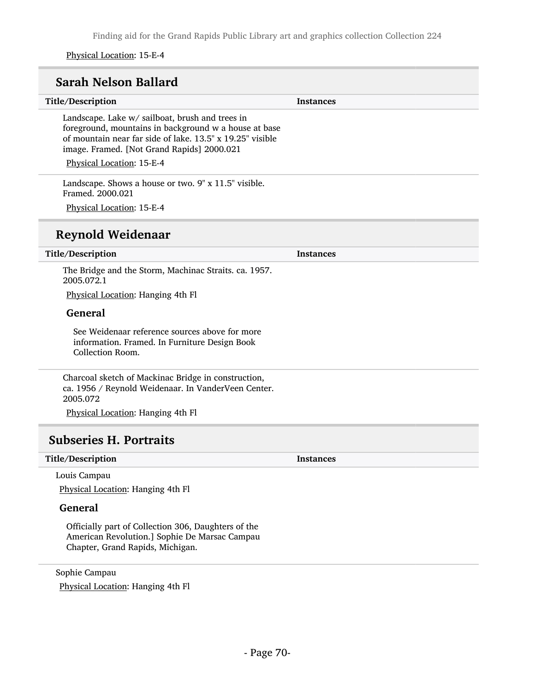Finding aid for the Grand Rapids Public Library art and graphics collection Collection 224

Physical Location: 15-E-4

## Sarah Nelson Ballard

# Title/Description Instances Landscape. Lake w/ sailboat, brush and trees in foreground, mountains in background w a house at base of mountain near far side of lake. 13.5" x 19.25" visible image. Framed. [Not Grand Rapids] 2000.021 Physical Location: 15-E-4 Landscape. Shows a house or two. 9" x 11.5" visible. Framed. 2000.021 Physical Location: 15-E-4 Reynold Weidenaar Title/Description Instances The Bridge and the Storm, Machinac Straits. ca. 1957.

2005.072.1

Physical Location: Hanging 4th Fl

#### General

See Weidenaar reference sources above for more information. Framed. In Furniture Design Book Collection Room.

Charcoal sketch of Mackinac Bridge in construction, ca. 1956 / Reynold Weidenaar. In VanderVeen Center. 2005.072

Physical Location: Hanging 4th Fl

## Subseries H. Portraits

#### Title/Description Instances

Louis Campau

Physical Location: Hanging 4th Fl

### General

Officially part of Collection 306, Daughters of the American Revolution.] Sophie De Marsac Campau Chapter, Grand Rapids, Michigan.

Sophie Campau Physical Location: Hanging 4th Fl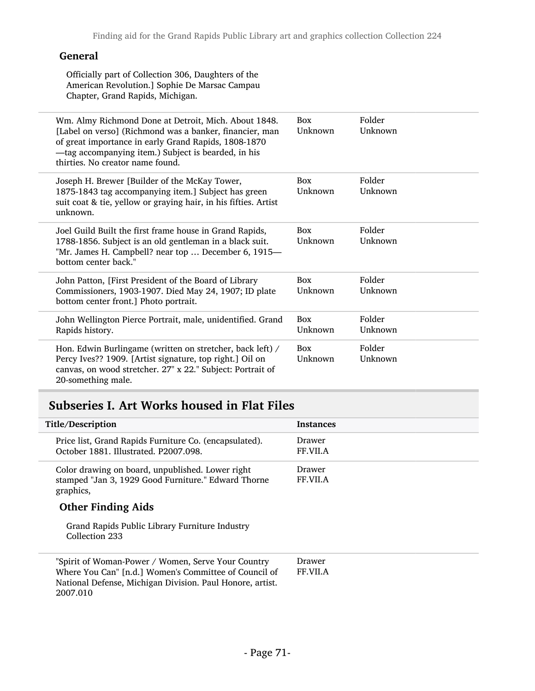### General

Officially part of Collection 306, Daughters of the American Revolution.] Sophie De Marsac Campau Chapter, Grand Rapids, Michigan.

| thirties. No creator name found.      | Wm. Almy Richmond Done at Detroit, Mich. About 1848.<br>[Label on verso] (Richmond was a banker, financier, man<br>of great importance in early Grand Rapids, 1808-1870<br>-tag accompanying item.) Subject is bearded, in his | <b>Box</b><br>Unknown | Folder<br>Unknown |
|---------------------------------------|--------------------------------------------------------------------------------------------------------------------------------------------------------------------------------------------------------------------------------|-----------------------|-------------------|
| unknown.                              | Joseph H. Brewer [Builder of the McKay Tower,<br>1875-1843 tag accompanying item.] Subject has green<br>suit coat & tie, yellow or graying hair, in his fifties. Artist                                                        | Box<br>Unknown        | Folder<br>Unknown |
| bottom center back."                  | Joel Guild Built the first frame house in Grand Rapids,<br>1788-1856. Subject is an old gentleman in a black suit.<br>"Mr. James H. Campbell? near top  December 6, 1915-                                                      | <b>Box</b><br>Unknown | Folder<br>Unknown |
| bottom center front.] Photo portrait. | John Patton, [First President of the Board of Library<br>Commissioners, 1903-1907. Died May 24, 1907; ID plate                                                                                                                 | <b>Box</b><br>Unknown | Folder<br>Unknown |
| Rapids history.                       | John Wellington Pierce Portrait, male, unidentified. Grand                                                                                                                                                                     | <b>Box</b><br>Unknown | Folder<br>Unknown |
| 20-something male.                    | Hon. Edwin Burlingame (written on stretcher, back left) /<br>Percy Ives?? 1909. [Artist signature, top right.] Oil on<br>canvas, on wood stretcher. 27" x 22." Subject: Portrait of                                            | <b>Box</b><br>Unknown | Folder<br>Unknown |

## Subseries I. Art Works housed in Flat Files

| Title/Description                                                                                                                                                                    | <b>Instances</b>   |
|--------------------------------------------------------------------------------------------------------------------------------------------------------------------------------------|--------------------|
| Price list, Grand Rapids Furniture Co. (encapsulated).<br>October 1881, Illustrated, P2007,098.                                                                                      | Drawer<br>FF.VII.A |
| Color drawing on board, unpublished. Lower right<br>stamped "Jan 3, 1929 Good Furniture." Edward Thorne<br>graphics,                                                                 | Drawer<br>FF.VII.A |
| <b>Other Finding Aids</b>                                                                                                                                                            |                    |
| Grand Rapids Public Library Furniture Industry<br>Collection 233                                                                                                                     |                    |
| "Spirit of Woman-Power / Women, Serve Your Country<br>Where You Can" [n.d.] Women's Committee of Council of<br>National Defense, Michigan Division. Paul Honore, artist.<br>2007.010 | Drawer<br>FF.VII.A |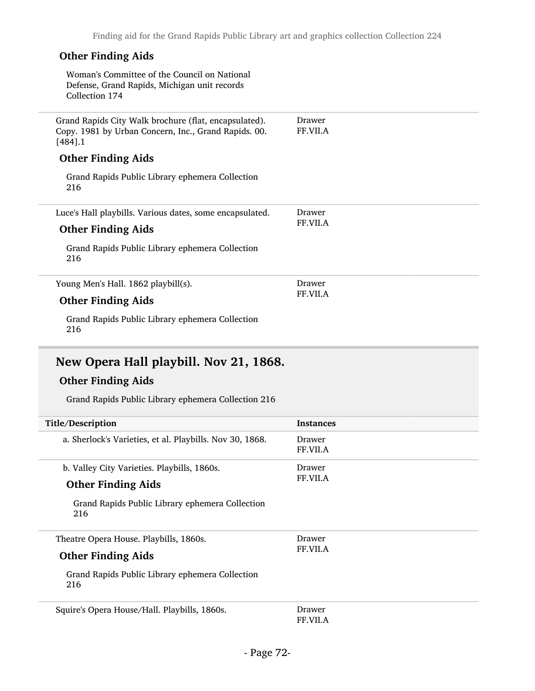Drawer FF.VII.A

### Other Finding Aids

Woman's Committee of the Council on National Defense, Grand Rapids, Michigan unit records Collection 174

Grand Rapids City Walk brochure (flat, encapsulated). Copy. 1981 by Urban Concern, Inc., Grand Rapids. 00.  $[484]$ .1 Drawer FF.VII.A

### Other Finding Aids

Grand Rapids Public Library ephemera Collection 216

Luce's Hall playbills. Various dates, some encapsulated. Drawer FF.VII.A

### Other Finding Aids

Grand Rapids Public Library ephemera Collection 216

Young Men's Hall. 1862 playbill(s).

#### Other Finding Aids

Grand Rapids Public Library ephemera Collection 216

## New Opera Hall playbill. Nov 21, 1868.

### Other Finding Aids

Grand Rapids Public Library ephemera Collection 216

| Title/Description                                        | <b>Instances</b>   |
|----------------------------------------------------------|--------------------|
| a. Sherlock's Varieties, et al. Playbills. Nov 30, 1868. | Drawer<br>FF.VII.A |
| b. Valley City Varieties. Playbills, 1860s.              | Drawer             |
| <b>Other Finding Aids</b>                                | FF.VII.A           |
| Grand Rapids Public Library ephemera Collection<br>216   |                    |
| Theatre Opera House. Playbills, 1860s.                   | Drawer             |
| <b>Other Finding Aids</b>                                | <b>FF.VII.A</b>    |
| Grand Rapids Public Library ephemera Collection<br>216   |                    |
| Squire's Opera House/Hall. Playbills, 1860s.             | Drawer<br>FF.VII.A |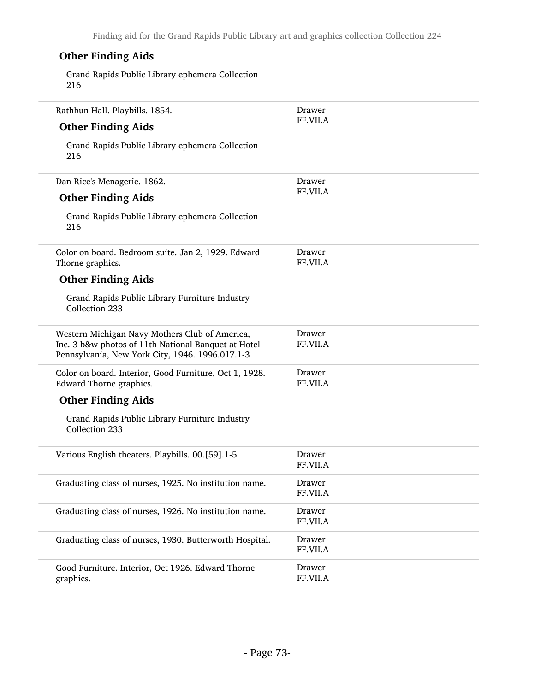Finding aid for the Grand Rapids Public Library art and graphics collection Collection 224

| <b>Other Finding Aids</b>                                                                                                                                |                    |
|----------------------------------------------------------------------------------------------------------------------------------------------------------|--------------------|
| Grand Rapids Public Library ephemera Collection<br>216                                                                                                   |                    |
| Rathbun Hall. Playbills. 1854.                                                                                                                           | Drawer             |
| <b>Other Finding Aids</b>                                                                                                                                | FF.VII.A           |
| Grand Rapids Public Library ephemera Collection<br>216                                                                                                   |                    |
| Dan Rice's Menagerie. 1862.                                                                                                                              | Drawer             |
| <b>Other Finding Aids</b>                                                                                                                                | FF.VII.A           |
| Grand Rapids Public Library ephemera Collection<br>216                                                                                                   |                    |
| Color on board. Bedroom suite. Jan 2, 1929. Edward<br>Thorne graphics.                                                                                   | Drawer<br>FF.VII.A |
| <b>Other Finding Aids</b>                                                                                                                                |                    |
| Grand Rapids Public Library Furniture Industry<br>Collection 233                                                                                         |                    |
| Western Michigan Navy Mothers Club of America,<br>Inc. 3 b&w photos of 11th National Banquet at Hotel<br>Pennsylvania, New York City, 1946. 1996.017.1-3 | Drawer<br>FF.VII.A |
| Color on board. Interior, Good Furniture, Oct 1, 1928.<br>Edward Thorne graphics.                                                                        | Drawer<br>FF.VII.A |
| <b>Other Finding Aids</b>                                                                                                                                |                    |
| Grand Rapids Public Library Furniture Industry<br>Collection 233                                                                                         |                    |
| Various English theaters. Playbills. 00.[59].1-5                                                                                                         | Drawer<br>FF.VII.A |
| Graduating class of nurses, 1925. No institution name.                                                                                                   | Drawer<br>FF.VII.A |
| Graduating class of nurses, 1926. No institution name.                                                                                                   | Drawer<br>FF.VII.A |
| Graduating class of nurses, 1930. Butterworth Hospital.                                                                                                  | Drawer<br>FF.VII.A |
| Good Furniture. Interior, Oct 1926. Edward Thorne<br>graphics.                                                                                           | Drawer<br>FF.VII.A |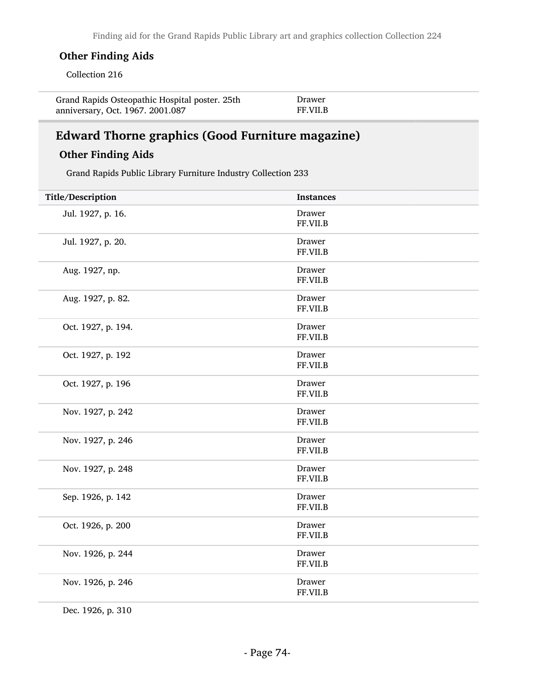#### Other Finding Aids

Collection 216

| Grand Rapids Osteopathic Hospital poster. 25th | Drawer          |
|------------------------------------------------|-----------------|
| anniversary, Oct. 1967. 2001.087               | <b>FF.VII.B</b> |

### Edward Thorne graphics (Good Furniture magazine)

#### Other Finding Aids

Grand Rapids Public Library Furniture Industry Collection 233

| Title/Description  | <b>Instances</b>   |
|--------------------|--------------------|
| Jul. 1927, p. 16.  | Drawer<br>FF.VII.B |
| Jul. 1927, p. 20.  | Drawer<br>FF.VII.B |
| Aug. 1927, np.     | Drawer<br>FF.VII.B |
| Aug. 1927, p. 82.  | Drawer<br>FF.VII.B |
| Oct. 1927, p. 194. | Drawer<br>FF.VII.B |
| Oct. 1927, p. 192  | Drawer<br>FF.VII.B |
| Oct. 1927, p. 196  | Drawer<br>FF.VII.B |
| Nov. 1927, p. 242  | Drawer<br>FF.VII.B |
| Nov. 1927, p. 246  | Drawer<br>FF.VII.B |
| Nov. 1927, p. 248  | Drawer<br>FF.VII.B |
| Sep. 1926, p. 142  | Drawer<br>FF.VII.B |
| Oct. 1926, p. 200  | Drawer<br>FF.VII.B |
| Nov. 1926, p. 244  | Drawer<br>FF.VII.B |
| Nov. 1926, p. 246  | Drawer<br>FF.VII.B |
|                    |                    |

Dec. 1926, p. 310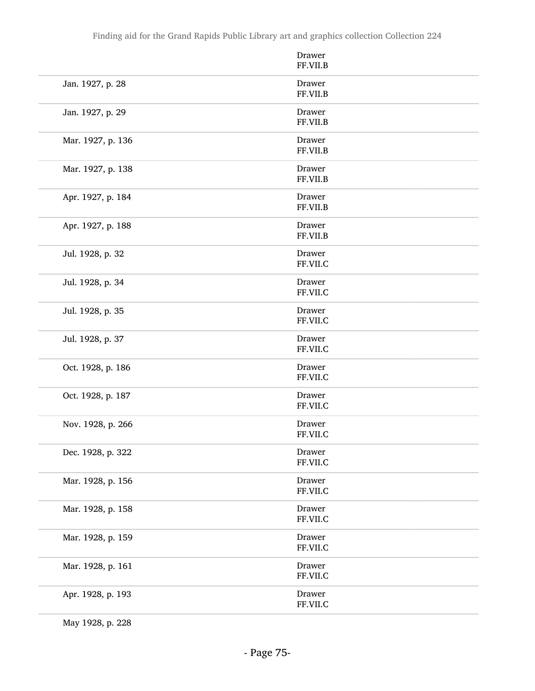|                   | Drawer<br>FF.VII.B |
|-------------------|--------------------|
| Jan. 1927, p. 28  | Drawer<br>FF.VII.B |
| Jan. 1927, p. 29  | Drawer<br>FF.VII.B |
| Mar. 1927, p. 136 | Drawer<br>FF.VII.B |
| Mar. 1927, p. 138 | Drawer<br>FF.VII.B |
| Apr. 1927, p. 184 | Drawer<br>FF.VII.B |
| Apr. 1927, p. 188 | Drawer<br>FF.VII.B |
| Jul. 1928, p. 32  | Drawer<br>FF.VII.C |
| Jul. 1928, p. 34  | Drawer<br>FF.VII.C |
| Jul. 1928, p. 35  | Drawer<br>FF.VII.C |
| Jul. 1928, p. 37  | Drawer<br>FF.VII.C |
| Oct. 1928, p. 186 | Drawer<br>FF.VII.C |
| Oct. 1928, p. 187 | Drawer<br>FF.VII.C |
| Nov. 1928, p. 266 | Drawer<br>FF.VII.C |
| Dec. 1928, p. 322 | Drawer<br>FF.VII.C |
| Mar. 1928, p. 156 | Drawer<br>FF.VII.C |
| Mar. 1928, p. 158 | Drawer<br>FF.VII.C |
| Mar. 1928, p. 159 | Drawer<br>FF.VII.C |
| Mar. 1928, p. 161 | Drawer<br>FF.VII.C |
| Apr. 1928, p. 193 | Drawer<br>FF.VII.C |

May 1928, p. 228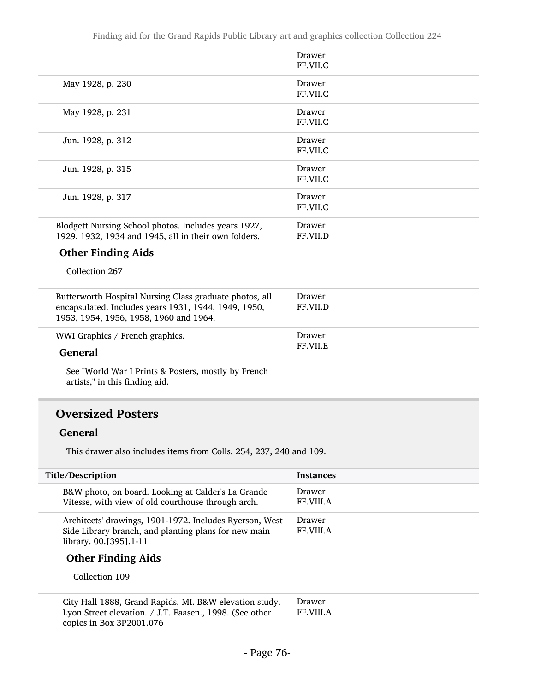|                                                         | <b>Drawer</b> |
|---------------------------------------------------------|---------------|
|                                                         | FF.VII.C      |
| May 1928, p. 230                                        | <b>Drawer</b> |
|                                                         | FF.VII.C      |
| May 1928, p. 231                                        | Drawer        |
|                                                         | FF.VII.C      |
| Jun. 1928, p. 312                                       | Drawer        |
|                                                         | FF.VII.C      |
| Jun. 1928, p. 315                                       | <b>Drawer</b> |
|                                                         | FF.VII.C      |
| Jun. 1928, p. 317                                       | Drawer        |
|                                                         | FF.VII.C      |
| Blodgett Nursing School photos. Includes years 1927,    | <b>Drawer</b> |
| 1929, 1932, 1934 and 1945, all in their own folders.    | FF.VII.D      |
| <b>Other Finding Aids</b>                               |               |
| Collection 267                                          |               |
| Butterworth Hospital Nursing Class graduate photos, all | <b>Drawer</b> |
| encapsulated. Includes years 1931, 1944, 1949, 1950,    | FF.VII.D      |
| 1953, 1954, 1956, 1958, 1960 and 1964.                  |               |
| WWI Graphics / French graphics.                         | Drawer        |
|                                                         | FF.VII.E      |
| <b>General</b>                                          |               |
| See "World War I Prints & Posters, mostly by French     |               |
| artists," in this finding aid.                          |               |

#### Oversized Posters

#### General

This drawer also includes items from Colls. 254, 237, 240 and 109.

| Title/Description                                                                                                                         | <b>Instances</b>           |
|-------------------------------------------------------------------------------------------------------------------------------------------|----------------------------|
| B&W photo, on board. Looking at Calder's La Grande<br>Vitesse, with view of old courthouse through arch.                                  | Drawer<br><b>FF.VIII.A</b> |
| Architects' drawings, 1901-1972. Includes Ryerson, West<br>Side Library branch, and planting plans for new main<br>library. 00.[395].1-11 | Drawer<br><b>FF.VIII.A</b> |
| <b>Other Finding Aids</b>                                                                                                                 |                            |
| Collection 109                                                                                                                            |                            |
| City Hall 1888. Grand Rapids, MI. B&W elevation study.                                                                                    | Drawer                     |

City Hall 1888, Grand Rapids, MI. B&W elevation study. Lyon Street elevation. / J.T. Faasen., 1998. (See other copies in Box 3P2001.076 Drawer FF.VIII.A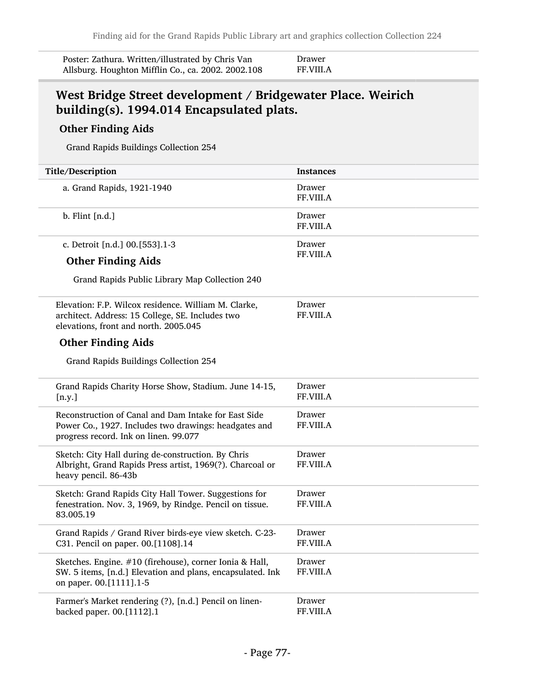| Poster: Zathura. Written/illustrated by Chris Van  | Dı |
|----------------------------------------------------|----|
| Allsburg. Houghton Mifflin Co., ca. 2002. 2002.108 | FF |

#### rawer F.VIII.A

#### West Bridge Street development / Bridgewater Place. Weirich building(s). 1994.014 Encapsulated plats.

#### Other Finding Aids

Grand Rapids Buildings Collection 254

| Title/Description                                                                                                                                      | <b>Instances</b>           |
|--------------------------------------------------------------------------------------------------------------------------------------------------------|----------------------------|
| a. Grand Rapids, 1921-1940                                                                                                                             | Drawer<br>FF.VIII.A        |
| $b.$ Flint $[n.d.]$                                                                                                                                    | Drawer<br>FF.VIII.A        |
| c. Detroit [n.d.] 00.[553].1-3                                                                                                                         | Drawer                     |
| <b>Other Finding Aids</b>                                                                                                                              | FF.VIII.A                  |
| Grand Rapids Public Library Map Collection 240                                                                                                         |                            |
| Elevation: F.P. Wilcox residence. William M. Clarke,<br>architect. Address: 15 College, SE. Includes two<br>elevations, front and north. 2005.045      | Drawer<br>FF.VIII.A        |
| <b>Other Finding Aids</b>                                                                                                                              |                            |
| Grand Rapids Buildings Collection 254                                                                                                                  |                            |
| Grand Rapids Charity Horse Show, Stadium. June 14-15,<br>[n.y.]                                                                                        | Drawer<br><b>FF.VIII.A</b> |
| Reconstruction of Canal and Dam Intake for East Side<br>Power Co., 1927. Includes two drawings: headgates and<br>progress record. Ink on linen. 99.077 | Drawer<br>FF.VIII.A        |
| Sketch: City Hall during de-construction. By Chris<br>Albright, Grand Rapids Press artist, 1969(?). Charcoal or<br>heavy pencil. 86-43b                | Drawer<br><b>FF.VIII.A</b> |
| Sketch: Grand Rapids City Hall Tower. Suggestions for<br>fenestration. Nov. 3, 1969, by Rindge. Pencil on tissue.<br>83.005.19                         | Drawer<br>FF.VIII.A        |
| Grand Rapids / Grand River birds-eye view sketch. C-23-<br>C31. Pencil on paper. 00.[1108].14                                                          | Drawer<br>FF.VIII.A        |
| Sketches. Engine. #10 (firehouse), corner Ionia & Hall,<br>SW. 5 items, [n.d.] Elevation and plans, encapsulated. Ink<br>on paper. 00.[1111].1-5       | Drawer<br>FF.VIII.A        |
| Farmer's Market rendering (?), [n.d.] Pencil on linen-<br>backed paper. 00.[1112].1                                                                    | Drawer<br>FF.VIII.A        |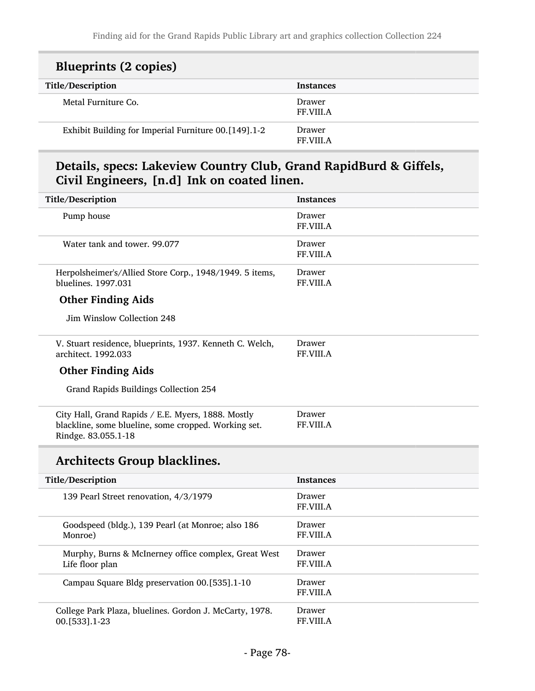| <b>Blueprints (2 copies)</b>                         |                            |
|------------------------------------------------------|----------------------------|
| Title/Description                                    | <b>Instances</b>           |
| Metal Furniture Co.                                  | Drawer<br><b>FF.VIII.A</b> |
| Exhibit Building for Imperial Furniture 00.[149].1-2 | Drawer<br>FF VIII A        |

### Details, specs: Lakeview Country Club, Grand RapidBurd & Giffels, Civil Engineers, [n.d] Ink on coated linen.

| Title/Description                                                                                                                 | <b>Instances</b>           |
|-----------------------------------------------------------------------------------------------------------------------------------|----------------------------|
| Pump house                                                                                                                        | Drawer<br>FF.VIII.A        |
| Water tank and tower. 99.077                                                                                                      | Drawer<br>FF.VIII.A        |
| Herpolsheimer's/Allied Store Corp., 1948/1949. 5 items,<br>bluelines. 1997.031                                                    | Drawer<br>FF.VIII.A        |
| <b>Other Finding Aids</b>                                                                                                         |                            |
| Jim Winslow Collection 248                                                                                                        |                            |
| V. Stuart residence, blueprints, 1937. Kenneth C. Welch,<br>architect. 1992.033                                                   | Drawer<br>FF.VIII.A        |
| <b>Other Finding Aids</b>                                                                                                         |                            |
| Grand Rapids Buildings Collection 254                                                                                             |                            |
| City Hall, Grand Rapids / E.E. Myers, 1888. Mostly<br>blackline, some blueline, some cropped. Working set.<br>Rindge. 83.055.1-18 | Drawer<br>FF.VIII.A        |
| <b>Architects Group blacklines.</b>                                                                                               |                            |
| Title/Description                                                                                                                 | <b>Instances</b>           |
| 139 Pearl Street renovation, 4/3/1979                                                                                             | Drawer<br><b>FF.VIII.A</b> |
| Goodspeed (bldg.), 139 Pearl (at Monroe; also 186<br>Monroe)                                                                      | Drawer<br>FF.VIII.A        |
| Murphy, Burns & McInerney office complex, Great West<br>Life floor plan                                                           | Drawer<br><b>FF.VIII.A</b> |
| Campau Square Bldg preservation 00.[535].1-10                                                                                     | Drawer<br>FF.VIII.A        |
| College Park Plaza, bluelines. Gordon J. McCarty, 1978.<br>00.[533].1-23                                                          | Drawer<br>FF.VIII.A        |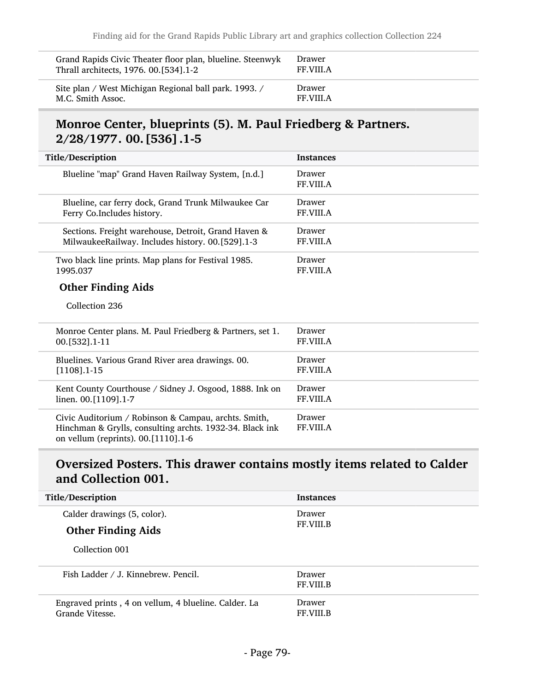| Grand Rapids Civic Theater floor plan, blueline. Steenwyk | Drawer           |
|-----------------------------------------------------------|------------------|
| Thrall architects, 1976. 00.[534].1-2                     | <b>FF.VIII.A</b> |
| Site plan / West Michigan Regional ball park. 1993. /     | Drawer           |
| M.C. Smith Assoc.                                         | FF VIII A        |

#### Monroe Center, blueprints (5). M. Paul Friedberg & Partners. 2/28/1977. 00.[536].1-5

| <b>Title/Description</b>                                                                                                                                | <b>Instances</b>           |
|---------------------------------------------------------------------------------------------------------------------------------------------------------|----------------------------|
| Blueline "map" Grand Haven Railway System, [n.d.]                                                                                                       | Drawer<br>FF.VIII.A        |
| Blueline, car ferry dock, Grand Trunk Milwaukee Car                                                                                                     | Drawer                     |
| Ferry Co.Includes history.                                                                                                                              | FF.VIII.A                  |
| Sections. Freight warehouse, Detroit, Grand Haven &                                                                                                     | Drawer                     |
| MilwaukeeRailway. Includes history. 00.[529].1-3                                                                                                        | <b>FF.VIII.A</b>           |
| Two black line prints. Map plans for Festival 1985.                                                                                                     | Drawer                     |
| 1995.037                                                                                                                                                | FF.VIII.A                  |
| <b>Other Finding Aids</b>                                                                                                                               |                            |
| Collection 236                                                                                                                                          |                            |
| Monroe Center plans. M. Paul Friedberg & Partners, set 1.                                                                                               | Drawer                     |
| 00. [532] . 1-11                                                                                                                                        | <b>FF.VIII.A</b>           |
| Bluelines. Various Grand River area drawings. 00.                                                                                                       | Drawer                     |
| $[1108]$ .1-15                                                                                                                                          | FF.VIII.A                  |
| Kent County Courthouse / Sidney J. Osgood, 1888. Ink on                                                                                                 | <b>Drawer</b>              |
| linen. 00.[1109].1-7                                                                                                                                    | <b>FF.VIII.A</b>           |
| Civic Auditorium / Robinson & Campau, archts. Smith,<br>Hinchman & Grylls, consulting archts. 1932-34. Black ink<br>on vellum (reprints). 00.[1110].1-6 | Drawer<br><b>FF.VIII.A</b> |

#### Oversized Posters. This drawer contains mostly items related to Calder and Collection 001.

| Title/Description                                                       | <b>Instances</b>           |
|-------------------------------------------------------------------------|----------------------------|
| Calder drawings (5, color).                                             | Drawer                     |
| <b>Other Finding Aids</b>                                               | <b>FF.VIII.B</b>           |
| Collection 001                                                          |                            |
| Fish Ladder / J. Kinnebrew. Pencil.                                     | Drawer<br><b>FF.VIII.B</b> |
| Engraved prints, 4 on vellum, 4 blueline. Calder. La<br>Grande Vitesse. | Drawer<br><b>FF.VIII.B</b> |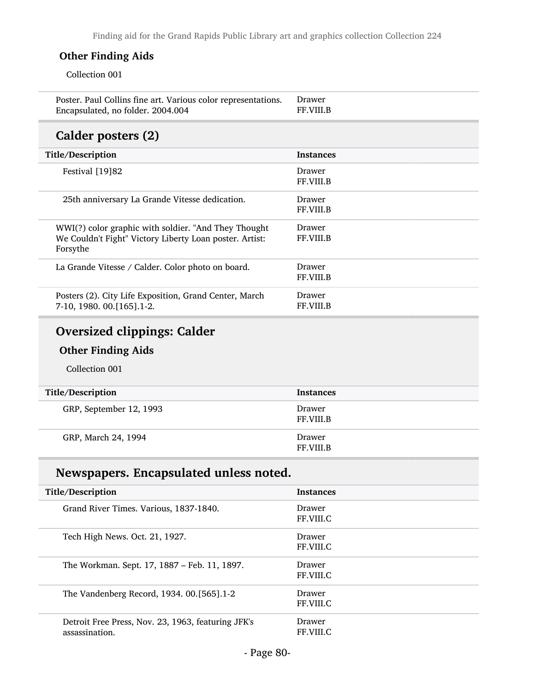#### Other Finding Aids

Collection 001

| Poster. Paul Collins fine art. Various color representations. | Drawer           |
|---------------------------------------------------------------|------------------|
| Encapsulated, no folder. 2004.004                             | <b>FF.VIII.B</b> |

### Calder posters (2)

| Title/Description                                                                                                           | <b>Instances</b>           |
|-----------------------------------------------------------------------------------------------------------------------------|----------------------------|
| Festival [19]82                                                                                                             | Drawer<br><b>FF.VIII.B</b> |
| 25th anniversary La Grande Vitesse dedication.                                                                              | Drawer<br><b>FF.VIII.B</b> |
| WWI(?) color graphic with soldier. "And They Thought<br>We Couldn't Fight" Victory Liberty Loan poster. Artist:<br>Forsythe | Drawer<br><b>FF.VIII.B</b> |
| La Grande Vitesse / Calder. Color photo on board.                                                                           | Drawer<br><b>FF.VIII.B</b> |
| Posters (2). City Life Exposition, Grand Center, March<br>7-10, 1980. 00. [165]. 1-2.                                       | Drawer<br>FF VIII B        |

### Oversized clippings: Calder

#### Other Finding Aids

Collection 001

| Title/Description       | Instances                  |
|-------------------------|----------------------------|
| GRP, September 12, 1993 | Drawer<br>FF.VIII.B        |
| GRP, March 24, 1994     | Drawer<br><b>FF.VIII.B</b> |

## Newspapers. Encapsulated unless noted.

| Title/Description                                                    | <b>Instances</b>    |
|----------------------------------------------------------------------|---------------------|
| Grand River Times. Various, 1837-1840.                               | Drawer<br>FF.VIII.C |
| Tech High News. Oct. 21, 1927.                                       | Drawer<br>FF.VIII.C |
| The Workman. Sept. 17, 1887 – Feb. 11, 1897.                         | Drawer<br>FF.VIII.C |
| The Vandenberg Record, 1934. 00.[565].1-2                            | Drawer<br>FF.VIII.C |
| Detroit Free Press, Nov. 23, 1963, featuring JFK's<br>assassination. | Drawer<br>FF.VIII.C |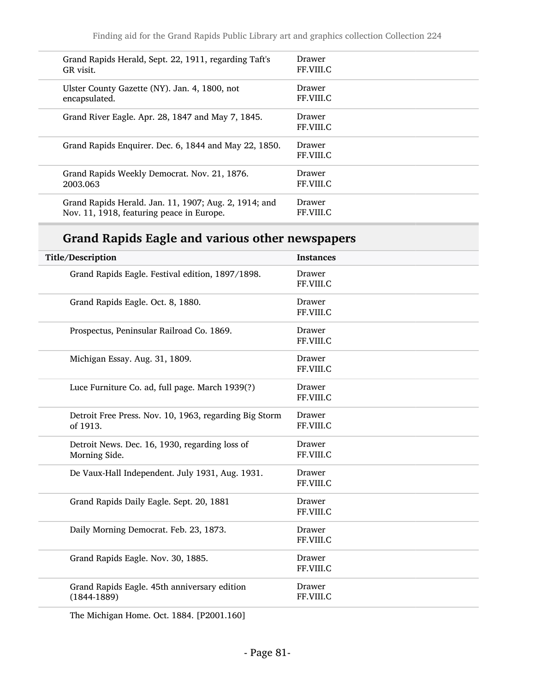| Grand Rapids Herald, Sept. 22, 1911, regarding Taft's | <b>Drawer</b>       |
|-------------------------------------------------------|---------------------|
| GR visit.                                             | FF.VIII.C           |
| Ulster County Gazette (NY). Jan. 4, 1800, not         | Drawer              |
| encapsulated.                                         | FF.VIII.C           |
| Grand River Eagle. Apr. 28, 1847 and May 7, 1845.     | Drawer<br>FF.VIII.C |
| Grand Rapids Enquirer. Dec. 6, 1844 and May 22, 1850. | Drawer<br>FF.VIII.C |
| Grand Rapids Weekly Democrat. Nov. 21, 1876.          | Drawer              |
| 2003.063                                              | <b>FF.VIII.C</b>    |
| Grand Rapids Herald. Jan. 11, 1907; Aug. 2, 1914; and | Drawer              |
| Nov. 11, 1918, featuring peace in Europe.             | FF VIII C           |

## Grand Rapids Eagle and various other newspapers

| Title/Description                                                  | <b>Instances</b>           |
|--------------------------------------------------------------------|----------------------------|
| Grand Rapids Eagle. Festival edition, 1897/1898.                   | Drawer<br>FF.VIII.C        |
| Grand Rapids Eagle. Oct. 8, 1880.                                  | Drawer<br>FF.VIII.C        |
| Prospectus, Peninsular Railroad Co. 1869.                          | <b>Drawer</b><br>FF.VIII.C |
| Michigan Essay. Aug. 31, 1809.                                     | Drawer<br>FF.VIII.C        |
| Luce Furniture Co. ad, full page. March 1939(?)                    | Drawer<br>FF.VIII.C        |
| Detroit Free Press. Nov. 10, 1963, regarding Big Storm<br>of 1913. | Drawer<br>FF.VIII.C        |
| Detroit News. Dec. 16, 1930, regarding loss of<br>Morning Side.    | <b>Drawer</b><br>FF.VIII.C |
| De Vaux-Hall Independent. July 1931, Aug. 1931.                    | Drawer<br>FF.VIII.C        |
| Grand Rapids Daily Eagle. Sept. 20, 1881                           | Drawer<br>FF.VIII.C        |
| Daily Morning Democrat. Feb. 23, 1873.                             | Drawer<br>FF.VIII.C        |
| Grand Rapids Eagle. Nov. 30, 1885.                                 | Drawer<br>FF.VIII.C        |
| Grand Rapids Eagle. 45th anniversary edition<br>$(1844 - 1889)$    | Drawer<br>FF.VIII.C        |

The Michigan Home. Oct. 1884. [P2001.160]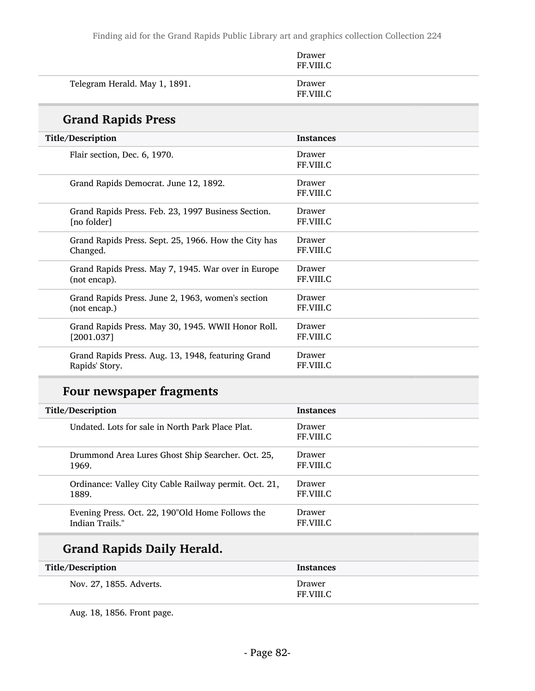|                               | Drawer<br>FF.VIII.C |
|-------------------------------|---------------------|
| Telegram Herald. May 1, 1891. | Drawer<br>FF.VIII.C |

### Grand Rapids Press

| <b>Title/Description</b>                             | <b>Instances</b>    |
|------------------------------------------------------|---------------------|
| Flair section, Dec. 6, 1970.                         | Drawer<br>FF.VIII.C |
| Grand Rapids Democrat. June 12, 1892.                | Drawer<br>FF.VIII.C |
| Grand Rapids Press. Feb. 23, 1997 Business Section.  | Drawer              |
| [no folder]                                          | FF.VIII.C           |
| Grand Rapids Press. Sept. 25, 1966. How the City has | Drawer              |
| Changed.                                             | FF.VIII.C           |
| Grand Rapids Press. May 7, 1945. War over in Europe  | Drawer              |
| (not encap).                                         | FF.VIII.C           |
| Grand Rapids Press. June 2, 1963, women's section    | Drawer              |
| (not encap.)                                         | FF.VIII.C           |
| Grand Rapids Press. May 30, 1945. WWII Honor Roll.   | Drawer              |
| [2001.037]                                           | FF.VIII.C           |
| Grand Rapids Press. Aug. 13, 1948, featuring Grand   | Drawer              |
| Rapids' Story.                                       | FF.VIII.C           |

## Four newspaper fragments

| Title/Description                                     | <b>Instances</b>    |
|-------------------------------------------------------|---------------------|
| Undated. Lots for sale in North Park Place Plat.      | Drawer<br>FF.VIII.C |
| Drummond Area Lures Ghost Ship Searcher. Oct. 25,     | Drawer              |
| 1969.                                                 | FF.VIII.C           |
| Ordinance: Valley City Cable Railway permit. Oct. 21, | Drawer              |
| 1889.                                                 | FF.VIII.C           |
| Evening Press. Oct. 22, 190"Old Home Follows the      | Drawer              |
| Indian Trails."                                       | FF VIII.C           |

## Grand Rapids Daily Herald.

| Title/Description       | Instances           |
|-------------------------|---------------------|
| Nov. 27, 1855. Adverts. | Drawer<br>FF.VIII.C |

Aug. 18, 1856. Front page.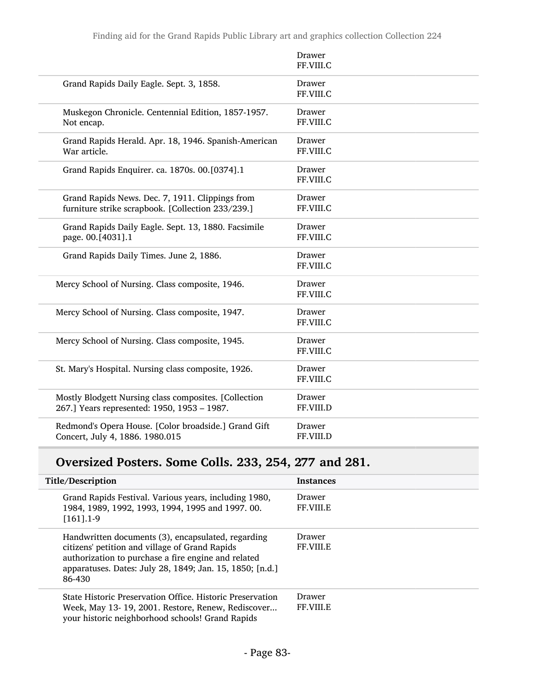|                                                                                                      | Drawer<br>FF.VIII.C |
|------------------------------------------------------------------------------------------------------|---------------------|
| Grand Rapids Daily Eagle. Sept. 3, 1858.                                                             | Drawer<br>FF.VIII.C |
| Muskegon Chronicle. Centennial Edition, 1857-1957.<br>Not encap.                                     | Drawer<br>FF.VIII.C |
| Grand Rapids Herald. Apr. 18, 1946. Spanish-American<br>War article.                                 | Drawer<br>FF.VIII.C |
| Grand Rapids Enquirer. ca. 1870s. 00.[0374].1                                                        | Drawer<br>FF.VIII.C |
| Grand Rapids News. Dec. 7, 1911. Clippings from<br>furniture strike scrapbook. [Collection 233/239.] | Drawer<br>FF.VIII.C |
| Grand Rapids Daily Eagle. Sept. 13, 1880. Facsimile<br>page. 00.[4031].1                             | Drawer<br>FF.VIII.C |
| Grand Rapids Daily Times. June 2, 1886.                                                              | Drawer<br>FF.VIII.C |
| Mercy School of Nursing. Class composite, 1946.                                                      | Drawer<br>FF.VIII.C |
| Mercy School of Nursing. Class composite, 1947.                                                      | Drawer<br>FF.VIII.C |
| Mercy School of Nursing. Class composite, 1945.                                                      | Drawer<br>FF.VIII.C |
| St. Mary's Hospital. Nursing class composite, 1926.                                                  | Drawer<br>FF.VIII.C |
| Mostly Blodgett Nursing class composites. [Collection<br>267.] Years represented: 1950, 1953 - 1987. | Drawer<br>FF.VIII.D |
| Redmond's Opera House. [Color broadside.] Grand Gift<br>Concert, July 4, 1886. 1980.015              | Drawer<br>FF.VIII.D |

# Oversized Posters. Some Colls. 233, 254, 277 and 281.

| Title/Description                                                                                                                                                                                                                 | <b>Instances</b>                  |
|-----------------------------------------------------------------------------------------------------------------------------------------------------------------------------------------------------------------------------------|-----------------------------------|
| Grand Rapids Festival. Various years, including 1980,<br>1984, 1989, 1992, 1993, 1994, 1995 and 1997. 00.<br>$[161]$ . 1-9                                                                                                        | <b>Drawer</b><br><b>FF.VIII.E</b> |
| Handwritten documents (3), encapsulated, regarding<br>citizens' petition and village of Grand Rapids<br>authorization to purchase a fire engine and related<br>apparatuses. Dates: July 28, 1849; Jan. 15, 1850; [n.d.]<br>86-430 | Drawer<br><b>FF.VIII.E</b>        |
| State Historic Preservation Office. Historic Preservation<br>Week, May 13-19, 2001. Restore, Renew, Rediscover<br>your historic neighborhood schools! Grand Rapids                                                                | <b>Drawer</b><br><b>FF VIII E</b> |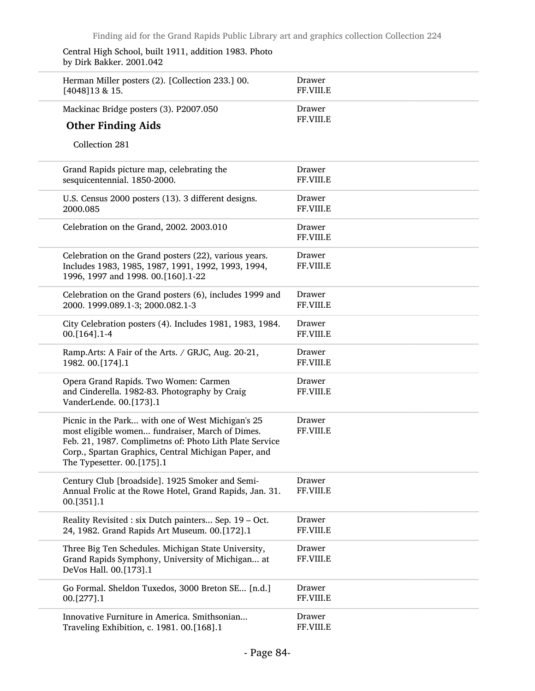| Central High School, built 1911, addition 1983. Photo |
|-------------------------------------------------------|
| by Dirk Bakker. 2001.042                              |

| Herman Miller posters (2). [Collection 233.] 00.<br>[4048] 13 & 15.                                                                                                                                                                                   | Drawer<br>FF.VIII.E |
|-------------------------------------------------------------------------------------------------------------------------------------------------------------------------------------------------------------------------------------------------------|---------------------|
| Mackinac Bridge posters (3). P2007.050                                                                                                                                                                                                                | Drawer              |
| <b>Other Finding Aids</b>                                                                                                                                                                                                                             | FF.VIII.E           |
| Collection 281                                                                                                                                                                                                                                        |                     |
| Grand Rapids picture map, celebrating the<br>sesquicentennial. 1850-2000.                                                                                                                                                                             | Drawer<br>FF.VIII.E |
| U.S. Census 2000 posters (13). 3 different designs.<br>2000.085                                                                                                                                                                                       | Drawer<br>FF.VIII.E |
| Celebration on the Grand, 2002. 2003.010                                                                                                                                                                                                              | Drawer<br>FF.VIII.E |
| Celebration on the Grand posters (22), various years.<br>Includes 1983, 1985, 1987, 1991, 1992, 1993, 1994,<br>1996, 1997 and 1998. 00.[160].1-22                                                                                                     | Drawer<br>FF.VIII.E |
| Celebration on the Grand posters (6), includes 1999 and<br>2000. 1999.089.1-3; 2000.082.1-3                                                                                                                                                           | Drawer<br>FF.VIII.E |
| City Celebration posters (4). Includes 1981, 1983, 1984.<br>00.[164].1-4                                                                                                                                                                              | Drawer<br>FF.VIII.E |
| Ramp.Arts: A Fair of the Arts. / GRJC, Aug. 20-21,<br>1982. 00.[174].1                                                                                                                                                                                | Drawer<br>FF.VIII.E |
| Opera Grand Rapids. Two Women: Carmen<br>and Cinderella. 1982-83. Photography by Craig<br>VanderLende. 00.[173].1                                                                                                                                     | Drawer<br>FF.VIII.E |
| Picnic in the Park with one of West Michigan's 25<br>most eligible women fundraiser, March of Dimes.<br>Feb. 21, 1987. Complimetns of: Photo Lith Plate Service<br>Corp., Spartan Graphics, Central Michigan Paper, and<br>The Typesetter. 00.[175].1 | Drawer<br>FF.VIII.E |
| Century Club [broadside]. 1925 Smoker and Semi-<br>Annual Frolic at the Rowe Hotel, Grand Rapids, Jan. 31.<br>00.[351].1                                                                                                                              | Drawer<br>FF.VIII.E |
| Reality Revisited : six Dutch painters Sep. 19 - Oct.<br>24, 1982. Grand Rapids Art Museum. 00.[172].1                                                                                                                                                | Drawer<br>FF.VIII.E |
| Three Big Ten Schedules. Michigan State University,<br>Grand Rapids Symphony, University of Michigan at<br>DeVos Hall. 00.[173].1                                                                                                                     | Drawer<br>FF.VIII.E |
| Go Formal. Sheldon Tuxedos, 3000 Breton SE [n.d.]<br>00.[277].1                                                                                                                                                                                       | Drawer<br>FF.VIII.E |
| Innovative Furniture in America. Smithsonian<br>Traveling Exhibition, c. 1981. 00.[168].1                                                                                                                                                             | Drawer<br>FF.VIII.E |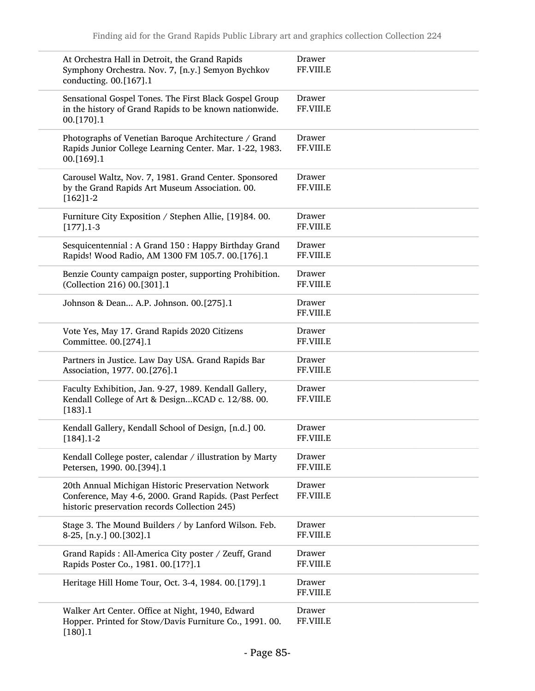| At Orchestra Hall in Detroit, the Grand Rapids<br>Symphony Orchestra. Nov. 7, [n.y.] Semyon Bychkov<br>conducting. 00.[167].1                                 | Drawer<br>FF.VIII.E |
|---------------------------------------------------------------------------------------------------------------------------------------------------------------|---------------------|
| Sensational Gospel Tones. The First Black Gospel Group<br>in the history of Grand Rapids to be known nationwide.<br>00.[170].1                                | Drawer<br>FF.VIII.E |
| Photographs of Venetian Baroque Architecture / Grand<br>Rapids Junior College Learning Center. Mar. 1-22, 1983.<br>00.[169].1                                 | Drawer<br>FF.VIII.E |
| Carousel Waltz, Nov. 7, 1981. Grand Center. Sponsored<br>by the Grand Rapids Art Museum Association. 00.<br>$[162]1-2$                                        | Drawer<br>FF.VIII.E |
| Furniture City Exposition / Stephen Allie, [19]84.00.                                                                                                         | Drawer              |
| $[177]$ .1-3                                                                                                                                                  | FF.VIII.E           |
| Sesquicentennial: A Grand 150: Happy Birthday Grand                                                                                                           | Drawer              |
| Rapids! Wood Radio, AM 1300 FM 105.7. 00.[176].1                                                                                                              | FF.VIII.E           |
| Benzie County campaign poster, supporting Prohibition.                                                                                                        | Drawer              |
| (Collection 216) 00.[301].1                                                                                                                                   | FF.VIII.E           |
| Johnson & Dean A.P. Johnson. 00.[275].1                                                                                                                       | Drawer<br>FF.VIII.E |
| Vote Yes, May 17. Grand Rapids 2020 Citizens                                                                                                                  | Drawer              |
| Committee. 00.[274].1                                                                                                                                         | FF.VIII.E           |
| Partners in Justice. Law Day USA. Grand Rapids Bar                                                                                                            | Drawer              |
| Association, 1977. 00.[276].1                                                                                                                                 | FF.VIII.E           |
| Faculty Exhibition, Jan. 9-27, 1989. Kendall Gallery,<br>Kendall College of Art & DesignKCAD c. 12/88.00.<br>[183] .1                                         | Drawer<br>FF.VIII.E |
| Kendall Gallery, Kendall School of Design, [n.d.] 00.                                                                                                         | Drawer              |
| $[184]$ .1-2                                                                                                                                                  | FF.VIII.E           |
| Kendall College poster, calendar / illustration by Marty                                                                                                      | Drawer              |
| Petersen, 1990. 00.[394].1                                                                                                                                    | FF.VIII.E           |
| 20th Annual Michigan Historic Preservation Network<br>Conference, May 4-6, 2000. Grand Rapids. (Past Perfect<br>historic preservation records Collection 245) | Drawer<br>FF.VIII.E |
| Stage 3. The Mound Builders / by Lanford Wilson. Feb.                                                                                                         | Drawer              |
| 8-25, [n.y.] 00.[302].1                                                                                                                                       | FF.VIII.E           |
| Grand Rapids : All-America City poster / Zeuff, Grand                                                                                                         | Drawer              |
| Rapids Poster Co., 1981. 00.[17?].1                                                                                                                           | FF.VIII.E           |
| Heritage Hill Home Tour, Oct. 3-4, 1984. 00.[179].1                                                                                                           | Drawer<br>FF.VIII.E |
| Walker Art Center. Office at Night, 1940, Edward<br>Hopper. Printed for Stow/Davis Furniture Co., 1991. 00.<br>[180].1                                        | Drawer<br>FF.VIII.E |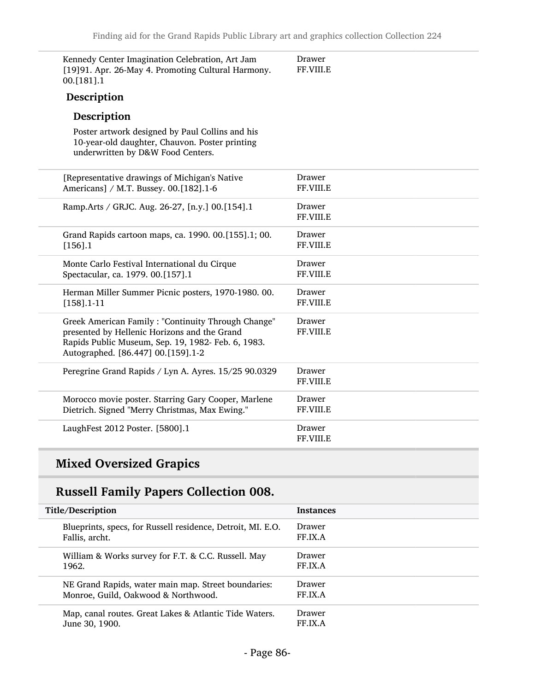| Kennedy Center Imagination Celebration, Art Jam<br>[19]91. Apr. 26-May 4. Promoting Cultural Harmony.<br>00.[181].1                                                                            | Drawer<br>FF.VIII.E |
|------------------------------------------------------------------------------------------------------------------------------------------------------------------------------------------------|---------------------|
| Description                                                                                                                                                                                    |                     |
| Description                                                                                                                                                                                    |                     |
| Poster artwork designed by Paul Collins and his<br>10-year-old daughter, Chauvon. Poster printing<br>underwritten by D&W Food Centers.                                                         |                     |
| [Representative drawings of Michigan's Native<br>Americans] / M.T. Bussey. 00.[182].1-6                                                                                                        | Drawer<br>FF.VIII.E |
| Ramp.Arts / GRJC. Aug. 26-27, [n.y.] 00.[154].1                                                                                                                                                | Drawer<br>FF.VIII.E |
| Grand Rapids cartoon maps, ca. 1990. 00.[155].1; 00.<br>$[156]$ .1                                                                                                                             | Drawer<br>FF.VIII.E |
| Monte Carlo Festival International du Cirque<br>Spectacular, ca. 1979. 00.[157].1                                                                                                              | Drawer<br>FF.VIII.E |
| Herman Miller Summer Picnic posters, 1970-1980. 00.<br>$[158]$ .1-11                                                                                                                           | Drawer<br>FF.VIII.E |
| Greek American Family: "Continuity Through Change"<br>presented by Hellenic Horizons and the Grand<br>Rapids Public Museum, Sep. 19, 1982- Feb. 6, 1983.<br>Autographed. [86.447] 00.[159].1-2 | Drawer<br>FF.VIII.E |
| Peregrine Grand Rapids / Lyn A. Ayres. 15/25 90.0329                                                                                                                                           | Drawer<br>FF.VIII.E |
| Morocco movie poster. Starring Gary Cooper, Marlene<br>Dietrich. Signed "Merry Christmas, Max Ewing."                                                                                          | Drawer<br>FF.VIII.E |
| LaughFest 2012 Poster. [5800].1                                                                                                                                                                | Drawer<br>FF.VIII.E |

## Mixed Oversized Grapics

## Russell Family Papers Collection 008.

| Title/Description                                           | <b>Instances</b> |
|-------------------------------------------------------------|------------------|
| Blueprints, specs, for Russell residence, Detroit, MI. E.O. | Drawer           |
| Fallis, archt.                                              | FF.IX.A          |
| William & Works survey for F.T. & C.C. Russell. May         | Drawer           |
| 1962.                                                       | FF.IX.A          |
| NE Grand Rapids, water main map. Street boundaries:         | Drawer           |
| Monroe, Guild, Oakwood & Northwood.                         | FF.IX.A          |
| Map, canal routes. Great Lakes & Atlantic Tide Waters.      | Drawer           |
| June 30, 1900.                                              | FF.IX.A          |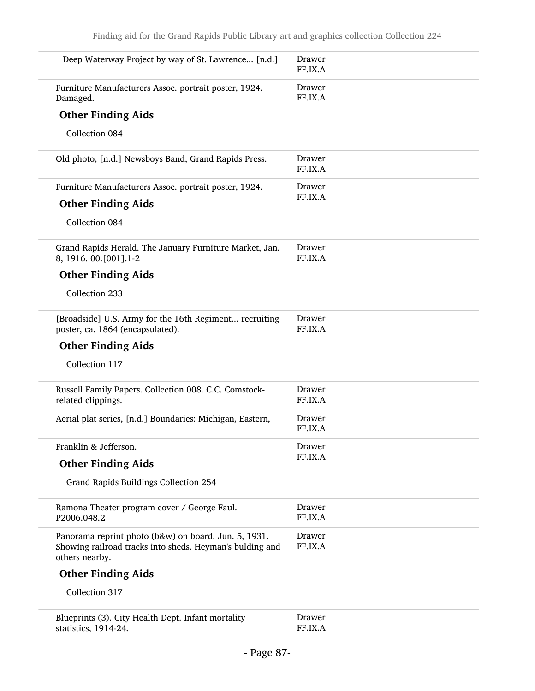| Deep Waterway Project by way of St. Lawrence [n.d.]                                                                                | Drawer<br>FF.IX.A |
|------------------------------------------------------------------------------------------------------------------------------------|-------------------|
| Furniture Manufacturers Assoc. portrait poster, 1924.<br>Damaged.                                                                  | Drawer<br>FF.IX.A |
| <b>Other Finding Aids</b>                                                                                                          |                   |
| Collection 084                                                                                                                     |                   |
| Old photo, [n.d.] Newsboys Band, Grand Rapids Press.                                                                               | Drawer<br>FF.IX.A |
| Furniture Manufacturers Assoc. portrait poster, 1924.                                                                              | Drawer            |
| <b>Other Finding Aids</b>                                                                                                          | FF.IX.A           |
| Collection 084                                                                                                                     |                   |
| Grand Rapids Herald. The January Furniture Market, Jan.<br>8, 1916. 00. [001]. 1-2                                                 | Drawer<br>FF.IX.A |
| <b>Other Finding Aids</b>                                                                                                          |                   |
| Collection 233                                                                                                                     |                   |
| [Broadside] U.S. Army for the 16th Regiment recruiting<br>poster, ca. 1864 (encapsulated).                                         | Drawer<br>FF.IX.A |
| <b>Other Finding Aids</b>                                                                                                          |                   |
| Collection 117                                                                                                                     |                   |
| Russell Family Papers. Collection 008. C.C. Comstock-<br>related clippings.                                                        | Drawer<br>FF.IX.A |
| Aerial plat series, [n.d.] Boundaries: Michigan, Eastern,                                                                          | Drawer<br>FF.IX.A |
| Franklin & Jefferson.                                                                                                              | Drawer            |
| <b>Other Finding Aids</b>                                                                                                          | FF.IX.A           |
| Grand Rapids Buildings Collection 254                                                                                              |                   |
| Ramona Theater program cover / George Faul.<br>P2006.048.2                                                                         | Drawer<br>FF.IX.A |
| Panorama reprint photo (b&w) on board. Jun. 5, 1931.<br>Showing railroad tracks into sheds. Heyman's bulding and<br>others nearby. | Drawer<br>FF.IX.A |
| <b>Other Finding Aids</b>                                                                                                          |                   |
| Collection 317                                                                                                                     |                   |
| Blueprints (3). City Health Dept. Infant mortality<br>statistics, 1914-24.                                                         | Drawer<br>FF.IX.A |

FF.IX.A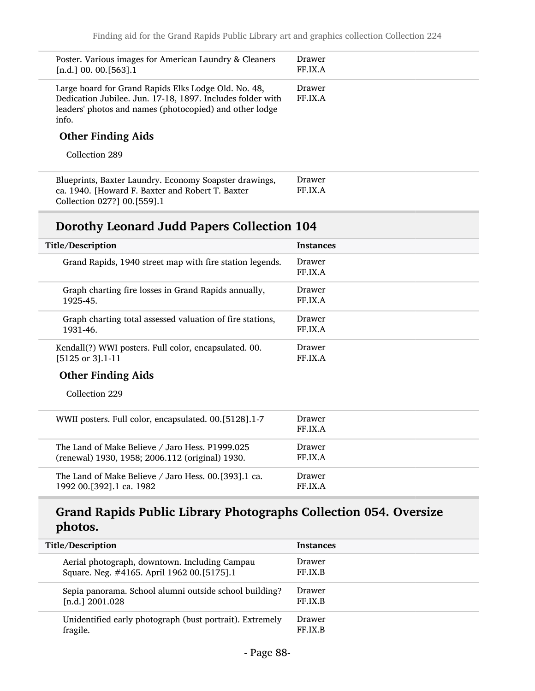| Poster. Various images for American Laundry & Cleaners<br>[n.d.] 00. 00. [563].1                                                                                                       | Drawer<br>FF.IX.A |
|----------------------------------------------------------------------------------------------------------------------------------------------------------------------------------------|-------------------|
| Large board for Grand Rapids Elks Lodge Old. No. 48,<br>Dedication Jubilee. Jun. 17-18, 1897. Includes folder with<br>leaders' photos and names (photocopied) and other lodge<br>info. | Drawer<br>FF.IX.A |
| <b>Other Finding Aids</b>                                                                                                                                                              |                   |
| Collection 289                                                                                                                                                                         |                   |
| Blueprints, Baxter Laundry. Economy Soapster drawings,<br>ca. 1940. [Howard F. Baxter and Robert T. Baxter<br>Collection 027?] 00.[559].1                                              | Drawer<br>FF.IX.A |
| Dorothy Leonard Judd Papers Collection 104                                                                                                                                             |                   |
| Title/Description                                                                                                                                                                      | Instances         |
| Grand Rapids, 1940 street map with fire station legends.                                                                                                                               | Drawer<br>FF.IX.A |
| Graph charting fire losses in Grand Rapids annually,<br>1925-45.                                                                                                                       | Drawer<br>FF.IX.A |
| Graph charting total assessed valuation of fire stations,<br>1931-46.                                                                                                                  | Drawer<br>FF.IX.A |
| Kendall(?) WWI posters. Full color, encapsulated. 00.<br>[5125 or 3].1-11                                                                                                              | Drawer<br>FF.IX.A |
| <b>Other Finding Aids</b>                                                                                                                                                              |                   |
| Collection 229                                                                                                                                                                         |                   |
| WWII posters. Full color, encapsulated. 00.[5128].1-7                                                                                                                                  | Drawer<br>FF.IX.A |
| The Land of Make Believe / Jaro Hess. P1999.025<br>(renewal) 1930, 1958; 2006.112 (original) 1930.                                                                                     | Drawer<br>FF.IX.A |
| The Land of Make Believe / Jaro Hess. 00.[393].1 ca.                                                                                                                                   |                   |

### Grand Rapids Public Library Photographs Collection 054. Oversize photos.

| Title/Description                                        | <b>Instances</b> |
|----------------------------------------------------------|------------------|
| Aerial photograph, downtown. Including Campau            | Drawer           |
| Square. Neg. #4165. April 1962 00.[5175].1               | FF.IX.B          |
| Sepia panorama. School alumni outside school building?   | Drawer           |
| $[n.d.]$ 2001.028                                        | FF.IX.B          |
| Unidentified early photograph (bust portrait). Extremely | Drawer           |
| fragile.                                                 | FF.IX.B          |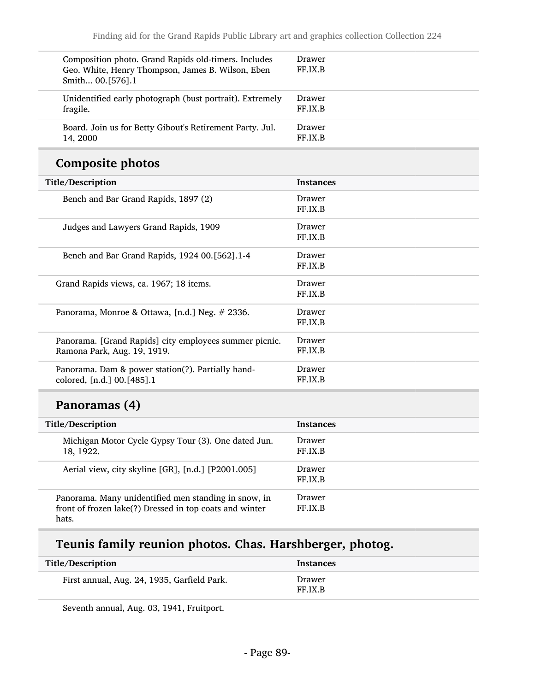| Composition photo. Grand Rapids old-timers. Includes<br>Geo. White, Henry Thompson, James B. Wilson, Eben<br>Smith 00.[576].1 | Drawer<br>FF.IX.B |
|-------------------------------------------------------------------------------------------------------------------------------|-------------------|
| Unidentified early photograph (bust portrait). Extremely<br>fragile.                                                          | Drawer<br>FF.IX.B |
| Board. Join us for Betty Gibout's Retirement Party. Jul.<br>14, 2000                                                          | Drawer<br>FF IX B |

### Composite photos

| Title/Description                                      | <b>Instances</b> |
|--------------------------------------------------------|------------------|
| Bench and Bar Grand Rapids, 1897 (2)                   | Drawer           |
|                                                        | FF.IX.B          |
| Judges and Lawyers Grand Rapids, 1909                  | Drawer           |
|                                                        | FF.IX.B          |
| Bench and Bar Grand Rapids, 1924 00.[562].1-4          | Drawer           |
|                                                        | FF.IX.B          |
| Grand Rapids views, ca. 1967; 18 items.                | Drawer           |
|                                                        | FF.IX.B          |
| Panorama, Monroe & Ottawa, [n.d.] Neg. # 2336.         | Drawer           |
|                                                        | FF.IX.B          |
| Panorama. [Grand Rapids] city employees summer picnic. | Drawer           |
| Ramona Park, Aug. 19, 1919.                            | FF.IX.B          |
| Panorama. Dam & power station(?). Partially hand-      | Drawer           |
| colored, [n.d.] 00.[485].1                             | FF.IX.B          |
|                                                        |                  |

## Panoramas (4)

| Title/Description                                                                                                        | <b>Instances</b>         |
|--------------------------------------------------------------------------------------------------------------------------|--------------------------|
| Michigan Motor Cycle Gypsy Tour (3). One dated Jun.<br>18, 1922.                                                         | Drawer<br>FF.IX.B        |
| Aerial view, city skyline [GR], [n.d.] [P2001.005]                                                                       | Drawer<br>FF.IX.B        |
| Panorama. Many unidentified men standing in snow, in<br>front of frozen lake(?) Dressed in top coats and winter<br>hats. | <b>Drawer</b><br>FF.IX.B |

# Teunis family reunion photos. Chas. Harshberger, photog.

| Title/Description                           | <b>Instances</b>  |
|---------------------------------------------|-------------------|
| First annual, Aug. 24, 1935, Garfield Park. | Drawer<br>FF.IX.B |

Seventh annual, Aug. 03, 1941, Fruitport.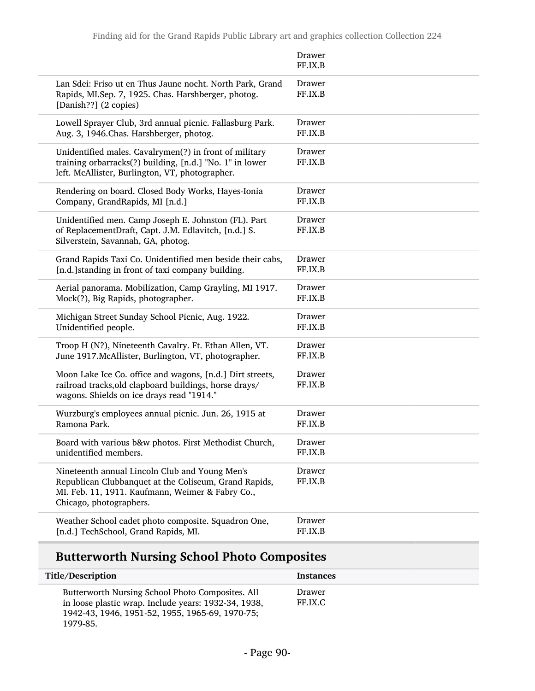|                                                                                                                                                                                        | Drawer<br>FF.IX.B |
|----------------------------------------------------------------------------------------------------------------------------------------------------------------------------------------|-------------------|
| Lan Sdei: Friso ut en Thus Jaune nocht. North Park, Grand<br>Rapids, MI.Sep. 7, 1925. Chas. Harshberger, photog.<br>[Danish??] (2 copies)                                              | Drawer<br>FF.IX.B |
| Lowell Sprayer Club, 3rd annual picnic. Fallasburg Park.                                                                                                                               | Drawer            |
| Aug. 3, 1946. Chas. Harshberger, photog.                                                                                                                                               | FF.IX.B           |
| Unidentified males. Cavalrymen(?) in front of military<br>training orbarracks(?) building, [n.d.] "No. 1" in lower<br>left. McAllister, Burlington, VT, photographer.                  | Drawer<br>FF.IX.B |
| Rendering on board. Closed Body Works, Hayes-Ionia                                                                                                                                     | Drawer            |
| Company, GrandRapids, MI [n.d.]                                                                                                                                                        | FF.IX.B           |
| Unidentified men. Camp Joseph E. Johnston (FL). Part<br>of ReplacementDraft, Capt. J.M. Edlavitch, [n.d.] S.<br>Silverstein, Savannah, GA, photog.                                     | Drawer<br>FF.IX.B |
| Grand Rapids Taxi Co. Unidentified men beside their cabs,                                                                                                                              | Drawer            |
| [n.d.] standing in front of taxi company building.                                                                                                                                     | FF.IX.B           |
| Aerial panorama. Mobilization, Camp Grayling, MI 1917.                                                                                                                                 | Drawer            |
| Mock(?), Big Rapids, photographer.                                                                                                                                                     | FF.IX.B           |
| Michigan Street Sunday School Picnic, Aug. 1922.                                                                                                                                       | Drawer            |
| Unidentified people.                                                                                                                                                                   | FF.IX.B           |
| Troop H (N?), Nineteenth Cavalry. Ft. Ethan Allen, VT.                                                                                                                                 | Drawer            |
| June 1917. McAllister, Burlington, VT, photographer.                                                                                                                                   | FF.IX.B           |
| Moon Lake Ice Co. office and wagons, [n.d.] Dirt streets,<br>railroad tracks, old clapboard buildings, horse drays/<br>wagons. Shields on ice drays read "1914."                       | Drawer<br>FF.IX.B |
| Wurzburg's employees annual picnic. Jun. 26, 1915 at                                                                                                                                   | Drawer            |
| Ramona Park.                                                                                                                                                                           | FF.IX.B           |
| Board with various b&w photos. First Methodist Church,                                                                                                                                 | Drawer            |
| unidentified members.                                                                                                                                                                  | FF.IX.B           |
| Nineteenth annual Lincoln Club and Young Men's<br>Republican Clubbanquet at the Coliseum, Grand Rapids,<br>MI. Feb. 11, 1911. Kaufmann, Weimer & Fabry Co.,<br>Chicago, photographers. | Drawer<br>FF.IX.B |
| Weather School cadet photo composite. Squadron One,                                                                                                                                    | Drawer            |
| [n.d.] TechSchool, Grand Rapids, MI.                                                                                                                                                   | FF.IX.B           |

## Butterworth Nursing School Photo Composites

L

| Title/Description                                                                                                                                                       | <b>Instances</b>  |
|-------------------------------------------------------------------------------------------------------------------------------------------------------------------------|-------------------|
| Butterworth Nursing School Photo Composites. All<br>in loose plastic wrap. Include years: 1932-34, 1938,<br>1942-43, 1946, 1951-52, 1955, 1965-69, 1970-75;<br>1979-85. | Drawer<br>FF.IX.C |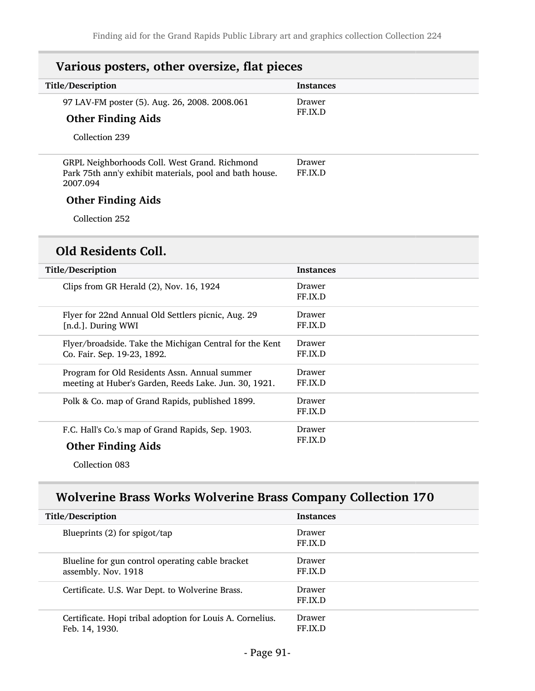| Various posters, other oversize, flat pieces |  |
|----------------------------------------------|--|
| <b>Instances</b>                             |  |
| Drawer                                       |  |
| FF.IX.D                                      |  |
|                                              |  |
| Drawer<br>FF.IX.D                            |  |
|                                              |  |
|                                              |  |
|                                              |  |
|                                              |  |

| Title/Description                                       | <b>Instances</b>  |
|---------------------------------------------------------|-------------------|
| Clips from GR Herald (2), Nov. 16, 1924                 | Drawer<br>FF.IX.D |
| Flyer for 22nd Annual Old Settlers picnic, Aug. 29      | Drawer            |
| [n.d.]. During WWI                                      | FF.IX.D           |
| Flyer/broadside. Take the Michigan Central for the Kent | Drawer            |
| Co. Fair. Sep. 19-23, 1892.                             | FF.IX.D           |
| Program for Old Residents Assn. Annual summer           | Drawer            |
| meeting at Huber's Garden, Reeds Lake. Jun. 30, 1921.   | FF.IX.D           |
| Polk & Co. map of Grand Rapids, published 1899.         | Drawer<br>FF.IX.D |
| F.C. Hall's Co.'s map of Grand Rapids, Sep. 1903.       | Drawer            |
| <b>Other Finding Aids</b>                               | FF.IX.D           |

Collection 083

## Wolverine Brass Works Wolverine Brass Company Collection 170

| Title/Description                                                           | <b>Instances</b>  |
|-----------------------------------------------------------------------------|-------------------|
| Blueprints $(2)$ for spigot/tap                                             | Drawer<br>FF.IX.D |
| Blueline for gun control operating cable bracket<br>assembly. Nov. 1918     | Drawer<br>FF.IX.D |
| Certificate. U.S. War Dept. to Wolverine Brass.                             | Drawer<br>FF.IX.D |
| Certificate. Hopi tribal adoption for Louis A. Cornelius.<br>Feb. 14, 1930. | Drawer<br>FF IX D |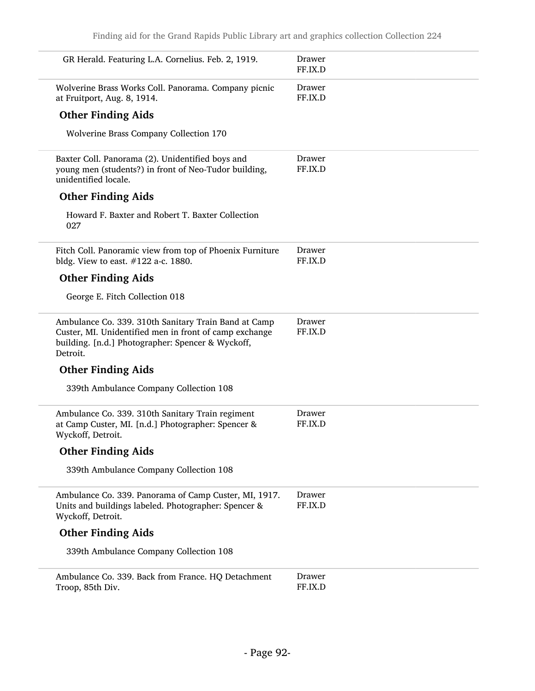| GR Herald. Featuring L.A. Cornelius. Feb. 2, 1919.                                                                                                                              | Drawer<br>FF.IX.D |
|---------------------------------------------------------------------------------------------------------------------------------------------------------------------------------|-------------------|
| Wolverine Brass Works Coll. Panorama. Company picnic<br>at Fruitport, Aug. 8, 1914.                                                                                             | Drawer<br>FF.IX.D |
| <b>Other Finding Aids</b>                                                                                                                                                       |                   |
| Wolverine Brass Company Collection 170                                                                                                                                          |                   |
| Baxter Coll. Panorama (2). Unidentified boys and<br>young men (students?) in front of Neo-Tudor building,<br>unidentified locale.                                               | Drawer<br>FF.IX.D |
| <b>Other Finding Aids</b>                                                                                                                                                       |                   |
| Howard F. Baxter and Robert T. Baxter Collection<br>027                                                                                                                         |                   |
| Fitch Coll. Panoramic view from top of Phoenix Furniture<br>bldg. View to east. $#122$ a-c. 1880.                                                                               | Drawer<br>FF.IX.D |
| <b>Other Finding Aids</b>                                                                                                                                                       |                   |
| George E. Fitch Collection 018                                                                                                                                                  |                   |
| Ambulance Co. 339. 310th Sanitary Train Band at Camp<br>Custer, MI. Unidentified men in front of camp exchange<br>building. [n.d.] Photographer: Spencer & Wyckoff,<br>Detroit. | Drawer<br>FF.IX.D |
| <b>Other Finding Aids</b>                                                                                                                                                       |                   |
| 339th Ambulance Company Collection 108                                                                                                                                          |                   |
| Ambulance Co. 339. 310th Sanitary Train regiment<br>at Camp Custer, MI. [n.d.] Photographer: Spencer &<br>Wyckoff, Detroit.                                                     | Drawer<br>FF.IX.D |
| <b>Other Finding Aids</b>                                                                                                                                                       |                   |
| 339th Ambulance Company Collection 108                                                                                                                                          |                   |
| Ambulance Co. 339. Panorama of Camp Custer, MI, 1917.<br>Units and buildings labeled. Photographer: Spencer &<br>Wyckoff, Detroit.                                              | Drawer<br>FF.IX.D |
| <b>Other Finding Aids</b>                                                                                                                                                       |                   |
| 339th Ambulance Company Collection 108                                                                                                                                          |                   |
| Ambulance Co. 339. Back from France. HQ Detachment<br>Troop, 85th Div.                                                                                                          | Drawer<br>FF.IX.D |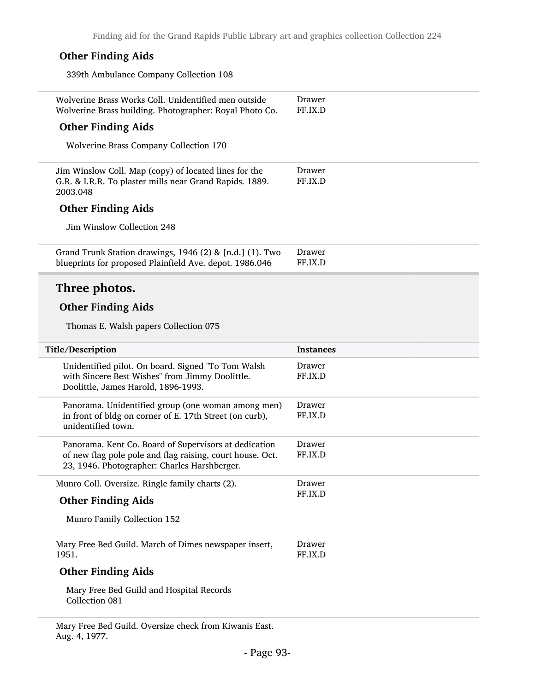| <b>Other Finding Aids</b>                                                                                                                                          |                   |
|--------------------------------------------------------------------------------------------------------------------------------------------------------------------|-------------------|
| 339th Ambulance Company Collection 108                                                                                                                             |                   |
| Wolverine Brass Works Coll. Unidentified men outside<br>Wolverine Brass building. Photographer: Royal Photo Co.                                                    | Drawer<br>FF.IX.D |
| <b>Other Finding Aids</b>                                                                                                                                          |                   |
| Wolverine Brass Company Collection 170                                                                                                                             |                   |
| Jim Winslow Coll. Map (copy) of located lines for the<br>G.R. & I.R.R. To plaster mills near Grand Rapids. 1889.<br>2003.048                                       | Drawer<br>FF.IX.D |
| <b>Other Finding Aids</b>                                                                                                                                          |                   |
| Jim Winslow Collection 248                                                                                                                                         |                   |
| Grand Trunk Station drawings, 1946 (2) & [n.d.] (1). Two<br>blueprints for proposed Plainfield Ave. depot. 1986.046                                                | Drawer<br>FF.IX.D |
| Three photos.                                                                                                                                                      |                   |
| <b>Other Finding Aids</b>                                                                                                                                          |                   |
|                                                                                                                                                                    |                   |
| Thomas E. Walsh papers Collection 075                                                                                                                              |                   |
| Title/Description                                                                                                                                                  | <b>Instances</b>  |
| Unidentified pilot. On board. Signed "To Tom Walsh<br>with Sincere Best Wishes" from Jimmy Doolittle.<br>Doolittle, James Harold, 1896-1993.                       | Drawer<br>FF.IX.D |
| Panorama. Unidentified group (one woman among men)<br>in front of bldg on corner of E. 17th Street (on curb),<br>unidentified town.                                | Drawer<br>FF.IX.D |
| Panorama. Kent Co. Board of Supervisors at dedication<br>of new flag pole pole and flag raising, court house. Oct.<br>23, 1946. Photographer: Charles Harshberger. | Drawer<br>FF.IX.D |
| Munro Coll. Oversize. Ringle family charts (2).                                                                                                                    | Drawer            |
| <b>Other Finding Aids</b>                                                                                                                                          | FF.IX.D           |
| Munro Family Collection 152                                                                                                                                        |                   |
| Mary Free Bed Guild. March of Dimes newspaper insert,<br>1951.                                                                                                     | Drawer<br>FF.IX.D |
| <b>Other Finding Aids</b>                                                                                                                                          |                   |

Mary Free Bed Guild. Oversize check from Kiwanis East. Aug. 4, 1977.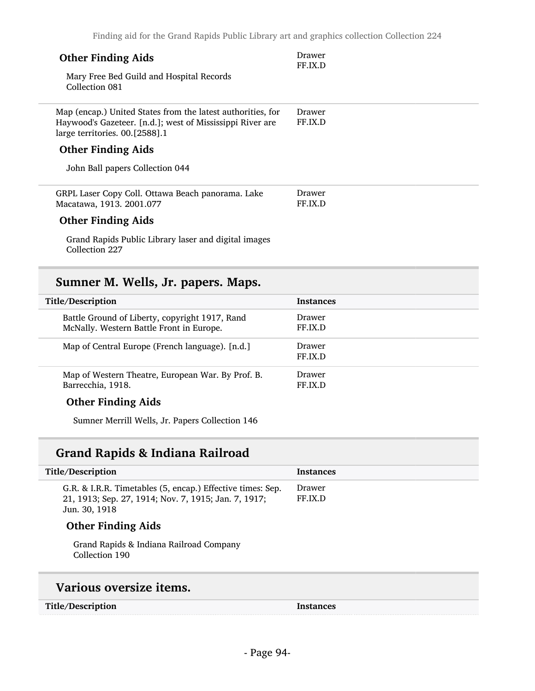| Finding aid for the Grand Rapids Public Library art and graphics collection Collection 224  |                   |
|---------------------------------------------------------------------------------------------|-------------------|
| <b>Other Finding Aids</b>                                                                   | Drawer<br>FF.IX.D |
| Mary Free Bed Guild and Hospital Records<br>Collection 081                                  |                   |
| Map (encap.) United States from the latest authorities, for                                 | Drawer            |
| Haywood's Gazeteer. [n.d.]; west of Mississippi River are<br>large territories. 00.[2588].1 | FF.IX.D           |
| <b>Other Finding Aids</b>                                                                   |                   |
| John Ball papers Collection 044                                                             |                   |
| GRPL Laser Copy Coll. Ottawa Beach panorama. Lake<br>Macatawa, 1913. 2001.077               | Drawer<br>FF.IX.D |
|                                                                                             |                   |
| <b>Other Finding Aids</b>                                                                   |                   |
| Grand Rapids Public Library laser and digital images<br>Collection 227                      |                   |

## Sumner M. Wells, Jr. papers. Maps.

| <b>Instances</b>  |
|-------------------|
| Drawer<br>FF.IX.D |
| Drawer<br>FF.IX.D |
| Drawer<br>FF.IX.D |
|                   |

#### Other Finding Aids

Sumner Merrill Wells, Jr. Papers Collection 146

## Grand Rapids & Indiana Railroad

| Title/Description                                                                                                                   | <b>Instances</b>  |
|-------------------------------------------------------------------------------------------------------------------------------------|-------------------|
| G.R. & I.R.R. Timetables (5, encap.) Effective times: Sep.<br>21, 1913; Sep. 27, 1914; Nov. 7, 1915; Jan. 7, 1917;<br>Jun. 30, 1918 | Drawer<br>FF.IX.D |
| <b>Other Finding Aids</b>                                                                                                           |                   |
| Grand Rapids & Indiana Railroad Company<br>Collection 190                                                                           |                   |
| Various oversize items.                                                                                                             |                   |

#### Title/Description Instances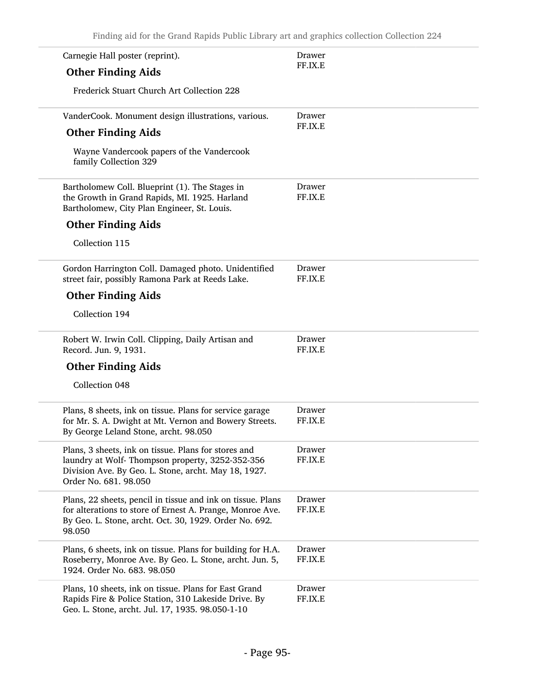| Carnegie Hall poster (reprint).                                                                                                                                                              | Drawer            |
|----------------------------------------------------------------------------------------------------------------------------------------------------------------------------------------------|-------------------|
| <b>Other Finding Aids</b>                                                                                                                                                                    | FF.IX.E           |
| Frederick Stuart Church Art Collection 228                                                                                                                                                   |                   |
| VanderCook. Monument design illustrations, various.                                                                                                                                          | Drawer            |
| <b>Other Finding Aids</b>                                                                                                                                                                    | FF.IX.E           |
| Wayne Vandercook papers of the Vandercook<br>family Collection 329                                                                                                                           |                   |
| Bartholomew Coll. Blueprint (1). The Stages in<br>the Growth in Grand Rapids, MI. 1925. Harland<br>Bartholomew, City Plan Engineer, St. Louis.                                               | Drawer<br>FF.IX.E |
| <b>Other Finding Aids</b>                                                                                                                                                                    |                   |
| Collection 115                                                                                                                                                                               |                   |
| Gordon Harrington Coll. Damaged photo. Unidentified<br>street fair, possibly Ramona Park at Reeds Lake.                                                                                      | Drawer<br>FF.IX.E |
| <b>Other Finding Aids</b>                                                                                                                                                                    |                   |
| Collection 194                                                                                                                                                                               |                   |
| Robert W. Irwin Coll. Clipping, Daily Artisan and<br>Record. Jun. 9, 1931.                                                                                                                   | Drawer<br>FF.IX.E |
| <b>Other Finding Aids</b>                                                                                                                                                                    |                   |
| Collection 048                                                                                                                                                                               |                   |
| Plans, 8 sheets, ink on tissue. Plans for service garage<br>for Mr. S. A. Dwight at Mt. Vernon and Bowery Streets.<br>By George Leland Stone, archt. 98.050                                  | Drawer<br>FF.IX.E |
| Plans, 3 sheets, ink on tissue. Plans for stores and<br>laundry at Wolf-Thompson property, 3252-352-356<br>Division Ave. By Geo. L. Stone, archt. May 18, 1927.<br>Order No. 681. 98.050     | Drawer<br>FF.IX.E |
| Plans, 22 sheets, pencil in tissue and ink on tissue. Plans<br>for alterations to store of Ernest A. Prange, Monroe Ave.<br>By Geo. L. Stone, archt. Oct. 30, 1929. Order No. 692.<br>98.050 | Drawer<br>FF.IX.E |
| Plans, 6 sheets, ink on tissue. Plans for building for H.A.<br>Roseberry, Monroe Ave. By Geo. L. Stone, archt. Jun. 5,<br>1924. Order No. 683. 98.050                                        | Drawer<br>FF.IX.E |
| Plans, 10 sheets, ink on tissue. Plans for East Grand<br>Rapids Fire & Police Station, 310 Lakeside Drive. By<br>Geo. L. Stone, archt. Jul. 17, 1935. 98.050-1-10                            | Drawer<br>FF.IX.E |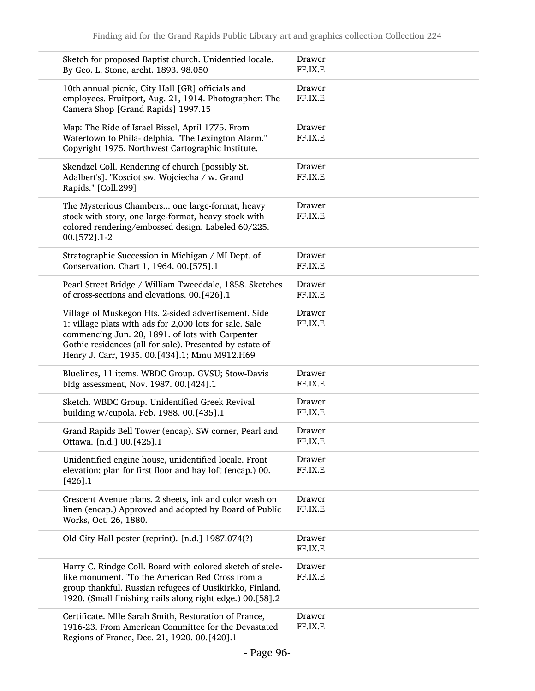| Sketch for proposed Baptist church. Unidentied locale.<br>By Geo. L. Stone, archt. 1893. 98.050                                                                                                                                                                                  | Drawer<br>FF.IX.E |
|----------------------------------------------------------------------------------------------------------------------------------------------------------------------------------------------------------------------------------------------------------------------------------|-------------------|
| 10th annual picnic, City Hall [GR] officials and<br>employees. Fruitport, Aug. 21, 1914. Photographer: The<br>Camera Shop [Grand Rapids] 1997.15                                                                                                                                 | Drawer<br>FF.IX.E |
| Map: The Ride of Israel Bissel, April 1775. From<br>Watertown to Phila- delphia. "The Lexington Alarm."<br>Copyright 1975, Northwest Cartographic Institute.                                                                                                                     | Drawer<br>FF.IX.E |
| Skendzel Coll. Rendering of church [possibly St.<br>Adalbert's]. "Kosciot sw. Wojciecha / w. Grand<br>Rapids." [Coll.299]                                                                                                                                                        | Drawer<br>FF.IX.E |
| The Mysterious Chambers one large-format, heavy<br>stock with story, one large-format, heavy stock with<br>colored rendering/embossed design. Labeled 60/225.<br>00.[572].1-2                                                                                                    | Drawer<br>FF.IX.E |
| Stratographic Succession in Michigan / MI Dept. of<br>Conservation. Chart 1, 1964. 00.[575].1                                                                                                                                                                                    | Drawer<br>FF.IX.E |
| Pearl Street Bridge / William Tweeddale, 1858. Sketches<br>of cross-sections and elevations. 00.[426].1                                                                                                                                                                          | Drawer<br>FF.IX.E |
| Village of Muskegon Hts. 2-sided advertisement. Side<br>1: village plats with ads for 2,000 lots for sale. Sale<br>commencing Jun. 20, 1891. of lots with Carpenter<br>Gothic residences (all for sale). Presented by estate of<br>Henry J. Carr, 1935. 00.[434].1; Mmu M912.H69 | Drawer<br>FF.IX.E |
| Bluelines, 11 items. WBDC Group. GVSU; Stow-Davis<br>bldg assessment, Nov. 1987. 00.[424].1                                                                                                                                                                                      | Drawer<br>FF.IX.E |
| Sketch. WBDC Group. Unidentified Greek Revival<br>building w/cupola. Feb. 1988. 00.[435].1                                                                                                                                                                                       | Drawer<br>FF.IX.E |
| Grand Rapids Bell Tower (encap). SW corner, Pearl and<br>Ottawa. [n.d.] 00.[425].1                                                                                                                                                                                               | Drawer<br>FF.IX.E |
| Unidentified engine house, unidentified locale. Front<br>elevation; plan for first floor and hay loft (encap.) 00.<br>$[426]$ .1                                                                                                                                                 | Drawer<br>FF.IX.E |
| Crescent Avenue plans. 2 sheets, ink and color wash on<br>linen (encap.) Approved and adopted by Board of Public<br>Works, Oct. 26, 1880.                                                                                                                                        | Drawer<br>FF.IX.E |
| Old City Hall poster (reprint). [n.d.] 1987.074(?)                                                                                                                                                                                                                               | Drawer<br>FF.IX.E |
| Harry C. Rindge Coll. Board with colored sketch of stele-<br>like monument. "To the American Red Cross from a<br>group thankful. Russian refugees of Uusikirkko, Finland.<br>1920. (Small finishing nails along right edge.) 00.[58].2                                           | Drawer<br>FF.IX.E |
| Certificate. Mlle Sarah Smith, Restoration of France,<br>1916-23. From American Committee for the Devastated<br>Regions of France, Dec. 21, 1920. 00.[420].1                                                                                                                     | Drawer<br>FF.IX.E |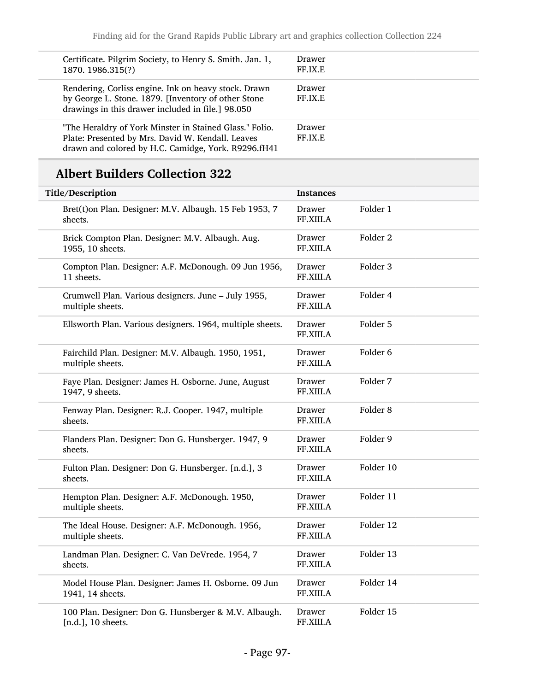| Certificate. Pilgrim Society, to Henry S. Smith. Jan. 1,<br>1870. 1986.315(?)                                                                                       | Drawer<br>FF.IX.E        |
|---------------------------------------------------------------------------------------------------------------------------------------------------------------------|--------------------------|
| Rendering, Corliss engine. Ink on heavy stock. Drawn<br>by George L. Stone. 1879. [Inventory of other Stone<br>drawings in this drawer included in file.] 98.050    | Drawer<br>FF.IX.E        |
| "The Heraldry of York Minster in Stained Glass." Folio.<br>Plate: Presented by Mrs. David W. Kendall. Leaves<br>drawn and colored by H.C. Camidge, York. R9296.fH41 | <b>Drawer</b><br>FF.IX.E |

## Albert Builders Collection 322

| Title/Description                                                           | <b>Instances</b>           |                     |
|-----------------------------------------------------------------------------|----------------------------|---------------------|
| Bret(t) on Plan. Designer: M.V. Albaugh. 15 Feb 1953, 7<br>sheets.          | Drawer<br>FF.XIII.A        | Folder 1            |
| Brick Compton Plan. Designer: M.V. Albaugh. Aug.<br>1955, 10 sheets.        | Drawer<br>FF.XIII.A        | Folder <sub>2</sub> |
| Compton Plan. Designer: A.F. McDonough. 09 Jun 1956,<br>11 sheets.          | Drawer<br>FF.XIII.A        | Folder 3            |
| Crumwell Plan. Various designers. June - July 1955,<br>multiple sheets.     | Drawer<br>FF.XIII.A        | Folder 4            |
| Ellsworth Plan. Various designers. 1964, multiple sheets.                   | Drawer<br>FF.XIII.A        | Folder 5            |
| Fairchild Plan. Designer: M.V. Albaugh. 1950, 1951,<br>multiple sheets.     | Drawer<br>FF.XIII.A        | Folder 6            |
| Faye Plan. Designer: James H. Osborne. June, August<br>1947, 9 sheets.      | Drawer<br><b>FF.XIII.A</b> | Folder 7            |
| Fenway Plan. Designer: R.J. Cooper. 1947, multiple<br>sheets.               | Drawer<br>FF.XIII.A        | Folder <sub>8</sub> |
| Flanders Plan. Designer: Don G. Hunsberger. 1947, 9<br>sheets.              | Drawer<br>FF.XIII.A        | Folder 9            |
| Fulton Plan. Designer: Don G. Hunsberger. [n.d.], 3<br>sheets.              | Drawer<br>FF.XIII.A        | Folder 10           |
| Hempton Plan. Designer: A.F. McDonough. 1950,<br>multiple sheets.           | Drawer<br>FF.XIII.A        | Folder 11           |
| The Ideal House. Designer: A.F. McDonough. 1956,<br>multiple sheets.        | Drawer<br>FF.XIII.A        | Folder 12           |
| Landman Plan. Designer: C. Van DeVrede. 1954, 7<br>sheets.                  | Drawer<br>FF.XIII.A        | Folder 13           |
| Model House Plan. Designer: James H. Osborne. 09 Jun<br>1941, 14 sheets.    | Drawer<br>FF.XIII.A        | Folder 14           |
| 100 Plan. Designer: Don G. Hunsberger & M.V. Albaugh.<br>[n.d.], 10 sheets. | Drawer<br>FF.XIII.A        | Folder 15           |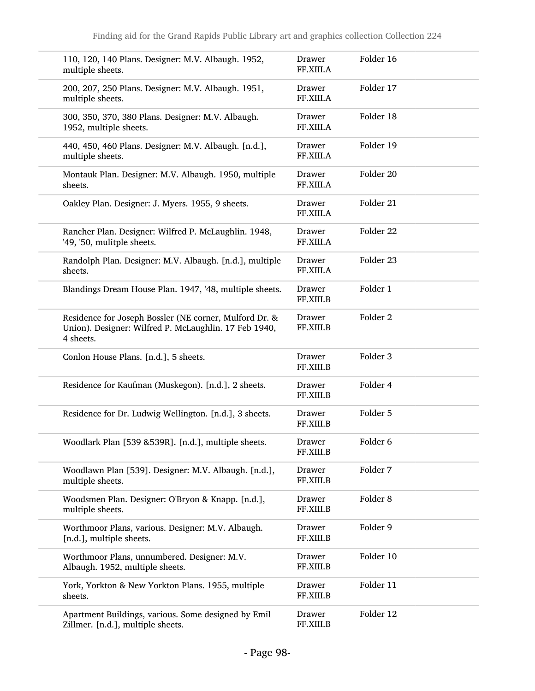| 110, 120, 140 Plans. Designer: M.V. Albaugh. 1952,<br>multiple sheets.                                                       | Drawer<br>FF.XIII.A | Folder 16           |
|------------------------------------------------------------------------------------------------------------------------------|---------------------|---------------------|
| 200, 207, 250 Plans. Designer: M.V. Albaugh. 1951,<br>multiple sheets.                                                       | Drawer<br>FF.XIII.A | Folder 17           |
| 300, 350, 370, 380 Plans. Designer: M.V. Albaugh.<br>1952, multiple sheets.                                                  | Drawer<br>FF.XIII.A | Folder 18           |
| 440, 450, 460 Plans. Designer: M.V. Albaugh. [n.d.],<br>multiple sheets.                                                     | Drawer<br>FF.XIII.A | Folder 19           |
| Montauk Plan. Designer: M.V. Albaugh. 1950, multiple<br>sheets.                                                              | Drawer<br>FF.XIII.A | Folder 20           |
| Oakley Plan. Designer: J. Myers. 1955, 9 sheets.                                                                             | Drawer<br>FF.XIII.A | Folder 21           |
| Rancher Plan. Designer: Wilfred P. McLaughlin. 1948,<br>'49, '50, mulitple sheets.                                           | Drawer<br>FF.XIII.A | Folder 22           |
| Randolph Plan. Designer: M.V. Albaugh. [n.d.], multiple<br>sheets.                                                           | Drawer<br>FF.XIII.A | Folder 23           |
| Blandings Dream House Plan. 1947, '48, multiple sheets.                                                                      | Drawer<br>FF.XIII.B | Folder 1            |
| Residence for Joseph Bossler (NE corner, Mulford Dr. &<br>Union). Designer: Wilfred P. McLaughlin. 17 Feb 1940,<br>4 sheets. | Drawer<br>FF.XIII.B | Folder <sub>2</sub> |
| Conlon House Plans. [n.d.], 5 sheets.                                                                                        | Drawer<br>FF.XIII.B | Folder 3            |
| Residence for Kaufman (Muskegon). [n.d.], 2 sheets.                                                                          | Drawer<br>FF.XIII.B | Folder 4            |
| Residence for Dr. Ludwig Wellington. [n.d.], 3 sheets.                                                                       | Drawer<br>FF.XIII.B | Folder 5            |
| Woodlark Plan [539 & 539R]. [n.d.], multiple sheets.                                                                         | Drawer<br>FF.XIII.B | Folder 6            |
| Woodlawn Plan [539]. Designer: M.V. Albaugh. [n.d.],<br>multiple sheets.                                                     | Drawer<br>FF.XIII.B | Folder 7            |
| Woodsmen Plan. Designer: O'Bryon & Knapp. [n.d.],<br>multiple sheets.                                                        | Drawer<br>FF.XIII.B | Folder <sub>8</sub> |
| Worthmoor Plans, various. Designer: M.V. Albaugh.<br>[n.d.], multiple sheets.                                                | Drawer<br>FF.XIII.B | Folder 9            |
| Worthmoor Plans, unnumbered. Designer: M.V.<br>Albaugh. 1952, multiple sheets.                                               | Drawer<br>FF.XIII.B | Folder 10           |
| York, Yorkton & New Yorkton Plans. 1955, multiple<br>sheets.                                                                 | Drawer<br>FF.XIII.B | Folder 11           |
| Apartment Buildings, various. Some designed by Emil<br>Zillmer. [n.d.], multiple sheets.                                     | Drawer<br>FF.XIII.B | Folder 12           |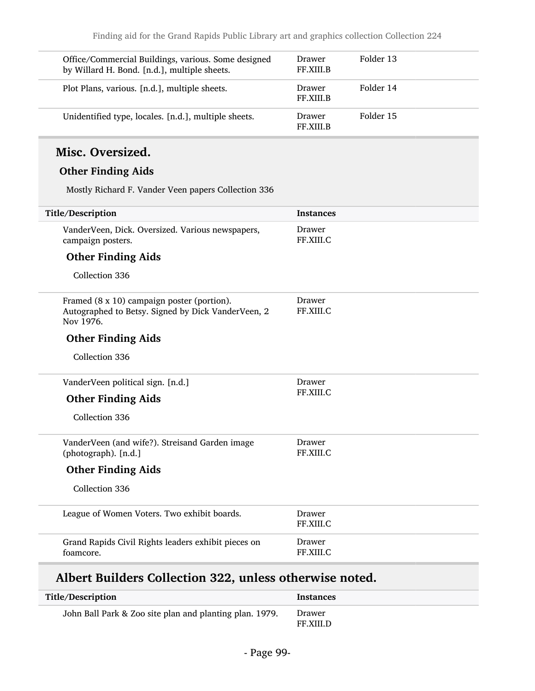| Office/Commercial Buildings, various. Some designed<br>by Willard H. Bond. [n.d.], multiple sheets. | <b>Drawer</b><br><b>FF.XIII.B</b> | Folder 13 |
|-----------------------------------------------------------------------------------------------------|-----------------------------------|-----------|
| Plot Plans, various. [n.d.], multiple sheets.                                                       | Drawer<br><b>FF.XIII.B</b>        | Folder 14 |
| Unidentified type, locales. [n.d.], multiple sheets.                                                | Drawer<br>FF.XIII.B               | Folder 15 |

#### Misc. Oversized.

#### Other Finding Aids

Mostly Richard F. Vander Veen papers Collection 336

| Title/Description                                                                                             | <b>Instances</b>    |
|---------------------------------------------------------------------------------------------------------------|---------------------|
| VanderVeen, Dick. Oversized. Various newspapers,<br>campaign posters.                                         | Drawer<br>FF.XIII.C |
| <b>Other Finding Aids</b>                                                                                     |                     |
| Collection 336                                                                                                |                     |
| Framed (8 x 10) campaign poster (portion).<br>Autographed to Betsy. Signed by Dick VanderVeen, 2<br>Nov 1976. | Drawer<br>FF.XIII.C |
| <b>Other Finding Aids</b>                                                                                     |                     |
| Collection 336                                                                                                |                     |
| VanderVeen political sign. [n.d.]                                                                             | Drawer              |
| <b>Other Finding Aids</b>                                                                                     | FF.XIII.C           |
| Collection 336                                                                                                |                     |
| VanderVeen (and wife?). Streisand Garden image<br>(photograph). [n.d.]                                        | Drawer<br>FF.XIII.C |
| <b>Other Finding Aids</b>                                                                                     |                     |
| Collection 336                                                                                                |                     |
| League of Women Voters. Two exhibit boards.                                                                   | Drawer<br>FF.XIII.C |
| Grand Rapids Civil Rights leaders exhibit pieces on<br>foamcore.                                              | Drawer<br>FF.XIII.C |
|                                                                                                               |                     |

## Albert Builders Collection 322, unless otherwise noted.

| Title/Description                                       | Instances                  |
|---------------------------------------------------------|----------------------------|
| John Ball Park & Zoo site plan and planting plan. 1979. | Drawer<br><b>FF.XIII.D</b> |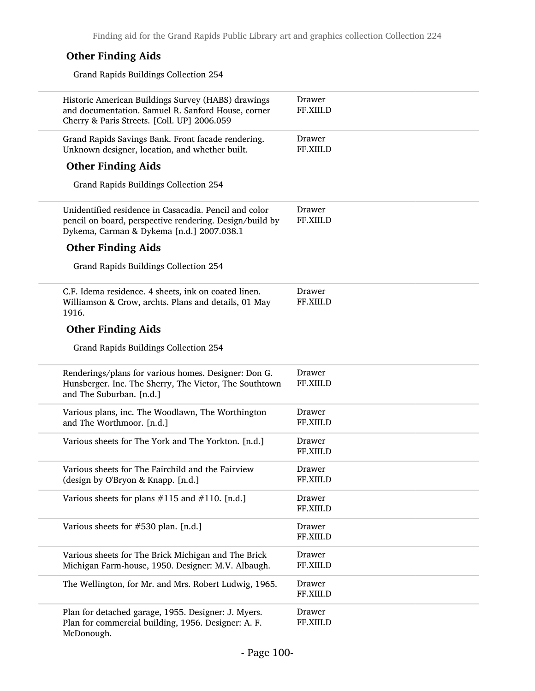#### Other Finding Aids

Grand Rapids Buildings Collection 254

| Historic American Buildings Survey (HABS) drawings<br>and documentation. Samuel R. Sanford House, corner<br>Cherry & Paris Streets. [Coll. UP] 2006.059       | Drawer<br>FF.XIII.D |
|---------------------------------------------------------------------------------------------------------------------------------------------------------------|---------------------|
| Grand Rapids Savings Bank. Front facade rendering.<br>Unknown designer, location, and whether built.                                                          | Drawer<br>FF.XIII.D |
| <b>Other Finding Aids</b>                                                                                                                                     |                     |
| Grand Rapids Buildings Collection 254                                                                                                                         |                     |
| Unidentified residence in Casacadia. Pencil and color<br>pencil on board, perspective rendering. Design/build by<br>Dykema, Carman & Dykema [n.d.] 2007.038.1 | Drawer<br>FF.XIII.D |
| <b>Other Finding Aids</b>                                                                                                                                     |                     |
| Grand Rapids Buildings Collection 254                                                                                                                         |                     |
| C.F. Idema residence. 4 sheets, ink on coated linen.<br>Williamson & Crow, archts. Plans and details, 01 May<br>1916.                                         | Drawer<br>FF.XIII.D |
| <b>Other Finding Aids</b>                                                                                                                                     |                     |
| Grand Rapids Buildings Collection 254                                                                                                                         |                     |
| Renderings/plans for various homes. Designer: Don G.<br>Hunsberger. Inc. The Sherry, The Victor, The Southtown<br>and The Suburban. [n.d.]                    | Drawer<br>FF.XIII.D |
| Various plans, inc. The Woodlawn, The Worthington<br>and The Worthmoor. [n.d.]                                                                                | Drawer<br>FF.XIII.D |
| Various sheets for The York and The Yorkton. [n.d.]                                                                                                           | Drawer<br>FF.XIII.D |
| Various sheets for The Fairchild and the Fairview<br>(design by O'Bryon & Knapp. [n.d.]                                                                       | Drawer<br>FF.XIII.D |
| Various sheets for plans $\#115$ and $\#110$ . [n.d.]                                                                                                         | Drawer<br>FF.XIII.D |
| Various sheets for #530 plan. [n.d.]                                                                                                                          | Drawer<br>FF.XIII.D |
| Various sheets for The Brick Michigan and The Brick<br>Michigan Farm-house, 1950. Designer: M.V. Albaugh.                                                     | Drawer<br>FF.XIII.D |
| The Wellington, for Mr. and Mrs. Robert Ludwig, 1965.                                                                                                         | Drawer<br>FF.XIII.D |
| Plan for detached garage, 1955. Designer: J. Myers.<br>Plan for commercial building, 1956. Designer: A. F.<br>McDonough.                                      | Drawer<br>FF.XIII.D |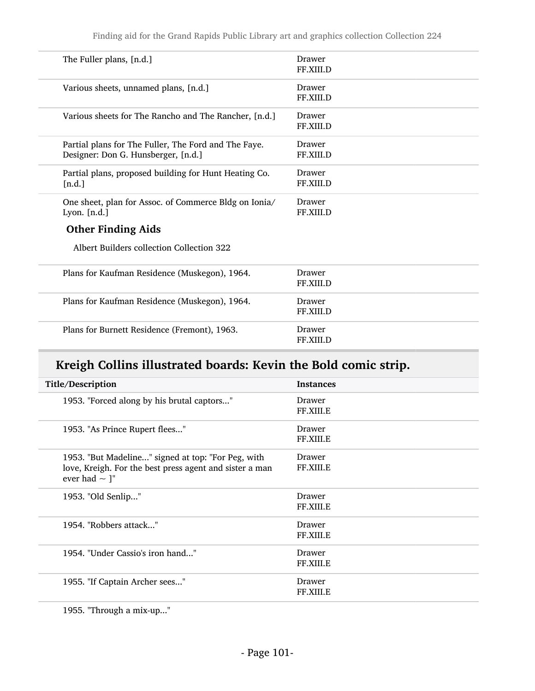| The Fuller plans, [n.d.]                                                                    | Drawer<br>FF.XIII.D        |
|---------------------------------------------------------------------------------------------|----------------------------|
| Various sheets, unnamed plans, [n.d.]                                                       | Drawer<br>FF.XIII.D        |
| Various sheets for The Rancho and The Rancher, [n.d.]                                       | Drawer<br>FF.XIII.D        |
| Partial plans for The Fuller, The Ford and The Faye.<br>Designer: Don G. Hunsberger, [n.d.] | Drawer<br>FF.XIII.D        |
| Partial plans, proposed building for Hunt Heating Co.<br>[n.d.]                             | Drawer<br><b>FF.XIII.D</b> |
| One sheet, plan for Assoc. of Commerce Bldg on Ionia/<br>Lyon. $[n.d.]$                     | Drawer<br>FF.XIII.D        |
| <b>Other Finding Aids</b>                                                                   |                            |
| Albert Builders collection Collection 322                                                   |                            |
| Plans for Kaufman Residence (Muskegon), 1964.                                               | Drawer<br>FF.XIII.D        |
| Plans for Kaufman Residence (Muskegon), 1964.                                               | Drawer<br>FF.XIII.D        |
| Plans for Burnett Residence (Fremont), 1963.                                                | Drawer<br>FF.XIII.D        |

## Kreigh Collins illustrated boards: Kevin the Bold comic strip.

| Title/Description                                                                                                                   | <b>Instances</b>    |
|-------------------------------------------------------------------------------------------------------------------------------------|---------------------|
| 1953. "Forced along by his brutal captors"                                                                                          | Drawer<br>FF.XIII.E |
| 1953. "As Prince Rupert flees"                                                                                                      | Drawer<br>FF.XIII.E |
| 1953. "But Madeline" signed at top: "For Peg, with<br>love, Kreigh. For the best press agent and sister a man<br>ever had $\sim$ ]" | Drawer<br>FF.XIII.E |
| 1953. "Old Senlip"                                                                                                                  | Drawer<br>FF.XIII.E |
| 1954. "Robbers attack"                                                                                                              | Drawer<br>FF.XIII.E |
| 1954. "Under Cassio's iron hand"                                                                                                    | Drawer<br>FF.XIII.E |
| 1955. "If Captain Archer sees"                                                                                                      | Drawer<br>FF.XIII.E |

1955. "Through a mix-up..."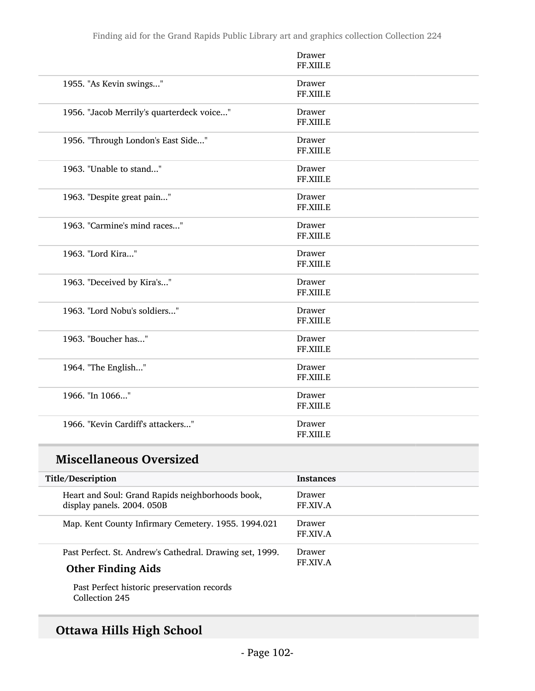|                                           | Drawer<br>FF.XIII.E |
|-------------------------------------------|---------------------|
| 1955. "As Kevin swings"                   | Drawer<br>FF.XIII.E |
| 1956. "Jacob Merrily's quarterdeck voice" | Drawer<br>FF.XIII.E |
| 1956. "Through London's East Side"        | Drawer<br>FF.XIII.E |
| 1963. "Unable to stand"                   | Drawer<br>FF.XIII.E |
| 1963. "Despite great pain"                | Drawer<br>FF.XIII.E |
| 1963. "Carmine's mind races"              | Drawer<br>FF.XIII.E |
| 1963. "Lord Kira"                         | Drawer<br>FF.XIII.E |
| 1963. "Deceived by Kira's"                | Drawer<br>FF.XIII.E |
| 1963. "Lord Nobu's soldiers"              | Drawer<br>FF.XIII.E |
| 1963. "Boucher has"                       | Drawer<br>FF.XIII.E |
| 1964. "The English"                       | Drawer<br>FF.XIII.E |
| 1966. "In 1066"                           | Drawer<br>FF.XIII.E |
| 1966. "Kevin Cardiff's attackers"         | Drawer<br>FF.XIII.E |

### Miscellaneous Oversized

| Title/Description                                                                     | <b>Instances</b>          |
|---------------------------------------------------------------------------------------|---------------------------|
| Heart and Soul: Grand Rapids neighborhoods book,<br>display panels. 2004. 050B        | Drawer<br><b>FF.XIV.A</b> |
| Map. Kent County Infirmary Cemetery. 1955. 1994.021                                   | Drawer<br><b>FF.XIV.A</b> |
| Past Perfect. St. Andrew's Cathedral. Drawing set, 1999.<br><b>Other Finding Aids</b> | Drawer<br><b>FF.XIV.A</b> |
|                                                                                       |                           |

Past Perfect historic preservation records Collection 245

## Ottawa Hills High School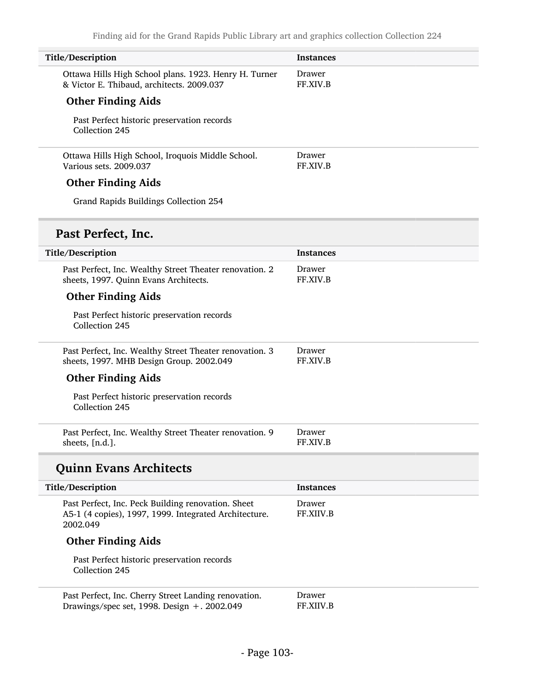| Title/Description                                                                                                       | <b>Instances</b>    |
|-------------------------------------------------------------------------------------------------------------------------|---------------------|
| Ottawa Hills High School plans. 1923. Henry H. Turner<br>& Victor E. Thibaud, architects. 2009.037                      | Drawer<br>FF.XIV.B  |
| <b>Other Finding Aids</b>                                                                                               |                     |
| Past Perfect historic preservation records<br>Collection 245                                                            |                     |
| Ottawa Hills High School, Iroquois Middle School.<br>Various sets. 2009.037                                             | Drawer<br>FF.XIV.B  |
| <b>Other Finding Aids</b>                                                                                               |                     |
| Grand Rapids Buildings Collection 254                                                                                   |                     |
| Past Perfect, Inc.                                                                                                      |                     |
| Title/Description                                                                                                       | <b>Instances</b>    |
| Past Perfect, Inc. Wealthy Street Theater renovation. 2<br>sheets, 1997. Quinn Evans Architects.                        | Drawer<br>FF.XIV.B  |
| <b>Other Finding Aids</b>                                                                                               |                     |
| Past Perfect historic preservation records<br>Collection 245                                                            |                     |
| Past Perfect, Inc. Wealthy Street Theater renovation. 3<br>sheets, 1997. MHB Design Group. 2002.049                     | Drawer<br>FF.XIV.B  |
| <b>Other Finding Aids</b>                                                                                               |                     |
| Past Perfect historic preservation records<br>Collection 245                                                            |                     |
| Past Perfect, Inc. Wealthy Street Theater renovation. 9<br>sheets, [n.d.].                                              | Drawer<br>FF.XIV.B  |
| <b>Quinn Evans Architects</b>                                                                                           |                     |
| Title/Description                                                                                                       | <b>Instances</b>    |
| Past Perfect, Inc. Peck Building renovation. Sheet<br>A5-1 (4 copies), 1997, 1999. Integrated Architecture.<br>2002.049 | Drawer<br>FF.XIIV.B |
| <b>Other Finding Aids</b>                                                                                               |                     |
| Past Perfect historic preservation records<br>Collection 245                                                            |                     |
| Past Perfect, Inc. Cherry Street Landing renovation.<br>Drawings/spec set, 1998. Design +. 2002.049                     | Drawer<br>FF.XIIV.B |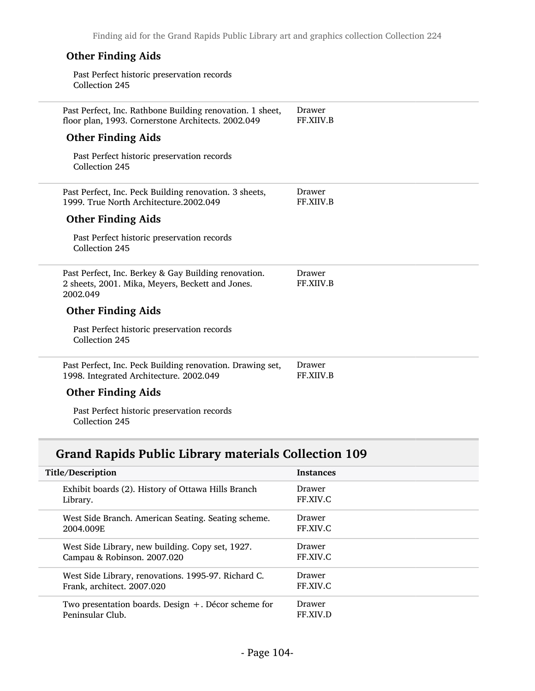| <b>Other Finding Aids</b>                                                                                            |                     |
|----------------------------------------------------------------------------------------------------------------------|---------------------|
| Past Perfect historic preservation records<br>Collection 245                                                         |                     |
| Past Perfect, Inc. Rathbone Building renovation. 1 sheet,<br>floor plan, 1993. Cornerstone Architects. 2002.049      | Drawer<br>FF.XIIV.B |
| <b>Other Finding Aids</b>                                                                                            |                     |
| Past Perfect historic preservation records<br>Collection 245                                                         |                     |
| Past Perfect, Inc. Peck Building renovation. 3 sheets,<br>1999. True North Architecture.2002.049                     | Drawer<br>FF.XIIV.B |
| <b>Other Finding Aids</b>                                                                                            |                     |
| Past Perfect historic preservation records<br>Collection 245                                                         |                     |
| Past Perfect, Inc. Berkey & Gay Building renovation.<br>2 sheets, 2001. Mika, Meyers, Beckett and Jones.<br>2002.049 | Drawer<br>FF.XIIV.B |
| <b>Other Finding Aids</b>                                                                                            |                     |
| Past Perfect historic preservation records<br>Collection 245                                                         |                     |
| Past Perfect, Inc. Peck Building renovation. Drawing set,<br>1998. Integrated Architecture. 2002.049                 | Drawer<br>FF.XIIV.B |
| <b>Other Finding Aids</b>                                                                                            |                     |

Past Perfect historic preservation records Collection 245

## Grand Rapids Public Library materials Collection 109

| Title/Description                                      | <b>Instances</b> |
|--------------------------------------------------------|------------------|
| Exhibit boards (2). History of Ottawa Hills Branch     | Drawer           |
| Library.                                               | FF.XIV.C         |
| West Side Branch. American Seating. Seating scheme.    | Drawer           |
| 2004.009E                                              | FF.XIV.C         |
| West Side Library, new building. Copy set, 1927.       | Drawer           |
| Campau & Robinson. 2007.020                            | FF.XIV.C         |
| West Side Library, renovations. 1995-97. Richard C.    | Drawer           |
| Frank, architect. 2007.020                             | FF.XIV.C         |
| Two presentation boards. Design $+$ . Décor scheme for | Drawer           |
| Peninsular Club.                                       | FF.XIV.D         |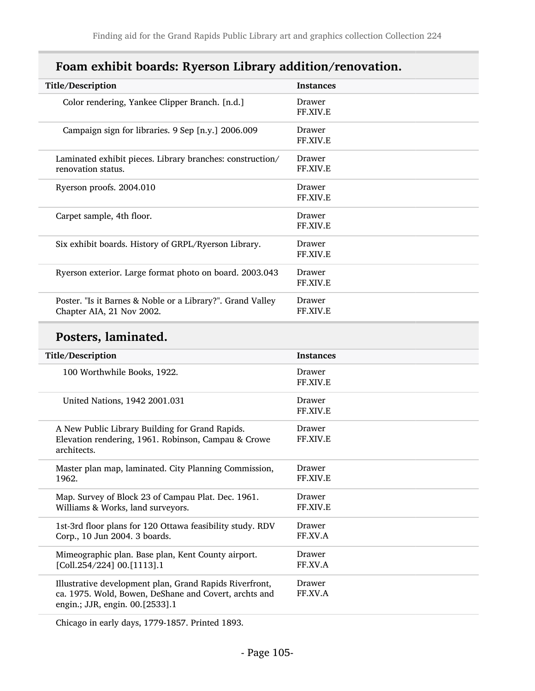| Title/Description                                                                       | <b>Instances</b>   |
|-----------------------------------------------------------------------------------------|--------------------|
| Color rendering, Yankee Clipper Branch. [n.d.]                                          | Drawer<br>FF.XIV.E |
| Campaign sign for libraries. 9 Sep [n.y.] 2006.009                                      | Drawer<br>FF.XIV.E |
| Laminated exhibit pieces. Library branches: construction/<br>renovation status.         | Drawer<br>FF.XIV.E |
| Ryerson proofs. 2004.010                                                                | Drawer<br>FF.XIV.E |
| Carpet sample, 4th floor.                                                               | Drawer<br>FF.XIV.E |
| Six exhibit boards. History of GRPL/Ryerson Library.                                    | Drawer<br>FF.XIV.E |
| Ryerson exterior. Large format photo on board. 2003.043                                 | Drawer<br>FF.XIV.E |
| Poster. "Is it Barnes & Noble or a Library?". Grand Valley<br>Chapter AIA, 21 Nov 2002. | Drawer<br>FF.XIV.E |

### Foam exhibit boards: Ryerson Library addition/renovation.

### Posters, laminated.

| Title/Description                                         | <b>Instances</b>          |
|-----------------------------------------------------------|---------------------------|
| 100 Worthwhile Books, 1922.                               | Drawer<br><b>FF.XIV.E</b> |
|                                                           |                           |
| United Nations, 1942 2001.031                             | Drawer                    |
|                                                           | <b>FF.XIV.E</b>           |
|                                                           |                           |
| A New Public Library Building for Grand Rapids.           | Drawer                    |
| Elevation rendering, 1961. Robinson, Campau & Crowe       | FF.XIV.E                  |
| architects.                                               |                           |
| Master plan map, laminated. City Planning Commission,     | Drawer                    |
| 1962.                                                     | <b>FF.XIV.E</b>           |
|                                                           |                           |
| Map. Survey of Block 23 of Campau Plat. Dec. 1961.        | Drawer                    |
| Williams & Works, land surveyors.                         | FF.XIV.E                  |
|                                                           |                           |
| 1st-3rd floor plans for 120 Ottawa feasibility study. RDV | Drawer                    |
| Corp., 10 Jun 2004. 3 boards.                             | FF.XV.A                   |
| Mimeographic plan. Base plan, Kent County airport.        | Drawer                    |
| [Coll.254/224] 00.[1113].1                                | FF.XV.A                   |
|                                                           |                           |
| Illustrative development plan, Grand Rapids Riverfront,   | Drawer                    |
| ca. 1975. Wold, Bowen, DeShane and Covert, archts and     | FF.XV.A                   |
| engin.; JJR, engin. 00.[2533].1                           |                           |
|                                                           |                           |

Chicago in early days, 1779-1857. Printed 1893.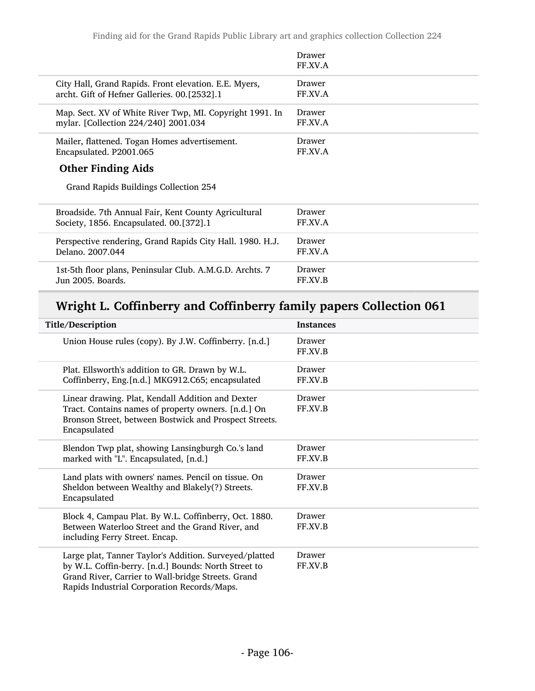|                                                           | Drawer<br>FF.XV.A |
|-----------------------------------------------------------|-------------------|
| City Hall, Grand Rapids. Front elevation. E.E. Myers,     | Drawer            |
| archt. Gift of Hefner Galleries. 00.[2532].1              | FF.XV.A           |
| Map. Sect. XV of White River Twp, MI. Copyright 1991. In  | Drawer            |
| mylar. [Collection 224/240] 2001.034                      | FF.XV.A           |
| Mailer, flattened. Togan Homes advertisement.             | Drawer            |
| Encapsulated. P2001.065                                   | FF.XV.A           |
| <b>Other Finding Aids</b>                                 |                   |
| Grand Rapids Buildings Collection 254                     |                   |
| Broadside. 7th Annual Fair, Kent County Agricultural      | Drawer            |
| Society, 1856. Encapsulated. 00.[372].1                   | FF.XV.A           |
| Perspective rendering, Grand Rapids City Hall. 1980. H.J. | Drawer            |
| Delano. 2007.044                                          | FF.XV.A           |
| 1st-5th floor plans, Peninsular Club. A.M.G.D. Archts. 7  | Drawer            |
| Jun 2005. Boards.                                         | FF.XV.B           |

# Wright L. Coffinberry and Coffinberry family papers Collection 061

| Title/Description                                                                                                                                                                                                   | <b>Instances</b>  |
|---------------------------------------------------------------------------------------------------------------------------------------------------------------------------------------------------------------------|-------------------|
| Union House rules (copy). By J.W. Coffinberry. [n.d.]                                                                                                                                                               | Drawer<br>FF.XV.B |
| Plat. Ellsworth's addition to GR. Drawn by W.L.<br>Coffinberry, Eng.[n.d.] MKG912.C65; encapsulated                                                                                                                 | Drawer<br>FF.XV.B |
| Linear drawing. Plat, Kendall Addition and Dexter<br>Tract. Contains names of property owners. [n.d.] On<br>Bronson Street, between Bostwick and Prospect Streets.<br>Encapsulated                                  | Drawer<br>FF.XV.B |
| Blendon Twp plat, showing Lansingburgh Co.'s land<br>marked with "L". Encapsulated, [n.d.]                                                                                                                          | Drawer<br>FF.XV.B |
| Land plats with owners' names. Pencil on tissue. On<br>Sheldon between Wealthy and Blakely(?) Streets.<br>Encapsulated                                                                                              | Drawer<br>FF.XV.B |
| Block 4, Campau Plat. By W.L. Coffinberry, Oct. 1880.<br>Between Waterloo Street and the Grand River, and<br>including Ferry Street. Encap.                                                                         | Drawer<br>FF.XV.B |
| Large plat, Tanner Taylor's Addition. Surveyed/platted<br>by W.L. Coffin-berry. [n.d.] Bounds: North Street to<br>Grand River, Carrier to Wall-bridge Streets. Grand<br>Rapids Industrial Corporation Records/Maps. | Drawer<br>FF.XV.B |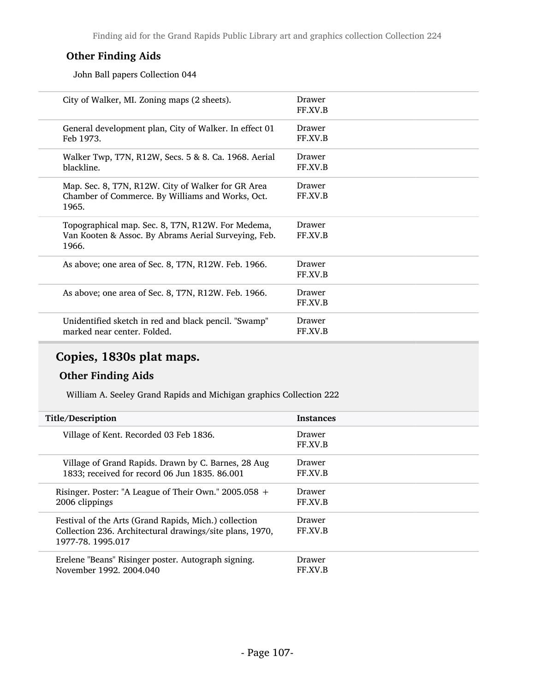#### Other Finding Aids

John Ball papers Collection 044

| Drawer<br>FF.XV.B |
|-------------------|
| Drawer<br>FF.XV.B |
| Drawer<br>FF.XV.B |
| Drawer<br>FF.XV.B |
| Drawer<br>FF.XV.B |
| Drawer<br>FF.XV.B |
| Drawer<br>FF.XV.B |
| Drawer<br>FF.XV.B |
|                   |

## Copies, 1830s plat maps.

#### Other Finding Aids

William A. Seeley Grand Rapids and Michigan graphics Collection 222

| Title/Description                                                                                                                      | <b>Instances</b>         |
|----------------------------------------------------------------------------------------------------------------------------------------|--------------------------|
| Village of Kent. Recorded 03 Feb 1836.                                                                                                 | <b>Drawer</b><br>FF.XV.B |
| Village of Grand Rapids. Drawn by C. Barnes, 28 Aug                                                                                    | <b>Drawer</b>            |
| 1833; received for record 06 Jun 1835. 86.001                                                                                          | FF.XV.B                  |
| Risinger. Poster: "A League of Their Own." $2005.058 +$                                                                                | <b>Drawer</b>            |
| 2006 clippings                                                                                                                         | FF.XV.B                  |
| Festival of the Arts (Grand Rapids, Mich.) collection<br>Collection 236. Architectural drawings/site plans, 1970,<br>1977-78, 1995.017 | <b>Drawer</b><br>FF.XV.B |
| Erelene "Beans" Risinger poster. Autograph signing.                                                                                    | Drawer                   |
| November 1992, 2004.040                                                                                                                | FF XV B                  |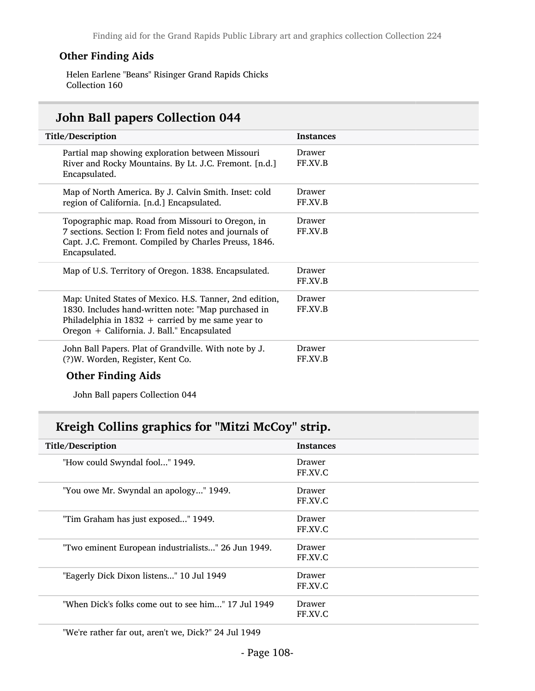#### Other Finding Aids

Helen Earlene "Beans" Risinger Grand Rapids Chicks Collection 160

### John Ball papers Collection 044

| Title/Description                                                                                                                                                                                                    | <b>Instances</b>  |  |
|----------------------------------------------------------------------------------------------------------------------------------------------------------------------------------------------------------------------|-------------------|--|
| Partial map showing exploration between Missouri<br>River and Rocky Mountains. By Lt. J.C. Fremont. [n.d.]<br>Encapsulated.                                                                                          | Drawer<br>FF.XV.B |  |
| Map of North America. By J. Calvin Smith. Inset: cold<br>region of California. [n.d.] Encapsulated.                                                                                                                  | Drawer<br>FF.XV.B |  |
| Topographic map. Road from Missouri to Oregon, in<br>7 sections. Section I: From field notes and journals of<br>Capt. J.C. Fremont. Compiled by Charles Preuss, 1846.<br>Encapsulated.                               | Drawer<br>FF.XV.B |  |
| Map of U.S. Territory of Oregon. 1838. Encapsulated.                                                                                                                                                                 | Drawer<br>FF.XV.B |  |
| Map: United States of Mexico. H.S. Tanner, 2nd edition,<br>1830. Includes hand-written note: "Map purchased in<br>Philadelphia in $1832 +$ carried by me same year to<br>Oregon + California. J. Ball." Encapsulated | Drawer<br>FF.XV.B |  |
| John Ball Papers. Plat of Grandville. With note by J.<br>(?) W. Worden, Register, Kent Co.<br>$\bigcap_{i=1}^{n}$ . $\bigcap_{i=1}^{n}$ . $\bigcap_{i=1}^{n}$ . $\bigcap_{i=1}^{n}$ . A $i:1$ .                      | Drawer<br>FF.XV.B |  |

#### Other Finding Aids

John Ball papers Collection 044

#### Kreigh Collins graphics for "Mitzi McCoy" strip.

| Title/Description                                   | <b>Instances</b>  |
|-----------------------------------------------------|-------------------|
| "How could Swyndal fool" 1949.                      | Drawer<br>FF.XV.C |
| "You owe Mr. Swyndal an apology" 1949.              | Drawer<br>FF.XV.C |
| "Tim Graham has just exposed" 1949.                 | Drawer<br>FF.XV.C |
| "Two eminent European industrialists" 26 Jun 1949.  | Drawer<br>FF.XV.C |
| "Eagerly Dick Dixon listens" 10 Jul 1949            | Drawer<br>FF.XV.C |
| "When Dick's folks come out to see him" 17 Jul 1949 | Drawer<br>FF.XV.C |
|                                                     |                   |

"We're rather far out, aren't we, Dick?" 24 Jul 1949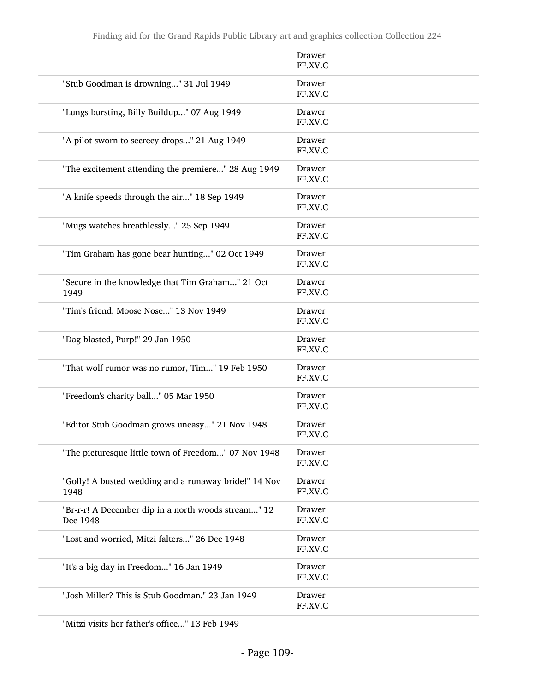|                                                                 | Drawer<br>FF.XV.C        |
|-----------------------------------------------------------------|--------------------------|
| "Stub Goodman is drowning" 31 Jul 1949                          | Drawer<br>FF.XV.C        |
| "Lungs bursting, Billy Buildup" 07 Aug 1949                     | Drawer<br>FF.XV.C        |
| "A pilot sworn to secrecy drops" 21 Aug 1949                    | Drawer<br>FF.XV.C        |
| "The excitement attending the premiere" 28 Aug 1949             | Drawer<br>FF.XV.C        |
| "A knife speeds through the air" 18 Sep 1949                    | Drawer<br>FF.XV.C        |
| "Mugs watches breathlessly" 25 Sep 1949                         | <b>Drawer</b><br>FF.XV.C |
| "Tim Graham has gone bear hunting" 02 Oct 1949                  | Drawer<br>FF.XV.C        |
| "Secure in the knowledge that Tim Graham" 21 Oct<br>1949        | Drawer<br>FF.XV.C        |
| "Tim's friend, Moose Nose" 13 Nov 1949                          | Drawer<br>FF.XV.C        |
| "Dag blasted, Purp!" 29 Jan 1950                                | Drawer<br>FF.XV.C        |
| "That wolf rumor was no rumor, Tim" 19 Feb 1950                 | Drawer<br>FF.XV.C        |
| "Freedom's charity ball" 05 Mar 1950                            | Drawer<br>FF.XV.C        |
| "Editor Stub Goodman grows uneasy" 21 Nov 1948                  | Drawer<br>FF.XV.C        |
| "The picturesque little town of Freedom" 07 Nov 1948            | Drawer<br>FF.XV.C        |
| "Golly! A busted wedding and a runaway bride!" 14 Nov<br>1948   | Drawer<br>FF.XV.C        |
| "Br-r-r! A December dip in a north woods stream" 12<br>Dec 1948 | Drawer<br>FF.XV.C        |
| "Lost and worried, Mitzi falters" 26 Dec 1948                   | Drawer<br>FF.XV.C        |
| "It's a big day in Freedom" 16 Jan 1949                         | Drawer<br>FF.XV.C        |
| "Josh Miller? This is Stub Goodman." 23 Jan 1949                | Drawer<br>FF.XV.C        |

"Mitzi visits her father's office..." 13 Feb 1949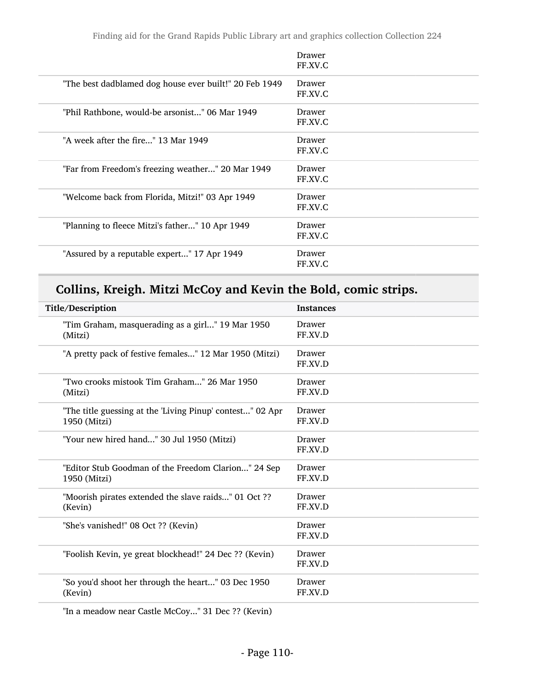|                                                        | Drawer<br>FF.XV.C |
|--------------------------------------------------------|-------------------|
| "The best dadblamed dog house ever built!" 20 Feb 1949 | Drawer<br>FF.XV.C |
| "Phil Rathbone, would-be arsonist" 06 Mar 1949         | Drawer<br>FF.XV.C |
| "A week after the fire" 13 Mar 1949                    | Drawer<br>FF.XV.C |
| "Far from Freedom's freezing weather" 20 Mar 1949      | Drawer<br>FF.XV.C |
| "Welcome back from Florida, Mitzi!" 03 Apr 1949        | Drawer<br>FF.XV.C |
| "Planning to fleece Mitzi's father" 10 Apr 1949        | Drawer<br>FF.XV.C |
| "Assured by a reputable expert" 17 Apr 1949            | Drawer<br>FF.XV.C |

# Collins, Kreigh. Mitzi McCoy and Kevin the Bold, comic strips.

| Title/Description                                                         | <b>Instances</b>         |
|---------------------------------------------------------------------------|--------------------------|
| "Tim Graham, masquerading as a girl" 19 Mar 1950<br>(Mitzi)               | Drawer<br>FF.XV.D        |
| "A pretty pack of festive females" 12 Mar 1950 (Mitzi)                    | Drawer<br>FF.XV.D        |
| "Two crooks mistook Tim Graham" 26 Mar 1950<br>(Mitzi)                    | Drawer<br>FF.XV.D        |
| "The title guessing at the 'Living Pinup' contest" 02 Apr<br>1950 (Mitzi) | Drawer<br>FF.XV.D        |
| "Your new hired hand" 30 Jul 1950 (Mitzi)                                 | Drawer<br>FF.XV.D        |
| "Editor Stub Goodman of the Freedom Clarion" 24 Sep<br>1950 (Mitzi)       | Drawer<br>FF.XV.D        |
| "Moorish pirates extended the slave raids" 01 Oct ??<br>(Kevin)           | <b>Drawer</b><br>FF.XV.D |
| "She's vanished!" 08 Oct ?? (Kevin)                                       | Drawer<br>FF.XV.D        |
| "Foolish Kevin, ye great blockhead!" 24 Dec ?? (Kevin)                    | Drawer<br>FF.XV.D        |
| "So you'd shoot her through the heart" 03 Dec 1950<br>(Kevin)             | Drawer<br>FF.XV.D        |
|                                                                           |                          |

"In a meadow near Castle McCoy..." 31 Dec ?? (Kevin)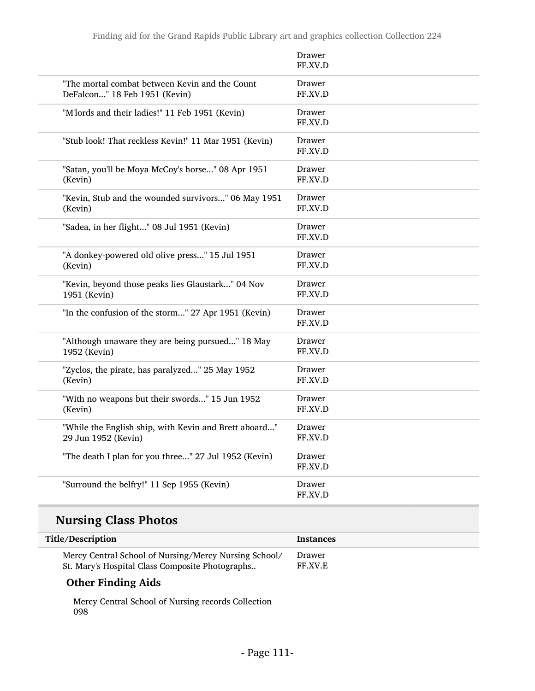|                                                       | Drawer<br>FF.XV.D |
|-------------------------------------------------------|-------------------|
| "The mortal combat between Kevin and the Count        | Drawer            |
| DeFalcon" 18 Feb 1951 (Kevin)                         | FF.XV.D           |
| "M'lords and their ladies!" 11 Feb 1951 (Kevin)       | Drawer<br>FF.XV.D |
| "Stub look! That reckless Kevin!" 11 Mar 1951 (Kevin) | Drawer<br>FF.XV.D |
| "Satan, you'll be Moya McCoy's horse" 08 Apr 1951     | Drawer            |
| (Kevin)                                               | FF.XV.D           |
| "Kevin, Stub and the wounded survivors" 06 May 1951   | Drawer            |
| (Kevin)                                               | FF.XV.D           |
| "Sadea, in her flight" 08 Jul 1951 (Kevin)            | Drawer<br>FF.XV.D |
| "A donkey-powered old olive press" 15 Jul 1951        | Drawer            |
| (Kevin)                                               | FF.XV.D           |
| "Kevin, beyond those peaks lies Glaustark" 04 Nov     | Drawer            |
| 1951 (Kevin)                                          | FF.XV.D           |
| "In the confusion of the storm" 27 Apr 1951 (Kevin)   | Drawer<br>FF.XV.D |
| "Although unaware they are being pursued" 18 May      | Drawer            |
| 1952 (Kevin)                                          | FF.XV.D           |
| "Zyclos, the pirate, has paralyzed" 25 May 1952       | Drawer            |
| (Kevin)                                               | FF.XV.D           |
| "With no weapons but their swords" 15 Jun 1952        | Drawer            |
| (Kevin)                                               | FF.XV.D           |
| "While the English ship, with Kevin and Brett aboard" | Drawer            |
| 29 Jun 1952 (Kevin)                                   | FF.XV.D           |
| "The death I plan for you three" 27 Jul 1952 (Kevin)  | Drawer<br>FF.XV.D |
| "Surround the belfry!" 11 Sep 1955 (Kevin)            | Drawer<br>FF.XV.D |

# Nursing Class Photos

| Title/Description                                     | Instances      |
|-------------------------------------------------------|----------------|
| Mercy Central School of Nursing/Mercy Nursing School/ | Drawer         |
| St. Mary's Hospital Class Composite Photographs       | <b>FF.XV.E</b> |

### Other Finding Aids

Mercy Central School of Nursing records Collection 098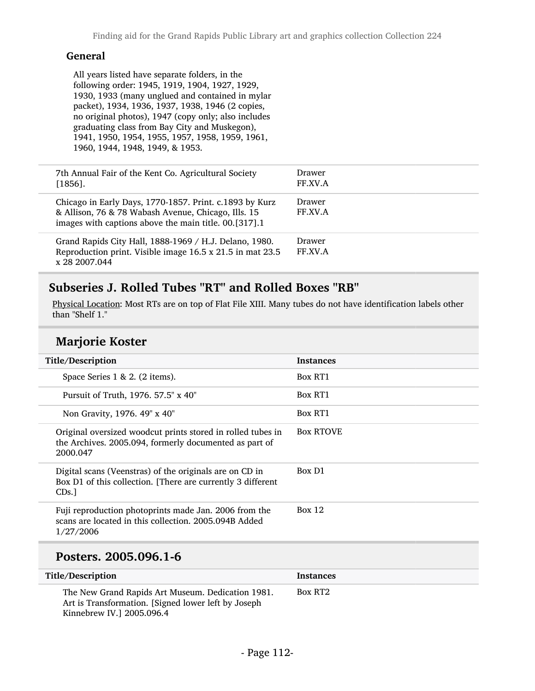### General

All years listed have separate folders, in the following order: 1945, 1919, 1904, 1927, 1929, 1930, 1933 (many unglued and contained in mylar packet), 1934, 1936, 1937, 1938, 1946 (2 copies, no original photos), 1947 (copy only; also includes graduating class from Bay City and Muskegon), 1941, 1950, 1954, 1955, 1957, 1958, 1959, 1961, 1960, 1944, 1948, 1949, & 1953.

| 7th Annual Fair of the Kent Co. Agricultural Society<br>$[1856]$ .                                                                                                      | Drawer<br>FF.XV.A |
|-------------------------------------------------------------------------------------------------------------------------------------------------------------------------|-------------------|
| Chicago in Early Days, 1770-1857. Print. c.1893 by Kurz<br>& Allison, 76 & 78 Wabash Avenue, Chicago, Ills. 15<br>images with captions above the main title. 00.[317].1 | Drawer<br>FF.XV.A |
| Grand Rapids City Hall, 1888-1969 / H.J. Delano, 1980.<br>Reproduction print. Visible image 16.5 x 21.5 in mat 23.5<br>x 28 2007.044                                    | Drawer<br>FF.XV.A |

## Subseries J. Rolled Tubes "RT" and Rolled Boxes "RB"

Physical Location: Most RTs are on top of Flat File XIII. Many tubes do not have identification labels other than "Shelf 1."

## Marjorie Koster

 $\overline{\phantom{a}}$ 

| Title/Description                                                                                                                 | <b>Instances</b> |
|-----------------------------------------------------------------------------------------------------------------------------------|------------------|
| Space Series $1 \& 2$ . (2 items).                                                                                                | Box RT1          |
| Pursuit of Truth, 1976. 57.5" x 40"                                                                                               | Box RT1          |
| Non Gravity, 1976. 49" x 40"                                                                                                      | <b>Box RT1</b>   |
| Original oversized woodcut prints stored in rolled tubes in<br>the Archives. 2005.094, formerly documented as part of<br>2000.047 | <b>Box RTOVE</b> |
| Digital scans (Veenstras) of the originals are on CD in<br>Box D1 of this collection. [There are currently 3 different<br>CDs.    | Box D1           |
| Fuji reproduction photoprints made Jan. 2006 from the<br>scans are located in this collection. 2005.094B Added<br>1/27/2006       | Box 12           |
| Posters. 2005.096.1-6                                                                                                             |                  |

| Title/Description                                                                                        | <b>Instances</b> |
|----------------------------------------------------------------------------------------------------------|------------------|
| The New Grand Rapids Art Museum. Dedication 1981.<br>Art is Transformation. [Signed lower left by Joseph | Box RT2          |
| Kinnebrew IV.] 2005.096.4                                                                                |                  |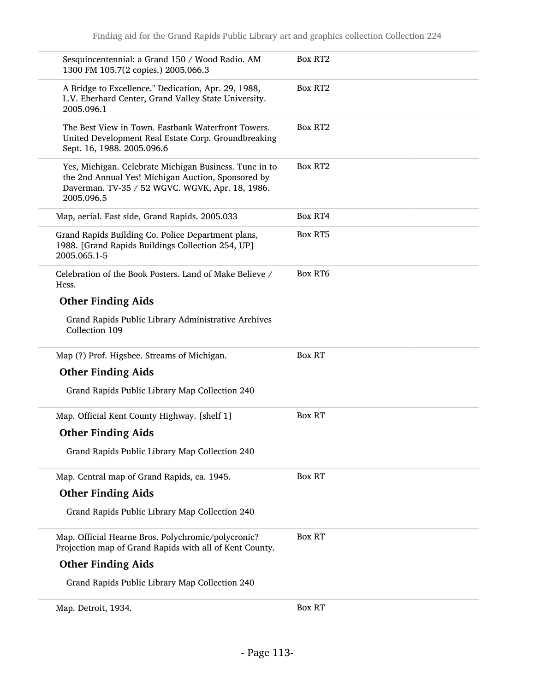| Sesquincentennial: a Grand 150 / Wood Radio. AM<br>1300 FM 105.7(2 copies.) 2005.066.3                                                                                        | Box RT <sub>2</sub> |
|-------------------------------------------------------------------------------------------------------------------------------------------------------------------------------|---------------------|
| A Bridge to Excellence." Dedication, Apr. 29, 1988,<br>L.V. Eberhard Center, Grand Valley State University.<br>2005.096.1                                                     | <b>Box RT2</b>      |
| The Best View in Town. Eastbank Waterfront Towers.<br>United Development Real Estate Corp. Groundbreaking<br>Sept. 16, 1988. 2005.096.6                                       | <b>Box RT2</b>      |
| Yes, Michigan. Celebrate Michigan Business. Tune in to<br>the 2nd Annual Yes! Michigan Auction, Sponsored by<br>Daverman. TV-35 / 52 WGVC. WGVK, Apr. 18, 1986.<br>2005.096.5 | <b>Box RT2</b>      |
| Map, aerial. East side, Grand Rapids. 2005.033                                                                                                                                | Box RT4             |
| Grand Rapids Building Co. Police Department plans,<br>1988. [Grand Rapids Buildings Collection 254, UP]<br>2005.065.1-5                                                       | <b>Box RT5</b>      |
| Celebration of the Book Posters. Land of Make Believe /<br>Hess.                                                                                                              | <b>Box RT6</b>      |
| <b>Other Finding Aids</b>                                                                                                                                                     |                     |
| Grand Rapids Public Library Administrative Archives<br>Collection 109                                                                                                         |                     |
| Map (?) Prof. Higsbee. Streams of Michigan.                                                                                                                                   | <b>Box RT</b>       |
| <b>Other Finding Aids</b>                                                                                                                                                     |                     |
| Grand Rapids Public Library Map Collection 240                                                                                                                                |                     |
| Map. Official Kent County Highway. [shelf 1]                                                                                                                                  | <b>Box RT</b>       |
| <b>Other Finding Aids</b>                                                                                                                                                     |                     |
| Grand Rapids Public Library Map Collection 240                                                                                                                                |                     |
| Map. Central map of Grand Rapids, ca. 1945.                                                                                                                                   | <b>Box RT</b>       |
| <b>Other Finding Aids</b>                                                                                                                                                     |                     |
| Grand Rapids Public Library Map Collection 240                                                                                                                                |                     |
| Map. Official Hearne Bros. Polychromic/polycronic?<br>Projection map of Grand Rapids with all of Kent County.                                                                 | <b>Box RT</b>       |
| <b>Other Finding Aids</b>                                                                                                                                                     |                     |
| Grand Rapids Public Library Map Collection 240                                                                                                                                |                     |
| Map. Detroit, 1934.                                                                                                                                                           | <b>Box RT</b>       |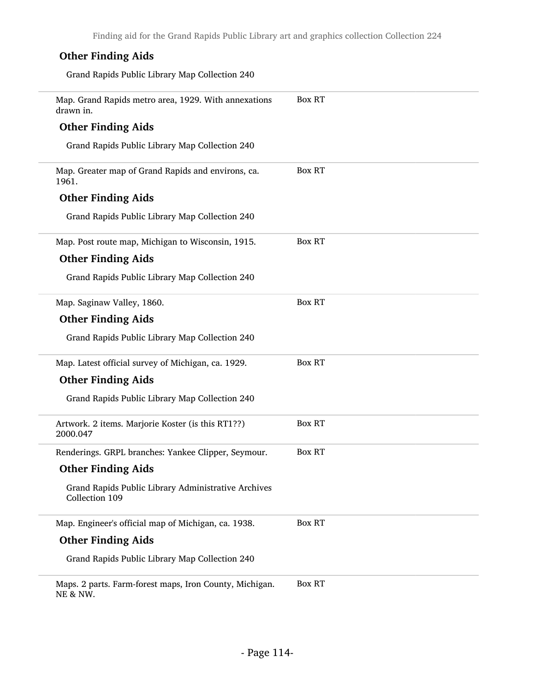| <b>Other Finding Aids</b>                                                      |               |
|--------------------------------------------------------------------------------|---------------|
| Grand Rapids Public Library Map Collection 240                                 |               |
| Map. Grand Rapids metro area, 1929. With annexations<br>drawn in.              | <b>Box RT</b> |
| <b>Other Finding Aids</b>                                                      |               |
| Grand Rapids Public Library Map Collection 240                                 |               |
| Map. Greater map of Grand Rapids and environs, ca.<br>1961.                    | <b>Box RT</b> |
| <b>Other Finding Aids</b>                                                      |               |
| Grand Rapids Public Library Map Collection 240                                 |               |
| Map. Post route map, Michigan to Wisconsin, 1915.                              | <b>Box RT</b> |
| <b>Other Finding Aids</b>                                                      |               |
| Grand Rapids Public Library Map Collection 240                                 |               |
| Map. Saginaw Valley, 1860.                                                     | <b>Box RT</b> |
| <b>Other Finding Aids</b>                                                      |               |
| Grand Rapids Public Library Map Collection 240                                 |               |
| Map. Latest official survey of Michigan, ca. 1929.                             | <b>Box RT</b> |
| <b>Other Finding Aids</b>                                                      |               |
| Grand Rapids Public Library Map Collection 240                                 |               |
| Artwork. 2 items. Marjorie Koster (is this RT1??)<br>2000.047                  | <b>Box RT</b> |
| Renderings. GRPL branches: Yankee Clipper, Seymour.                            | <b>Box RT</b> |
| <b>Other Finding Aids</b>                                                      |               |
| Grand Rapids Public Library Administrative Archives<br>Collection 109          |               |
| Map. Engineer's official map of Michigan, ca. 1938.                            | <b>Box RT</b> |
| <b>Other Finding Aids</b>                                                      |               |
| Grand Rapids Public Library Map Collection 240                                 |               |
| Maps. 2 parts. Farm-forest maps, Iron County, Michigan.<br><b>NE &amp; NW.</b> | <b>Box RT</b> |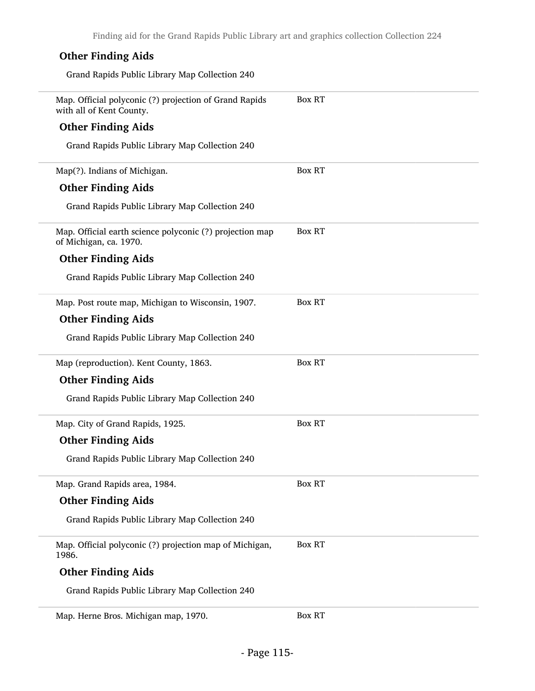| <b>Other Finding Aids</b>                                                          |               |
|------------------------------------------------------------------------------------|---------------|
| Grand Rapids Public Library Map Collection 240                                     |               |
| Map. Official polyconic (?) projection of Grand Rapids<br>with all of Kent County. | <b>Box RT</b> |
| <b>Other Finding Aids</b>                                                          |               |
| Grand Rapids Public Library Map Collection 240                                     |               |
| Map(?). Indians of Michigan.                                                       | <b>Box RT</b> |
| <b>Other Finding Aids</b>                                                          |               |
| Grand Rapids Public Library Map Collection 240                                     |               |
| Map. Official earth science polyconic (?) projection map<br>of Michigan, ca. 1970. | <b>Box RT</b> |
| <b>Other Finding Aids</b>                                                          |               |
| Grand Rapids Public Library Map Collection 240                                     |               |
| Map. Post route map, Michigan to Wisconsin, 1907.                                  | <b>Box RT</b> |
| <b>Other Finding Aids</b>                                                          |               |
| Grand Rapids Public Library Map Collection 240                                     |               |
| Map (reproduction). Kent County, 1863.                                             | <b>Box RT</b> |
| <b>Other Finding Aids</b>                                                          |               |
| Grand Rapids Public Library Map Collection 240                                     |               |
| Map. City of Grand Rapids, 1925.                                                   | <b>Box RT</b> |
| <b>Other Finding Aids</b>                                                          |               |
| Grand Rapids Public Library Map Collection 240                                     |               |
| Map. Grand Rapids area, 1984.                                                      | <b>Box RT</b> |
| <b>Other Finding Aids</b>                                                          |               |
| Grand Rapids Public Library Map Collection 240                                     |               |
| Map. Official polyconic (?) projection map of Michigan,<br>1986.                   | <b>Box RT</b> |
| <b>Other Finding Aids</b>                                                          |               |
| Grand Rapids Public Library Map Collection 240                                     |               |
|                                                                                    |               |

Map. Herne Bros. Michigan map, 1970. Box RT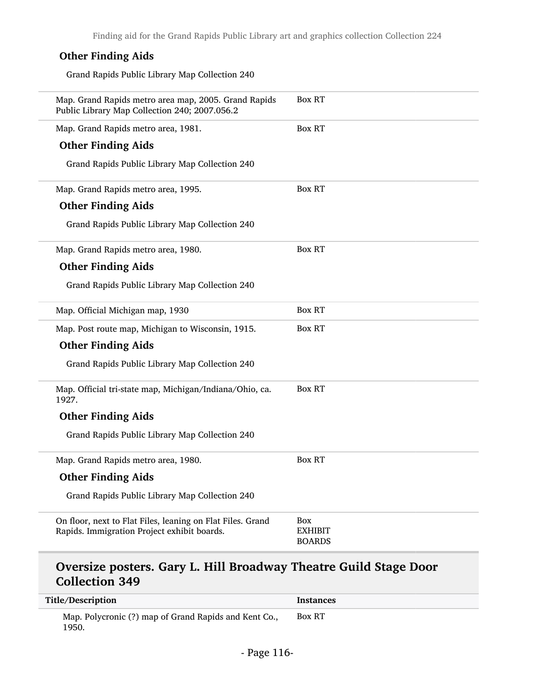Finding aid for the Grand Rapids Public Library art and graphics collection Collection 224

## Other Finding Aids

Grand Rapids Public Library Map Collection 240

| Map. Grand Rapids metro area map, 2005. Grand Rapids<br>Public Library Map Collection 240; 2007.056.2     | <b>Box RT</b>                          |
|-----------------------------------------------------------------------------------------------------------|----------------------------------------|
| Map. Grand Rapids metro area, 1981.                                                                       | <b>Box RT</b>                          |
| <b>Other Finding Aids</b>                                                                                 |                                        |
| Grand Rapids Public Library Map Collection 240                                                            |                                        |
| Map. Grand Rapids metro area, 1995.                                                                       | Box RT                                 |
| <b>Other Finding Aids</b>                                                                                 |                                        |
| Grand Rapids Public Library Map Collection 240                                                            |                                        |
| Map. Grand Rapids metro area, 1980.                                                                       | <b>Box RT</b>                          |
| <b>Other Finding Aids</b>                                                                                 |                                        |
| Grand Rapids Public Library Map Collection 240                                                            |                                        |
| Map. Official Michigan map, 1930                                                                          | <b>Box RT</b>                          |
| Map. Post route map, Michigan to Wisconsin, 1915.                                                         | <b>Box RT</b>                          |
| <b>Other Finding Aids</b>                                                                                 |                                        |
| Grand Rapids Public Library Map Collection 240                                                            |                                        |
| Map. Official tri-state map, Michigan/Indiana/Ohio, ca.<br>1927.                                          | <b>Box RT</b>                          |
| <b>Other Finding Aids</b>                                                                                 |                                        |
| Grand Rapids Public Library Map Collection 240                                                            |                                        |
| Map. Grand Rapids metro area, 1980.                                                                       | <b>Box RT</b>                          |
| <b>Other Finding Aids</b>                                                                                 |                                        |
| Grand Rapids Public Library Map Collection 240                                                            |                                        |
| On floor, next to Flat Files, leaning on Flat Files. Grand<br>Rapids. Immigration Project exhibit boards. | Box<br><b>EXHIBIT</b><br><b>BOARDS</b> |
| Oversize posters, Cary I, Hill Broadway Theatre Guild Stage Door                                          |                                        |

### Oversize posters. Gary L. Hill Broadway Theatre Guild Stage Door Collection 349

| Title/Description                                              | <b>Instances</b> |
|----------------------------------------------------------------|------------------|
| Map. Polycronic (?) map of Grand Rapids and Kent Co.,<br>1950. | <b>Box RT</b>    |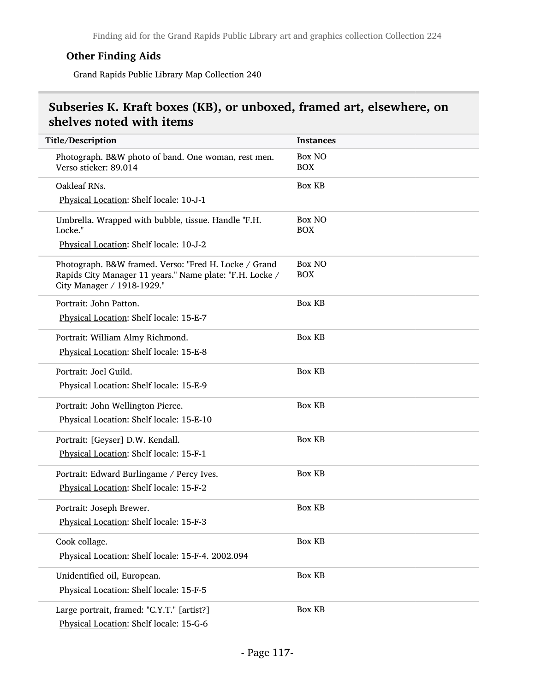### Other Finding Aids

Grand Rapids Public Library Map Collection 240

## Subseries K. Kraft boxes (KB), or unboxed, framed art, elsewhere, on shelves noted with items

| Title/Description                                                                                                                               | <b>Instances</b>            |
|-------------------------------------------------------------------------------------------------------------------------------------------------|-----------------------------|
| Photograph. B&W photo of band. One woman, rest men.<br>Verso sticker: 89.014                                                                    | <b>Box NO</b><br><b>BOX</b> |
| Oakleaf RNs.                                                                                                                                    | <b>Box KB</b>               |
| Physical Location: Shelf locale: 10-J-1                                                                                                         |                             |
| Umbrella. Wrapped with bubble, tissue. Handle "F.H.<br>Locke."                                                                                  | <b>Box NO</b><br><b>BOX</b> |
| Physical Location: Shelf locale: 10-J-2                                                                                                         |                             |
| Photograph. B&W framed. Verso: "Fred H. Locke / Grand<br>Rapids City Manager 11 years." Name plate: "F.H. Locke /<br>City Manager / 1918-1929." | <b>Box NO</b><br><b>BOX</b> |
| Portrait: John Patton.                                                                                                                          | <b>Box KB</b>               |
| Physical Location: Shelf locale: 15-E-7                                                                                                         |                             |
| Portrait: William Almy Richmond.                                                                                                                | <b>Box KB</b>               |
| Physical Location: Shelf locale: 15-E-8                                                                                                         |                             |
| Portrait: Joel Guild.                                                                                                                           | <b>Box KB</b>               |
| Physical Location: Shelf locale: 15-E-9                                                                                                         |                             |
| Portrait: John Wellington Pierce.                                                                                                               | <b>Box KB</b>               |
| Physical Location: Shelf locale: 15-E-10                                                                                                        |                             |
| Portrait: [Geyser] D.W. Kendall.                                                                                                                | <b>Box KB</b>               |
| Physical Location: Shelf locale: 15-F-1                                                                                                         |                             |
| Portrait: Edward Burlingame / Percy Ives.                                                                                                       | <b>Box KB</b>               |
| Physical Location: Shelf locale: 15-F-2                                                                                                         |                             |
| Portrait: Joseph Brewer.                                                                                                                        | <b>Box KB</b>               |
| Physical Location: Shelf locale: 15-F-3                                                                                                         |                             |
| Cook collage.                                                                                                                                   | <b>Box KB</b>               |
| Physical Location: Shelf locale: 15-F-4. 2002.094                                                                                               |                             |
| Unidentified oil, European.                                                                                                                     | <b>Box KB</b>               |
| Physical Location: Shelf locale: 15-F-5                                                                                                         |                             |
| Large portrait, framed: "C.Y.T." [artist?]                                                                                                      | <b>Box KB</b>               |
| Physical Location: Shelf locale: 15-G-6                                                                                                         |                             |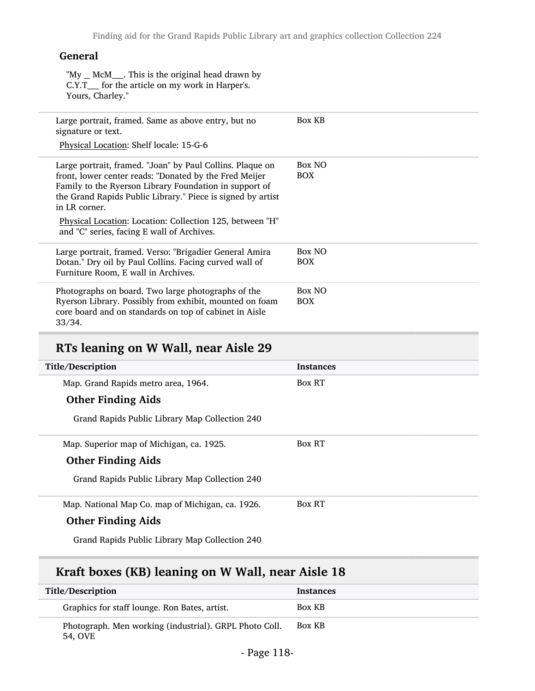#### General

"My \_ McM\_\_\_. This is the original head drawn by C.Y.T\_\_\_\_ for the article on my work in Harper's. Yours, Charley."

| Box KB<br>Large portrait, framed. Same as above entry, but no<br>signature or text.<br>Physical Location: Shelf locale: 15-G-6<br>Box NO<br>Large portrait, framed. "Joan" by Paul Collins. Plaque on<br>front, lower center reads: "Donated by the Fred Meijer<br>BOX<br>Family to the Ryerson Library Foundation in support of<br>the Grand Rapids Public Library." Piece is signed by artist<br>in LR corner.<br>Physical Location: Location: Collection 125, between "H"<br>and "C" series, facing E wall of Archives.<br>Box NO<br>Large portrait, framed. Verso: "Brigadier General Amira<br>Dotan." Dry oil by Paul Collins. Facing curved wall of<br><b>BOX</b><br>Furniture Room, E wall in Archives.<br>Box NO<br>Photographs on board. Two large photographs of the<br>Ryerson Library. Possibly from exhibit, mounted on foam<br><b>BOX</b><br>core board and on standards on top of cabinet in Aisle<br>33/34. |  |  |
|-----------------------------------------------------------------------------------------------------------------------------------------------------------------------------------------------------------------------------------------------------------------------------------------------------------------------------------------------------------------------------------------------------------------------------------------------------------------------------------------------------------------------------------------------------------------------------------------------------------------------------------------------------------------------------------------------------------------------------------------------------------------------------------------------------------------------------------------------------------------------------------------------------------------------------|--|--|
|                                                                                                                                                                                                                                                                                                                                                                                                                                                                                                                                                                                                                                                                                                                                                                                                                                                                                                                             |  |  |
|                                                                                                                                                                                                                                                                                                                                                                                                                                                                                                                                                                                                                                                                                                                                                                                                                                                                                                                             |  |  |
|                                                                                                                                                                                                                                                                                                                                                                                                                                                                                                                                                                                                                                                                                                                                                                                                                                                                                                                             |  |  |
|                                                                                                                                                                                                                                                                                                                                                                                                                                                                                                                                                                                                                                                                                                                                                                                                                                                                                                                             |  |  |

# RTs leaning on W Wall, near Aisle 29

| Title/Description                                | <b>Instances</b> |
|--------------------------------------------------|------------------|
| Map. Grand Rapids metro area, 1964.              | <b>Box RT</b>    |
| <b>Other Finding Aids</b>                        |                  |
| Grand Rapids Public Library Map Collection 240   |                  |
| Map. Superior map of Michigan, ca. 1925.         | <b>Box RT</b>    |
| <b>Other Finding Aids</b>                        |                  |
| Grand Rapids Public Library Map Collection 240   |                  |
| Map. National Map Co. map of Michigan, ca. 1926. | <b>Box RT</b>    |
| <b>Other Finding Aids</b>                        |                  |
| Grand Rapids Public Library Map Collection 240   |                  |

# Kraft boxes (KB) leaning on W Wall, near Aisle 18

| Title/Description                                                 | <b>Instances</b> |
|-------------------------------------------------------------------|------------------|
| Graphics for staff lounge. Ron Bates, artist.                     | Box KB           |
| Photograph. Men working (industrial). GRPL Photo Coll.<br>54. OVE | Box KB           |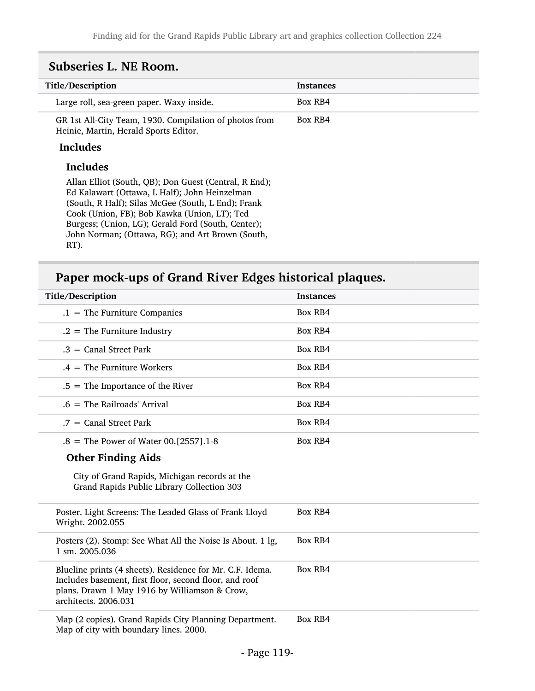| Title/Description                                                                               | <b>Instances</b> |
|-------------------------------------------------------------------------------------------------|------------------|
| Large roll, sea-green paper. Waxy inside.                                                       | Box RB4          |
| GR 1st All-City Team, 1930. Compilation of photos from<br>Heinie, Martin, Herald Sports Editor. | Box RB4          |
| <b>Includes</b>                                                                                 |                  |

#### Includes

Allan Elliot (South, QB); Don Guest (Central, R End); Ed Kalawart (Ottawa, L Half); John Heinzelman (South, R Half); Silas McGee (South, L End); Frank Cook (Union, FB); Bob Kawka (Union, LT); Ted Burgess; (Union, LG); Gerald Ford (South, Center); John Norman; (Ottawa, RG); and Art Brown (South, RT).

## Paper mock-ups of Grand River Edges historical plaques.

| Title/Description |                                                                                                                                                                                              | <b>Instances</b> |
|-------------------|----------------------------------------------------------------------------------------------------------------------------------------------------------------------------------------------|------------------|
|                   | $.1$ = The Furniture Companies                                                                                                                                                               | <b>Box RB4</b>   |
|                   | $.2$ = The Furniture Industry                                                                                                                                                                | <b>Box RB4</b>   |
|                   | $.3 =$ Canal Street Park                                                                                                                                                                     | <b>Box RB4</b>   |
|                   | $.4 =$ The Furniture Workers                                                                                                                                                                 | <b>Box RB4</b>   |
|                   | $.5$ = The Importance of the River                                                                                                                                                           | <b>Box RB4</b>   |
|                   | $.6 =$ The Railroads' Arrival                                                                                                                                                                | Box RB4          |
|                   | $.7 =$ Canal Street Park                                                                                                                                                                     | <b>Box RB4</b>   |
|                   | .8 = The Power of Water 00. [2557]. 1-8                                                                                                                                                      | <b>Box RB4</b>   |
|                   | <b>Other Finding Aids</b>                                                                                                                                                                    |                  |
|                   | City of Grand Rapids, Michigan records at the<br>Grand Rapids Public Library Collection 303                                                                                                  |                  |
|                   | Poster. Light Screens: The Leaded Glass of Frank Lloyd<br>Wright. 2002.055                                                                                                                   | Box RB4          |
| 1 sm. 2005.036    | Posters (2). Stomp: See What All the Noise Is About. 1 lg,                                                                                                                                   | <b>Box RB4</b>   |
|                   | Blueline prints (4 sheets). Residence for Mr. C.F. Idema.<br>Includes basement, first floor, second floor, and roof<br>plans. Drawn 1 May 1916 by Williamson & Crow,<br>architects. 2006.031 | <b>Box RB4</b>   |
|                   | Map (2 copies). Grand Rapids City Planning Department.<br>Map of city with boundary lines. 2000.                                                                                             | <b>Box RB4</b>   |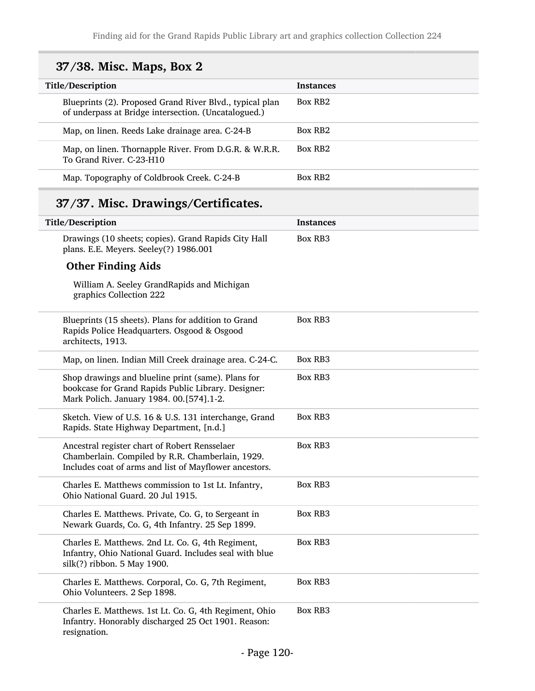# 37/38. Misc. Maps, Box 2

| Title/Description                                                                                                | <b>Instances</b>    |
|------------------------------------------------------------------------------------------------------------------|---------------------|
| Blueprints (2). Proposed Grand River Blvd., typical plan<br>of underpass at Bridge intersection. (Uncatalogued.) | Box RB <sub>2</sub> |
| Map, on linen. Reeds Lake drainage area. C-24-B                                                                  | Box RB2             |
| Map, on linen. Thornapple River. From D.G.R. & W.R.R.<br>To Grand River, C-23-H10                                | Box RB <sub>2</sub> |
| Map. Topography of Coldbrook Creek. C-24-B                                                                       | Box RB <sub>2</sub> |

# 37/37. Misc. Drawings/Certificates.

| Title/Description                                                                                                                                           | <b>Instances</b> |
|-------------------------------------------------------------------------------------------------------------------------------------------------------------|------------------|
| Drawings (10 sheets; copies). Grand Rapids City Hall<br>plans. E.E. Meyers. Seeley(?) 1986.001                                                              | Box RB3          |
| <b>Other Finding Aids</b>                                                                                                                                   |                  |
| William A. Seeley GrandRapids and Michigan<br>graphics Collection 222                                                                                       |                  |
| Blueprints (15 sheets). Plans for addition to Grand<br>Rapids Police Headquarters. Osgood & Osgood<br>architects, 1913.                                     | <b>Box RB3</b>   |
| Map, on linen. Indian Mill Creek drainage area. C-24-C.                                                                                                     | <b>Box RB3</b>   |
| Shop drawings and blueline print (same). Plans for<br>bookcase for Grand Rapids Public Library. Designer:<br>Mark Polich. January 1984. 00.[574].1-2.       | <b>Box RB3</b>   |
| Sketch. View of U.S. 16 & U.S. 131 interchange, Grand<br>Rapids. State Highway Department, [n.d.]                                                           | Box RB3          |
| Ancestral register chart of Robert Rensselaer<br>Chamberlain. Compiled by R.R. Chamberlain, 1929.<br>Includes coat of arms and list of Mayflower ancestors. | <b>Box RB3</b>   |
| Charles E. Matthews commission to 1st Lt. Infantry,<br>Ohio National Guard. 20 Jul 1915.                                                                    | <b>Box RB3</b>   |
| Charles E. Matthews. Private, Co. G, to Sergeant in<br>Newark Guards, Co. G, 4th Infantry. 25 Sep 1899.                                                     | <b>Box RB3</b>   |
| Charles E. Matthews. 2nd Lt. Co. G, 4th Regiment,<br>Infantry, Ohio National Guard. Includes seal with blue<br>silk(?) ribbon. 5 May 1900.                  | Box RB3          |
| Charles E. Matthews. Corporal, Co. G, 7th Regiment,<br>Ohio Volunteers. 2 Sep 1898.                                                                         | <b>Box RB3</b>   |
| Charles E. Matthews. 1st Lt. Co. G, 4th Regiment, Ohio<br>Infantry. Honorably discharged 25 Oct 1901. Reason:<br>resignation.                               | <b>Box RB3</b>   |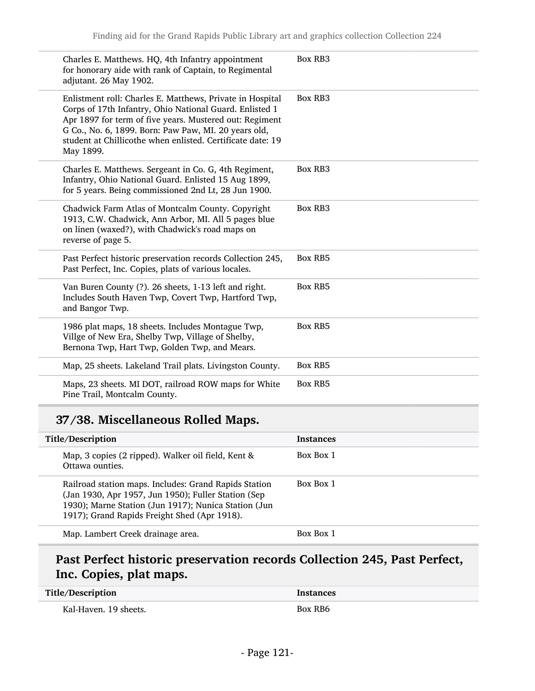| Charles E. Matthews. HQ, 4th Infantry appointment<br>for honorary aide with rank of Captain, to Regimental<br>adjutant. 26 May 1902.                                                                                                                                                                               | <b>Box RB3</b> |
|--------------------------------------------------------------------------------------------------------------------------------------------------------------------------------------------------------------------------------------------------------------------------------------------------------------------|----------------|
| Enlistment roll: Charles E. Matthews, Private in Hospital<br>Corps of 17th Infantry, Ohio National Guard. Enlisted 1<br>Apr 1897 for term of five years. Mustered out: Regiment<br>G Co., No. 6, 1899. Born: Paw Paw, MI. 20 years old,<br>student at Chillicothe when enlisted. Certificate date: 19<br>May 1899. | <b>Box RB3</b> |
| Charles E. Matthews. Sergeant in Co. G, 4th Regiment,<br>Infantry, Ohio National Guard. Enlisted 15 Aug 1899,<br>for 5 years. Being commissioned 2nd Lt, 28 Jun 1900.                                                                                                                                              | <b>Box RB3</b> |
| Chadwick Farm Atlas of Montcalm County. Copyright<br>1913, C.W. Chadwick, Ann Arbor, MI. All 5 pages blue<br>on linen (waxed?), with Chadwick's road maps on<br>reverse of page 5.                                                                                                                                 | Box RB3        |
| Past Perfect historic preservation records Collection 245,<br>Past Perfect, Inc. Copies, plats of various locales.                                                                                                                                                                                                 | <b>Box RB5</b> |
| Van Buren County (?). 26 sheets, 1-13 left and right.<br>Includes South Haven Twp, Covert Twp, Hartford Twp,<br>and Bangor Twp.                                                                                                                                                                                    | <b>Box RB5</b> |
| 1986 plat maps, 18 sheets. Includes Montague Twp,<br>Villge of New Era, Shelby Twp, Village of Shelby,<br>Bernona Twp, Hart Twp, Golden Twp, and Mears.                                                                                                                                                            | <b>Box RB5</b> |
| Map, 25 sheets. Lakeland Trail plats. Livingston County.                                                                                                                                                                                                                                                           | <b>Box RB5</b> |
| Maps, 23 sheets. MI DOT, railroad ROW maps for White<br>Pine Trail, Montcalm County.                                                                                                                                                                                                                               | <b>Box RB5</b> |

# 37/38. Miscellaneous Rolled Maps.

| Title/Description                                                                                                                                                                                                    | <b>Instances</b> |
|----------------------------------------------------------------------------------------------------------------------------------------------------------------------------------------------------------------------|------------------|
| Map, 3 copies (2 ripped). Walker oil field, Kent &<br>Ottawa ounties.                                                                                                                                                | <b>Box Box 1</b> |
| Railroad station maps. Includes: Grand Rapids Station<br>(Jan 1930, Apr 1957, Jun 1950); Fuller Station (Sep<br>1930); Marne Station (Jun 1917); Nunica Station (Jun<br>1917); Grand Rapids Freight Shed (Apr 1918). | <b>Box Box 1</b> |
| Map. Lambert Creek drainage area.                                                                                                                                                                                    | <b>Box Box 1</b> |

# Past Perfect historic preservation records Collection 245, Past Perfect, Inc. Copies, plat maps.

| Title/Description     | <b>Instances</b> |
|-----------------------|------------------|
| Kal-Haven. 19 sheets. | <b>Box RB6</b>   |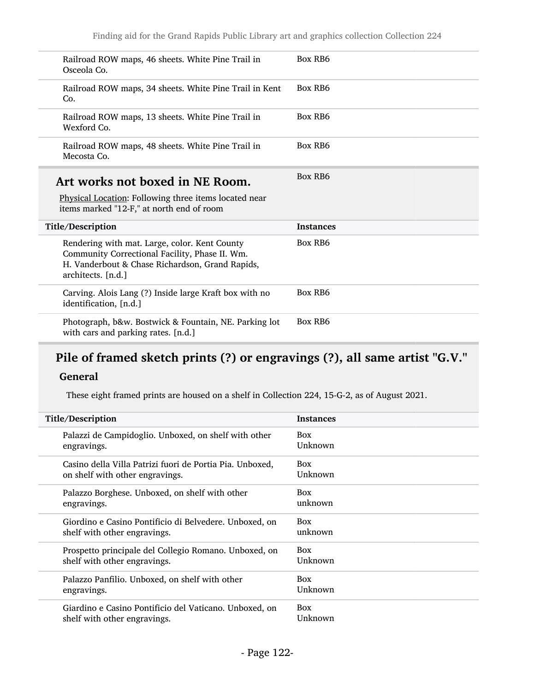| Railroad ROW maps, 46 sheets. White Pine Trail in<br>Osceola Co.                                                                                                         | Box RB6          |
|--------------------------------------------------------------------------------------------------------------------------------------------------------------------------|------------------|
| Railroad ROW maps, 34 sheets. White Pine Trail in Kent<br>Co.                                                                                                            | Box RB6          |
| Railroad ROW maps, 13 sheets. White Pine Trail in<br>Wexford Co.                                                                                                         | Box RB6          |
| Railroad ROW maps, 48 sheets. White Pine Trail in<br>Mecosta Co.                                                                                                         | Box RB6          |
| Art works not boxed in NE Room.<br>Physical Location: Following three items located near<br>items marked "12-F," at north end of room                                    | Box RB6          |
| Title/Description                                                                                                                                                        | <b>Instances</b> |
| Rendering with mat. Large, color. Kent County<br>Community Correctional Facility, Phase II. Wm.<br>H. Vanderbout & Chase Richardson, Grand Rapids,<br>architects. [n.d.] | Box RB6          |
| Carving. Alois Lang (?) Inside large Kraft box with no                                                                                                                   |                  |
| identification, [n.d.]                                                                                                                                                   | Box RB6          |

# Pile of framed sketch prints (?) or engravings (?), all same artist "G.V."

### General

These eight framed prints are housed on a shelf in Collection 224, 15-G-2, as of August 2021.

| Title/Description                                        | <b>Instances</b> |
|----------------------------------------------------------|------------------|
| Palazzi de Campidoglio. Unboxed, on shelf with other     | <b>Box</b>       |
| engravings.                                              | Unknown          |
| Casino della Villa Patrizi fuori de Portia Pia. Unboxed, | <b>Box</b>       |
| on shelf with other engravings.                          | Unknown          |
| Palazzo Borghese. Unboxed, on shelf with other           | <b>Box</b>       |
| engravings.                                              | unknown          |
| Giordino e Casino Pontificio di Belvedere. Unboxed, on   | <b>Box</b>       |
| shelf with other engravings.                             | unknown          |
| Prospetto principale del Collegio Romano. Unboxed, on    | <b>Box</b>       |
| shelf with other engravings.                             | Unknown          |
| Palazzo Panfilio. Unboxed, on shelf with other           | <b>Box</b>       |
| engravings.                                              | Unknown          |
| Giardino e Casino Pontificio del Vaticano. Unboxed, on   | <b>Box</b>       |
| shelf with other engravings.                             | Unknown          |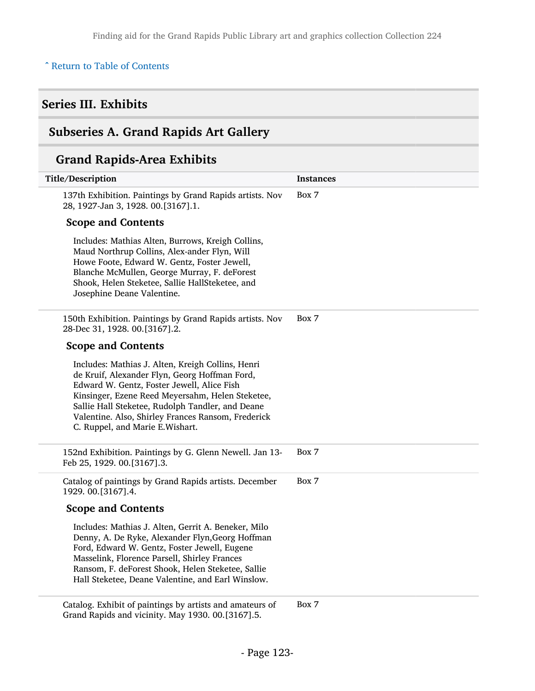### ^ [Return to Table of Contents](#page-1-0)

## Series III. Exhibits

# Subseries A. Grand Rapids Art Gallery

## Grand Rapids-Area Exhibits

| Title/Description                                                                                                                                                                                                                                                                                                                                  | <b>Instances</b> |
|----------------------------------------------------------------------------------------------------------------------------------------------------------------------------------------------------------------------------------------------------------------------------------------------------------------------------------------------------|------------------|
| 137th Exhibition. Paintings by Grand Rapids artists. Nov<br>28, 1927-Jan 3, 1928. 00.[3167].1.                                                                                                                                                                                                                                                     | Box 7            |
| <b>Scope and Contents</b>                                                                                                                                                                                                                                                                                                                          |                  |
| Includes: Mathias Alten, Burrows, Kreigh Collins,<br>Maud Northrup Collins, Alex-ander Flyn, Will<br>Howe Foote, Edward W. Gentz, Foster Jewell,<br>Blanche McMullen, George Murray, F. deForest<br>Shook, Helen Steketee, Sallie HallSteketee, and<br>Josephine Deane Valentine.                                                                  |                  |
| 150th Exhibition. Paintings by Grand Rapids artists. Nov<br>28-Dec 31, 1928. 00.[3167].2.                                                                                                                                                                                                                                                          | Box 7            |
| <b>Scope and Contents</b>                                                                                                                                                                                                                                                                                                                          |                  |
| Includes: Mathias J. Alten, Kreigh Collins, Henri<br>de Kruif, Alexander Flyn, Georg Hoffman Ford,<br>Edward W. Gentz, Foster Jewell, Alice Fish<br>Kinsinger, Ezene Reed Meyersahm, Helen Steketee,<br>Sallie Hall Steketee, Rudolph Tandler, and Deane<br>Valentine. Also, Shirley Frances Ransom, Frederick<br>C. Ruppel, and Marie E. Wishart. |                  |
| 152nd Exhibition. Paintings by G. Glenn Newell. Jan 13-<br>Feb 25, 1929. 00.[3167].3.                                                                                                                                                                                                                                                              | Box 7            |
| Catalog of paintings by Grand Rapids artists. December<br>1929. 00.[3167].4.                                                                                                                                                                                                                                                                       | Box 7            |
| <b>Scope and Contents</b>                                                                                                                                                                                                                                                                                                                          |                  |
| Includes: Mathias J. Alten, Gerrit A. Beneker, Milo<br>Denny, A. De Ryke, Alexander Flyn, Georg Hoffman<br>Ford, Edward W. Gentz, Foster Jewell, Eugene<br>Masselink, Florence Parsell, Shirley Frances<br>Ransom, F. deForest Shook, Helen Steketee, Sallie<br>Hall Steketee, Deane Valentine, and Earl Winslow.                                  |                  |

Catalog. Exhibit of paintings by artists and amateurs of Grand Rapids and vicinity. May 1930. 00.[3167].5. Box 7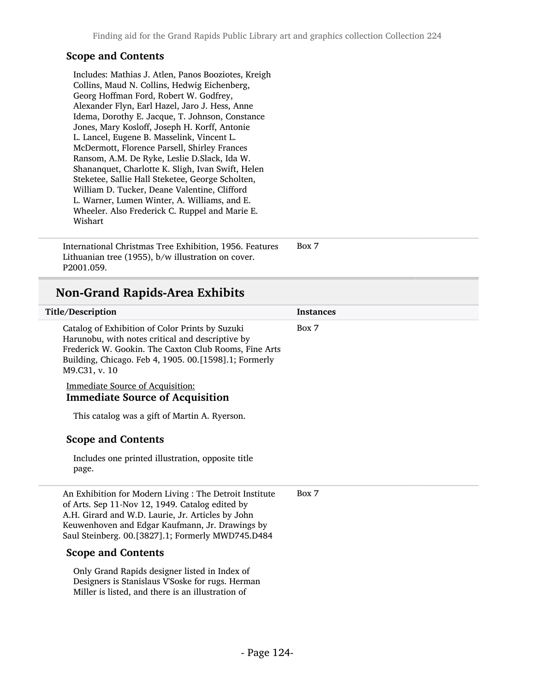#### Scope and Contents

Includes: Mathias J. Atlen, Panos Booziotes, Kreigh Collins, Maud N. Collins, Hedwig Eichenberg, Georg Hoffman Ford, Robert W. Godfrey, Alexander Flyn, Earl Hazel, Jaro J. Hess, Anne Idema, Dorothy E. Jacque, T. Johnson, Constance Jones, Mary Kosloff, Joseph H. Korff, Antonie L. Lancel, Eugene B. Masselink, Vincent L. McDermott, Florence Parsell, Shirley Frances Ransom, A.M. De Ryke, Leslie D.Slack, Ida W. Shananquet, Charlotte K. Sligh, Ivan Swift, Helen Steketee, Sallie Hall Steketee, George Scholten, William D. Tucker, Deane Valentine, Clifford L. Warner, Lumen Winter, A. Williams, and E. Wheeler. Also Frederick C. Ruppel and Marie E. Wishart

International Christmas Tree Exhibition, 1956. Features Lithuanian tree (1955), b/w illustration on cover. P2001.059. Box 7

### Non-Grand Rapids-Area Exhibits

| Title/Description                                                                                                                                                                                                                                                       | <b>Instances</b> |
|-------------------------------------------------------------------------------------------------------------------------------------------------------------------------------------------------------------------------------------------------------------------------|------------------|
| Catalog of Exhibition of Color Prints by Suzuki<br>Harunobu, with notes critical and descriptive by<br>Frederick W. Gookin. The Caxton Club Rooms, Fine Arts<br>Building, Chicago. Feb 4, 1905. 00.[1598].1; Formerly<br>M9.C31, v. 10                                  | Box 7            |
| <b>Immediate Source of Acquisition:</b><br><b>Immediate Source of Acquisition</b>                                                                                                                                                                                       |                  |
| This catalog was a gift of Martin A. Ryerson.                                                                                                                                                                                                                           |                  |
| <b>Scope and Contents</b>                                                                                                                                                                                                                                               |                  |
| Includes one printed illustration, opposite title<br>page.                                                                                                                                                                                                              |                  |
| An Exhibition for Modern Living : The Detroit Institute<br>of Arts. Sep 11-Nov 12, 1949. Catalog edited by<br>A.H. Girard and W.D. Laurie, Jr. Articles by John<br>Keuwenhoven and Edgar Kaufmann, Jr. Drawings by<br>Saul Steinberg. 00.[3827].1; Formerly MWD745.D484 | Box 7            |
| <b>Scope and Contents</b>                                                                                                                                                                                                                                               |                  |
| Only Grand Rapids designer listed in Index of<br>Designers is Stanislaus V'Soske for rugs. Herman                                                                                                                                                                       |                  |

Miller is listed, and there is an illustration of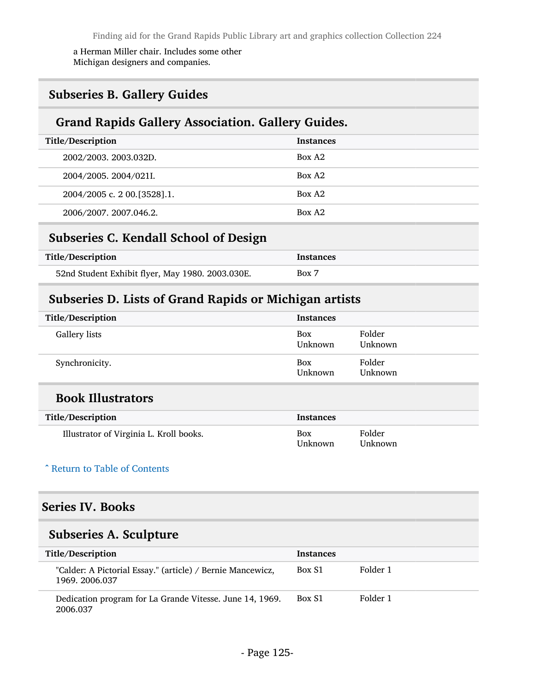a Herman Miller chair. Includes some other Michigan designers and companies.

## Subseries B. Gallery Guides

## Grand Rapids Gallery Association. Gallery Guides.

| Title/Description             | <b>Instances</b>   |
|-------------------------------|--------------------|
| 2002/2003. 2003.032D.         | Box A <sub>2</sub> |
| 2004/2005. 2004/021I.         | Box A <sub>2</sub> |
| 2004/2005 c. 2 00. [3528]. 1. | Box A <sub>2</sub> |
| 2006/2007. 2007.046.2.        | Box A <sub>2</sub> |

## Subseries C. Kendall School of Design

| Title/Description                                | <b>Instances</b> |
|--------------------------------------------------|------------------|
| 52nd Student Exhibit flyer, May 1980. 2003.030E. | Box 7            |

### Subseries D. Lists of Grand Rapids or Michigan artists

| Title/Description | Instances      |                   |
|-------------------|----------------|-------------------|
| Gallery lists     | Box<br>Unknown | Folder<br>Unknown |
| Synchronicity.    | Box<br>Unknown | Folder<br>Unknown |

### Book Illustrators

| Title/Description                       | <b>Instances</b> |                   |
|-----------------------------------------|------------------|-------------------|
| Illustrator of Virginia L. Kroll books. | Box<br>Unknown   | Folder<br>Unknown |

#### ^ [Return to Table of Contents](#page-1-0)

### Series IV. Books

## Subseries A. Sculpture

| Title/Description                                                            | <b>Instances</b> |          |
|------------------------------------------------------------------------------|------------------|----------|
| "Calder: A Pictorial Essay." (article) / Bernie Mancewicz,<br>1969. 2006.037 | Box S1           | Folder 1 |
| Dedication program for La Grande Vitesse. June 14, 1969.<br>2006.037         | Box S1           | Folder 1 |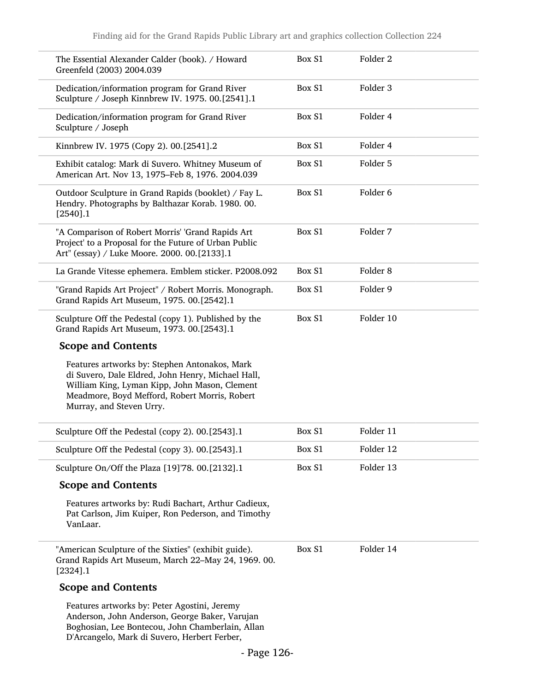| The Essential Alexander Calder (book). / Howard<br>Greenfeld (2003) 2004.039                                                                                                                                                     | Box S1 | Folder <sub>2</sub> |  |
|----------------------------------------------------------------------------------------------------------------------------------------------------------------------------------------------------------------------------------|--------|---------------------|--|
| Dedication/information program for Grand River<br>Sculpture / Joseph Kinnbrew IV. 1975. 00.[2541].1                                                                                                                              | Box S1 | Folder 3            |  |
| Dedication/information program for Grand River<br>Sculpture / Joseph                                                                                                                                                             | Box S1 | Folder 4            |  |
| Kinnbrew IV. 1975 (Copy 2). 00.[2541].2                                                                                                                                                                                          | Box S1 | Folder 4            |  |
| Exhibit catalog: Mark di Suvero. Whitney Museum of<br>American Art. Nov 13, 1975-Feb 8, 1976. 2004.039                                                                                                                           | Box S1 | Folder 5            |  |
| Outdoor Sculpture in Grand Rapids (booklet) / Fay L.<br>Hendry. Photographs by Balthazar Korab. 1980. 00.<br>[2540].1                                                                                                            | Box S1 | Folder 6            |  |
| "A Comparison of Robert Morris' 'Grand Rapids Art<br>Project' to a Proposal for the Future of Urban Public<br>Art" (essay) / Luke Moore. 2000. 00.[2133].1                                                                       | Box S1 | Folder 7            |  |
| La Grande Vitesse ephemera. Emblem sticker. P2008.092                                                                                                                                                                            | Box S1 | Folder <sub>8</sub> |  |
| "Grand Rapids Art Project" / Robert Morris. Monograph.<br>Grand Rapids Art Museum, 1975. 00.[2542].1                                                                                                                             | Box S1 | Folder 9            |  |
| Sculpture Off the Pedestal (copy 1). Published by the<br>Grand Rapids Art Museum, 1973. 00.[2543].1                                                                                                                              | Box S1 | Folder 10           |  |
| <b>Scope and Contents</b>                                                                                                                                                                                                        |        |                     |  |
| Features artworks by: Stephen Antonakos, Mark<br>di Suvero, Dale Eldred, John Henry, Michael Hall,<br>William King, Lyman Kipp, John Mason, Clement<br>Meadmore, Boyd Mefford, Robert Morris, Robert<br>Murray, and Steven Urry. |        |                     |  |
| Sculpture Off the Pedestal (copy 2). 00.[2543].1                                                                                                                                                                                 | Box S1 | Folder 11           |  |
| Sculpture Off the Pedestal (copy 3). 00.[2543].1                                                                                                                                                                                 | Box S1 | Folder 12           |  |
| Sculpture On/Off the Plaza [19]'78. 00.[2132].1                                                                                                                                                                                  | Box S1 | Folder 13           |  |
| <b>Scope and Contents</b>                                                                                                                                                                                                        |        |                     |  |
| Features artworks by: Rudi Bachart, Arthur Cadieux,<br>Pat Carlson, Jim Kuiper, Ron Pederson, and Timothy<br>VanLaar.                                                                                                            |        |                     |  |
| "American Sculpture of the Sixties" (exhibit guide).<br>Grand Rapids Art Museum, March 22-May 24, 1969. 00.<br>$[2324]$ .1                                                                                                       | Box S1 | Folder 14           |  |
| <b>Scope and Contents</b>                                                                                                                                                                                                        |        |                     |  |
| Features artworks by: Peter Agostini, Jeremy                                                                                                                                                                                     |        |                     |  |

Anderson, John Anderson, George Baker, Varujan Boghosian, Lee Bontecou, John Chamberlain, Allan D'Arcangelo, Mark di Suvero, Herbert Ferber,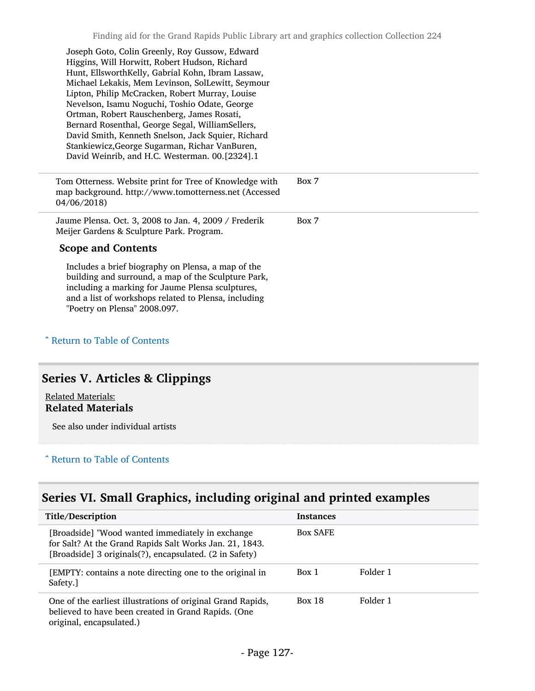| Joseph Goto, Colin Greenly, Roy Gussow, Edward<br>Higgins, Will Horwitt, Robert Hudson, Richard<br>Hunt, EllsworthKelly, Gabrial Kohn, Ibram Lassaw,<br>Michael Lekakis, Mem Levinson, SolLewitt, Seymour<br>Lipton, Philip McCracken, Robert Murray, Louise<br>Nevelson, Isamu Noguchi, Toshio Odate, George<br>Ortman, Robert Rauschenberg, James Rosati,<br>Bernard Rosenthal, George Segal, WilliamSellers,<br>David Smith, Kenneth Snelson, Jack Squier, Richard<br>Stankiewicz, George Sugarman, Richar VanBuren,<br>David Weinrib, and H.C. Westerman. 00.[2324].1 |       |
|---------------------------------------------------------------------------------------------------------------------------------------------------------------------------------------------------------------------------------------------------------------------------------------------------------------------------------------------------------------------------------------------------------------------------------------------------------------------------------------------------------------------------------------------------------------------------|-------|
| Tom Otterness. Website print for Tree of Knowledge with<br>map background. http://www.tomotterness.net (Accessed<br>04/06/2018)                                                                                                                                                                                                                                                                                                                                                                                                                                           | Box 7 |
| Jaume Plensa. Oct. 3, 2008 to Jan. 4, 2009 / Frederik<br>Meijer Gardens & Sculpture Park. Program.                                                                                                                                                                                                                                                                                                                                                                                                                                                                        | Box 7 |
| <b>Scope and Contents</b>                                                                                                                                                                                                                                                                                                                                                                                                                                                                                                                                                 |       |
| Includes a brief biography on Plensa, a map of the<br>building and surround, a map of the Sculpture Park,<br>including a marking for Jaume Plensa sculptures,<br>and a list of workshops related to Plensa, including                                                                                                                                                                                                                                                                                                                                                     |       |

#### ^ [Return to Table of Contents](#page-1-0)

# Series V. Articles & Clippings

#### Related Materials: Related Materials

See also under individual artists

#### ^ [Return to Table of Contents](#page-1-0)

# Series VI. Small Graphics, including original and printed examples

| Title/Description                                                                                                                                                      | <b>Instances</b> |          |
|------------------------------------------------------------------------------------------------------------------------------------------------------------------------|------------------|----------|
| [Broadside] "Wood wanted immediately in exchange<br>for Salt? At the Grand Rapids Salt Works Jan. 21, 1843.<br>[Broadside] 3 originals(?), encapsulated. (2 in Safety) | Box SAFE         |          |
| [EMPTY: contains a note directing one to the original in<br>Safety.]                                                                                                   | Box 1            | Folder 1 |
| One of the earliest illustrations of original Grand Rapids,<br>believed to have been created in Grand Rapids. (One<br>original, encapsulated.)                         | <b>Box 18</b>    | Folder 1 |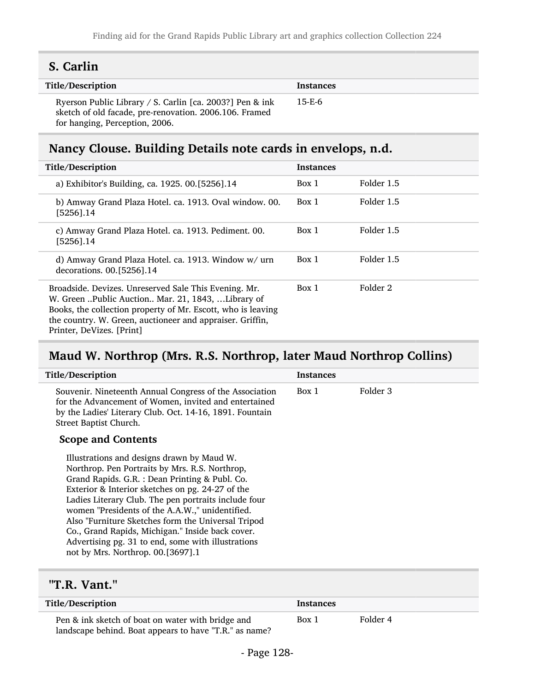## S. Carlin

| Title/Description                                                                                                                                    | Instances |
|------------------------------------------------------------------------------------------------------------------------------------------------------|-----------|
| Ryerson Public Library / S. Carlin [ca. 2003?] Pen & ink<br>sketch of old facade, pre-renovation. 2006.106. Framed<br>for hanging, Perception, 2006. | 15-E-6    |

# Nancy Clouse. Building Details note cards in envelops, n.d.

| Title/Description                                                                                                                                                                                                                                                    | <b>Instances</b> |            |
|----------------------------------------------------------------------------------------------------------------------------------------------------------------------------------------------------------------------------------------------------------------------|------------------|------------|
| a) Exhibitor's Building, ca. 1925. 00.[5256].14                                                                                                                                                                                                                      | Box 1            | Folder 1.5 |
| b) Amway Grand Plaza Hotel. ca. 1913. Oval window. 00.<br>$[5256]$ .14                                                                                                                                                                                               | Box 1            | Folder 1.5 |
| c) Amway Grand Plaza Hotel. ca. 1913. Pediment. 00.<br>$[5256]$ .14                                                                                                                                                                                                  | Box 1            | Folder 1.5 |
| d) Amway Grand Plaza Hotel. ca. 1913. Window w/ urn<br>decorations. 00. [5256]. 14                                                                                                                                                                                   | Box 1            | Folder 1.5 |
| Broadside. Devizes. Unreserved Sale This Evening. Mr.<br>W. Green Public Auction Mar. 21, 1843, Library of<br>Books, the collection property of Mr. Escott, who is leaving<br>the country. W. Green, auctioneer and appraiser. Griffin,<br>Printer, DeVizes. [Print] | Box 1            | Folder 2   |

## Maud W. Northrop (Mrs. R.S. Northrop, later Maud Northrop Collins)

| Title/Description                                                                                                                                                                                                                                                                                                                                                                                                                                                                                                  | <b>Instances</b> |          |
|--------------------------------------------------------------------------------------------------------------------------------------------------------------------------------------------------------------------------------------------------------------------------------------------------------------------------------------------------------------------------------------------------------------------------------------------------------------------------------------------------------------------|------------------|----------|
| Souvenir. Nineteenth Annual Congress of the Association<br>for the Advancement of Women, invited and entertained<br>by the Ladies' Literary Club. Oct. 14-16, 1891. Fountain<br>Street Baptist Church.                                                                                                                                                                                                                                                                                                             | Box 1            | Folder 3 |
| <b>Scope and Contents</b>                                                                                                                                                                                                                                                                                                                                                                                                                                                                                          |                  |          |
| Illustrations and designs drawn by Maud W.<br>Northrop. Pen Portraits by Mrs. R.S. Northrop,<br>Grand Rapids. G.R. : Dean Printing & Publ. Co.<br>Exterior & Interior sketches on pg. 24-27 of the<br>Ladies Literary Club. The pen portraits include four<br>women "Presidents of the A.A.W.," unidentified.<br>Also "Furniture Sketches form the Universal Tripod<br>Co., Grand Rapids, Michigan." Inside back cover.<br>Advertising pg. 31 to end, some with illustrations<br>not by Mrs. Northrop. 00.[3697].1 |                  |          |

## "T.R. Vant."

| Title/Description                                                                                           | <b>Instances</b> |          |  |
|-------------------------------------------------------------------------------------------------------------|------------------|----------|--|
| Pen & ink sketch of boat on water with bridge and<br>landscape behind. Boat appears to have "T.R." as name? | Box 1            | Folder 4 |  |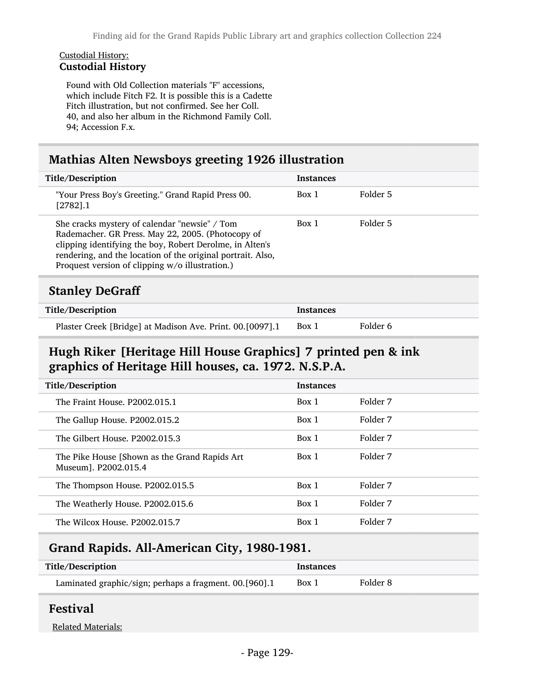#### Custodial History: Custodial History

Found with Old Collection materials "F" accessions, which include Fitch F2. It is possible this is a Cadette Fitch illustration, but not confirmed. See her Coll. 40, and also her album in the Richmond Family Coll. 94; Accession F.x.

# Mathias Alten Newsboys greeting 1926 illustration

| Title/Description                                                                                                                                                                                                                                                                | <b>Instances</b> |          |
|----------------------------------------------------------------------------------------------------------------------------------------------------------------------------------------------------------------------------------------------------------------------------------|------------------|----------|
| "Your Press Boy's Greeting." Grand Rapid Press 00.<br>[2782].1                                                                                                                                                                                                                   | Box 1            | Folder 5 |
| She cracks mystery of calendar "newsie" / Tom<br>Rademacher. GR Press. May 22, 2005. (Photocopy of<br>clipping identifying the boy, Robert Derolme, in Alten's<br>rendering, and the location of the original portrait. Also,<br>Proquest version of clipping w/o illustration.) | Box 1            | Folder 5 |
| <b>Stanley DeGraff</b>                                                                                                                                                                                                                                                           |                  |          |
| Title/Description                                                                                                                                                                                                                                                                | <b>Instances</b> |          |
|                                                                                                                                                                                                                                                                                  |                  |          |

| Plaster Creek [Bridge] at Madison Ave. Print. 00.[0097].1 | Box 1 | Folder 6 |  |
|-----------------------------------------------------------|-------|----------|--|
|-----------------------------------------------------------|-------|----------|--|

## Hugh Riker [Heritage Hill House Graphics] 7 printed pen & ink graphics of Heritage Hill houses, ca. 1972. N.S.P.A.

| Title/Description                                                      | <b>Instances</b> |          |
|------------------------------------------------------------------------|------------------|----------|
| The Fraint House, P2002.015.1                                          | Box 1            | Folder 7 |
| The Gallup House. P2002.015.2                                          | Box 1            | Folder 7 |
| The Gilbert House, P2002.015.3                                         | Box 1            | Folder 7 |
| The Pike House [Shown as the Grand Rapids Art]<br>Museum1. P2002.015.4 | Box 1            | Folder 7 |
| The Thompson House. P2002.015.5                                        | Box 1            | Folder 7 |
| The Weatherly House. P2002.015.6                                       | Box 1            | Folder 7 |
| The Wilcox House, P2002.015.7                                          | Box 1            | Folder 7 |

## Grand Rapids. All-American City, 1980-1981.

| Title/Description                                      | <b>Instances</b> |          |
|--------------------------------------------------------|------------------|----------|
| Laminated graphic/sign; perhaps a fragment. 00.[960].1 | Box 1            | Folder 8 |

### Festival

Related Materials: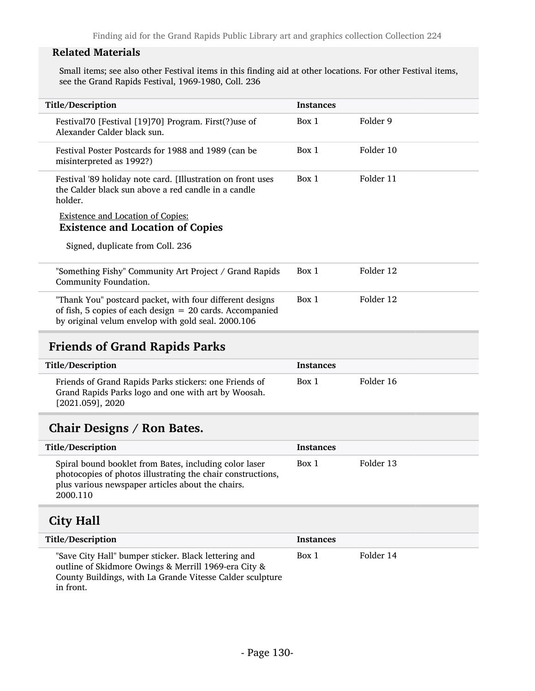### Related Materials

Small items; see also other Festival items in this finding aid at other locations. For other Festival items, see the Grand Rapids Festival, 1969-1980, Coll. 236

| Title/Description                                                                                                                                                                      | <b>Instances</b> |           |
|----------------------------------------------------------------------------------------------------------------------------------------------------------------------------------------|------------------|-----------|
| Festival70 [Festival [19]70] Program. First(?)use of<br>Alexander Calder black sun.                                                                                                    | Box 1            | Folder 9  |
| Festival Poster Postcards for 1988 and 1989 (can be<br>misinterpreted as 1992?)                                                                                                        | Box 1            | Folder 10 |
| Festival '89 holiday note card. [Illustration on front uses<br>the Calder black sun above a red candle in a candle<br>holder.                                                          | Box 1            | Folder 11 |
| <b>Existence and Location of Copies:</b><br><b>Existence and Location of Copies</b>                                                                                                    |                  |           |
| Signed, duplicate from Coll. 236                                                                                                                                                       |                  |           |
| "Something Fishy" Community Art Project / Grand Rapids<br>Community Foundation.                                                                                                        | Box 1            | Folder 12 |
| "Thank You" postcard packet, with four different designs<br>of fish, 5 copies of each design $= 20$ cards. Accompanied<br>by original velum envelop with gold seal. 2000.106           | Box 1            | Folder 12 |
| <b>Friends of Grand Rapids Parks</b>                                                                                                                                                   |                  |           |
| Title/Description                                                                                                                                                                      | <b>Instances</b> |           |
| Friends of Grand Rapids Parks stickers: one Friends of<br>Grand Rapids Parks logo and one with art by Woosah.<br>$[2021.059]$ , 2020                                                   | Box 1            | Folder 16 |
| <b>Chair Designs / Ron Bates.</b>                                                                                                                                                      |                  |           |
| Title/Description                                                                                                                                                                      | <b>Instances</b> |           |
| Spiral bound booklet from Bates, including color laser<br>photocopies of photos illustrating the chair constructions,<br>plus various newspaper articles about the chairs.<br>2000.110 | Box 1            | Folder 13 |
| <b>City Hall</b>                                                                                                                                                                       |                  |           |
| Title/Description                                                                                                                                                                      | <b>Instances</b> |           |
| "Save City Hall" bumper sticker. Black lettering and<br>outline of Skidmore Owings & Merrill 1969-era City &<br>County Buildings, with La Grande Vitesse Calder sculpture<br>in front. | Box 1            | Folder 14 |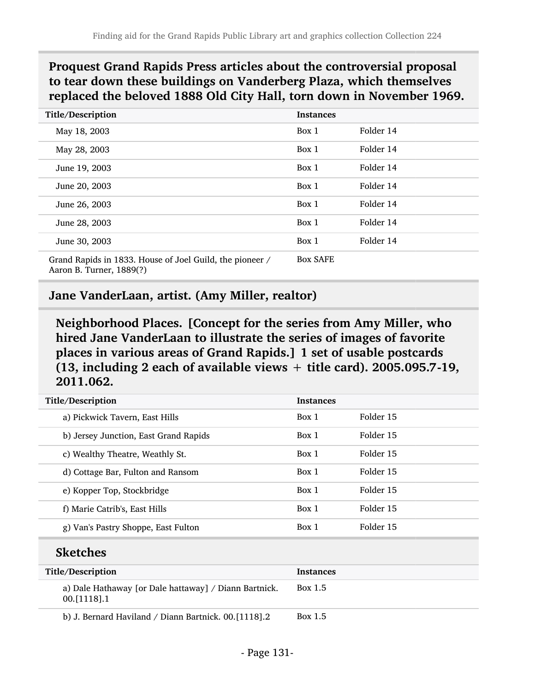## Proquest Grand Rapids Press articles about the controversial proposal to tear down these buildings on Vanderberg Plaza, which themselves replaced the beloved 1888 Old City Hall, torn down in November 1969.

| Title/Description                                                                    | <b>Instances</b> |           |
|--------------------------------------------------------------------------------------|------------------|-----------|
| May 18, 2003                                                                         | Box 1            | Folder 14 |
| May 28, 2003                                                                         | Box 1            | Folder 14 |
| June 19, 2003                                                                        | Box 1            | Folder 14 |
| June 20, 2003                                                                        | Box 1            | Folder 14 |
| June 26, 2003                                                                        | Box 1            | Folder 14 |
| June 28, 2003                                                                        | Box 1            | Folder 14 |
| June 30, 2003                                                                        | Box 1            | Folder 14 |
| Grand Rapids in 1833. House of Joel Guild, the pioneer /<br>Aaron B. Turner, 1889(?) | <b>Box SAFE</b>  |           |

### Jane VanderLaan, artist. (Amy Miller, realtor)

Neighborhood Places. [Concept for the series from Amy Miller, who hired Jane VanderLaan to illustrate the series of images of favorite places in various areas of Grand Rapids.] 1 set of usable postcards (13, including 2 each of available views + title card). 2005.095.7-19, 2011.062.

### Sketches

| Title/Description |                                                                         | <b>Instances</b> |
|-------------------|-------------------------------------------------------------------------|------------------|
|                   | a) Dale Hathaway [or Dale hattaway] / Diann Bartnick.<br>$00.$ [1118].1 | Box 1.5          |
|                   | b) J. Bernard Haviland / Diann Bartnick. 00.[1118].2                    | Box 1.5          |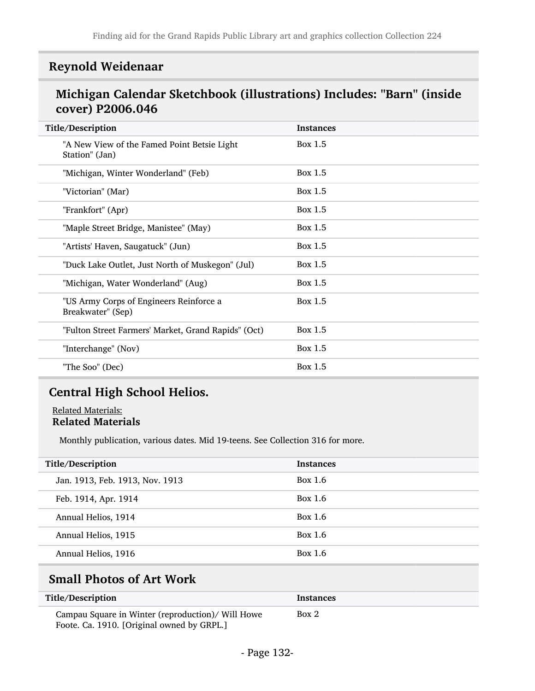## Reynold Weidenaar

## Michigan Calendar Sketchbook (illustrations) Includes: "Barn" (inside cover) P2006.046

| Title/Description                                             | <b>Instances</b> |
|---------------------------------------------------------------|------------------|
| "A New View of the Famed Point Betsie Light<br>Station" (Jan) | Box 1.5          |
| "Michigan, Winter Wonderland" (Feb)                           | Box 1.5          |
| "Victorian" (Mar)                                             | Box 1.5          |
| "Frankfort" (Apr)                                             | Box 1.5          |
| "Maple Street Bridge, Manistee" (May)                         | Box 1.5          |
| "Artists' Haven, Saugatuck" (Jun)                             | Box 1.5          |
| "Duck Lake Outlet, Just North of Muskegon" (Jul)              | Box 1.5          |
| "Michigan, Water Wonderland" (Aug)                            | Box 1.5          |
| "US Army Corps of Engineers Reinforce a<br>Breakwater" (Sep)  | Box 1.5          |
| "Fulton Street Farmers' Market, Grand Rapids" (Oct)           | Box 1.5          |
| "Interchange" (Nov)                                           | Box 1.5          |
| "The Soo" (Dec)                                               | Box 1.5          |
|                                                               |                  |

## Central High School Helios.

Related Materials: Related Materials

Monthly publication, various dates. Mid 19-teens. See Collection 316 for more.

| Title/Description               | <b>Instances</b> |
|---------------------------------|------------------|
| Jan. 1913, Feb. 1913, Nov. 1913 | Box 1.6          |
| Feb. 1914, Apr. 1914            | Box 1.6          |
| Annual Helios, 1914             | Box 1.6          |
| Annual Helios, 1915             | Box 1.6          |
| Annual Helios, 1916             | Box 1.6          |
|                                 |                  |

# Small Photos of Art Work

| Title/Description                                                                               | Instances |
|-------------------------------------------------------------------------------------------------|-----------|
| Campau Square in Winter (reproduction)/ Will Howe<br>Foote. Ca. 1910. [Original owned by GRPL.] | Box 2     |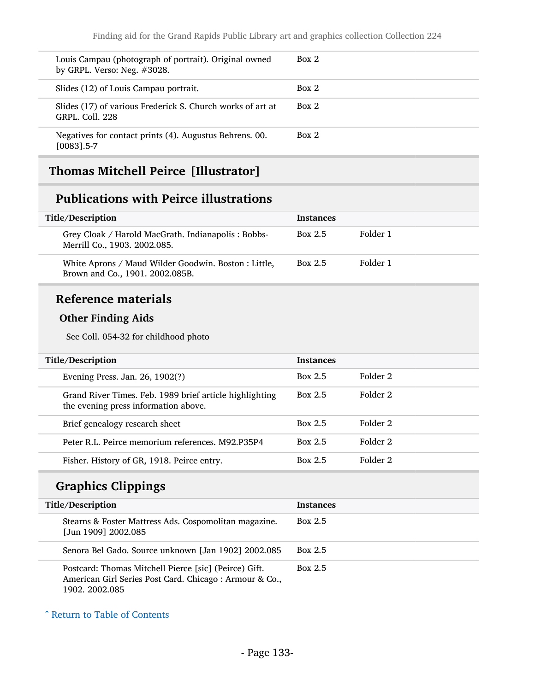| Louis Campau (photograph of portrait). Original owned<br>by GRPL. Verso: Neg. $#3028$ . | Box 2 |
|-----------------------------------------------------------------------------------------|-------|
| Slides (12) of Louis Campau portrait.                                                   | Box 2 |
| Slides (17) of various Frederick S. Church works of art at<br><b>GRPL, Coll. 228</b>    | Box 2 |
| Negatives for contact prints (4). Augustus Behrens. 00.<br>$[0083]$ .5-7                | Box 2 |

# Thomas Mitchell Peirce [Illustrator]

### Publications with Peirce illustrations

| Title/Description                                                                       | <b>Instances</b> |          |
|-----------------------------------------------------------------------------------------|------------------|----------|
| Grey Cloak / Harold MacGrath. Indianapolis: Bobbs-<br>Merrill Co., 1903. 2002.085.      | Box 2.5          | Folder 1 |
| White Aprons / Maud Wilder Goodwin. Boston : Little,<br>Brown and Co., 1901. 2002.085B. | <b>Box 2.5</b>   | Folder 1 |

## Reference materials

### Other Finding Aids

See Coll. 054-32 for childhood photo

| Title/Description<br><b>Instances</b>                                                                      |          |  |
|------------------------------------------------------------------------------------------------------------|----------|--|
| Box 2.5<br>Evening Press. Jan. 26, 1902(?)                                                                 | Folder 2 |  |
| Grand River Times. Feb. 1989 brief article highlighting<br>Box 2.5<br>the evening press information above. | Folder 2 |  |
| Brief genealogy research sheet<br>Box 2.5                                                                  | Folder 2 |  |
| Peter R.L. Peirce memorium references, M92.P35P4<br>Box 2.5                                                | Folder 2 |  |
| Box 2.5<br>Fisher. History of GR, 1918. Peirce entry.                                                      | Folder 2 |  |

# Graphics Clippings

| Title/Description                                                                                                                 | <b>Instances</b> |
|-----------------------------------------------------------------------------------------------------------------------------------|------------------|
| Stearns & Foster Mattress Ads. Cospomolitan magazine.<br>[Jun 1909] 2002.085                                                      | Box 2.5          |
| Senora Bel Gado. Source unknown [Jan 1902] 2002.085                                                                               | <b>Box 2.5</b>   |
| Postcard: Thomas Mitchell Pierce [sic] (Peirce) Gift.<br>American Girl Series Post Card. Chicago: Armour & Co.,<br>1902. 2002.085 | Box 2.5          |

^ [Return to Table of Contents](#page-1-0)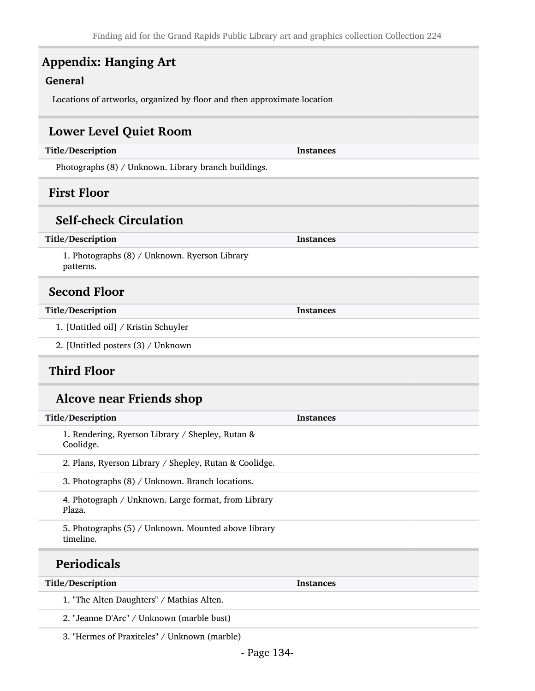# Appendix: Hanging Art

### General

Locations of artworks, organized by floor and then approximate location

### Lower Level Quiet Room

| Title/Description                                                | <b>Instances</b> |  |  |
|------------------------------------------------------------------|------------------|--|--|
| Photographs (8) / Unknown. Library branch buildings.             |                  |  |  |
| <b>First Floor</b>                                               |                  |  |  |
| <b>Self-check Circulation</b>                                    |                  |  |  |
| Title/Description                                                | <b>Instances</b> |  |  |
| 1. Photographs (8) / Unknown. Ryerson Library<br>patterns.       |                  |  |  |
| <b>Second Floor</b>                                              |                  |  |  |
| Title/Description                                                | <b>Instances</b> |  |  |
| 1. [Untitled oil] / Kristin Schuyler                             |                  |  |  |
| 2. [Untitled posters (3) / Unknown                               |                  |  |  |
| <b>Third Floor</b>                                               |                  |  |  |
| <b>Alcove near Friends shop</b>                                  |                  |  |  |
| Title/Description                                                | <b>Instances</b> |  |  |
| 1. Rendering, Ryerson Library / Shepley, Rutan &<br>Coolidge.    |                  |  |  |
| 2. Plans, Ryerson Library / Shepley, Rutan & Coolidge.           |                  |  |  |
|                                                                  |                  |  |  |
| 3. Photographs (8) / Unknown. Branch locations.                  |                  |  |  |
| 4. Photograph / Unknown. Large format, from Library<br>Plaza.    |                  |  |  |
| 5. Photographs (5) / Unknown. Mounted above library<br>timeline. |                  |  |  |

1. "The Alten Daughters" / Mathias Alten.

2. "Jeanne D'Arc" / Unknown (marble bust)

3. "Hermes of Praxiteles" / Unknown (marble)

Title/Description Instances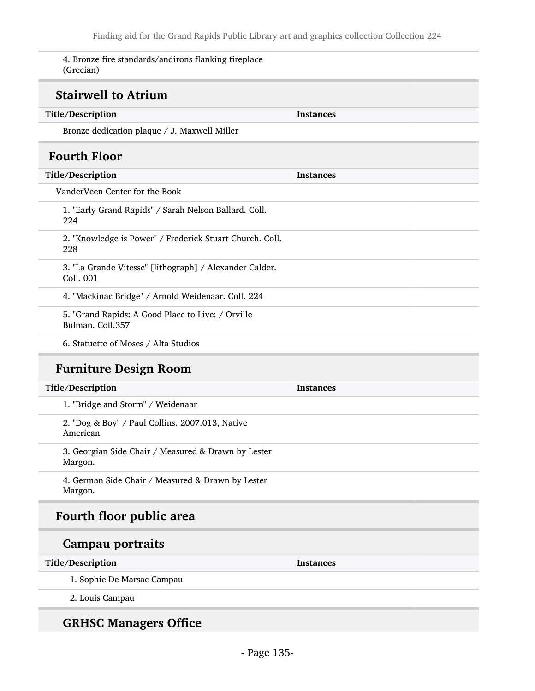4. Bronze fire standards/andirons flanking fireplace (Grecian)

## Stairwell to Atrium

| Title/Description                                                     | <b>Instances</b> |  |
|-----------------------------------------------------------------------|------------------|--|
| Bronze dedication plaque / J. Maxwell Miller                          |                  |  |
| <b>Fourth Floor</b>                                                   |                  |  |
| Title/Description                                                     | <b>Instances</b> |  |
| VanderVeen Center for the Book                                        |                  |  |
| 1. "Early Grand Rapids" / Sarah Nelson Ballard. Coll.<br>224          |                  |  |
| 2. "Knowledge is Power" / Frederick Stuart Church. Coll.<br>228       |                  |  |
| 3. "La Grande Vitesse" [lithograph] / Alexander Calder.<br>Coll. 001  |                  |  |
| 4. "Mackinac Bridge" / Arnold Weidenaar. Coll. 224                    |                  |  |
| 5. "Grand Rapids: A Good Place to Live: / Orville<br>Bulman. Coll.357 |                  |  |
| 6. Statuette of Moses / Alta Studios                                  |                  |  |
| <b>Furniture Design Room</b>                                          |                  |  |
| Title/Description                                                     | <b>Instances</b> |  |
| 1. "Bridge and Storm" / Weidenaar                                     |                  |  |
|                                                                       |                  |  |

2. "Dog & Boy" / Paul Collins. 2007.013, Native American

3. Georgian Side Chair / Measured & Drawn by Lester Margon.

4. German Side Chair / Measured & Drawn by Lester Margon.

## Fourth floor public area

### Campau portraits

#### Title/Description Instances

1. Sophie De Marsac Campau

2. Louis Campau

### GRHSC Managers Office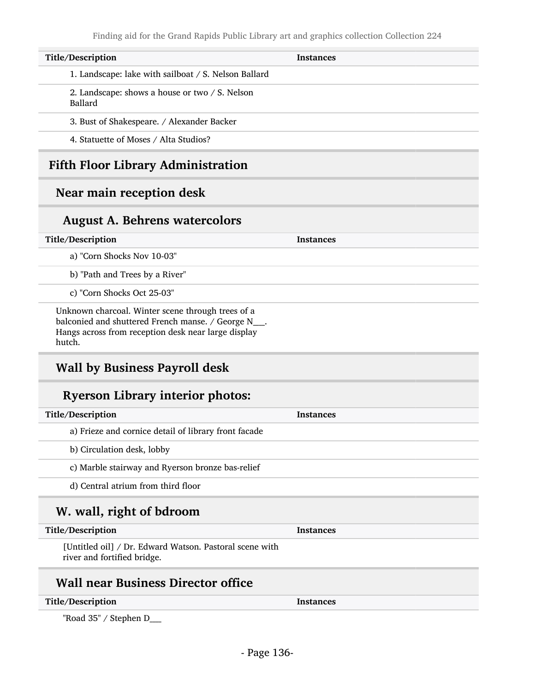| Title/Description                                         | <b>Instances</b> |
|-----------------------------------------------------------|------------------|
| 1. Landscape: lake with sailboat / S. Nelson Ballard      |                  |
| 2. Landscape: shows a house or two / S. Nelson<br>Ballard |                  |
| 3. Bust of Shakespeare. / Alexander Backer                |                  |
| 4. Statuette of Moses / Alta Studios?                     |                  |
| <b>Fifth Floor Library Administration</b>                 |                  |

### Near main reception desk

### August A. Behrens watercolors

#### Title/Description Instances

a) "Corn Shocks Nov 10-03"

b) "Path and Trees by a River"

c) "Corn Shocks Oct 25-03"

Unknown charcoal. Winter scene through trees of a balconied and shuttered French manse. / George N\_\_\_\_. Hangs across from reception desk near large display hutch.

### Wall by Business Payroll desk

### Ryerson Library interior photos:

| Title/Description                                    | <b>Instances</b> |
|------------------------------------------------------|------------------|
| a) Frieze and cornice detail of library front facade |                  |
| b) Circulation desk, lobby                           |                  |
| c) Marble stairway and Ryerson bronze bas-relief     |                  |
| d) Central atrium from third floor                   |                  |
| W. wall, right of bdroom                             |                  |

#### Title/Description Instances

[Untitled oil] / Dr. Edward Watson. Pastoral scene with river and fortified bridge.

## Wall near Business Director office

#### Title/Description Instances

"Road 35" / Stephen D\_\_\_\_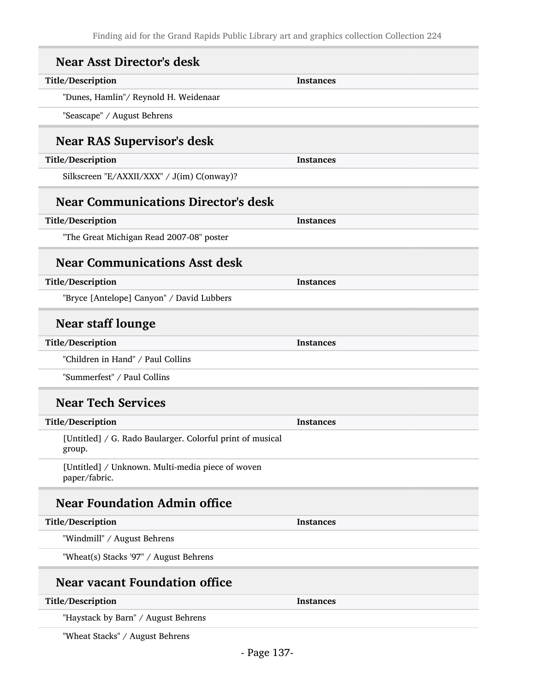| <b>Near Asst Director's desk</b>                                    |                  |
|---------------------------------------------------------------------|------------------|
| Title/Description                                                   | <b>Instances</b> |
| "Dunes, Hamlin"/ Reynold H. Weidenaar                               |                  |
| "Seascape" / August Behrens                                         |                  |
| <b>Near RAS Supervisor's desk</b>                                   |                  |
| Title/Description                                                   | <b>Instances</b> |
| Silkscreen "E/AXXII/XXX" / J(im) C(onway)?                          |                  |
| <b>Near Communications Director's desk</b>                          |                  |
| Title/Description                                                   | <b>Instances</b> |
| "The Great Michigan Read 2007-08" poster                            |                  |
| <b>Near Communications Asst desk</b>                                |                  |
| Title/Description                                                   | <b>Instances</b> |
| "Bryce [Antelope] Canyon" / David Lubbers                           |                  |
| <b>Near staff lounge</b>                                            |                  |
| Title/Description                                                   | <b>Instances</b> |
| "Children in Hand" / Paul Collins                                   |                  |
| "Summerfest" / Paul Collins                                         |                  |
| <b>Near Tech Services</b>                                           |                  |
| Title/Description                                                   | <b>Instances</b> |
| [Untitled] / G. Rado Baularger. Colorful print of musical<br>group. |                  |
| [Untitled] / Unknown. Multi-media piece of woven<br>paper/fabric.   |                  |
| <b>Near Foundation Admin office</b>                                 |                  |
| Title/Description                                                   | <b>Instances</b> |
| "Windmill" / August Behrens                                         |                  |
| "Wheat(s) Stacks '97" / August Behrens                              |                  |
| <b>Near vacant Foundation office</b>                                |                  |
| Title/Description                                                   | <b>Instances</b> |
| "Haystack by Barn" / August Behrens                                 |                  |

"Wheat Stacks" / August Behrens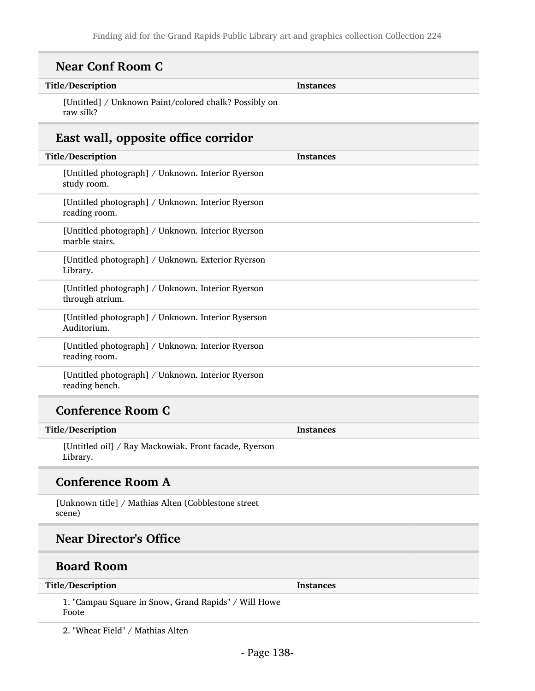| Title/Description                                                    | <b>Instances</b> |  |
|----------------------------------------------------------------------|------------------|--|
| [Untitled] / Unknown Paint/colored chalk? Possibly on<br>raw silk?   |                  |  |
| East wall, opposite office corridor                                  |                  |  |
| Title/Description                                                    | <b>Instances</b> |  |
| [Untitled photograph] / Unknown. Interior Ryerson<br>study room.     |                  |  |
| [Untitled photograph] / Unknown. Interior Ryerson<br>reading room.   |                  |  |
| [Untitled photograph] / Unknown. Interior Ryerson<br>marble stairs.  |                  |  |
| [Untitled photograph] / Unknown. Exterior Ryerson<br>Library.        |                  |  |
| [Untitled photograph] / Unknown. Interior Ryerson<br>through atrium. |                  |  |
| [Untitled photograph] / Unknown. Interior Ryserson<br>Auditorium.    |                  |  |
| [Untitled photograph] / Unknown. Interior Ryerson<br>reading room.   |                  |  |
| [Untitled photograph] / Unknown. Interior Ryerson<br>reading bench.  |                  |  |
| <b>Conference Room C</b>                                             |                  |  |
| Title/Description                                                    | Instances        |  |
| [Untitled oil] / Ray Mackowiak. Front facade, Ryerson<br>Library.    |                  |  |
| <b>Conference Room A</b>                                             |                  |  |
| [Unknown title] / Mathias Alten (Cobblestone street<br>scene)        |                  |  |
| <b>Near Director's Office</b>                                        |                  |  |

#### Title/Description Instances

1. "Campau Square in Snow, Grand Rapids" / Will Howe Foote

2. "Wheat Field" / Mathias Alten